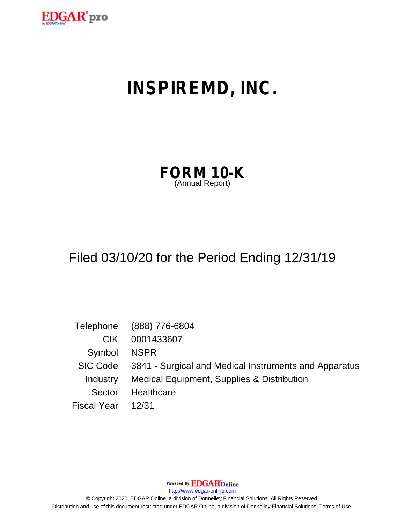

# **INSPIREMD, INC.**

| FORM 10-K |                 |  |  |
|-----------|-----------------|--|--|
|           | (Annual Report) |  |  |

# Filed 03/10/20 for the Period Ending 12/31/19

|                   | Telephone (888) 776-6804                                       |
|-------------------|----------------------------------------------------------------|
| CIK.              | 0001433607                                                     |
| Symbol NSPR       |                                                                |
|                   | SIC Code 3841 - Surgical and Medical Instruments and Apparatus |
| Industry          | Medical Equipment, Supplies & Distribution                     |
| Sector            | Healthcare                                                     |
| Fiscal Year 12/31 |                                                                |

Powered By EDGAROnline

http://www.edgar-online.com

© Copyright 2020, EDGAR Online, a division of Donnelley Financial Solutions. All Rights Reserved. Distribution and use of this document restricted under EDGAR Online, a division of Donnelley Financial Solutions, Terms of Use.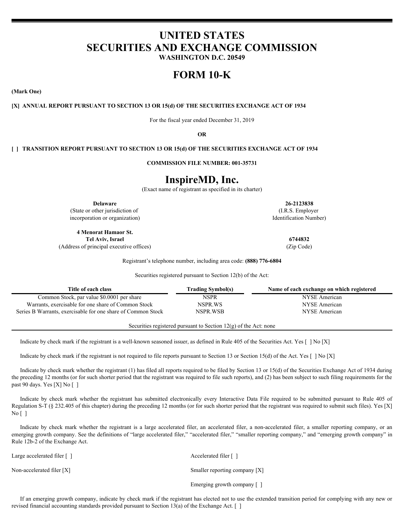# **UNITED STATES SECURITIES AND EXCHANGE COMMISSION**

**WASHINGTON D.C. 20549**

# **FORM 10-K**

**(Mark One)**

#### **[X] ANNUAL REPORT PURSUANT TO SECTION 13 OR 15(d) OF THE SECURITIES EXCHANGE ACT OF 1934**

For the fiscal year ended December 31, 2019

**OR**

#### **[ ] TRANSITION REPORT PURSUANT TO SECTION 13 OR 15(d) OF THE SECURITIES EXCHANGE ACT OF 1934**

**COMMISSION FILE NUMBER: 001-35731**

## **InspireMD, Inc.**

|                                                                                                                                                                                                                                                                                                                                                                              | Inspirently, Inc.<br>(Exact name of registrant as specified in its charter) |                                                               |
|------------------------------------------------------------------------------------------------------------------------------------------------------------------------------------------------------------------------------------------------------------------------------------------------------------------------------------------------------------------------------|-----------------------------------------------------------------------------|---------------------------------------------------------------|
| <b>Delaware</b><br>(State or other jurisdiction of<br>incorporation or organization)                                                                                                                                                                                                                                                                                         |                                                                             | 26-2123838<br>(I.R.S. Employer<br>Identification Number)      |
| 4 Menorat Hamaor St.<br>Tel Aviv, Israel<br>(Address of principal executive offices)                                                                                                                                                                                                                                                                                         |                                                                             | 6744832<br>(Zip Code)                                         |
|                                                                                                                                                                                                                                                                                                                                                                              | Registrant's telephone number, including area code: (888) 776-6804          |                                                               |
|                                                                                                                                                                                                                                                                                                                                                                              | Securities registered pursuant to Section 12(b) of the Act:                 |                                                               |
| Title of each class                                                                                                                                                                                                                                                                                                                                                          | <b>Trading Symbol(s)</b>                                                    | Name of each exchange on which registered                     |
| Common Stock, par value \$0.0001 per share<br>Warrants, exercisable for one share of Common Stock<br>Series B Warrants, exercisable for one share of Common Stock                                                                                                                                                                                                            | <b>NSPR</b><br>NSPR.WS<br>NSPR.WSB                                          | <b>NYSE</b> American<br><b>NYSE</b> American<br>NYSE American |
|                                                                                                                                                                                                                                                                                                                                                                              | Securities registered pursuant to Section $12(g)$ of the Act: none          |                                                               |
| Indicate by check mark if the registrant is a well-known seasoned issuer, as defined in Rule 405 of the Securities Act. Yes $[ ]$ No $[X]$                                                                                                                                                                                                                                   |                                                                             |                                                               |
| Indicate by check mark if the registrant is not required to file reports pursuant to Section 13 or Section 15(d) of the Act. Yes $[ \ ]$ No $[X]$                                                                                                                                                                                                                            |                                                                             |                                                               |
| Indicate by check mark whether the registrant (1) has filed all reports required to be filed by Section 13 or 15(d) of the Securities Exchange Act of 1934 during<br>the preceding 12 months (or for such shorter period that the registrant was required to file such reports), and (2) has been subject to such filing requirements for the<br>past 90 days. Yes [X] No [] |                                                                             |                                                               |
| Indicate by check mark whether the registrant has submitted electronically every Interactive Data File required to be submitted pursuant to Rule 405 of<br>Regulation S-T (§ 232.405 of this chapter) during the preceding 12 months (or for such shorter period that the registrant was required to submit such files). Yes [X]<br>$\sqrt{0}$   $\sqrt{0}$                  |                                                                             |                                                               |
| Indicate by check mark whether the registrant is a large accelerated filer, an accelerated filer, a non-accelerated filer, a smaller reporting company, or an<br>emerging growth company. See the definitions of "large accelerated filer," "accelerated filer," "smaller reporting company," and "emerging growth company" in<br>Rule 12b-2 of the Exchange Act.            |                                                                             |                                                               |
| Large accelerated filer []                                                                                                                                                                                                                                                                                                                                                   | Accelerated filer []                                                        |                                                               |
| Non-accelerated filer [X]                                                                                                                                                                                                                                                                                                                                                    | Smaller reporting company [X]                                               |                                                               |
|                                                                                                                                                                                                                                                                                                                                                                              |                                                                             |                                                               |

| Large accelerated filer $\lceil \ \rceil$ | Accelerated filer [           |
|-------------------------------------------|-------------------------------|
| Non-accelerated filer [X]                 | Smaller reporting company [X] |
|                                           | Emerging growth company []    |

If an emerging growth company, indicate by check mark if the registrant has elected not to use the extended transition period for complying with any new or revised financial accounting standards provided pursuant to Section 13(a) of the Exchange Act. [ ]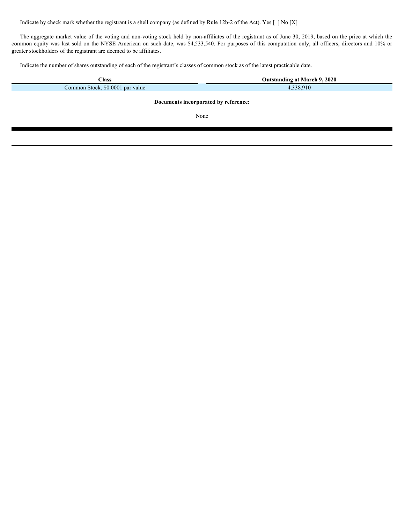Indicate by check mark whether the registrant is a shell company (as defined by Rule 12b-2 of the Act). Yes  $[ ]$  No  $[$ X $]$ 

The aggregate market value of the voting and non-voting stock held by non-affiliates of the registrant as of June 30, 2019, based on the price at which the common equity was last sold on the NYSE American on such date, was \$4,533,540. For purposes of this computation only, all officers, directors and 10% or greater stockholders of the registrant are deemed to be affiliates.

Indicate the number of shares outstanding of each of the registrant's classes of common stock as of the latest practicable date.

| --<br>Aass                             | 9.2020<br>Outstanding at March 9, |
|----------------------------------------|-----------------------------------|
| . $$0.0001$ par value<br>Jommon Stock. | 220<br>$\overline{O}$ .<br>.      |
|                                        |                                   |

**Documents incorporated by reference:**

None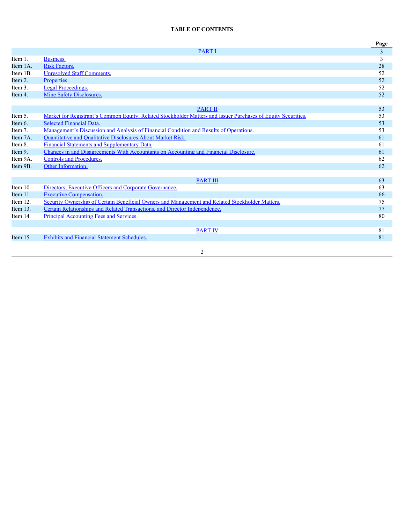#### **TABLE OF CONTENTS**

|          |                                                                                                               | Page         |
|----------|---------------------------------------------------------------------------------------------------------------|--------------|
|          | <b>PART I</b>                                                                                                 | $\mathbf{3}$ |
| Item 1.  | Business.                                                                                                     | 3            |
| Item 1A. | <b>Risk Factors.</b>                                                                                          | 28           |
| Item 1B. | <b>Unresolved Staff Comments.</b>                                                                             | 52           |
| Item 2.  | Properties.                                                                                                   | 52           |
| Item 3.  | <b>Legal Proceedings.</b>                                                                                     | 52           |
| Item 4.  | Mine Safety Disclosures.                                                                                      | 52           |
|          |                                                                                                               |              |
|          | <b>PART II</b>                                                                                                | 53           |
| Item 5.  | Market for Registrant's Common Equity, Related Stockholder Matters and Issuer Purchases of Equity Securities. | 53           |
| Item 6.  | <b>Selected Financial Data.</b>                                                                               | 53           |
| Item 7.  | Management's Discussion and Analysis of Financial Condition and Results of Operations.                        | 53           |
| Item 7A. | Quantitative and Qualitative Disclosures About Market Risk.                                                   | 61           |
| Item 8.  | <b>Financial Statements and Supplementary Data.</b>                                                           | 61           |
| Item 9.  | Changes in and Disagreements With Accountants on Accounting and Financial Disclosure.                         | 61           |
| Item 9A. | <b>Controls and Procedures.</b>                                                                               | 62           |
| Item 9B. | Other Information.                                                                                            | 62           |
|          |                                                                                                               |              |
|          | <b>PART III</b>                                                                                               | 63           |
| Item 10. | Directors, Executive Officers and Corporate Governance.                                                       | 63           |
| Item 11. | <b>Executive Compensation.</b>                                                                                | 66           |
| Item 12. | Security Ownership of Certain Beneficial Owners and Management and Related Stockholder Matters.               | 75           |
| Item 13. | Certain Relationships and Related Transactions, and Director Independence.                                    | 77           |
| Item 14. | <b>Principal Accounting Fees and Services.</b>                                                                | 80           |
|          |                                                                                                               |              |
|          | <b>PART IV</b>                                                                                                | 81           |
| Item 15. | <b>Exhibits and Financial Statement Schedules.</b>                                                            | 81           |
|          |                                                                                                               |              |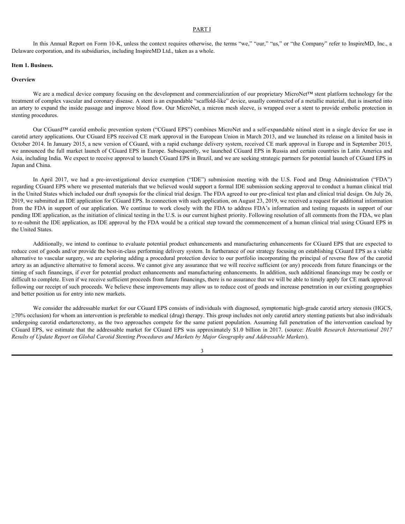#### <span id="page-4-0"></span>PART I

In this Annual Report on Form 10-K, unless the context requires otherwise, the terms "we," "our," "us," or "the Company" refer to InspireMD, Inc., a Delaware corporation, and its subsidiaries, including InspireMD Ltd., taken as a whole.

#### <span id="page-4-1"></span>**Item 1. Business.**

#### **Overview Overview** *Overview*

We are a medical device company focusing on the development and commercialization of our proprietary MicroNet™ stent platform technology for the treatment of complex vascular and coronary disease. A stent is an expandable "scaffold-like" device, usually constructed of a metallic material, that is inserted into an artery to expand the inside passage and improve blood flow. Our MicroNet, a micron mesh sleeve, is wrapped over a stent to provide embolic protection in stenting procedures.

Our CGuard™ carotid embolic prevention system ("CGuard EPS") combines MicroNet and a self-expandable nitinol stent in a single device for use in carotid artery applications. Our CGuard EPS received CE mark approval in the European Union in March 2013, and we launched its release on a limited basis in October 2014. In January 2015, a new version of CGuard, with a rapid exchange delivery system, received CE mark approval in Europe and in September 2015, we announced the full market launch of CGuard EPS in Europe. Subsequently, we launched CGuard EPS in Russia and certain countries in Latin America and Asia, including India. We expect to receive approval to launch CGuard EPS in Brazil, and we are seeking strategic partners for potential launch of CGuard EPS in Japan and China.

 $\text{PAEIT}$ <br>
In this Amual Report on Form 10-K, unless the context requires otherwise, the terms "we," "our," "us," or "the Company" refer to Inspired/ID, Inc., a corporation, and its subsidiration, including Inspired/ID I. regarding CGuard EPS where we presented materials that we believed would support a formal IDE submission seeking approval to conduct a human clinical trial in the United States which included our draft synopsis for the clinical trial design. The FDA agreed to our pre-clinical test plan and clinical trial design. On July 26, 2019, we submitted an IDE application for CGuard EPS. In connection with such application, on August 23, 2019, we received a request for additional information From the FDA in support on Form 10-K, unless the context requires otherwise, the terms "we," "our." "us," or "do Company" refer to InspireMD, Inc., a<br>
Hen 1. Business.<br>
Unraitive sure and the substitution, including impare pending IDE application, as the initiation of clinical testing in the U.S. is our current highest priority. Following resolution of all comments from the FDA, we plan to re-submit the IDE application, as IDE approval by the FDA would be a critical step toward the commencement of a human clinical trial using CGuard EPS in the United States. undergoing the two cars and two competent of two competents are also approached and set in a single device for two approximates the same patient of the same patient in the two competents of the two competents of the interv estimate presentates.<br>
On CGuard Waron'd estimation system in Counter Expectation through the selection is a selection for counter and the coupled the selection is a selection in a stated 2013, and we immediate to a standa

Additionally, we intend to continue to evaluate potential product enhancements and manufacturing enhancements for CGuard EPS that are expected to reduce cost of goods and/or provide the best-in-class performing delivery system. In furtherance of our strategy focusing on establishing CGuard EPS as a viable alternative to vascular surgery, we are exploring adding a procedural protection device to our portfolio incorporating the principal of reverse flow of the carotid artery as an adjunctive alternative to femoral access. We cannot give any assurance that we will receive sufficient (or any) proceeds from future financings or the timing of such financings, if ever for potential product enhancements and manufacturing enhancements. In addition, such additional financings may be costly or difficult to complete. Even if we receive sufficient proceeds from future financings, there is no assurance that we will be able to timely apply for CE mark approval following our receipt of such proceeds. We believe these improvements may allow us to reduce cost of goods and increase penetration in our existing geographies and better position us for entry into new markets.

We consider the addressable market for our CGuard EPS consists of individuals with diagnosed, symptomatic high-grade carotid artery stenosis (HGCS,  $\geq$ 70% occlusion) for whom an intervention is preferable to medical (drug) therapy. This group includes not only carotid artery stenting patients but also individuals *Results of Update Report on Global Carotid Stenting Procedures and Markets by Major Geography and Addressable Markets*).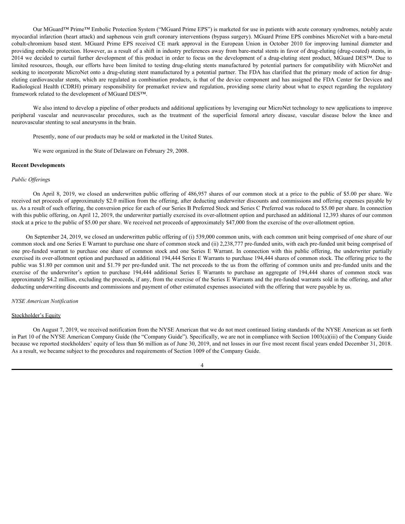Our MGuard™ Prime™ Embolic Protection System ("MGuard Prime EPS") is marketed for use in patients with acute coronary syndromes, notably acute myocardial infarction (heart attack) and saphenous vein graft coronary interventions (bypass surgery). MGuard Prime EPS combines MicroNet with a bare-metal Our MGuard<sup>TM</sup> Prime<sup>TM</sup> Embolic Protection System ("MGuard Prime EPS") is marketed for use in patients with acute coronary syndromes, notably acute<br>myocardial infarction (heart attack) and saphenous vein graft coronary in providing embolic protection. However, as a result of a shift in industry preferences away from bare-metal stents in favor of drug-eluting (drug-coated) stents, in 2014 we decided to curtail further development of this product in order to focus on the development of a drug-eluting stent product, MGuard DES™. Due to Our MGuard<sup>TM</sup> Prime<sup>TM</sup> Embolic Protection System ("MGuard Prime EPS") is marketed for use in patients with acute coronary syndromes, notably acute<br>cobalt-chronium based stent. MGuard Prime EPS received CE mark approval i seeking to incorporate MicroNet onto a drug-eluting stent manufactured by a potential partner. The FDA has clarified that the primary mode of action for drugeluting cardiovascular stents, which are regulated as combination products, is that of the device component and has assigned the FDA Center for Devices and Radiological Health (CDRH) primary responsibility for premarket review and regulation, providing some clarity about what to expect regarding the regulatory framework related to the development of MGuard DES™. Our MGuard<sup>ro,</sup> Prime<sup>nt</sup> Embolic Protection System ("MGuard Prime EPS") is marketed for use in patients with actue coromary syndromes, notably acute<br>myocardial infaction (heart attack) and suphenous vein graft coronary in my contents in the color one with the share of the common window in the state in the share of Northern Monet Common Connection (Solution Connection and the share of a purchase one of the share of a purchase of the common s

We also intend to develop a pipeline of other products and additional applications by leveraging our MicroNet technology to new applications to improve neurovascular stenting to seal aneurysms in the brain.

Presently, none of our products may be sold or marketed in the United States.

We were organized in the State of Delaware on February 29, 2008.

#### **Recent Developments**

#### *Public Offering*s

On April 8, 2019, we closed an underwritten public offering of 486,957 shares of our common stock at a price to the public of \$5.00 per share. We received net proceeds of approximately \$2.0 million from the offering, after deducting underwriter discounts and commissions and offering expenses payable by us. As a result of such offering, the conversion price for each of our Series B Preferred Stock and Series C Preferred was reduced to \$5.00 per share. In connection with this public offering, on April 12, 2019, the underwriter partially exercised its over-allotment option and purchased an additional 12,393 shares of our common stock at a price to the public of \$5.00 per share. We received net proceeds of approximately \$47,000 from the exercise of the over-allotment option.

On September 24, 2019, we closed an underwritten public offering of (i) 539,000 common units, with each common unit being comprised of one share of our common stock and one Series E Warrant to purchase one share of common stock and (ii) 2,238,777 pre-funded units, with each pre-funded unit being comprised of exercised its over-allotment option and purchased an additional 194,444 Series E Warrants to purchase 194,444 shares of common stock. The offering price to the public was \$1.80 per common unit and \$1.79 per pre-funded unit. The net proceeds to the us from the offering of common units and pre-funded units and the 2014 so exercise data product society and the effect point of the purchase of the steamed of a steal of the steamed of the steamed of the steamed of the steamed of the steamed of the steamed of the steamed of the steamed b approximately \$4.2 million, excluding the proceeds, if any, from the exercise of the Series E Warrants and the pre-funded warrants sold in the offering, and after deducting underwriting discounts and commissions and payment of other estimated expenses associated with the offering that were payable by us.

#### *NYSE American Notification*

#### Stockholder's Equity

On August 7, 2019, we received notification from the NYSE American that we do not meet continued listing standards of the NYSE American as set forth in Part 10 of the NYSE American Company Guide (the "Company Guide"). Specifically, we are not in compliance with Section 1003(a)(iii) of the Company Guide because we reported stockholders' equity of less than \$6 million as of June 30, 2019, and net losses in our five most recent fiscal years ended December 31, 2018. As a result, we became subject to the procedures and requirements of Section 1009 of the Company Guide.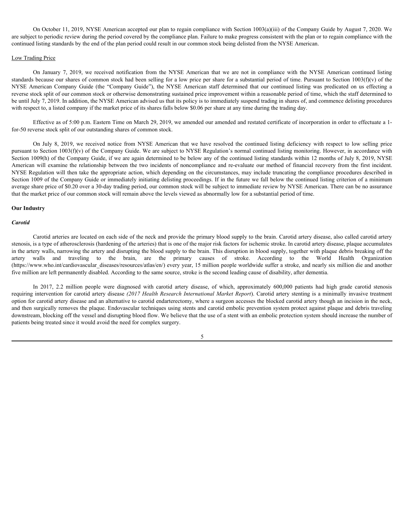On October 11, 2019, NYSE American accepted our plan to regain compliance with Section 1003(a)(iii) of the Company Guide by August 7, 2020. We are subject to periodic review during the period covered by the compliance plan. Failure to make progress consistent with the plan or to regain compliance with the continued listing standards by the end of the plan period could result in our common stock being delisted from the NYSE American.

#### Low Trading Price

On October 11, 2019, NYSE American accepted our plan to regain compliance with Section 1003(a)(iii) of the Company Guide by August 7, 2020. We<br>tt to periodic review during the period covered by the compliance plan. Failure standards because our shares of common stock had been selling for a low price per share for a substantial period of time. Pursuant to Section 1003(f)(v) of the On October 11, 2019, NYSE American accepted our plan to regain compliance with Section 1003(a)(iii) of the Company Guide by August 7, 2020. We<br>are subject to periodic review during the period covered by the compliance plan reverse stock split of our common stock or otherwise demonstrating sustained price improvement within a reasonable period of time, which the staff determined to be until July 7, 2019. In addition, the NYSE American advised us that its policy is to immediately suspend trading in shares of, and commence delisting procedures with respect to, a listed company if the market price of its shares falls below \$0.06 per share at any time during the trading day.

Effective as of 5:00 p.m. Eastern Time on March 29, 2019, we amended our amended and restated certificate of incorporation in order to effectuate a 1 for-50 reverse stock split of our outstanding shares of common stock.

On Otofor 11, 2019, NYSE American accepted our plan to regain compliance with Section 1003(a)(iii) of the Company Guide by August 7, 2020. We<br>to trefride review during the period evered by the compliance plan-Failure to m pursuant to Section 1003(f)(v) of the Company Guide. We are subject to NYSE Regulation's normal continued listing monitoring. However, in accordance with Section 1009(h) of the Company Guide, if we are again determined to be below any of the continued listing standards within 12 months of July 8, 2019, NYSE On October 11, 2019, NYSE American second our plan to regain compliance with Section 1003(o)(iii) of the Company Giaide by August 7, 2020. We<br>are subject to periodic evaluation gas period covered by the compliance plan, Fa NYSE Regulation will then take the appropriate action, which depending on the circumstances, may include truncating the compliance procedures described in Section 1009 of the Company Guide or immediately initiating delisting proceedings. If in the future we fall below the continued listing criterion of a minimum average share price of \$0.20 over a 30-day trading period, our common stock will be subject to immediate review by NYSE American. There can be no assurance that the market price of our common stock will remain above the levels viewed as abnormally low for a substantial period of time. starting being standards by the end of he present of while the intervention starting for the NYSE American continued listing<br>Contraction Data are the contract and traveling to the NYSE American full was to the forming to t On January 2.200, we received notices that be NYSE American that we are not in compliance with be NYSE American continue of the NYSE American continue of the NYSE American continue (Company Guide (for "Company Guide (for

#### **Our Industry**

#### *Carotid*

Carotid arteries are located on each side of the neck and provide the primary blood supply to the brain. Carotid artery disease, also called carotid artery stenosis, is a type of atherosclerosis (hardening of the arteries) that is one of the major risk factors for ischemic stroke. In carotid artery disease, plaque accumulates in the artery walls, narrowing the artery and disrupting the blood supply to the brain. This disruption in blood supply, together with plaque debris breaking off the (https://www.who.int/cardiovascular\_diseases/resources/atlas/en/) every year, 15 million people worldwide suffer a stroke, and nearly six million die and another five million are left permanently disabled. According to the same source, stroke is the second leading cause of disability, after dementia.

requiring intervention for carotid artery disease *(2017 Health Research International Market Report*). Carotid artery stenting is a minimally invasive treatment option for carotid artery disease and an alternative to carotid endarterectomy, where a surgeon accesses the blocked carotid artery though an incision in the neck, and then surgically removes the plaque. Endovascular techniques using stents and carotid embolic prevention system protect against plaque and debris traveling downstream, blocking off the vessel and disrupting blood flow. We believe that the use of a stent with an embolic protection system should increase the number of patients being treated since it would avoid the need for complex surgery.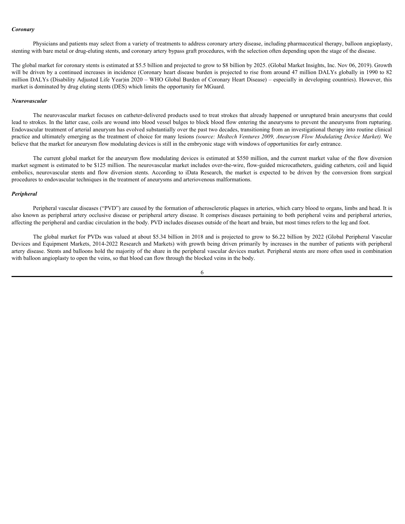#### *Coronary*

Physicians and patients may select from a variety of treatments to address coronary artery disease, including pharmaceutical therapy, balloon angioplasty, stenting with bare metal or drug-eluting stents, and coronary artery bypass graft procedures, with the selection often depending upon the stage of the disease.

The global market for coronary stents is estimated at \$5.5 billion and projected to grow to \$8 billion by 2025. (Global Market Insights, Inc. Nov 06, 2019). Growth will be driven by a continued increases in incidence (Coronary heart disease burden is projected to rise from around 47 million DALYs globally in 1990 to 82 million DALYs (Disability Adjusted Life Year)in 2020 – WHO Global Burden of Coronary Heart Disease) – especially in developing countries). However, this market is dominated by drug eluting stents (DES) which limits the opportunity for MGuard.

#### *Neurovascular*

The neurovascular market focuses on catheter-delivered products used to treat strokes that already happened or unruptured brain aneurysms that could lead to strokes. In the latter case, coils are wound into blood vessel bulges to block blood flow entering the aneurysms to prevent the aneurysms from rupturing. Endovascular treatment of arterial aneurysm has evolved substantially over the past two decades, transitioning from an investigational therapy into routine clinical practice and ultimately emerging as the treatment of choice for many lesions *(source: Medtech Ventures 2009, Aneurysm Flow Modulating Device Market).* We believe that the market for aneurysm flow modulating devices is still in the embryonic stage with windows of opportunities for early entrance. **Covonary**<br>
Physicians and patients may select from a variety of treatments to address coronary artery disease, including pharmaceutical therapy, billoon angioplatty,<br>
The poles have metal or drive photo steamed at SC bul

The current global market for the aneurysm flow modulating devices is estimated at \$550 million, and the current market value of the flow diversion market segment is estimated to be \$125 million. The neurovascular market includes over-the-wire, flow-guided microcatheters, guiding catheters, coil and liquid procedures to endovascular techniques in the treatment of aneurysms and arteriovenous malformations.

#### *Peripheral*

Peripheral vascular diseases ("PVD") are caused by the formation of atherosclerotic plaques in arteries, which carry blood to organs, limbs and head. It is also known as peripheral artery occlusive disease or peripheral artery disease. It comprises diseases pertaining to both peripheral veins and peripheral arteries, affecting the peripheral and cardiac circulation in the body. PVD includes diseases outside of the heart and brain, but most times refers to the leg and foot.

The global market for PVDs was valued at about \$5.34 billion in 2018 and is projected to grow to \$6.22 billion by 2022 (Global Peripheral Vascular Devices and Equipment Markets, 2014-2022 Research and Markets) with growth being driven primarily by increases in the number of patients with peripheral artery disease. Stents and balloons hold the majority of the share in the peripheral vascular devices market. Peripheral stents are more often used in combination with balloon angioplasty to open the veins, so that blood can flow through the blocked veins in the body.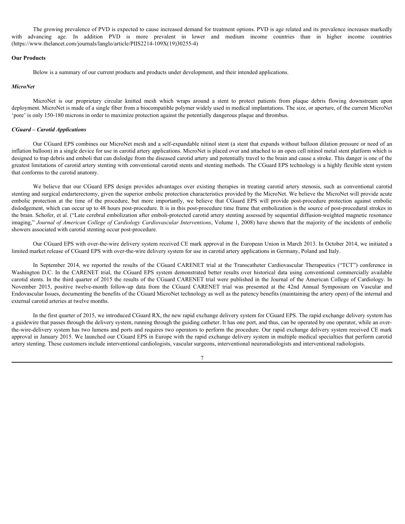The growing prevalence of PVD is expected to cause increased demand for treatment options. PVD is age related and its prevalence increases markedly The growing prevalence of PVD is expected to cause increased demand for treatment options. PVD is age related and its prevalence increases markedly<br>with advancing age. In addition PVD is more prevalent in lower and medium (https://www.thelancet.com/journals/langlo/article/PIIS2214-109X(19)30255-4)

#### **Our Products**

Below is a summary of our current products and products under development, and their intended applications.

#### *MicroNet*

The growing prevalence of PVD is expected to cause increased demand for treatment options. PVD is age related and its prevalence increases markedly<br>vancing age. In addition PVD is more prevalent in lower and medium income deployment. MicroNet is made of a single fiber from a biocompatible polymer widely used in medical implantations. The size, or aperture, of the current MicroNet 'pore' is only 150-180 microns in order to maximize protection against the potentially dangerous plaque and thrombus.

#### *CGuard – Carotid Applications*

Our CGuard EPS combines our MicroNet mesh and a self-expandable nitinol stent (a stent that expands without balloon dilation pressure or need of an inflation balloon) in a single device for use in carotid artery applications. MicroNet is placed over and attached to an open cell nitinol metal stent platform which is designed to trap debris and emboli that can dislodge from the diseased carotid artery and potentially travel to the brain and cause a stroke. This danger is one of the greatest limitations of carotid artery stenting with conventional carotid stents and stenting methods. The CGuard EPS technology is a highly flexible stent system that conforms to the carotid anatomy.

The growing prevalence of PVD is expected to cause increased densind for resument options. PVD is age related and is prevalence increases marked<br>fy variable accomponents/tangle/article/PIIS2214-100X(1930255-4)<br>www.fielanc stenting and surgical endarterectomy, given the superior embolic protection characteristics provided by the MicroNet. We believe the MicroNet will provide acute The gowing provalence of PVD is expected to cease increased demand for treatment options. PVD is age related and its provalence increases mathedly<br>with advancing age. In addition PVD is masse pressions in borean and media dislodgement, which can occur up to 48 hours post-procedure. It is in this post-procedure time frame that embolization is the source of post-procedural strokes in the brain. Schofer, et al. ("Late cerebral embolization after emboli-protected carotid artery stenting assessed by sequential diffusion-weighted magnetic resonance imaging," *Journal of American College of Cardiology Cardiovascular Interventions*, Volume 1, 2008) have shown that the majority of the incidents of embolic showers associated with carotid stenting occur post-procedure. In the second and the september of the could at the control of the control of the control of the results of the results of the results of the control of the control of the control of the second the set of the results of th Our Products<br>
Hieray-<br>
Herowist a summary of our courted product and product sudd or better which were pointed applications.<br>
MicroNet is our properties critical media in a system in the care and the care of the care of th November is a summary of our current products and products onder development, and their translat products from the products from the endomy of particular and the endomy of particular and the endomy of particular and the en

Our CGuard EPS with over-the-wire delivery system received CE mark approval in the European Union in March 2013. In October 2014, we initiated a limited market release of CGuard EPS with over-the-wire delivery system for use in carotid artery applications in Germany, Poland and Italy.

carotid stents. In the third quarter of 2015 the results of the CGuard CARENET trial were published in the Journal of the American College of Cardiology. In Endovascular Issues, documenting the benefits of the CGuard MicroNet technology as well as the patency benefits (maintaining the artery open) of the internal and external carotid arteries at twelve months.

In the first quarter of 2015, we introduced CGuard RX, the new rapid exchange delivery system for CGuard EPS. The rapid exchange delivery system has a guidewire that passes through the delivery system, running through the guiding catheter. It has one port, and thus, can be operated by one operator, while an overthe-wire-delivery system has two lumens and ports and requires two operators to perform the procedure. Our rapid exchange delivery system received CE mark approval in January 2015. We launched our CGuard EPS in Europe with the rapid exchange delivery system in multiple medical specialties that perform carotid artery stenting. These customers include interventional cardiologists, vascular surgeons, interventional neuroradiologists and interventional radiologists.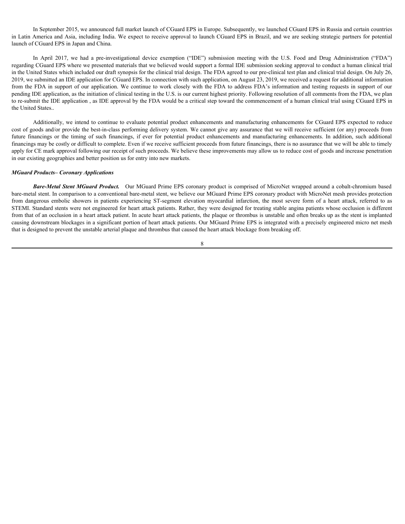In September 2015, we announced full market launch of CGuard EPS in Europe. Subsequently, we launched CGuard EPS in Russia and certain countries in Latin America and Asia, including India. We expect to receive approval to launch CGuard EPS in Brazil, and we are seeking strategic partners for potential launch of CGuard EPS in Japan and China.

In September 2015, we announced full market launch of CGuard EPS in Europe. Subsequently, we launched CGuard EPS in Russia and certain countries<br>America and Asia, including India. We expect to receive approval to launch CG regarding CGuard EPS where we presented materials that we believed would support a formal IDE submission seeking approval to conduct a human clinical trial in the United States which included our draft synopsis for the clinical trial design. The FDA agreed to our pre-clinical test plan and clinical trial design. On July 26, 2019, we submitted an IDE application for CGuard EPS. In connection with such application, on August 23, 2019, we received a request for additional information In September 2015, we amounced full market launch of CGuard EPS in Europe. Subsequently, we launched CGuard EPS in Russia and certain countries<br>in Latin America and Asia, including India. We expect to receive approval to l pending IDE application, as the initiation of clinical testing in the U.S. is our current highest priority. Following resolution of all comments from the FDA, we plan to re-submit the IDE application , as IDE approval by the FDA would be a critical step toward the commencement of a human clinical trial using CGuard EPS in the United States.. In September 2015, we announced full market launch of CGuard EPS in Europe. Subsequently, we launched CGuard EPS in Russia and eetnin countries<br>Iuture of GCuard EPS alongs and china. We expect to receive approval to launch In September 2015, we announced full market hands of Cound EPS in Europe. Subsequently, we hannohed Cound EPS in Bruxis and exerting including Infinite announced and Asia, including Infinite announced and Asia, including

Additionally, we intend to continue to evaluate potential product enhancements and manufacturing enhancements for CGuard EPS expected to reduce cost of goods and/or provide the best-in-class performing delivery system. We cannot give any assurance that we will receive sufficient (or any) proceeds from financings may be costly or difficult to complete. Even if we receive sufficient proceeds from future financings, there is no assurance that we will be able to timely apply for CE mark approval following our receipt of such proceeds. We believe these improvements may allow us to reduce cost of goods and increase penetration in our existing geographies and better position us for entry into new markets.

#### *MGuard Products– Coronary Applications*

*Bare-Metal Stent MGuard Product.* Our MGuard Prime EPS coronary product is comprised of MicroNet wrapped around a cobalt-chromium based bare-metal stent. In comparison to a conventional bare-metal stent, we believe our MGuard Prime EPS coronary product with MicroNet mesh provides protection STEMI. Standard stents were not engineered for heart attack patients. Rather, they were designed for treating stable angina patients whose occlusion is different from that of an occlusion in a heart attack patient. In acute heart attack patients, the plaque or thrombus is unstable and often breaks up as the stent is implanted causing downstream blockages in a significant portion of heart attack patients. Our MGuard Prime EPS is integrated with a precisely engineered micro net mesh that is designed to prevent the unstable arterial plaque and thrombus that caused the heart attack blockage from breaking off.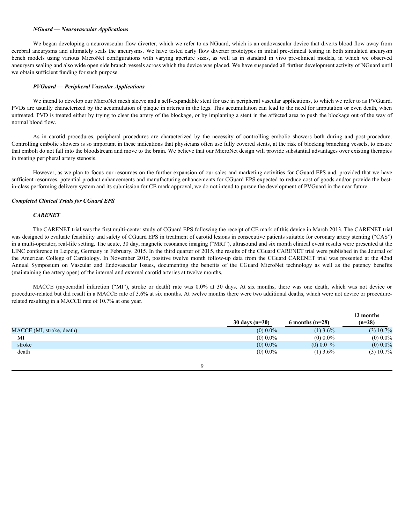#### *NGuard — Neurovascular Applications*

We began developing a neurovascular flow diverter, which we refer to as NGuard, which is an endovascular device that diverts blood flow away from cerebral aneurysms and ultimately seals the aneurysms. We have tested early flow diverter prototypes in initial pre-clinical testing in both simulated aneurysm **NGuard — Neurovascular Applications**<br>We began developing a neurovascular flow diverter, which we refer to as NGuard, which is an endovascular device that diverts blood flow away from<br>ecrebral aneurysms and ultimately seal aneurysm sealing and also wide open side branch vessels across which the device was placed. We have suspended all further development activity of NGuard until we obtain sufficient funding for such purpose. **NGuard**—**Neurovascular Applications**<br>We began developing a neurovascular fow diverter, which we refer to as NGuard, which is an endovascular device that diverts blood flow away from<br>eneurysms and ultimately seals the ane

#### *PVGuard — Peripheral Vascular Applications*

We intend to develop our MicroNet mesh sleeve and a self-expandable stent for use in peripheral vascular applications, to which we refer to as PVGuard. PVDs are usually characterized by the accumulation of plaque in arteries in the legs. This accumulation can lead to the need for amputation or even death, when untreated. PVD is treated either by trying to clear the artery of the blockage, or by implanting a stent in the affected area to push the blockage out of the way of normal blood flow.

Controlling embolic showers is so important in these indications that physicians often use fully covered stents, at the risk of blocking branching vessels, to ensure that emboli do not fall into the bloodstream and move to the brain. We believe that our MicroNet design will provide substantial advantages over existing therapies in treating peripheral artery stenosis.

However, as we plan to focus our resources on the further expansion of our sales and marketing activities for CGuard EPS and, provided that we have sufficient resources, potential product enhancements and manufacturing enhancements for CGuard EPS expected to reduce cost of goods and/or provide the bestin-class performing delivery system and its submission for CE mark approval, we do not intend to pursue the development of PVGuard in the near future.

#### *Completed Clinical Trials for CGuard EPS*

#### *CARENET*

The CARENET trial was the first multi-center study of CGuard EPS following the receipt of CE mark of this device in March 2013. The CARENET trial was designed to evaluate feasibility and safety of CGuard EPS in treatment of carotid lesions in consecutive patients suitable for coronary artery stenting ("CAS") in a multi-operator, real-life setting. The acute, 30 day, magnetic resonance imaging ("MRI"), ultrasound and six month clinical event results were presented at the LINC conference in Leipzig, Germany in February, 2015. In the third quarter of 2015, the results of the CGuard CARENET trial were published in the Journal of We have a constrained the mean was the signific of Cardiology. In November with the anti-signific which is a November 2015, the state of the signific state of the college of the college of the college of the college trans External means on alternal worse by the means on Washington (Washington the main precision) in the symposium of the symposium of the symposium of the constrained means of the constrained means of the constrained allow whe (maintaining the artery open) of the internal and external carotid arteries at twelve months. sufficient funding for such purpose.<br>
We intend to stead of pulsar depleted on the set of Security and the set of the set of the set of the set of the set of the set of the set of the set of the set of the set of the set

procedure-related but did result in a MACCE rate of 3.6% at six months. At twelve months there were two additional deaths, which were not device or procedurerelated resulting in a MACCE rate of 10.7% at one year.

|                           |                  |                     | 12 months   |
|---------------------------|------------------|---------------------|-------------|
|                           | 30 days $(n=30)$ | 6 months ( $n=28$ ) | $(n=28)$    |
| MACCE (MI, stroke, death) | $(0)$ 0.0%       | $(1)$ 3.6%          | $(3)$ 10.7% |
| МI                        | $(0)$ 0.0%       | $(0)$ 0.0%          | $(0)$ 0.0%  |
| stroke                    | $(0)$ 0.0%       | $(0)$ 0.0 %         | $(0)$ 0.0%  |
| death                     | $(0)$ 0.0%       | $(1)$ 3.6%          | $(3)$ 10.7% |
|                           |                  |                     |             |

 $\overline{Q}$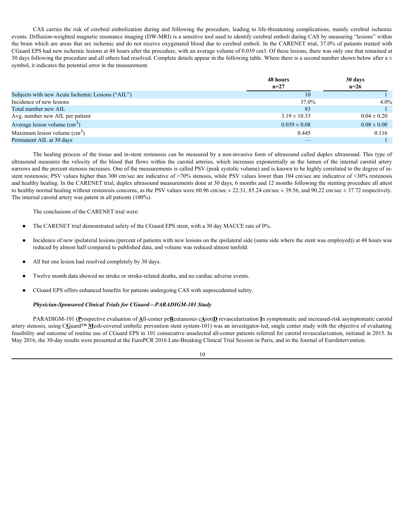| CAS carries the risk of cerebral embolization during and following the procedure, leading to life-threatening complications, mainly cerebral ischemic                 |                  |                 |
|-----------------------------------------------------------------------------------------------------------------------------------------------------------------------|------------------|-----------------|
| events. Diffusion-weighted magnetic resonance imaging (DW-MRI) is a sensitive tool used to identify cerebral emboli during CAS by measuring "lesions" within          |                  |                 |
| the brain which are areas that are ischemic and do not receive oxygenated blood due to cerebral emboli. In the CARENET trial, 37.0% of patients treated with          |                  |                 |
| CGuard EPS had new ischemic lesions at 48 hours after the procedure, with an average volume of 0.039 cm3. Of these lesions, there was only one that remained at       |                  |                 |
| 30 days following the procedure and all others had resolved. Complete details appear in the following table. Where there is a second number shown below after a $\pm$ |                  |                 |
| symbol, it indicates the potential error in the measurement.                                                                                                          |                  |                 |
|                                                                                                                                                                       | <b>48 hours</b>  | 30 days         |
|                                                                                                                                                                       | $n=27$           | $n=26$          |
| Subjects with new Acute Ischemic Lesions ("AIL")                                                                                                                      | 10               |                 |
| Incidence of new lesions                                                                                                                                              | 37.0%            | 4.0%            |
| Total number new AIL                                                                                                                                                  | 83               |                 |
| Avg. number new AIL per patient                                                                                                                                       | $3.19 \pm 10.33$ | $0.04 \pm 0.20$ |
| Average lesion volume $(cm3)$                                                                                                                                         | $0.039 \pm 0.08$ | $0.08 \pm 0.00$ |
|                                                                                                                                                                       |                  |                 |
| Maximum lesion volume $\text{cm}^3$ )                                                                                                                                 | 0.445            | 0.116           |

- The CARENET trial demonstrated safety of the CGuard EPS stent, with a 30 day MACCE rate of 0%.
- Incidence of new ipsilateral lesions (percent of patients with new lesions on the ipsilateral side (same side where the stent was employed)) at 48 hours was reduced by almost half compared to published data, and volume was reduced almost tenfold.
- All but one lesion had resolved completely by 30 days.
- Twelve month data showed no stroke or stroke-related deaths, and no cardiac adverse events.
- CGuard EPS offers enhanced benefits for patients undergoing CAS with unprecedented safety.

#### *Physician-Sponsored Clinical Trials for CGuard—PARADIGM-101 Study*

PARADIGM-101 (**P**rospective evaluation of **A**ll-comer pe**R**cutaneous c**A**roti**D** revascularization **I**n symptomatic and increased-risk asymptomatic carotid artery stenosis, using C**G**uard™ **M**esh-covered embolic prevention stent system-101) was an investigator-led, single center study with the objective of evaluating feasibility and outcome of routine use of CGuard EPS in 101 consecutive unselected all-comer patients referred for carotid revascularization, initiated in 2015. In May 2016, the 30-day results were presented at the EuroPCR 2016 Late-Breaking Clinical Trial Session in Paris, and in the Journal of EuroIntervention.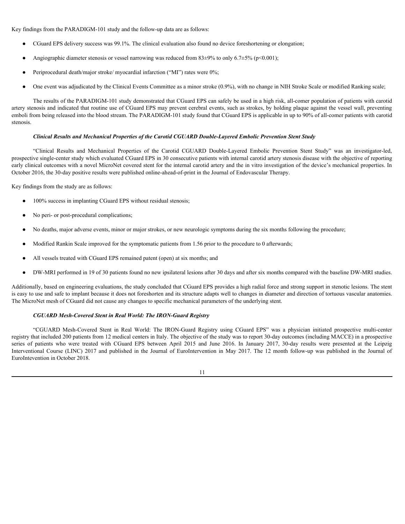Key findings from the PARADIGM-101 study and the follow-up data are as follows:

- CGuard EPS delivery success was 99.1%. The clinical evaluation also found no device foreshortening or elongation;
- Angiographic diameter stenosis or vessel narrowing was reduced from  $83\pm9\%$  to only  $6.7\pm5\%$  (p<0.001);
- Periprocedural death/major stroke/ myocardial infarction ("MI") rates were 0%;
- One event was adjudicated by the Clinical Events Committee as a minor stroke (0.9%), with no change in NIH Stroke Scale or modified Ranking scale;

The results of the PARADIGM-101 study demonstrated that CGuard EPS can safely be used in a high risk, all-comer population of patients with carotid artery stenosis and indicated that routine use of CGuard EPS may prevent cerebral events, such as strokes, by holding plaque against the vessel wall, preventing emboli from being released into the blood stream. The PARADIGM-101 study found that CGuard EPS is applicable in up to 90% of all-comer patients with carotid stenosis. mgs from the PARADIGM-101 study and the follow-up data are as follows:<br>
CGuard FPS delivery success was 99.1%. The clinical creation also found no device foreshortening or elongation;<br>
Angiographic diameter stentos or vess

#### *Clinical Results and Mechanical Properties of the Carotid CGUARD Double-Layered Embolic Prevention Stent Study*

prospective single-center study which evaluated CGuard EPS in 30 consecutive patients with internal carotid artery stenosis disease with the objective of reporting early clinical outcomes with a novel MicroNet covered stent for the internal carotid artery and the in vitro investigation of the device's mechanical properties. In October 2016, the 30-day positive results were published online-ahead-of-print in the Journal of Endovascular Therapy.

Key findings from the study are as follows:

- 100% success in implanting CGuard EPS without residual stenosis;
- No peri- or post-procedural complications;
- No deaths, major adverse events, minor or major strokes, or new neurologic symptoms during the six months following the procedure;
- Modified Rankin Scale improved for the symptomatic patients from 1.56 prior to the procedure to 0 afterwards;
- All vessels treated with CGuard EPS remained patent (open) at six months; and
- DW-MRI performed in 19 of 30 patients found no new ipsilateral lesions after 30 days and after six months compared with the baseline DW-MRI studies.

Additionally, based on engineering evaluations, the study concluded that CGuard EPS provides a high radial force and strong support in stenotic lesions. The stent is easy to use and safe to implant because it does not foreshorten and its structure adapts well to changes in diameter and direction of tortuous vascular anatomies. The MicroNet mesh of CGuard did not cause any changes to specific mechanical parameters of the underlying stent.

#### *CGUARD Mesh-Covered Stent in Real World: The IRON-Guard Registry*

on being released into the blood stream. The PARADICOV-101 study found that CGuard EPS is applicable in typ 109% of all-conter pairs with earnold CHaram-The Caracteristics of the Caracteristics of the Caracteristics CGUAR registry that included 200 patients from 12 medical centers in Italy. The objective of the study was to report 30-day outcomes (including MACCE) in a prospective Clinical Results and Mechanical Properties of the Carolid CGUARD Double-Layered Enrolm Steat Study" was an investigate-left transfer to the Control COUARD Double-Layered Enrolm Clinical Results and Study" was an investiga Chied Rendra ond Mechanical Properties of the Carolid CGUARD Double-Layerd Enrolder Prevention Start Star)<br>
(Click all Schemes with Mechanical Properties of the Carolid COURD Double-Layerd Enrolder Devembes stars may<br>
prop EuroIntevention in October 2018.

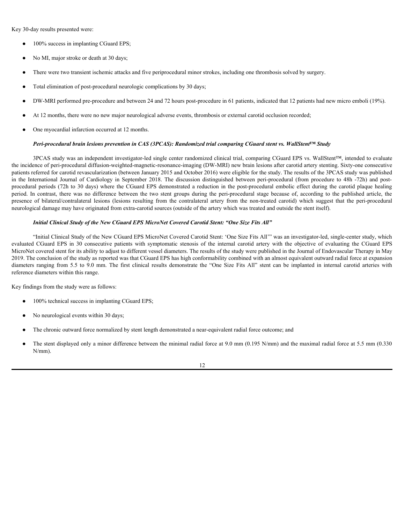Key 30-day results presented were:

- 100% success in implanting CGuard EPS;
- No MI, major stroke or death at 30 days;
- There were two transient ischemic attacks and five periprocedural minor strokes, including one thrombosis solved by surgery.
- Total elimination of post-procedural neurologic complications by 30 days;
- DW-MRI performed pre-procedure and between 24 and 72 hours post-procedure in 61 patients, indicated that 12 patients had new micro emboli (19%).
- At 12 months, there were no new major neurological adverse events, thrombosis or external carotid occlusion recorded;
- One myocardial infarction occurred at 12 months.

#### *Peri-procedural brain lesions prevention in CAS (3PCAS): Randomized trial comparing CGuard stent vs. WallStent™ Study*

3PCAS study was an independent investigator-led single center randomized clinical trial, comparing CGuard EPS vs. WallStent™, intended to evaluate the incidence of peri-procedural diffusion-weighted-magnetic-resonance-imaging (DW-MRI) new brain lesions after carotid artery stenting. Sixty-one consecutive patients referred for carotid revascularization (between January 2015 and October 2016) were eligible for the study. The results of the 3PCAS study was published **Eq. 30-lay results presented were**<br>
• 109% success in implimiting COard EPS;<br>
• No MI, major stroke or death at 30 days;<br>
• The tweet two transient is chemical and free periprocedural minor strokes, including one thrombo **Eq. 30 day results presented were**<br>
• 100% success in implanting CGuard EPS.<br>
• No M1, major stocke or death at 30 days;<br>
• Total climination of post-procedural neurologic complications by 30 days;<br>
• DW-MRI performed pr **Example 19 control over:** • 100% success in implanting Count LFS:<br>• No M1, major stroke or death at 30 days;<br>• There were two transient incherence attacks and five periprocedural wires shockes, including one thromhosis s **Exy** 30-day results presenced were:<br>
• 109% succes in implanting CGuard EPS;<br>
• No MI, major stocks or death at 30 days;<br>
• There were two transient technic attacks and its periprocedural minor attacks, including one the neurological damage may have originated from extra-carotid sources (outside of the artery which was treated and outside the stent itself). Evaluation of the symptom of the symptom of the symptom of the symptom of the symptom of the symptom of the symptom of the symptom of the symptom of the symptom of the symptom of the symptom of the symptom of the symptom • No MI, major stroke or death at 30 days;<br>• There were two transient is<br>chemic and the proposedural neurolegies complexions is<br>y 30 days;<br>• INMARI performed proposedural neurolegies complexions is y 30 days;<br>• INMARI p

#### *Initial Clinical Study of the New CGuard EPS MicroNet Covered Carotid Stent: "One Size Fits All"*

"Initial Clinical Study of the New CGuard EPS MicroNet Covered Carotid Stent: 'One Size Fits All'" was an investigator-led, single-center study, which MicroNet covered stent for its ability to adjust to different vessel diameters. The results of the study were published in the Journal of Endovascular Therapy in May 2019. The conclusion of the study as reported was that CGuard EPS has high conformability combined with an almost equivalent outward radial force at expansion reference diameters within this range.

Key findings from the study were as follows:

- 100% technical success in implanting CGuard EPS;
- No neurological events within 30 days;
- The chronic outward force normalized by stent length demonstrated a near-equivalent radial force outcome; and
- The stent displayed only a minor difference between the minimal radial force at 9.0 mm  $(0.195 \text{ N/mm})$  and the maximal radial force at 5.5 mm  $(0.330 \text{ m})$ N/mm).

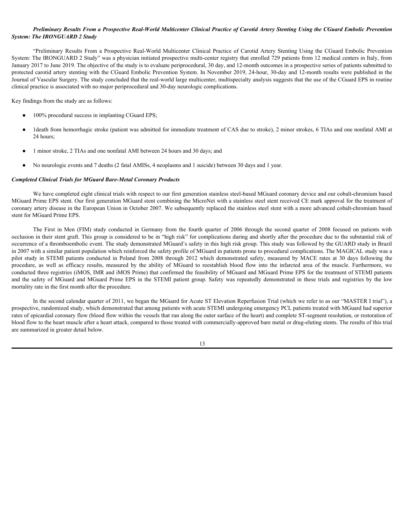#### *Preliminary Results From a Prospective Real-World Multicenter Clinical Practice of Carotid Artery Stenting Using the CGuard Embolic Prevention System: The IRONGUARD 2 Study*

**Preliminary Results From a Prospective Real-World Multicenter Clinical Practice of Carotid Artery Stenting Using the CGuard Embolic Prevention<br>The IRONGUARD 2 Study<br>"Preliminary Results From a Prospective Real-World Multi** System: The IRONGUARD 2 Study" was a physician initiated prospective multi-center registry that enrolled 729 patients from 12 medical centers in Italy, from January 2017 to June 2019. The objective of the study is to evaluate periprocedural, 30 day, and 12-month outcomes in a prospective series of patients submitted to protected carotid artery stenting with the CGuard Embolic Prevention System. In November 2019, 24-hour, 30-day and 12-month results were published in the Journal of Vascular Surgery. The study concluded that the real-world large multicenter, multispecialty analysis suggests that the use of the CGuard EPS in routine clinical practice is associated with no major periprocedural and 30-day neurologic complications.

Key findings from the study are as follows:

- 100% procedural success in implanting CGuard EPS;
- 1death from hemorrhagic stroke (patient was admitted for immediate treatment of CAS due to stroke), 2 minor strokes, 6 TIAs and one nonfatal AMI at 24 hours;
- 1 minor stroke, 2 TIAs and one nonfatal AMI between 24 hours and 30 days; and
- No neurologic events and 7 deaths (2 fatal AMISs, 4 neoplasms and 1 suicide) between 30 days and 1 year.

#### *Completed Clinical Trials for MGuard Bare-Metal Coronary Products*

We have completed eight clinical trials with respect to our first generation stainless steel-based MGuard coronary device and our cobalt-chromium based MGuard Prime EPS stent. Our first generation MGuard stent combining the MicroNet with a stainless steel stent received CE mark approval for the treatment of coronary artery disease in the European Union in October 2007. We subsequently replaced the stainless steel stent with a more advanced cobalt-chromium based stent for MGuard Prime EPS.

**Preliminary Results From a Prospective Real-World Multicener Clinical Factice of Carolid Artery Straing Lining Coronal Energy Clinical Factic Clinical Factic of Carolid Artery Straing Using the Cound Enholds Prevention<br>T** occlusion in their stent graft. This group is considered to be in "high risk" for complications during and shortly after the procedure due to the substantial risk of occurrence of a thromboembolic event. The study demonstrated MGuard's safety in this high risk group. This study was followed by the GUARD study in Brazil in 2007 with a similar patient population which reinforced the safety profile of MGuard in patients prone to procedural complications. The MAGICAL study was a "Preliminary Results From a Peopertive Real-World Maticenter Clinical Parties of Carolid Actry Service Using Columbus in 2008 (NASC 2012) and 2012 which in 2012 conductive conductive conditions (NaSC 2012) patients from 2 Protein The How Normal Properties of the Mostevel Mathemater Climath Procedure is the Arbey Series of Columb Procedure Climath (1997). The objective of the studies of the studies of the studies of the studies of the Solut conducted three registries (iMOS, IMR and iMOS Prime) that confirmed the feasibility of MGuard and MGuard Prime EPS for the treatment of STEMI patients band v2013 (MGuard 2018) the objective of the smoked in the specific state of the safety of the safety of the safety of the safety of the same of the safety of the safety of the safety of the same intervent in the safety a mortality rate in the first month after the procedure.

In the second calendar quarter of 2011, we began the MGuard for Acute ST Elevation Reperfusion Trial (which we refer to as our "MASTER I trial"), a prospective, randomized study, which demonstrated that among patients with acute STEMI undergoing emergency PCI, patients treated with MGuard had superior rates of epicardial coronary flow (blood flow within the vessels that run along the outer surface of the heart) and complete ST-segment resolution, or restoration of blood flow to the heart muscle after a heart attack, compared to those treated with commercially-approved bare metal or drug-eluting stents. The results of this trial are summarized in greater detail below.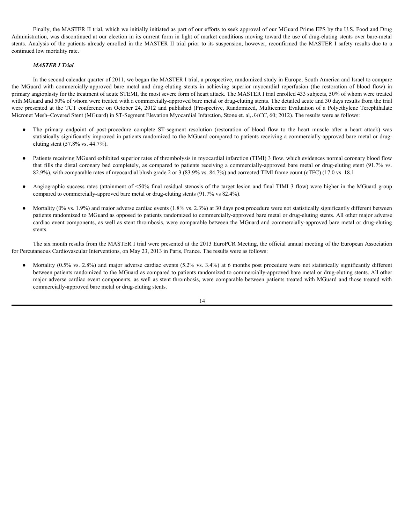Finally, the MASTER II trial, which we initially initiated as part of our efforts to seek approval of our MGuard Prime EPS by the U.S. Food and Drug Administration, was discontinued at our election in its current form in light of market conditions moving toward the use of drug-eluting stents over bare-metal Finally, the MASTER II trial, which we initially initiated as part of our efforts to seek approval of our MGuard Prime EPS by the U.S. Food and Drug Administration, was discontinued at our election in its current form in l continued low mortality rate.

#### *MASTER I Trial*

In the second calendar quarter of 2011, we began the MASTER I trial, a prospective, randomized study in Europe, South America and Israel to compare Finally, the MASTER II trial, which we initially initiated as part of our efforts to seek approval of our MGuard Prime EPS by the U.S. Food and Drug Administration, was discontinued at our election in its current form in l primary angioplasty for the treatment of acute STEMI, the most severe form of heart attack. The MASTER I trial enrolled 433 subjects, 50% of whom were treated with MGuard and 50% of whom were treated with a commercially-approved bare metal or drug-eluting stents. The detailed acute and 30 days results from the trial Finally, the MASTER II trial, which we initially initiated as part of our efforts to seek approval of our MGuard Prime EPS by the U.S. Food and Drug Administration, was discontinued at our election in its current form in Micronet Mesh–Covered Stent (MGuard) in ST-Segment Elevation Myocardial Infarction, Stone et. al, *JACC*, 60; 2012). The results were as follows: Finally, the MASTER II trial, which we initially initiated as part of our efforts to seek approval of our MGnard Prime EPS by the U.S. Food and Drug inistination, was discontinued at our electric in its current form in li Finally, the MASTFR II trial, which we initially initiated as part of our efferts to seek approval of our MGuard Prime FPS by the U.S. Food and Drug<br>tutuin, we discontinued at our election in its current form in light of m Finally, the MASTER II trial, which we initially initiated as part of our efforts to seek approval of our MGuard Prine EFS by the U.S. Food and Drug initiated in success rates (attainment) was discontinued at two residual med low montinty rane<br>
MASTER I risk). The record calculate quarter of 2011, we began the MASTER I risk), a propertieve, modernical cody in Europe, Samb America and Irracl is compared<br>
MGame with example also care and adv

- statistically significantly improved in patients randomized to the MGuard compared to patients receiving a commercially-approved bare metal or drugeluting stent (57.8% vs. 44.7%).
- Patients receiving MGuard exhibited superior rates of thrombolysis in myocardial infarction (TIMI) 3 flow, which evidences normal coronary blood flow 82.9%), with comparable rates of myocardial blush grade 2 or 3 (83.9% vs. 84.7%) and corrected TIMI frame count (cTFC) (17.0 vs. 18.1
- compared to commercially-approved bare metal or drug-eluting stents (91.7% vs 82.4%).
- Mortality (0% vs. 1.9%) and major adverse cardiac events (1.8% vs. 2.3%) at 30 days post procedure were not statistically significantly different between patients randomized to MGuard as opposed to patients randomized to commercially-approved bare metal or drug-eluting stents. All other major adverse cardiac event components, as well as stent thrombosis, were comparable between the MGuard and commercially-approved bare metal or drug-eluting stents.

The six month results from the MASTER I trial were presented at the 2013 EuroPCR Meeting, the official annual meeting of the European Association for Percutaneous Cardiovascular Interventions, on May 23, 2013 in Paris, France. The results were as follows:

between patients randomized to the MGuard as compared to patients randomized to commercially-approved bare metal or drug-eluting stents. All other major adverse cardiac event components, as well as stent thrombosis, were comparable between patients treated with MGuard and those treated with commercially-approved bare metal or drug-eluting stents.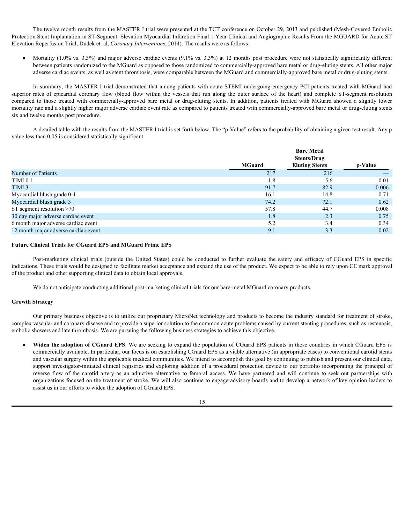The twelve month results from the MASTER I trial were presented at the TCT conference on October 29, 2013 and published (Mesh-Covered Embolic Protection Stent Implantation in ST-Segment–Elevation Myocardial Infarction Final 1-Year Clinical and Angiographic Results From the MGUARD for Acute ST Elevation Reperfusion Trial, Dudek et. al, *Coronary Interventions*, 2014). The results were as follows:

In summary, the MASTER I trial demonstrated that among patients with acute STEMI undergoing emergency PCI patients treated with MGuard had The twelve month results from the MASTER I trial were presented at the TCT conference on October 29, 2013 and published (Mesh-Covered Embolic<br>Protection Stent Implanation in ST-Segment-Elevation Myocardial Infarction Fina The twelve month results from the MASTER 1 trial were presented at the TCT conference on October 29, 2013 and published (Mesh-Covered Embolic<br>Protection Stent Implantation in ST-Segment-Elevation Myocardial Infarction Fina mortality rate and a slightly higher major adverse cardiac event rate as compared to patients treated with commercially-approved bare metal or drug-eluting stents six and twelve months post procedure.

| Elevation Reperfusion Trial, Dudek et. al, Coronary Interventions, 2014). The results were as follows:                                                                                                                                                                                                                                                                                                                                                                                                                                                                                                                                                                                                                                                                                                                                                                                                                                                                                                                 |               |                       |               |  |
|------------------------------------------------------------------------------------------------------------------------------------------------------------------------------------------------------------------------------------------------------------------------------------------------------------------------------------------------------------------------------------------------------------------------------------------------------------------------------------------------------------------------------------------------------------------------------------------------------------------------------------------------------------------------------------------------------------------------------------------------------------------------------------------------------------------------------------------------------------------------------------------------------------------------------------------------------------------------------------------------------------------------|---------------|-----------------------|---------------|--|
| • Mortality (1.0% vs. 3.3%) and major adverse cardiac events (9.1% vs. 3.3%) at 12 months post procedure were not statistically significantly different<br>between patients randomized to the MGuard as opposed to those randomized to commercially-approved bare metal or drug-eluting stents. All other major<br>adverse cardiac events, as well as stent thrombosis, were comparable between the MGuard and commercially-approved bare metal or drug-eluting stents.                                                                                                                                                                                                                                                                                                                                                                                                                                                                                                                                                |               |                       |               |  |
| In summary, the MASTER I trial demonstrated that among patients with acute STEMI undergoing emergency PCI patients treated with MGuard had<br>superior rates of epicardial coronary flow (blood flow within the vessels that run along the outer surface of the heart) and complete ST-segment resolution<br>compared to those treated with commercially-approved bare metal or drug-eluting stents. In addition, patients treated with MGuard showed a slightly lower                                                                                                                                                                                                                                                                                                                                                                                                                                                                                                                                                 |               |                       |               |  |
| mortality rate and a slightly higher major adverse cardiac event rate as compared to patients treated with commercially-approved bare metal or drug-eluting stents<br>six and twelve months post procedure.                                                                                                                                                                                                                                                                                                                                                                                                                                                                                                                                                                                                                                                                                                                                                                                                            |               |                       |               |  |
| A detailed table with the results from the MASTER I trial is set forth below. The "p-Value" refers to the probability of obtaining a given test result. Any p<br>value less than 0.05 is considered statistically significant.                                                                                                                                                                                                                                                                                                                                                                                                                                                                                                                                                                                                                                                                                                                                                                                         |               |                       |               |  |
|                                                                                                                                                                                                                                                                                                                                                                                                                                                                                                                                                                                                                                                                                                                                                                                                                                                                                                                                                                                                                        |               | <b>Bare Metal</b>     |               |  |
|                                                                                                                                                                                                                                                                                                                                                                                                                                                                                                                                                                                                                                                                                                                                                                                                                                                                                                                                                                                                                        |               | <b>Stents/Drug</b>    |               |  |
|                                                                                                                                                                                                                                                                                                                                                                                                                                                                                                                                                                                                                                                                                                                                                                                                                                                                                                                                                                                                                        | <b>MGuard</b> | <b>Eluting Stents</b> | p-Value       |  |
| Number of Patients                                                                                                                                                                                                                                                                                                                                                                                                                                                                                                                                                                                                                                                                                                                                                                                                                                                                                                                                                                                                     | 217           | 216                   |               |  |
| <b>TIMI 0-1</b>                                                                                                                                                                                                                                                                                                                                                                                                                                                                                                                                                                                                                                                                                                                                                                                                                                                                                                                                                                                                        | 1.8           | 5.6                   | 0.01          |  |
| TIMI <sub>3</sub>                                                                                                                                                                                                                                                                                                                                                                                                                                                                                                                                                                                                                                                                                                                                                                                                                                                                                                                                                                                                      | 91.7          | 82.9                  | 0.006         |  |
| Myocardial blush grade 0-1                                                                                                                                                                                                                                                                                                                                                                                                                                                                                                                                                                                                                                                                                                                                                                                                                                                                                                                                                                                             | 16.1          | 14.8                  | 0.71          |  |
| Myocardial blush grade 3<br>ST segment resolution >70                                                                                                                                                                                                                                                                                                                                                                                                                                                                                                                                                                                                                                                                                                                                                                                                                                                                                                                                                                  | 74.2<br>57.8  | 72.1<br>44.7          | 0.62<br>0.008 |  |
| 30 day major adverse cardiac event                                                                                                                                                                                                                                                                                                                                                                                                                                                                                                                                                                                                                                                                                                                                                                                                                                                                                                                                                                                     | 1.8           | 2.3                   | 0.75          |  |
| 6 month major adverse cardiac event                                                                                                                                                                                                                                                                                                                                                                                                                                                                                                                                                                                                                                                                                                                                                                                                                                                                                                                                                                                    | 5.2           | 3.4                   | 0.34          |  |
| 12 month major adverse cardiac event                                                                                                                                                                                                                                                                                                                                                                                                                                                                                                                                                                                                                                                                                                                                                                                                                                                                                                                                                                                   | 9.1           | 3.3                   | 0.02          |  |
| <b>Future Clinical Trials for CGuard EPS and MGuard Prime EPS</b>                                                                                                                                                                                                                                                                                                                                                                                                                                                                                                                                                                                                                                                                                                                                                                                                                                                                                                                                                      |               |                       |               |  |
| Post-marketing clinical trials (outside the United States) could be conducted to further evaluate the safety and efficacy of CGuard EPS in specific<br>indications. These trials would be designed to facilitate market acceptance and expand the use of the product. We expect to be able to rely upon CE mark approval<br>of the product and other supporting clinical data to obtain local approvals.                                                                                                                                                                                                                                                                                                                                                                                                                                                                                                                                                                                                               |               |                       |               |  |
| We do not anticipate conducting additional post-marketing clinical trials for our bare-metal MGuard coronary products.                                                                                                                                                                                                                                                                                                                                                                                                                                                                                                                                                                                                                                                                                                                                                                                                                                                                                                 |               |                       |               |  |
| <b>Growth Strategy</b>                                                                                                                                                                                                                                                                                                                                                                                                                                                                                                                                                                                                                                                                                                                                                                                                                                                                                                                                                                                                 |               |                       |               |  |
| Our primary business objective is to utilize our proprietary MicroNet technology and products to become the industry standard for treatment of stroke,<br>complex vascular and coronary disease and to provide a superior solution to the common acute problems caused by current stenting procedures, such as restenosis,<br>embolic showers and late thrombosis. We are pursuing the following business strategies to achieve this objective.                                                                                                                                                                                                                                                                                                                                                                                                                                                                                                                                                                        |               |                       |               |  |
| Widen the adoption of CGuard EPS. We are seeking to expand the population of CGuard EPS patients in those countries in which CGuard EPS is<br>commercially available. In particular, our focus is on establishing CGuard EPS as a viable alternative (in appropriate cases) to conventional carotid stents<br>and vascular surgery within the applicable medical communities. We intend to accomplish this goal by continuing to publish and present our clinical data,<br>support investigator-initiated clinical registries and exploring addition of a procedural protection device to our portfolio incorporating the principal of<br>reverse flow of the carotid artery as an adjuctive alternative to femoral access. We have partnered and will continue to seek out partnerships with<br>organizations focused on the treatment of stroke. We will also continue to engage advisory boards and to develop a network of key opinion leaders to<br>assist us in our efforts to widen the adoption of CGuard EPS. |               |                       |               |  |
| 15                                                                                                                                                                                                                                                                                                                                                                                                                                                                                                                                                                                                                                                                                                                                                                                                                                                                                                                                                                                                                     |               |                       |               |  |
|                                                                                                                                                                                                                                                                                                                                                                                                                                                                                                                                                                                                                                                                                                                                                                                                                                                                                                                                                                                                                        |               |                       |               |  |
|                                                                                                                                                                                                                                                                                                                                                                                                                                                                                                                                                                                                                                                                                                                                                                                                                                                                                                                                                                                                                        |               |                       |               |  |
|                                                                                                                                                                                                                                                                                                                                                                                                                                                                                                                                                                                                                                                                                                                                                                                                                                                                                                                                                                                                                        |               |                       |               |  |

#### **Future Clinical Trials for CGuard EPS and MGuard Prime EPS**

#### **Growth Strategy**

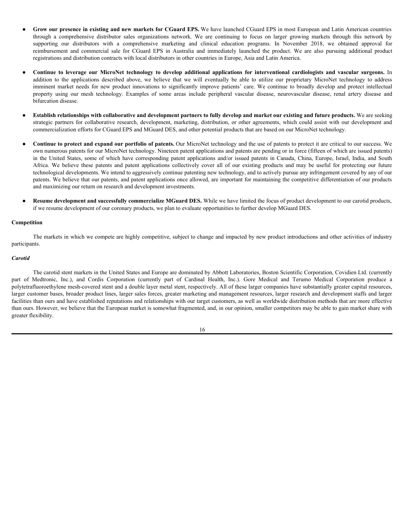- Grow our presence in existing and new markets for CGuard EPS. We have launched CGuard EPS in most European and Latin American countries Grow our presence in existing and new markets for CGuard EPS. We have launched CGuard EPS in most European and Latin American countries<br>through a comprehensive distributor sales organizations network. We are continuing to Grow our presence in existing and new markets for CGuard EPS. We have launched CGuard EPS in most European and Latin American countries<br>through a comprehensive distributor sales organizations network. We are continuing to **Grow our presence in existing and new markets for CGuard EPS.** We have launched CGuard EPS in most European and Latin American countries through a comprehensive distributor sales organizations network. We are continuing t registrations and distribution contracts with local distributors in other countries in Europe, Asia and Latin America. ■ **Crow our presence in existing and new markets for CGuard EPS**. We have launched CGuard EPS in most European and Latin American countries<br>through a comprehensive distributor sales organizations network. We are continuin **Grow our presence in existing and new markets for CGuard EPS**. We have launched CGuard EPS in most European and Latin American countries<br>through a comprehensive distributor sales organizations network. We are continuing t Grow our presence in existing and new markets for CGuard EPS. We have launched CGuard EPS in most European and Latin American countries<br>through a comprehensive distributor sales organizations network. We are continuing to Grow our presence in existing and new markets for CGuard EPS. We have launched CGuard EPS in most European and Latin American countries<br>through a comprehensive distributor sales organizations retwork. We are continuing to
- bifurcation disease.
- **Establish relationships with collaborative and development partners to fully develop and market our existing and future products.** We are seeking commercialization efforts for CGuard EPS and MGuard DES, and other potential products that are based on our MicroNet technology.
- **Grow our presence in existing and new markets for CGuard EPS**. We have launched CGuard EPS in most European and Latin American countries<br>through a comprehensive distributor sales organizations network. We are continuing ● **Continue to protect and expand our portfolio of patents.** Our MicroNet technology and the use of patents to protect it are critical to our success. We own numerous patents for our MicroNet technology. Nineteen patent applications and patents are pending or in force (fifteen of which are issued patents) Grow our presence in existing and new markets for CGuard FPS, We have launched CGuard FPS in most Fungentation sourcities<br>unhous a compression distributes with a comprehensive marketing and climical chinesing to hous on la Grow our presence in evising and new markets for CGnard FPS. We have lamched CGnard FPS in mest Furoying markets through this network by<br>supporting a computations suita computations network. We are continuing to focus on technological developments. We intend to aggressively continue patenting new technology, and to actively pursue any infringement covered by any of our patents. We believe that our patents, and patent applications once allowed, are important for maintaining the competitive differentiation of our products and maximizing our return on research and development investments.
- **Resume development and successfully commercialize MGuard DES.** While we have limited the focus of product development to our carotid products, if we resume development of our coronary products, we plan to evaluate opportunities to further develop MGuard DES.

#### **Competition**

The markets in which we compete are highly competitive, subject to change and impacted by new product introductions and other activities of industry participants.

#### *Carotid*

The carotid stent markets in the United States and Europe are dominated by Abbott Laboratories, Boston Scientific Corporation, Covidien Ltd. (currently • Confine to becreap our MieroNet technology to devolop additional applications for intercentional cardiologies and vascular controls on the space of the core of the core and core of the core of the core of the core of th polytetrafluoroethylene mesh-covered stent and a double layer metal stent, respectively. All of these larger companies have substantially greater capital resources, larger customer bases, broader product lines, larger sales forces, greater marketing and management resources, larger research and development staffs and larger facilities than ours and have established reputations and relationships with our target customers, as well as worldwide distribution methods that are more effective than ours. However, we believe that the European market is somewhat fragmented, and, in our opinion, smaller competitors may be able to gain market share with greater flexibility.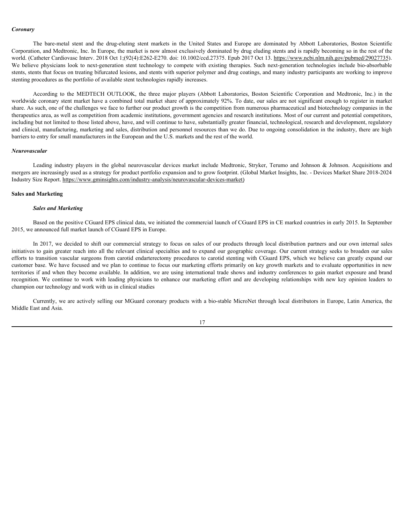#### *Coronary*

The bare-metal stent and the drug-eluting stent markets in the United States and Europe are dominated by Abbott Laboratories, Boston Scientific<br>
ion, and Medtronic, Ine. In Europe, the market is now almost exclusively domi Corporation, and Medtronic, Inc. In Europe, the market is now almost exclusively dominated by drug eluding stents and is rapidly becoming so in the rest of the world. (Catheter Cardiovasc Interv. 2018 Oct 1;(92(4):E262-E270. doi: 10.1002/ccd.27375. Epub 2017 Oct 13. https://www.ncbi.nlm.nih.gov/pubmed/29027735). **Coronary**<br>
The bare-metal stent and the drug-eluting stent markets in the United States and Europe are dominated by Abbott Laboratories, Boston Scientific<br>
Corporation, and Medtronic, Inc. In Europe, the market is now alm stents, stents that focus on treating bifurcated lesions, and stents with superior polymer and drug coatings, and many industry participants are working to improve stenting procedures as the portfolio of available stent technologies rapidly increases.

The bare-metal stent and the drug-eluting stent markets in the United States and Europe are dominated by Abbott Laboratories, Boston Scientific on, and Medtronic, inc. In Europe, the market is now almost exclusively domina worldwide coronary stent market have a combined total market share of approximately 92%. To date, our sales are not significant enough to register in market share. As such, one of the challenges we face to further our product growth is the competition from numerous pharmaceutical and biotechnology companies in the therapeutics area, as well as competition from academic institutions, government agencies and research institutions. Most of our current and potential competitors, including but not limited to those listed above, have, and will continue to have, substantially greater financial, technological, research and development, regulatory and clinical, manufacturing, marketing and sales, distribution and personnel resources than we do. Due to ongoing consolidation in the industry, there are high barriers to entry for small manufacturers in the European and the U.S. markets and the rest of the world. The bare-metal stent and the drug-eluting stent markets in the United States and Europe are dominated by Abbott Laboratories, Boston Scientific on and Medtronic, Inc. In Furone, the market is easy of the state of the state

#### *Neurovascular*

mergers are increasingly used as a strategy for product portfolio expansion and to grow footprint. (Global Market Insights, Inc. - Devices Market Share 2018-2024 Industry Size Report. https://www.gminsights.com/industry-analysis/neurovascular-devices-market)

#### **Sales and Marketing**

#### *Sales and Marketing*

Based on the positive CGuard EPS clinical data, we initiated the commercial launch of CGuard EPS in CE marked countries in early 2015. In September 2015, we announced full market launch of CGuard EPS in Europe.

I)<br>
In both comments are the strategy fraction of the commentation of the strategy of our commentation on the strategy to shift our commentation on the strategy to focus on the strategy to shift our commentation on the str initiatives to gain greater reach into all the relevant clinical specialties and to expand our geographic coverage. Our current strategy seeks to broaden our sales efforts to transition vascular surgeons from carotid endarterectomy procedures to carotid stenting with CGuard EPS, which we believe can greatly expand our customer base. We have focused and we plan to continue to focus our marketing efforts primarily on key growth markets and to evaluate opportunities in new territories if and when they become available. In addition, we are using international trade shows and industry conferences to gain market exposure and brand We have provided to the procedure and the content of the continue function. The continue of the continue of the continue of the continue of the continue terms in the content with continue terms in provides in the physicia champion our technology and work with us in clinical studies

Currently, we are actively selling our MGuard coronary products with a bio-stable MicroNet through local distributors in Europe, Latin America, the Middle East and Asia.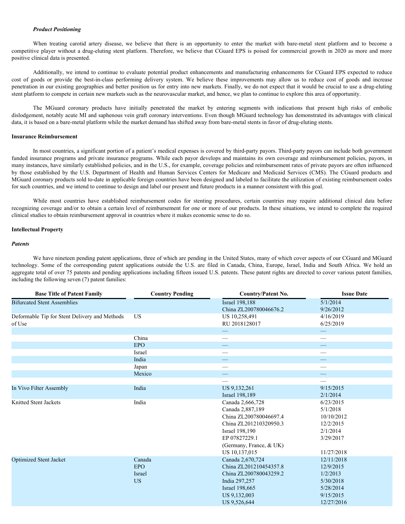#### *Product Positioning*

positive clinical data is presented.

**Product Positioning**<br>When treating carotid artery disease, we believe that there is an opportunity to enter the market with bare-metal stent platform and to become a<br>ve player without a drug-eluting stent platform. Theref **Product Positioning**<br>
When treating carotid artery disease, we believe that there is an opportunity to enter the market with bare-metal stent platform and to become a<br>
competitive player without a drug-eluting stent platf Additionally, we intend to continue to evaluate potential product enhancements and manufacturing enhancements for CGuard EPS expected to reduce **Product Positioning**<br>
When treating carotid attery disease, we believe that there is an opportunity to enter the market with bare-metal stent platform and to become a<br>
competitive player without a drug-eluting stent platf penetration in our existing geographies and better position us for entry into new markets. Finally, we do not expect that it would be crucial to use a drug-eluting stent platform to compete in certain new markets such as the neurovascular market, and hence, we plan to continue to explore this area of opportunity. **Product Positioning**<br>When treating carotid artery disease, we believe that there is an opportunity to enter the market with bare-metal stent platform and to become a<br>Velhard and single-otting stent platform. Therefore, we

dislodgement, notably acute MI and saphenous vein graft coronary interventions. Even though MGuard technology has demonstrated its advantages with clinical data, it is based on a bare-metal platform while the market demand has shifted away from bare-metal stents in favor of drug-eluting stents.

#### **Insurance Reimbursement**

In most countries, a significant portion of a patient's medical expenses is covered by third-party payors. Third-party payors can include both government funded insurance programs and private insurance programs. While each payor develops and maintains its own coverage and reimbursement policies, payors, in many instances, have similarly established policies, and in the U.S., for example, coverage policies and reimbursement rates of private payors are often influenced **Product Positioning**<br>
When treating caronid array disease, we believe that there is an opportunity to enter the market with bare-metal growth in 2020 as more and more<br>
provide the line of Health Services and Human Theoret MGuard coronary products sold to-date in applicable foreign countries have been designed and labeled to facilitate the utilization of existing reimbursement codes for such countries, and we intend to continue to design and label our present and future products in a manner consistent with this goal. *Product Positioning*<br>When treating enroid aretry disease, we believe that there is an opportunity to enter the market with bare-metal stent platform and to become a<br>triplue data is metalled and continue to coultant potent Entropies player wired a dragonizer game that<br>for the corresponding term (Entropies to the corresponding patent corresponding to the corresponding to the Count<br>of the Corresponding to the corresponding to the correspondin

recognizing coverage and/or to obtain a certain level of reimbursement for one or more of our products. In these situations, we intend to complete the required clinical studies to obtain reimbursement approval in countries where it makes economic sense to do so.

#### **Intellectual Property**

#### *Patents*

We have nineteen pending patent applications, three of which are pending in the United States, many of which cover aspects of our CGuard and MGuard aggregate total of over 75 patents and pending applications including fifteen issued U.S. patents. These patent rights are directed to cover various patent families, including the following seven (7) patent families:

| <b>Base Title of Patent Family</b>            | <b>Country Pending</b> | <b>Country/Patent No.</b>     | <b>Issue Date</b>               |  |
|-----------------------------------------------|------------------------|-------------------------------|---------------------------------|--|
| <b>Bifurcated Stent Assemblies</b>            |                        | <b>Israel 198,188</b>         | 5/1/2014                        |  |
|                                               |                        | China ZL200780046676.2        | 9/26/2012                       |  |
| Deformable Tip for Stent Delivery and Methods | <b>US</b>              | US 10,258,491                 | 4/16/2019                       |  |
| of Use                                        |                        | RU 2018128017                 | 6/25/2019                       |  |
|                                               |                        | $\overbrace{\phantom{aaaaa}}$ | $\overline{\phantom{m}}$        |  |
|                                               | China                  | $\qquad \qquad$               | $\hspace{0.05cm}$               |  |
|                                               | <b>EPO</b>             | $\hspace{0.05cm}$             | $\hspace{0.1mm}-\hspace{0.1mm}$ |  |
|                                               | Israel                 | $\overline{\phantom{m}}$      | $\hspace{0.1mm}-\hspace{0.1mm}$ |  |
|                                               | India                  | $\overline{\phantom{m}}$      | $\overline{\phantom{a}}$        |  |
|                                               | Japan                  | $\qquad \qquad$               | $\overbrace{\phantom{13333}}$   |  |
|                                               | Mexico                 | $\hspace{0.05cm}$             | $\overline{\phantom{a}}$        |  |
|                                               |                        | $\qquad \qquad$               |                                 |  |
| In Vivo Filter Assembly                       | India                  | US 9,132,261                  | 9/15/2015                       |  |
|                                               |                        | <b>Israel 198,189</b>         | 2/1/2014                        |  |
| Knitted Stent Jackets                         | India                  | Canada 2,666,728              | 6/23/2015                       |  |
|                                               |                        | Canada 2,887,189              | 5/1/2018                        |  |
|                                               |                        | China ZL200780046697.4        | 10/10/2012                      |  |
|                                               |                        | China ZL201210320950.3        | 12/2/2015                       |  |
|                                               |                        | <b>Israel 198,190</b>         | 2/1/2014                        |  |
|                                               |                        | EP 07827229.1                 | 3/29/2017                       |  |
|                                               |                        | (Germany, France, & UK)       |                                 |  |
|                                               |                        | US 10,137,015                 | 11/27/2018                      |  |
| <b>Optimized Stent Jacket</b>                 | Canada                 | Canada 2,670,724              | 12/11/2018                      |  |
|                                               | <b>EPO</b>             | China ZL201210454357.8        | 12/9/2015                       |  |
|                                               | Israel                 | China ZL200780043259.2        | 1/2/2013                        |  |
|                                               | <b>US</b>              | India 297,257                 | 5/30/2018                       |  |
|                                               |                        | <b>Israel 198,665</b>         | 5/28/2014                       |  |
|                                               |                        | US 9,132,003                  | 9/15/2015                       |  |
|                                               |                        | US 9,526,644                  | 12/27/2016                      |  |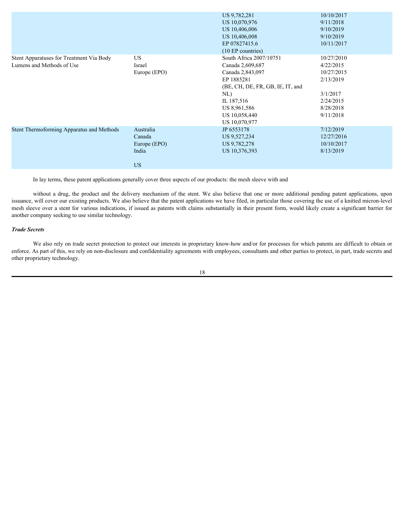|                                                    |              | US 9,782,281                                                                                                                                                           | 10/10/2017 |
|----------------------------------------------------|--------------|------------------------------------------------------------------------------------------------------------------------------------------------------------------------|------------|
|                                                    |              | US 10,070,976                                                                                                                                                          | 9/11/2018  |
|                                                    |              | US 10,406,006                                                                                                                                                          | 9/10/2019  |
|                                                    |              | US 10,406,008                                                                                                                                                          | 9/10/2019  |
|                                                    |              | EP 07827415.6<br>(10 EP countries)                                                                                                                                     | 10/11/2017 |
| Stent Apparatuses for Treatment Via Body           | US           | South Africa 2007/10751                                                                                                                                                | 10/27/2010 |
| Lumens and Methods of Use                          | Israel       | Canada 2,609,687                                                                                                                                                       | 4/22/2015  |
|                                                    | Europe (EPO) | Canada 2,843,097                                                                                                                                                       | 10/27/2015 |
|                                                    |              | EP 1885281                                                                                                                                                             | 2/13/2019  |
|                                                    |              | (BE, CH, DE, FR, GB, IE, IT, and                                                                                                                                       |            |
|                                                    |              | NL)                                                                                                                                                                    | 3/1/2017   |
|                                                    |              | IL 187,516                                                                                                                                                             | 2/24/2015  |
|                                                    |              | US 8,961,586                                                                                                                                                           | 8/28/2018  |
|                                                    |              | US 10,058,440<br>US 10,070,977                                                                                                                                         | 9/11/2018  |
| Stent Thermoforming Apparatus and Methods          | Australia    | JP 6553178                                                                                                                                                             | 7/12/2019  |
|                                                    | Canada       | US 9,527,234                                                                                                                                                           | 12/27/2016 |
|                                                    | Europe (EPO) | US 9,782,278                                                                                                                                                           | 10/10/2017 |
|                                                    | India        | US 10,376,393                                                                                                                                                          | 8/13/2019  |
|                                                    | <b>US</b>    |                                                                                                                                                                        |            |
|                                                    |              | In lay terms, these patent applications generally cover three aspects of our products: the mesh sleeve with and                                                        |            |
|                                                    |              |                                                                                                                                                                        |            |
|                                                    |              | without a drug, the product and the delivery mechanism of the stent. We also believe that one or more additional pending patent applications, upon                     |            |
|                                                    |              | issuance, will cover our existing products. We also believe that the patent applications we have filed, in particular those covering the use of a knitted micron-level |            |
|                                                    |              | mesh sleeve over a stent for various indications, if issued as patents with claims substantially in their present form, would likely create a significant barrier for  |            |
| another company seeking to use similar technology. |              |                                                                                                                                                                        |            |
| <b>Trade Secrets</b>                               |              |                                                                                                                                                                        |            |
|                                                    |              | We also rely on trade secret protection to protect our interests in proprietary know-how and/or for processes for which patents are difficult to obtain or             |            |
|                                                    |              |                                                                                                                                                                        |            |

#### *Trade Secrets*

We also rely on trade secret protection to protect our interests in proprietary know-how and/or for processes for which patents are difficult to obtain or enforce. As part of this, we rely on non-disclosure and confidentiality agreements with employees, consultants and other parties to protect, in part, trade secrets and other proprietary technology.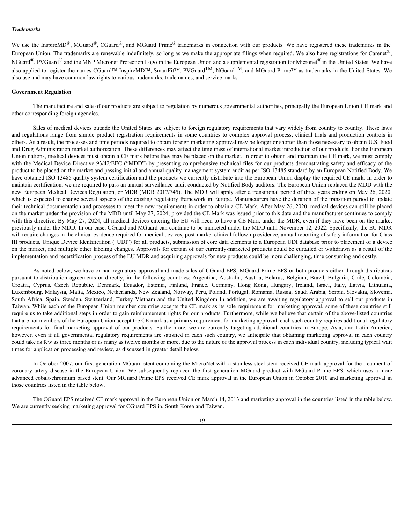#### *Trademarks*

**Trademarks**<br>We use the InspireMD<sup>®</sup>, MGuard<sup>®</sup>, CGuard<sup>®</sup>, and MGuard Prime<sup>®</sup> trademarks in connection with our products. We have registered these trademarks in the<br>European Union. The trademarks are renewable indefinit European Union. The trademarks are renewable indefinitely, so long as we make the appropriate filings when required. We also have registrations for Carenet<sup>®</sup>, NGuard<sup>®</sup>, PVGuard<sup>®</sup> and the MNP Micronet Protection Logo in the European Union and a supplemental registration for Micronet<sup>®</sup> in the United States. We have also applied to register the names CGuard™ InspireMD™, SmartFit™, PVGuard<sup>TM</sup>, NGuard<sup>TM</sup>, and MGuard Prime™ as trademarks in the United States. We also use and may have common law rights to various trademarks, trade names, and service marks.

#### **Government Regulation**

The manufacture and sale of our products are subject to regulation by numerous governmental authorities, principally the European Union CE mark and other corresponding foreign agencies.

Sales of medical devices outside the United States are subject to foreign regulatory requirements that vary widely from country to country. These laws **Trademurks**<br>We use the InspireM13<sup>®</sup>, MGianra<sup>t®</sup>, CGianra<sup>t®</sup>, and MGianra<sup>te</sup> inademarks in connection with our products. We have registered these trademarks in the<br>European Union. The trademarks are renewable indefini others. As a result, the processes and time periods required to obtain foreign marketing approval may be longer or shorter than those necessary to obtain U.S. Food and Drug Administration market authorization. These differences may affect the timeliness of international market introduction of our products. For the European Union nations, medical devices must obtain a CE mark before they may be placed on the market. In order to obtain and maintain the CE mark, we must comply with the Medical Device Directive 93/42/EEC ("MDD") by presenting comprehensive technical files for our products demonstrating safety and efficacy of the product to be placed on the market and passing initial and annual quality management system audit as per ISO 13485 standard by an European Notified Body. We have obtained ISO 13485 quality system certification and the products we currently distribute into the European Union display the required CE mark. In order to maintain certification, we are required to pass an annual surveillance audit conducted by Notified Body auditors. The European Union replaced the MDD with the new European Medical Devices Regulation, or MDR (MDR 2017/745). The MDR will apply after a transitional period of three years ending on May 26, 2020, which is expected to change several aspects of the existing regulatory framework in Europe. Manufacturers have the duration of the transition period to update their technical documentation and processes to meet the new requirements in order to obtain a CE Mark. After May 26, 2020, medical devices can still be placed on the market under the provision of the MDD until May 27, 2024; provided the CE Mark was issued prior to this date and the manufacturer continues to comply with this directive. By May 27, 2024, all medical devices entering the EU will need to have a CE Mark under the MDR, even if they have been on the market previously under the MDD. In our case, CGuard and MGuard can continue to be marketed under the MDD until November 12, 2022. Specifically, the EU MDR will require changes in the clinical evidence required for medical devices, post-market clinical follow-up evidence, annual reporting of safety information for Class III products, Unique Device Identification ("UDI") for all products, submission of core data elements to a European UDI database prior to placement of a device on the market, and multiple other labeling changes. Approvals for certain of our currently-marketed products could be curtailed or withdrawn as a result of the implementation and recertification process of the EU MDR and acquiring approvals for new products could be more challenging, time consuming and costly. Wound? Working the distribution to pursuant in the following countries and ampliement in givina, the following the station of the following the station of the station of the station of the station of the station and the st also mpiles to represent to comment the visitor of the cycle of the state of the cycle of the results of the state of the state of the state of the state of the state of the state of the state of the state of the state of Government Regulation<br>The numericative and sale of our products are subject to expaining by numerous governmental substitute, principally the European Giano CE mail. subsequently for the experimental subsequent in the pre releve corresponding for eign agens agens and de Cairel Stats are subject to forcing regulatory papieces to the our current of some countries of small countries to most of the state of the state of our current of our curre Union artists and detected artery are the detect and other in the place of the interact in oder to show that are the match in the characteristic first of the match in the CF and, we arrestrate the best of the match in the

As noted below, we have or had regulatory approval and made sales of CGuard EPS, MGuard Prime EPS or both products either through distributors Luxembourg, Malaysia, Malta, Mexico, Netherlands, New Zealand, Norway, Peru, Poland, Portugal, Romania, Russia, Saudi Arabia, Serbia, Slovakia, Slovenia, Taiwan. While each of the European Union member countries accepts the CE mark as its sole requirement for marketing approval, some of these countries still require us to take additional steps in order to gain reimbursement rights for our products. Furthermore, while we believe that certain of the above-listed countries that are not members of the European Union accept the CE mark as a primary requirement for marketing approval, each such country requires additional regulatory however, even if all governmental regulatory requirements are satisfied in each such country, we anticipate that obtaining marketing approval in each country could take as few as three months or as many as twelve months or more, due to the nature of the approval process in each individual country, including typical wait times for application processing and review, as discussed in greater detail below.

In October 2007, our first generation MGuard stent combining the MicroNet with a stainless steel stent received CE mark approval for the treatment of advanced cobalt-chromium based stent. Our MGuard Prime EPS received CE mark approval in the European Union in October 2010 and marketing approval in those countries listed in the table below.

The CGuard EPS received CE mark approval in the European Union on March 14, 2013 and marketing approval in the countries listed in the table below. We are currently seeking marketing approval for CGuard EPS in, South Korea and Taiwan.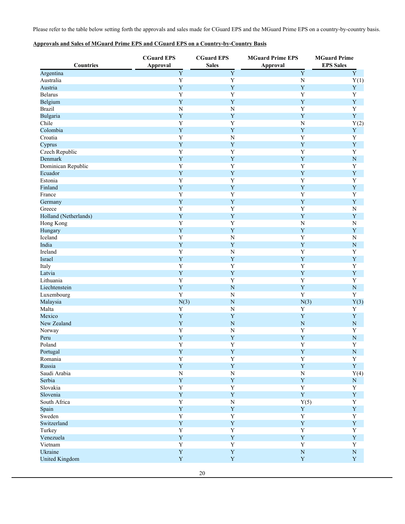Please refer to the table below setting forth the approvals and sales made for CGuard EPS and the MGuard Prime EPS on a country-by-country basis.

#### **Approvals and Sales of MGuard Prime EPS and CGuard EPS on a Country-by-Country Basis**

| <b>Countries</b>      | <b>CGuard EPS</b><br>Approval | <b>CGuard EPS</b><br><b>Sales</b> | <b>MGuard Prime EPS</b><br>Approval | <b>MGuard Prime</b><br><b>EPS Sales</b> |
|-----------------------|-------------------------------|-----------------------------------|-------------------------------------|-----------------------------------------|
| Argentina             | Y                             | $\mathbf Y$                       | $\overline{Y}$                      | $\overline{Y}$                          |
| Australia             | $\mathbf Y$                   | $\mathbf Y$                       | ${\bf N}$                           | Y(1)                                    |
| Austria               | $\mathbf Y$                   | $\mathbf Y$                       | $\mathbf Y$                         | $\mathbf Y$                             |
| Belarus               | $\overline{\mathbf{Y}}$       | $\overline{Y}$                    | $\overline{\mathbf{Y}}$             | $\mathbf Y$                             |
| Belgium               | $\mathbf Y$                   | Y                                 | $\mathbf Y$                         | $\mathbf Y$                             |
| <b>Brazil</b>         | ${\bf N}$                     | ${\bf N}$                         | $\mathbf Y$                         | $\mathbf Y$                             |
| <b>Bulgaria</b>       | $\mathbf Y$                   | $\mathbf Y$                       | $\mathbf Y$                         | $\mathbf Y$                             |
| Chile                 | $\mathbf Y$                   | $\mathbf Y$                       | ${\bf N}$                           | Y(2)                                    |
| Colombia              | $\mathbf Y$                   | $\mathbf Y$                       | $\mathbf Y$                         | $\mathbf Y$                             |
|                       |                               |                                   |                                     |                                         |
| Croatia               | $\mathbf Y$                   | N                                 | $\mathbf Y$                         | $\mathbf Y$                             |
| Cyprus                | $\mathbf Y$                   | $\mathbf Y$                       | $\mathbf Y$                         | $\mathbf Y$                             |
| Czech Republic        | $\mathbf Y$                   | $\mathbf Y$                       | $\mathbf Y$                         | $\mathbf Y$                             |
| Denmark               | $\mathbf Y$                   | $\mathbf Y$                       | Y                                   | ${\bf N}$                               |
| Dominican Republic    | $\mathbf Y$                   | $\mathbf Y$                       | $\overline{\mathbf{Y}}$             | $\mathbf Y$                             |
| Ecuador               | $\mathbf Y$                   | $\mathbf Y$                       | $\mathbf Y$                         | $\mathbf Y$                             |
| Estonia               | $\mathbf Y$                   | $\mathbf Y$                       | $\mathbf Y$                         | $\mathbf Y$                             |
| Finland               | $\mathbf Y$                   | $\mathbf Y$                       | $\mathbf Y$                         | $\mathbf Y$                             |
| France                | $\mathbf Y$                   | $\mathbf Y$                       | $\mathbf Y$                         | $\mathbf Y$                             |
| Germany               | $\mathbf Y$                   | $\mathbf Y$                       | $\mathbf Y$                         | $\mathbf Y$                             |
| Greece                | Y                             | Y                                 | $\mathbf Y$                         | N                                       |
| Holland (Netherlands) | $\mathbf Y$                   | $\mathbf Y$                       | $\mathbf Y$                         | $\mathbf Y$                             |
|                       | $\mathbf Y$                   | $\mathbf Y$                       | ${\bf N}$                           |                                         |
| Hong Kong             |                               |                                   |                                     | ${\bf N}$                               |
| Hungary               | $\mathbf Y$                   | $\mathbf Y$                       | $\mathbf Y$                         | $\mathbf Y$                             |
| Iceland               | $\mathbf Y$                   | $\overline{\text{N}}$             | $\overline{\mathbf{Y}}$             | ${\bf N}$                               |
| India                 | $\mathbf Y$                   | Y                                 | $\mathbf Y$                         | ${\bf N}$                               |
| Ireland               | $\mathbf Y$                   | ${\bf N}$                         | $\mathbf Y$                         | $\mathbf Y$                             |
| Israel                | $\mathbf Y$                   | $\mathbf Y$                       | $\mathbf Y$                         | $\mathbf Y$                             |
| Italy                 | $\mathbf Y$                   | $\mathbf Y$                       | $\mathbf Y$                         | $\mathbf Y$                             |
| Latvia                | $\mathbf Y$                   | $\mathbf Y$                       | $\mathbf Y$                         | $\mathbf Y$                             |
| Lithuania             | $\mathbf Y$                   | $\mathbf Y$                       | $\mathbf Y$                         | $\mathbf Y$                             |
| Liechtenstein         | $\mathbf Y$                   | ${\bf N}$                         | $\mathbf Y$                         | ${\bf N}$                               |
| Luxembourg            | $\mathbf Y$                   | ${\bf N}$                         | $\mathbf Y$                         | $\mathbf Y$                             |
|                       | N(3)                          | ${\bf N}$                         | N(3)                                |                                         |
| Malaysia<br>Malta     | $\mathbf Y$                   |                                   | $\overline{\mathbf{Y}}$             | Y(3)                                    |
|                       |                               | ${\bf N}$                         |                                     | $\mathbf Y$                             |
| Mexico                | $\mathbf Y$                   | $\mathbf Y$                       | $\mathbf Y$                         | $\mathbf Y$                             |
| New Zealand           | $\mathbf Y$                   | ${\bf N}$                         | ${\bf N}$                           | ${\bf N}$                               |
| Norway                | $\mathbf Y$                   | ${\bf N}$                         | $\mathbf Y$                         | $\mathbf Y$                             |
| Peru                  | $\mathbf Y$                   | $\mathbf Y$                       | $\mathbf Y$                         | ${\bf N}$                               |
| Poland                | $\mathbf Y$                   | $\mathbf Y$                       | $\overline{\mathbf{Y}}$             | $\overline{\mathbf{Y}}$                 |
| Portugal              | Y                             | Y                                 | Y                                   | ${\bf N}$                               |
| Romania               | $\mathbf Y$                   | $\mathbf Y$                       | $\overline{\mathbf{Y}}$             | $\mathbf Y$                             |
| Russia                | $\mathbf Y$                   | $\mathbf Y$                       | $\mathbf Y$                         | $\mathbf{Y}$                            |
| Saudi Arabia          | ${\bf N}$                     | ${\bf N}$                         | $\overline{\text{N}}$               | Y(4)                                    |
| Serbia                | $\mathbf Y$                   | $\mathbf Y$                       | $\mathbf Y$                         | ${\bf N}$                               |
|                       |                               |                                   |                                     |                                         |
| Slovakia              | $\mathbf Y$                   | $\mathbf Y$                       | $\overline{\mathbf{Y}}$             | $\mathbf Y$                             |
| Slovenia              | $\mathbf Y$                   | $\mathbf Y$                       | $\mathbf Y$                         | $\mathbf Y$                             |
| South Africa          | $\mathbf Y$                   | ${\bf N}$                         | Y(5)                                | $\mathbf Y$                             |
| Spain                 | $\mathbf Y$                   | $\mathbf Y$                       | $\mathbf Y$                         | $\mathbf Y$                             |
| Sweden                | $\mathbf Y$                   | $\mathbf Y$                       | $\mathbf Y$                         | $\mathbf Y$                             |
| Switzerland           | $\mathbf Y$                   | $\mathbf Y$                       | $\mathbf Y$                         | $\mathbf Y$                             |
| Turkey                | $\mathbf Y$                   | $\mathbf Y$                       | $\mathbf Y$                         | $\mathbf Y$                             |
| Venezuela             | $\mathbf Y$                   | $\mathbf Y$                       | $\mathbf Y$                         | $\mathbf Y$                             |
|                       | $\mathbf Y$                   | $\overline{\mathbf{Y}}$           | $\overline{\mathbf{Y}}$             | $\mathbf Y$                             |
| Vietnam               |                               |                                   |                                     |                                         |
| Ukraine               | $\mathbf Y$                   | $\mathbf Y$                       | ${\bf N}$                           | ${\bf N}$                               |
| <b>United Kingdom</b> | $\mathbf Y$                   | $\mathbf Y$                       | $\mathbf Y$                         | $\mathbf Y$                             |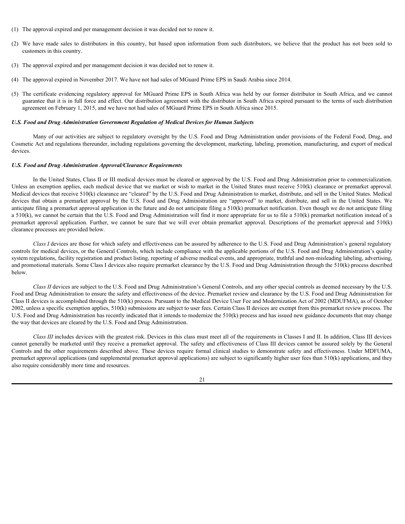- (1) The approval expired and per management decision it was decided not to renew it.
- (1) The approval expired and per management decision it was decided not to renew it.<br>
(2) We have made sales to distributors in this country, but based upon information from such distributors, we believe that the product h customers in this country.
- (3) The approval expired and per management decision it was decided not to renew it.
- (4) The approval expired in November 2017. We have not had sales of MGuard Prime EPS in Saudi Arabia since 2014.
- (5) The certificate evidencing regulatory approval for MGuard Prime EPS in South Africa was held by our former distributor in South Africa, and we cannot guarantee that it is in full force and effect. Our distribution agreement with the distributor in South Africa expired pursuant to the terms of such distribution agreement on February 1, 2015, and we have not had sales of MGuard Prime EPS in South Africa since 2015.

#### *U.S. Food and Drug Administration Government Regulation of Medical Devices for Human Subjects*

Many of our activities are subject to regulatory oversight by the U.S. Food and Drug Administration under provisions of the Federal Food, Drug, and Cosmetic Act and regulations thereunder, including regulations governing the development, marketing, labeling, promotion, manufacturing, and export of medical devices.

#### *U.S. Food and Drug Administration Approval/Clearance Requirements*

In the United States, Class II or III medical devices must be cleared or approved by the U.S. Food and Drug Administration prior to commercialization. Unless an exemption applies, each medical device that we market or wish to market in the United States must receive 510(k) clearance or premarket approval. Medical devices that receive 510(k) clearance are "cleared" by the U.S. Food and Drug Administration to market, distribute, and sell in the United States. Medical (1) The approval expired and per management devision it was devided not to enary it.<br>
(2) We have made sales to distribution it this country, but bured upon information from such distributions, we believe that the product anticipate filing a premarket approval application in the future and do not anticipate filing a 510(k) premarket notification. Even though we do not anticipate filing a  $510(k)$ , we cannot be certain that the U.S. Food and Drug Administration will find it more appropriate for us to file a  $510(k)$  premarket notification instead of a (1) The approval capined and per management decision it was decided not to cursow it.<br>
(2) Ye have made sales to distinuison in this country, but based upon information from such distinues we believe that the product has n clearance processes are provided below.

*Class I* devices are those for which safety and effectiveness can be assured by adherence to the U.S. Food and Drug Administration's general regulatory controls for medical devices, or the General Controls, which include compliance with the applicable portions of the U.S. Food and Drug Administration's quality system regulations, facility registration and product listing, reporting of adverse medical events, and appropriate, truthful and non-misleading labeling, advertising, and promotional materials. Some Class I devices also require premarket clearance by the U.S. Food and Drug Administration through the 510(k) process described below.

*Class II* devices are subject to the U.S. Food and Drug Administration's General Controls, and any other special controls as deemed necessary by the U.S. Food and Drug Administration to ensure the safety and effectiveness of the device. Premarket review and clearance by the U.S. Food and Drug Administration for Class II devices is accomplished through the 510(k) process. Pursuant to the Medical Device User Fee and Modernization Act of 2002 (MDUFMA), as of October 2002, unless a specific exemption applies, 510(k) submissions are subject to user fees. Certain Class II devices are exempt from this premarket review process. The U.S. Food and Drug Administration has recently indicated that it intends to modernize the 510(k) process and has issued new guidance documents that may change the way that devices are cleared by the U.S. Food and Drug Administration.

*Class III* includes devices with the greatest risk. Devices in this class must meet all of the requirements in Classes I and II. In addition, Class III devices cannot generally be marketed until they receive a premarket approval. The safety and effectiveness of Class III devices cannot be assured solely by the General Controls and the other requirements described above. These devices require formal clinical studies to demonstrate safety and effectiveness. Under MDFUMA, premarket approval applications (and supplemental premarket approval applications) are subject to significantly higher user fees than 510(k) applications, and they also require considerably more time and resources.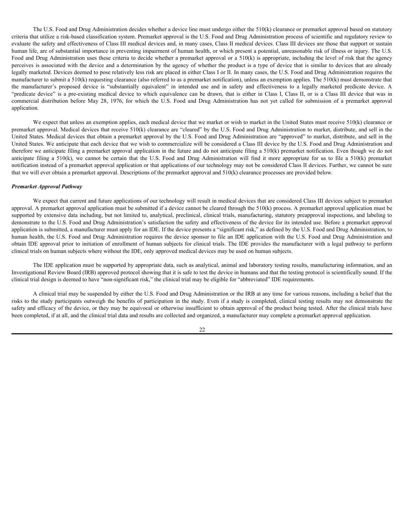The U.S. Food and Drug Administration decides whether a device line must undergo either the 510(k) clearance or premarket approval based on statutory criteria that utilize a risk-based classification system. Premarket approval is the U.S. Food and Drug Administration process of scientific and regulatory review to evaluate the safety and effectiveness of Class III medical devices and, in many cases, Class II medical devices. Class III devices are those that support or sustain human life, are of substantial importance in preventing impairment of human health, or which present a potential, unreasonable risk of illness or injury. The U.S. Food and Drug Administration uses these criteria to decide whether a premarket approval or a 510(k) is appropriate, including the level of risk that the agency perceives is associated with the device and a determination by the agency of whether the product is a type of device that is similar to devices that are already legally marketed. Devices deemed to pose relatively less risk are placed in either Class I or II. In many cases, the U.S. Food and Drug Administration requires the manufacturer to submit a 510(k) requesting clearance (also referred to as a premarket notification), unless an exemption applies. The 510(k) must demonstrate that The U.S. Food and Drug Administration decides whether a device line must undergo either the 510(k) clearance or premarket approval based on statutory<br>criteria that utilize a risk-based classification system. Premarket appr The U.S. Food and Drug Administration decides whether a device line must undergo either the 510(k) clearance or premarket approval hessed on statutory<br>criteria that utilize a risk-based classification system. Premarket app The U.S. Food and Drug Administration decides whether a device line must undergo either the 510(k) clearance or premarket approval based on statutory<br>criteria that utilize a risk-based classification system. Premarket appr application. The U.S. Food and Drug Administration devides whether a device tiare must undeppt either the 510(k) identure or premarket approval hexales that the time and the sample of the sample of the sample of the sample of the sampl

We expect that unless an exemption applies, each medical device that we market or wish to market in the United States must receive 510(k) clearance or premarket approval. Medical devices that receive 510(k) clearance are "cleared" by the U.S. Food and Drug Administration to market, distribute, and sell in the United States. Medical devices that obtain a premarket approval by the U.S. Food and Drug Administration are "approved" to market, distribute, and sell in the United States. We anticipate that each device that we wish to commercialize will be considered a Class III device by the U.S. Food and Drug Administration and therefore we anticipate filing a premarket approval application in the future and do not anticipate filing a 510(k) premarket notification. Even though we do not notification instead of a premarket approval application or that applications of our technology may not be considered Class II devices. Further, we cannot be sure that we will ever obtain a premarket approval. Descriptions of the premarket approval and 510(k) clearance processes are provided below.

#### *Premarket Approval Pathway*

We expect that current and future applications of our technology will result in medical devices that are considered Class III devices subject to premarket approval. A premarket approval application must be submitted if a device cannot be cleared through the 510(k) process. A premarket approval application must be supported by extensive data including, but not limited to, analytical, preclinical, clinical trials, manufacturing, statutory preapproval inspections, and labeling to demonstrate to the U.S. Food and Drug Administration's satisfaction the safety and effectiveness of the device for its intended use. Before a premarket approval application is submitted, a manufacturer must apply for an IDE. If the device presents a "significant risk," as defined by the U.S. Food and Drug Administration, to human health, the U.S. Food and Drug Administration requires the device sponsor to file an IDE application with the U.S. Food and Drug Administration and obtain IDE approval prior to initiation of enrollment of human subjects for clinical trials. The IDE provides the manufacturer with a legal pathway to perform clinical trials on human subjects where without the IDE, only approved medical devices may be used on human subjects.

The IDE application must be supported by appropriate data, such as analytical, animal and laboratory testing results, manufacturing information, and an Investigational Review Board (IRB) approved protocol showing that it is safe to test the device in humans and that the testing protocol is scientifically sound. If the clinical trial design is deemed to have "non-significant risk," the clinical trial may be eligible for "abbreviated" IDE requirements.

A clinical trial may be suspended by either the U.S. Food and Drug Administration or the IRB at any time for various reasons, including a belief that the risks to the study participants outweigh the benefits of participation in the study. Even if a study is completed, clinical testing results may not demonstrate the safety and efficacy of the device, or they may be equivocal or otherwise insufficient to obtain approval of the product being tested. After the clinical trials have been completed, if at all, and the clinical trial data and results are collected and organized, a manufacturer may complete a premarket approval application.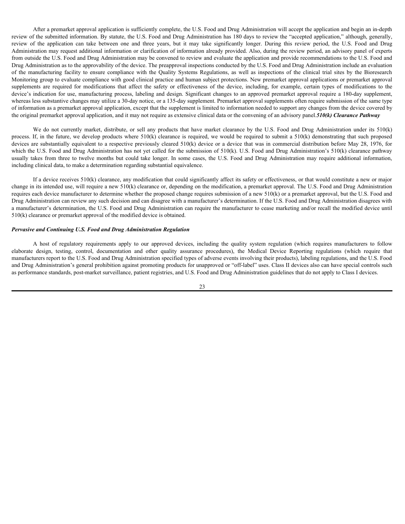After a premarket approval application is sufficiently complete, the U.S. Food and Drug Administration will accept the application and begin an in-depth review of the submitted information. By statute, the U.S. Food and Drug Administration has 180 days to review the "accepted application," although, generally, After a premarket approval application is sufficiently complete, the U.S. Food and Drug Administration will accept the application and begin an in-depth<br>review of the submitted information. By statute, the U.S. Food and Dr Administration may request additional information or clarification of information already provided. Also, during the review period, an advisory panel of experts from outside the U.S. Food and Drug Administration may be convened to review and evaluate the application and provide recommendations to the U.S. Food and Drug Administration as to the approvability of the device. The preapproval inspections conducted by the U.S. Food and Drug Administration include an evaluation After a premarket approval application is sufficiently complete, the U.S. Food and Drug Administration will accept the application and begin an in-dephretive of the submitted information. By statute, the U.S. Food and Dru Monitoring group to evaluate compliance with good clinical practice and human subject protections. New premarket approval applications or premarket approval After a premarket approval application is sufficiently complete, the U.S. Food and Drug Administration will accept the application and begin an in-depth<br>review of the submitted information. By statute, the U.S. Food and D device's indication for use, manufacturing process, labeling and design. Significant changes to an approved premarket approval require a 180-day supplement, whereas less substantive changes may utilize a 30-day notice, or a 135-day supplement. Premarket approval supplements often require submission of the same type of information as a premarket approval application, except that the supplement is limited to information needed to support any changes from the device covered by the original premarket approval application, and it may not require as extensive clinical data or the convening of an advisory panel.*510(k) Clearance Pathway* After a premarket approval application is sufficiently complete, the U.S. Food and Drug Administration will accept the application and begin an in-depth the submitted information. By statue, the U.S. Food and Drug Adminis After a promaded approval application is sufficiently complets, the U.S. Food and Drug Administration will accept the substrate reactive of the substrate of the substrate of the substrate of the substrate of the substrate After a prematic approval exploited in a function of required by for fixed and Doug Administration will accept the positive controller and the system and independent on the regulatory of the regulatory and the positive st review of the dominal methods in the U.S. Food and Dig Memissions in 100 day to review be "Screened preview to the state of the Control of the U.S. Food and Diversify and Dig Memissions are proportion to the Control of the

process. If, in the future, we develop products where 510(k) clearance is required, we would be required to submit a 510(k) demonstrating that such proposed devices are substantially equivalent to a respective previously cleared 510(k) device or a device that was in commercial distribution before May 28, 1976, for which the U.S. Food and Drug Administration has not yet called for the submission of 510(k). U.S. Food and Drug Administration's 510(k) clearance pathway including clinical data, to make a determination regarding substantial equivalence.

If a device receives 510(k) clearance, any modification that could significantly affect its safety or effectiveness, or that would constitute a new or major change in its intended use, will require a new 510(k) clearance or, depending on the modification, a premarket approval. The U.S. Food and Drug Administration requires each device manufacturer to determine whether the proposed change requires submission of a new 510(k) or a premarket approval, but the U.S. Food and Drug Administration can review any such decision and can disagree with a manufacturer's determination. If the U.S. Food and Drug Administration disagrees with a manufacturer's determination, the U.S. Food and Drug Administration can require the manufacturer to cease marketing and/or recall the modified device until 510(k) clearance or premarket approval of the modified device is obtained.

#### *Pervasive and Continuing U.S. Food and Drug Administration Regulation*

manufacturers report to the U.S. Food and Drug Administration specified types of adverse events involving their products), labeling regulations, and the U.S. Food and Drug Administration's general prohibition against promoting products for unapproved or "off-label" uses. Class II devices also can have special controls such as performance standards, post-market surveillance, patient registries, and U.S. Food and Drug Administration guidelines that do not apply to Class I devices.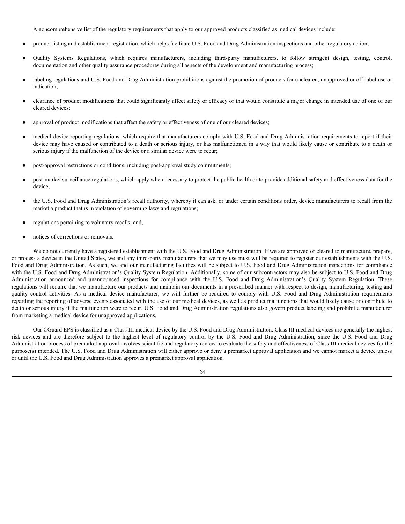A noncomprehensive list of the regulatory requirements that apply to our approved products classified as medical devices include:

- product listing and establishment registration, which helps facilitate U.S. Food and Drug Administration inspections and other regulatory action;
- documentation and other quality assurance procedures during all aspects of the development and manufacturing process;
- labeling regulations and U.S. Food and Drug Administration prohibitions against the promotion of products for uncleared, unapproved or off-label use or indication;
- A noncomprehensive list of the regulatory requirements that apply to our approved products classified as medical devices include:<br>
 product listing and establishment registration, which helps facilitate U.S. Food and Dru ● clearance of product modifications that could significantly affect safety or efficacy or that would constitute a major change in intended use of one of our cleared devices;
- approval of product modifications that affect the safety or effectiveness of one of our cleared devices;
- medical device reporting regulations, which require that manufacturers comply with U.S. Food and Drug Administration requirements to report if their device may have caused or contributed to a death or serious injury, or has malfunctioned in a way that would likely cause or contribute to a death or serious injury if the malfunction of the device or a similar device were to recur;
- post-approval restrictions or conditions, including post-approval study commitments;
- post-market surveillance regulations, which apply when necessary to protect the public health or to provide additional safety and effectiveness data for the device;
- the U.S. Food and Drug Administration's recall authority, whereby it can ask, or under certain conditions order, device manufacturers to recall from the market a product that is in violation of governing laws and regulations;
- regulations pertaining to voluntary recalls; and,
- notices of corrections or removals.

We do not currently have a registered establishment with the U.S. Food and Drug Administration. If we are approved or cleared to manufacture, prepare, or process a device in the United States, we and any third-party manufacturers that we may use must will be required to register our establishments with the U.S. Food and Drug Administration. As such, we and our manufacturing facilities will be subject to U.S. Food and Drug Administration inspections for compliance with the U.S. Food and Drug Administration's Quality System Regulation. Additionally, some of our subcontractors may also be subject to U.S. Food and Drug A constraints and other quality assumes procedures during all aspects of the development and manufacturing process.<br>
A labeling regulations and U.S. Food and Drug Administration problems are allows or located service strat regulations will require that we manufacture our products and maintain our documents in a prescribed manner with respect to design, manufacturing, testing and • Indeed to the state of the Ford and Drug Administration probability a gainst the provider or products for medical solid at each of elements of effects or the state of elements and the state of elements of elements of regarding the reporting of adverse events associated with the use of our medical devices, as well as product malfunctions that would likely cause or contribute to death or serious injury if the malfunction were to recur. U.S. Food and Drug Administration regulations also govern product labeling and prohibit a manufacturer from marketing a medical device for unapproved applications. **•** mprovair originate mean functions, that allest the subject that manufactures conjugated in expectitive requires the constrained device proportion of the control device the provision of the control device the proportio

Our CGuard EPS is classified as a Class III medical device by the U.S. Food and Drug Administration. Class III medical devices are generally the highest Administration process of premarket approval involves scientific and regulatory review to evaluate the safety and effectiveness of Class III medical devices for the purpose(s) intended. The U.S. Food and Drug Administration will either approve or deny a premarket approval application and we cannot market a device unless or until the U.S. Food and Drug Administration approves a premarket approval application.

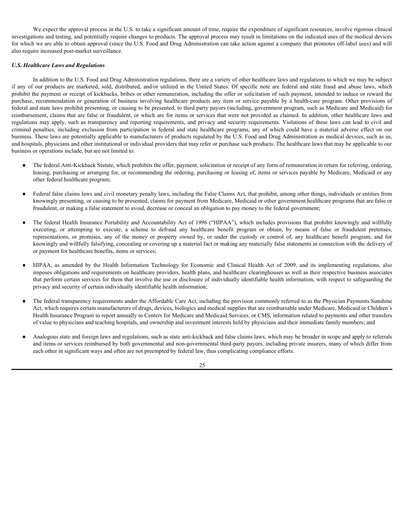We expect the approval process in the U.S. to take a significant amount of time, require the expenditure of significant resources, involve rigorous clinical investigations and testing, and potentially require changes to products. The approval process may result in limitations on the indicated uses of the medical devices for which we are able to obtain approval (since the U.S. Food and Drug Administration can take action against a company that promotes off-label uses) and will also require increased post-market surveillance.

#### *U.S. Healthcare Laws and Regulations*

In addition to the U.S. Food and Drug Administration regulations, there are a variety of other healthcare laws and regulations to which we may be subject We expect the approval process in the U.S. to take a significant amount of time, require the expenditure of significant resources, involve rigorous clinical<br>investigations and testing, and potentially require changes to pr prohibit the payment or receipt of kickbacks, bribes or other remuneration, including the offer or solicitation of such payment, intended to induce or reward the We expect the approval process in the U.S. to take a significant amount of time, require the expenditure of significant resources, involve rigorous clinical<br>investigations and testing, and potentially require then U.S. Foo federal and state laws prohibit presenting, or causing to be presented, to third party payors (including, government program, such as Medicare and Medicaid) for reimbursement, claims that are false or fraudulent, or which are for items or services that were not provided as claimed. In addition, other healthcare laws and regulations may apply, such as transparency and reporting requirements, and privacy and security requirements. Violations of these laws can lead to civil and We expect the approval process in the U.S. to take a significant amount of time, require the expenditure of significant resources, involve ignorous clinical<br>investigations und testing penalties require charges to products. business. These laws are potentially applicable to manufacturers of products regulated by the U.S. Food and Drug Administration as medical devices, such as us, and hospitals, physicians and other institutional or individual providers that may refer or purchase such products. The healthcare laws that may be applicable to our business or operations include, but are not limited to: We expect the approval process in the U.S. to take a significant amount of time, require the expediture of significant resumes, tavelve algoored interest and points and points and points and points and points and points a We expect the approval process in the U.S. to take a significant amount of time, require the crystal in binitiation can be related to some set of the money or the money or the individual or the individual deviated uses of Frequire increased possessment surveillings.<br>
Health Earth Earth and Regulations of the Barbara California equalities, there are a variety of else health Park Park Barbara Earth and Health Barbara Cain and the Health and

- The federal Anti-Kickback Statute, which prohibits the offer, payment, solicitation or receipt of any form of remuneration in return for referring, ordering, leasing, purchasing or arranging for, or recommending the ordering, purchasing or leasing of, items or services payable by Medicare, Medicaid or any other federal healthcare program;
- Federal false claims laws and civil monetary penalty laws, including the False Claims Act, that prohibit, among other things, individuals or entities from knowingly presenting, or causing to be presented, claims for payment from Medicare, Medicaid or other government healthcare programs that are false or fraudulent, or making a false statement to avoid, decrease or conceal an obligation to pay money to the federal government;
- The federal Health Insurance Portability and Accountability Act of 1996 ("HIPAA"), which includes provisions that prohibit knowingly and willfully knowingly and willfully falsifying, concealing or covering up a material fact or making any materially false statements in connection with the delivery of or payment for healthcare benefits, items or services;
- imposes obligations and requirements on healthcare providers, health plans, and healthcare clearinghouses as well as their respective business associates that perform certain services for them that involve the use or disclosure of individually identifiable health information, with respect to safeguarding the privacy and security of certain individually identifiable health information;
- The federal transparency requirements under the Affordable Care Act, including the provision commonly referred to as the Physician Payments Sunshine Act, which requires certain manufacturers of drugs, devices, biologics and medical supplies that are reimbursable under Medicare, Medicaid or Children's Health Insurance Program to report annually to Centers for Medicare and Medicaid Services, or CMS, information related to payments and other transfers of value to physicians and teaching hospitals, and ownership and investment interests held by physicians and their immediate family members; and
- Analogous state and foreign laws and regulations, such as state anti-kickback and false claims laws, which may be broader in scope and apply to referrals and items or services reimbursed by both governmental and non-governmental third-party payors, including private insurers, many of which differ from each other in significant ways and often are not preempted by federal law, thus complicating compliance efforts.

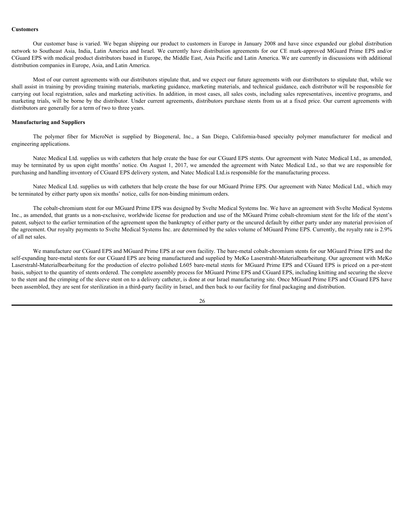#### **Customers**

Our customer base is varied. We began shipping our product to customers in Europe in January 2008 and have since expanded our global distribution network to Southeast Asia, India, Latin America and Israel. We currently have distribution agreements for our CE mark-approved MGuard Prime EPS and/or CGuard EPS with medical product distributors based in Europe, the Middle East, Asia Pacific and Latin America. We are currently in discussions with additional distribution companies in Europe, Asia, and Latin America.

Most of our current agreements with our distributors stipulate that, and we expect our future agreements with our distributors to stipulate that, while we shall assist in training by providing training materials, marketing guidance, marketing materials, and technical guidance, each distributor will be responsible for carrying out local registration, sales and marketing activities. In addition, in most cases, all sales costs, including sales representatives, incentive programs, and marketing trials, will be borne by the distributor. Under current agreements, distributors purchase stents from us at a fixed price. Our current agreements with distributors are generally for a term of two to three years. **TS**<br>
The customer base is varied. We began shipping our product to customers in Europe in January 2008 and have since expanded our global distribution<br>
to Southeast Asia, India, Iain America and Israel, We currently have **Customers**<br>Customer hase is varied We began shipping our product to existence is Furope in January 2008 and have since expanded our global distribution<br>precivale to Southest Assa, India America, May can be currently have

#### **Manufacturing and Suppliers**

engineering applications.

Natec Medical Ltd. supplies us with catheters that help create the base for our CGuard EPS stents. Our agreement with Natec Medical Ltd., as amended, purchasing and handling inventory of CGuard EPS delivery system, and Natec Medical Ltd.is responsible for the manufacturing process.

Natec Medical Ltd. supplies us with catheters that help create the base for our MGuard Prime EPS. Our agreement with Natec Medical Ltd., which may be terminated by either party upon six months' notice, calls for non-binding minimum orders.

The cobalt-chromium stent for our MGuard Prime EPS was designed by Svelte Medical Systems Inc. We have an agreement with Svelte Medical Systems Inc., as amended, that grants us a non-exclusive, worldwide license for production and use of the MGuard Prime cobalt-chromium stent for the life of the stent's patent, subject to the earlier termination of the agreement upon the bankruptcy of either party or the uncured default by either party under any material provision of the agreement. Our royalty payments to Svelte Medical Systems Inc. are determined by the sales volume of MGuard Prime EPS. Currently, the royalty rate is 2.9% of all net sales.

We manufacture our CGuard EPS and MGuard Prime EPS at our own facility. The bare-metal cobalt-chromium stents for our MGuard Prime EPS and the self-expanding bare-metal stents for our CGuard EPS are being manufactured and supplied by MeKo Laserstrahl-Materialbearbeitung. Our agreement with MeKo Laserstrahl-Materialbearbeitung for the production of electro polished L605 bare-metal stents for MGuard Prime EPS and CGuard EPS is priced on a per-stent basis, subject to the quantity of stents ordered. The complete assembly process for MGuard Prime EPS and CGuard EPS, including knitting and securing the sleeve to the stent and the crimping of the sleeve stent on to a delivery catheter, is done at our Israel manufacturing site. Once MGuard Prime EPS and CGuard EPS have been assembled, they are sent for sterilization in a third-party facility in Israel, and then back to our facility for final packaging and distribution.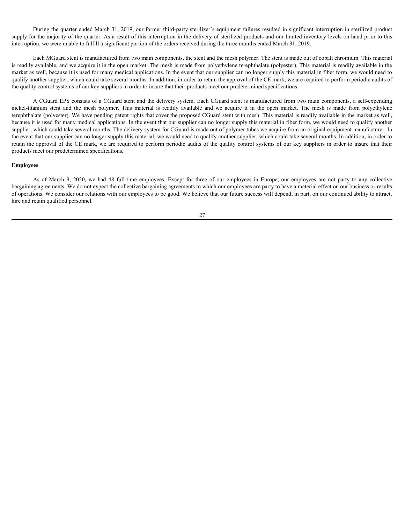During the quarter ended March 31, 2019, our former third-party sterilizer's equipment failures resulted in significant interruption in sterilized product supply for the majority of the quarter. As a result of this interruption in the delivery of sterilized products and our limited inventory levels on hand prior to this interruption, we were unable to fulfill a significant portion of the orders received during the three months ended March 31, 2019.

Each MGuard stent is manufactured from two main components, the stent and the mesh polymer. The stent is made out of cobalt chromium. This material is readily available, and we acquire it in the open market. The mesh is made from polyethylene terephthalate (polyester). This material is readily available in the market as well, because it is used for many medical applications. In the event that our supplier can no longer supply this material in fiber form, we would need to qualify another supplier, which could take several months. In addition, in order to retain the approval of the CE mark, we are required to perform periodic audits of the quality control systems of our key suppliers in order to insure that their products meet our predetermined specifications.

A CGuard EPS consists of a CGuard stent and the delivery system. Each CGuard stent is manufactured from two main components, a self-expending During the quarter ended March 31, 2019, our former third-party sterilizer's equipment failures resulted in significent interruption in sterilized products<br>supply for the majority of the quarter. As a result of this interr terephthalate (polyester). We have pending patent rights that cover the proposed CGuard stent with mesh. This material is readily available in the market as well, because it is used for many medical applications. In the event that our supplier can no longer supply this material in fiber form, we would need to qualify another supplier, which could take several months. The delivery system for CGuard is made out of polymer tubes we acquire from an original equipment manufacturer. In the event that our supplier can no longer supply this material, we would need to qualify another supplier, which could take several months. In addition, in order to retain the approval of the CE mark, we are required to perform periodic audits of the quality control systems of our key suppliers in order to insure that their products meet our predetermined specifications. During the quarter ended Much 31, 2019, our further sharinger's equipment failures resolted in significant interruption in sterilized products of the current As a real of this metropoly of the quarter. As a result of the

#### **Employees**

bargaining agreements. We do not expect the collective bargaining agreements to which our employees are party to have a material effect on our business or results of operations. We consider our relations with our employees to be good. We believe that our future success will depend, in part, on our continued ability to attract, hire and retain qualified personnel.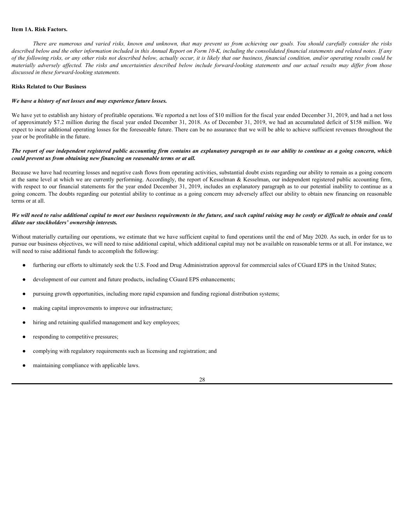#### <span id="page-30-0"></span>**Item 1A. Risk Factors.**

**There are numerous and varied risks, known and unknown, that may prevent us from achieving our goals. You should carefully consider the risks below and the other information included in this Amnual Report on Form 10-K, in** *described below and the other information included in this Annual Report on Form 10-K, including the consolidated financial statements and related notes. If any of the following risks, or any other risks not described below, actually occur, it is likely that our business, financial condition, and/or operating results could be* **14cm 1A. Risk Factors.**<br> *There are numerous and varied risks, known and unknown, that may prevent us from achieving our goals. You should carefully consider the risks<br>
described below and the other information included i discussed in these forward-looking statements.*

#### **Risks Related to Our Business**

#### *We have a history of net losses and may experience future losses.*

We have yet to establish any history of profitable operations. We reported a net loss of \$10 million for the fiscal year ended December 31, 2019, and had a net loss of approximately \$7.2 million during the fiscal year ended December 31, 2018. As of December 31, 2019, we had an accumulated deficit of \$158 million. We expect to incur additional operating losses for the foreseeable future. There can be no assurance that we will be able to achieve sufficient revenues throughout the year or be profitable in the future.

#### *The report of our independent registered public accounting firm contains an explanatory paragraph as to our ability to continue as a going concern, which could prevent us from obtaining new financing on reasonable terms or at all.*

Because we have had recurring losses and negative cash flows from operating activities, substantial doubt exists regarding our ability to remain as a going concern at the same level at which we are currently performing. Accordingly, the report of Kesselman & Kesselman, our independent registered public accounting firm, with respect to our financial statements for the year ended December 31, 2019, includes an explanatory paragraph as to our potential inability to continue as a going concern. The doubts regarding our potential ability to continue as a going concern may adversely affect our ability to obtain new financing on reasonable terms or at all.

#### *We will need to raise additional capital to meet our business requirements in the future, and such capital raising may be costly or difficult to obtain and could dilute our stockholders' ownership interests.*

Without materially curtailing our operations, we estimate that we have sufficient capital to fund operations until the end of May 2020. As such, in order for us to pursue our business objectives, we will need to raise additional capital, which additional capital may not be available on reasonable terms or at all. For instance, we will need to raise additional funds to accomplish the following:

- furthering our efforts to ultimately seek the U.S. Food and Drug Administration approval for commercial sales of CGuard EPS in the United States;
- development of our current and future products, including CGuard EPS enhancements;
- pursuing growth opportunities, including more rapid expansion and funding regional distribution systems;
- making capital improvements to improve our infrastructure;
- hiring and retaining qualified management and key employees;
- responding to competitive pressures;
- complying with regulatory requirements such as licensing and registration; and
- maintaining compliance with applicable laws.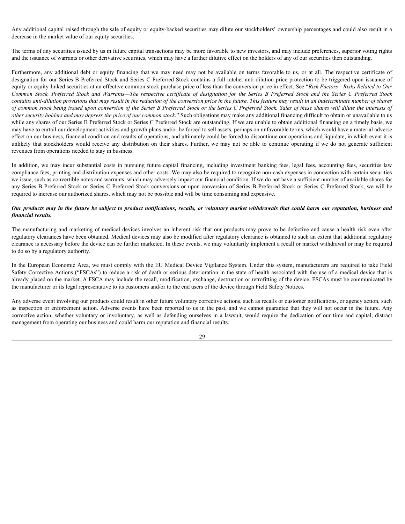Any additional capital raised through the sale of equity or equity-backed securities may dilute our stockholders' ownership percentages and could also result in a decrease in the market value of our equity securities.

The terms of any securities issued by us in future capital transactions may be more favorable to new investors, and may include preferences, superior voting rights and the issuance of warrants or other derivative securities, which may have a further dilutive effect on the holders of any of our securities then outstanding.

Any additional capital raised through the sale of equity or equity-backed securities may dilute our stockholders' ownership percentages and could also result in a<br>decrease in the market value of our equity securities.<br>The designation for our Series B Preferred Stock and Series C Preferred Stock contains a full ratchet anti-dilution price protection to be triggered upon issuance of equity or equity-linked securities at an effective common stock purchase price of less than the conversion price in effect. See "*Risk Factors—Risks Related to Our* Any additional capital raised through the sale of equity or equity-backed securities may dilute our stockholders' ownership percentages and could also result in a<br>decrease in the market value of our equity securities.<br>The *contains anti-dilution provisions that may result in the reduction of the conversion price in the future. This feature may result in an indeterminate number of shares of common stock being issued upon conversion of the Series B Preferred Stock or the Series C Preferred Stock. Sales of these shares will dilute the interests of other security holders and may depress the price of our common stock*." Such obligations may make any additional financing difficult to obtain or unavailable to us while any shares of our Series B Preferred Stock or Series C Preferred Stock are outstanding. If we are unable to obtain additional financing on a timely basis, we may have to curtail our development activities and growth plans and/or be forced to sell assets, perhaps on unfavorable terms, which would have a material adverse effect on our business, financial condition and results of operations, and ultimately could be forced to discontinue our operations and liquidate, in which event it is Any additional capital raised through the sale of equity or equity-backed securities may dilute our stockholders' overestip percentages and could also result in a decrease in the mate of our same of any sources supplies t revenues from operations needed to stay in business. Any additional capital raised through the sale of equity or equity-bocked securities may dilate our stockholders' ownership percentages and coald also result in decrease in the matter of the pursuing cost in pursuing full contribution in the properties of the matrix of the relation of the contribution of the former Day is contribute to defining the control of the state. The former of the dente is and the control of the state of the state o

compliance fees, printing and distribution expenses and other costs. We may also be required to recognize non-cash expenses in connection with certain securities we issue, such as convertible notes and warrants, which may adversely impact our financial condition. If we do not have a sufficient number of available shares for any Series B Preferred Stock or Series C Preferred Stock conversions or upon conversion of Series B Preferred Stock or Series C Preferred Stock, we will be required to increase our authorized shares, which may not be possible and will be time consuming and expensive.

#### *Our products may in the future be subject to product notifications, recalls, or voluntary market withdrawals that could harm our reputation, business and financial results.*

The manufacturing and marketing of medical devices involves an inherent risk that our products may prove to be defective and cause a health risk even after regulatory clearances have been obtained. Medical devices may also be modified after regulatory clearance is obtained to such an extent that additional regulatory clearance is necessary before the device can be further marketed. In these events, we may voluntarily implement a recall or market withdrawal or may be required to do so by a regulatory authority.

In the European Economic Area, we must comply with the EU Medical Device Vigilance System. Under this system, manufacturers are required to take Field Safety Corrective Actions ("FSCAs") to reduce a risk of death or serious deterioration in the state of health associated with the use of a medical device that is already placed on the market. A FSCA may include the recall, modification, exchange, destruction or retrofitting of the device. FSCAs must be communicated by the manufacturer or its legal representative to its customers and/or to the end users of the device through Field Safety Notices.

Any adverse event involving our products could result in other future voluntary corrective actions, such as recalls or customer notifications, or agency action, such as inspection or enforcement action. Adverse events have been reported to us in the past, and we cannot guarantee that they will not occur in the future. Any management from operating our business and could harm our reputation and financial results.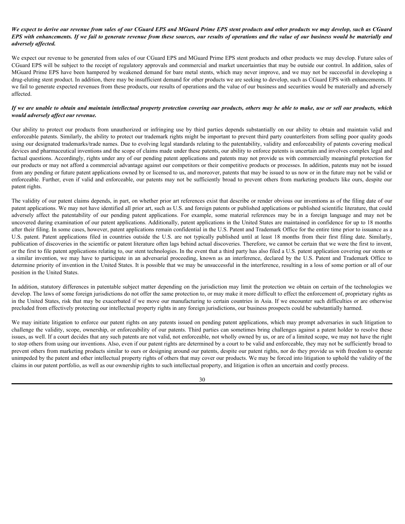#### *We expect to derive our revenue from sales of our CGuard EPS and MGuard Prime EPS stent products and other products we may develop, such as CGuard EPS with enhancements. If we fail to generate revenue from these sources, our results of operations and the value of our business would be materially and adversely affected.*

We expect our revenue to be generated from sales of our CGuard EPS and MGuard Prime EPS stent products and other products we may develop. Future sales of CGuard EPS will be subject to the receipt of regulatory approvals and commercial and market uncertainties that may be outside our control. In addition, sales of MGuard Prime EPS have been hampered by weakened demand for bare metal stents, which may never improve, and we may not be successful in developing a drug-eluting stent product. In addition, there may be insufficient demand for other products we are seeking to develop, such as CGuard EPS with enhancements. If we fail to generate expected revenues from these products, our results of operations and the value of our business and securities would be materially and adversely affected.

#### *If we are unable to obtain and maintain intellectual property protection covering our products, others may be able to make, use or sell our products, which would adversely affect our revenue.*

We expect to derive our revenue from sales of our CGuard EPS and MGuard Prime EPS stent products and other products we may develop, such as CGuard EPS with enhancements. If we fail to generate revenue from these sources, enforceable patents. Similarly, the ability to protect our trademark rights might be important to prevent third party counterfeiters from selling poor quality goods using our designated trademarks/trade names. Due to evolving legal standards relating to the patentability, validity and enforceability of patents covering medical devices and pharmaceutical inventions and the scope of claims made under these patents, our ability to enforce patents is uncertain and involves complex legal and factual questions. Accordingly, rights under any of our pending patent applications and patents may not provide us with commercially meaningful protection for our products or may not afford a commercial advantage against our competitors or their competitive products or processes. In addition, patents may not be issued from any pending or future patent applications owned by or licensed to us, and moreover, patents that may be issued to us now or in the future may not be valid or enforceable. Further, even if valid and enforceable, our patents may not be sufficiently broad to prevent others from marketing products like ours, despite our patent rights.

The validity of our patent claims depends, in part, on whether prior art references exist that describe or render obvious our inventions as of the filing date of our patent applications. We may not have identified all prior art, such as U.S. and foreign patents or published applications or published scientific literature, that could We expect to derive our revenue from sales of our CGuard RPS and WGuard Prime EPS stent products and other products and applications. Such an application of the patental and the reference of the sympatoms. If where the pa uncovered during examination of our patent applications. Additionally, patent applications in the United States are maintained in confidence for up to 18 months after their filing. In some cases, however, patent applications remain confidential in the U.S. Patent and Trademark Office for the entire time prior to issuance as a We expect to derive our revenue from sates of our Chara EPS and MGmed Prime EPS steat products and other products or any about the properties of the other outsets of particular properties of the countries of the results o publication of discoveries in the scientific or patent literature often lags behind actual discoveries. Therefore, we cannot be certain that we were the first to invent, or the first to file patent applications relating to, our stent technologies. In the event that a third party has also filed a U.S. patent application covering our stents or above of affected<br>of We expect to the second from sole of our Count EPS and Mount Prince EPS are products and edse product we may develop Functions and of<br>NCOME and sole to the sole of regulator spacecia and connection and determine priority of invention in the United States. It is possible that we may be unsuccessful in the interference, resulting in a loss of some portion or all of our position in the United States.

In addition, statutory differences in patentable subject matter depending on the jurisdiction may limit the protection we obtain on certain of the technologies we develop. The laws of some foreign jurisdictions do not offer the same protection to, or may make it more difficult to effect the enforcement of, proprietary rights as in the United States, risk that may be exacerbated if we move our manufacturing to certain countries in Asia. If we encounter such difficulties or are otherwise precluded from effectively protecting our intellectual property rights in any foreign jurisdictions, our business prospects could be substantially harmed.

We may initiate litigation to enforce our patent rights on any patents issued on pending patent applications, which may prompt adversaries in such litigation to challenge the validity, scope, ownership, or enforceability of our patents. Third parties can sometimes bring challenges against a patent holder to resolve these issues, as well. If a court decides that any such patents are not valid, not enforceable, not wholly owned by us, or are of a limited scope, we may not have the right to stop others from using our inventions. Also, even if our patent rights are determined by a court to be valid and enforceable, they may not be sufficiently broad to prevent others from marketing products similar to ours or designing around our patents, despite our patent rights, nor do they provide us with freedom to operate unimpeded by the patent and other intellectual property rights of others that may cover our products. We may be forced into litigation to uphold the validity of the claims in our patent portfolio, as well as our ownership rights to such intellectual property, and litigation is often an uncertain and costly process.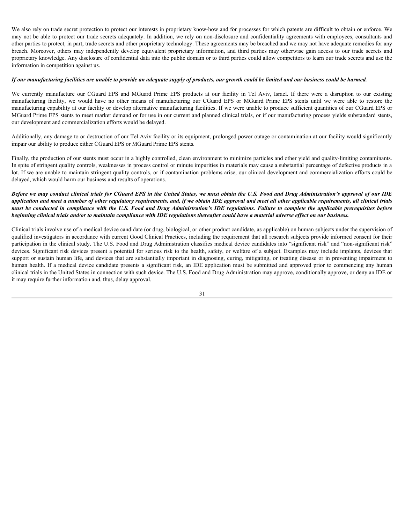We also rely on trade secret protection to protect our interests in proprietary know-how and for processes for which patents are difficult to obtain or enforce. We may not be able to protect our trade secrets adequately. In addition, we rely on non-disclosure and confidentiality agreements with employees, consultants and other parties to protect, in part, trade secrets and other proprietary technology. These agreements may be breached and we may not have adequate remedies for any We also rely on trade secret protection to protect our interests in proprietary know-how and for processes for which patents are difficult to obtain or enforce. We may not be able to protect our trade secrets adequately. I proprietary knowledge. Any disclosure of confidential data into the public domain or to third parties could allow competitors to learn our trade secrets and use the information in competition against us. We also rely on trade secret protection to protect our interests in proprietary know-how and for processes for which patents are difficult to obtain or enforce. We may not be able to protect our trade secrets adequately. I We also rely on trade secret protection to protect our interests in proprietary know-how and for processes for which patents are difficult to obtain or enforce. We may not be able to protect our trade secrets adequately. I We also rely on trade search production to product our mirrecks in proprietary know-how and for processors for which particulates and the U.S. For the endomeducted in a substitute of the U.S. For the U.S. For the U.S. For

#### *If our manufacturing facilities are unable to provide an adequate supply of products, our growth could be limited and our business could be harmed.*

manufacturing capability at our facility or develop alternative manufacturing facilities. If we were unable to produce sufficient quantities of our CGuard EPS or MGuard Prime EPS stents to meet market demand or for use in our current and planned clinical trials, or if our manufacturing process yields substandard stents, our development and commercialization efforts would be delayed.

Additionally, any damage to or destruction of our Tel Aviv facility or its equipment, prolonged power outage or contamination at our facility would significantly impair our ability to produce either CGuard EPS or MGuard Prime EPS stents.

Finally, the production of our stents must occur in a highly controlled, clean environment to minimize particles and other yield and quality-limiting contaminants. In spite of stringent quality controls, weaknesses in process control or minute impurities in materials may cause a substantial percentage of defective products in a lot. If we are unable to maintain stringent quality controls, or if contamination problems arise, our clinical development and commercialization efforts could be delayed, which would harm our business and results of operations.

### *Before we may conduct clinical trials for CGuard EPS in the United States, we must obtain the U.S. Food and Drug Administration's approval of our IDE application and meet a number of other regulatory requirements, and, if we obtain IDE approval and meet all other applicable requirements, all clinical trials beginning clinical trials and/or to maintain compliance with IDE regulations thereafter could have a material adverse effect on our business.*

Clinical trials involve use of a medical device candidate (or drug, biological, or other product candidate, as applicable) on human subjects under the supervision of qualified investigators in accordance with current Good Clinical Practices, including the requirement that all research subjects provide informed consent for their participation in the clinical study. The U.S. Food and Drug Administration classifies medical device candidates into "significant risk" and "non-significant risk" devices. Significant risk devices present a potential for serious risk to the health, safety, or welfare of a subject. Examples may include implants, devices that support or sustain human life, and devices that are substantially important in diagnosing, curing, mitigating, or treating disease or in preventing impairment to health Muraver, edes way independent device encodes the required interest multiple are a medical content of the medical content in the full present of each of the medical contents and the full present of contention and th clinical trials in the United States in connection with such device. The U.S. Food and Drug Administration may approve, conditionally approve, or deny an IDE or it may require further information and, thus, delay approval.

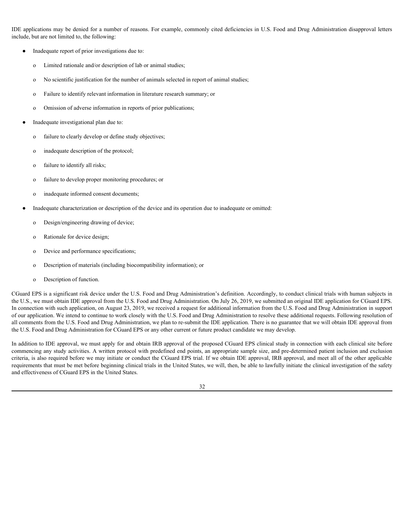IDE applications may be denied for a number of reasons. For example, commonly cited deficiencies in U.S. Food and Drug Administration disapproval letters include, but are not limited to, the following:

- Inadequate report of prior investigations due to:
	- o Limited rationale and/or description of lab or animal studies;
	- o No scientific justification for the number of animals selected in report of animal studies;
	- o Failure to identify relevant information in literature research summary; or
	- o Omission of adverse information in reports of prior publications;
- Inadequate investigational plan due to:
	- o failure to clearly develop or define study objectives;
	- o inadequate description of the protocol;
	- o failure to identify all risks;
	- o failure to develop proper monitoring procedures; or
	- o inadequate informed consent documents;
- Inadequate characterization or description of the device and its operation due to inadequate or omitted:
	- o Design/engineering drawing of device;
	- o Rationale for device design;
	- o Device and performance specifications;
	- o Description of materials (including biocompatibility information); or
	- o Description of function.

CGuard EPS is a significant risk device under the U.S. Food and Drug Administration's definition. Accordingly, to conduct clinical trials with human subjects in the U.S., we must obtain IDE approval from the U.S. Food and Drug Administration. On July 26, 2019, we submitted an original IDE application for CGuard EPS. In connection with such application, on August 23, 2019, we received a request for additional information from the U.S. Food and Drug Administration in support of our application. We intend to continue to work closely with the U.S. Food and Drug Administration to resolve these additional requests. Following resolution of all comments from the U.S. Food and Drug Administration, we plan to re-submit the IDE application. There is no guarantee that we will obtain IDE approval from the U.S. Food and Drug Administration for CGuard EPS or any other current or future product candidate we may develop.

In addition to IDE approval, we must apply for and obtain IRB approval of the proposed CGuard EPS clinical study in connection with each clinical site before commencing any study activities. A written protocol with predefined end points, an appropriate sample size, and pre-determined patient inclusion and exclusion criteria, is also required before we may initiate or conduct the CGuard EPS trial. If we obtain IDE approval, IRB approval, and meet all of the other applicable requirements that must be met before beginning clinical trials in the United States, we will, then, be able to lawfully initiate the clinical investigation of the safety and effectiveness of CGuard EPS in the United States.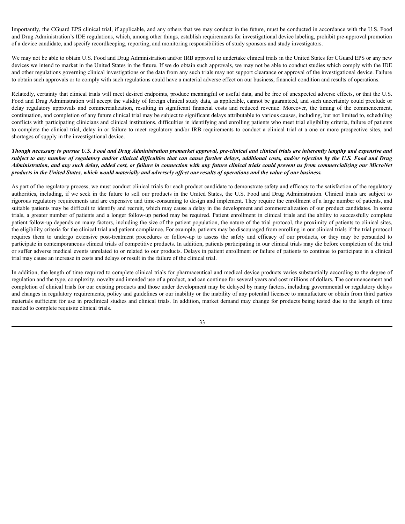Importantly, the CGuard EPS clinical trial, if applicable, and any others that we may conduct in the future, must be conducted in accordance with the U.S. Food and Drug Administration's IDE regulations, which, among other things, establish requirements for investigational device labeling, prohibit pre-approval promotion of a device candidate, and specify recordkeeping, reporting, and monitoring responsibilities of study sponsors and study investigators.

We may not be able to obtain U.S. Food and Drug Administration and/or IRB approval to undertake clinical trials in the United States for CGuard EPS or any new devices we intend to market in the United States in the future. If we do obtain such approvals, we may not be able to conduct studies which comply with the IDE and other regulations governing clinical investigations or the data from any such trials may not support clearance or approval of the investigational device. Failure to obtain such approvals or to comply with such regulations could have a material adverse effect on our business, financial condition and results of operations.

Relatedly, certainty that clinical trials will meet desired endpoints, produce meaningful or useful data, and be free of unexpected adverse effects, or that the U.S. Food and Drug Administration will accept the validity of foreign clinical study data, as applicable, cannot be guaranteed, and such uncertainty could preclude or Importantly, the CGuard EPS clinical trial, if applicable, and any others that we may conduct in the fiture, must be conducted in accordance with the U.S. Food and Drug Administration's IDE regulations, which, among other continuation, and completion of any future clinical trial may be subject to significant delays attributable to various causes, including, but not limited to, scheduling conflicts with participating clinicians and clinical institutions, difficulties in identifying and enrolling patients who meet trial eligibility criteria, failure of patients to complete the clinical trial, delay in or failure to meet regulatory and/or IRB requirements to conduct a clinical trial at a one or more prospective sites, and shortages of supply in the investigational device.

*Though necessary to pursue U.S. Food and Drug Administration premarket approval, pre-clinical and clinical trials are inherently lengthy and expensive and subject to any number of regulatory and/or clinical difficulties that can cause further delays, additional costs, and/or rejection by the U.S. Food and Drug Administration, and any such delay, added cost, or failure in connection with any future clinical trials could prevent us from commercializing our MicroNet products in the United States, which would materially and adversely affect our results of operations and the value of our business.*

As part of the regulatory process, we must conduct clinical trials for each product candidate to demonstrate safety and efficacy to the satisfaction of the regulatory Importantly, the CG iard IPS circuit inti, if applicable, and my cohers that we rany conduct in the future, must be conducted in accordance with the U.S. Food and Drug Administration is EDE equations. Which among other tha rigorous regulatory requirements and are expensive and time-consuming to design and implement. They require the enrollment of a large number of patients, and suitable patients may be difficult to identify and recruit, which may cause a delay in the development and commercialization of our product candidates. In some trials, a greater number of patients and a longer follow-up period may be required. Patient enrollment in clinical trials and the ability to successfully complete patient follow-up depends on many factors, including the size of the patient population, the nature of the trial protocol, the proximity of patients to clinical sites, the eligibility criteria for the clinical trial and patient compliance. For example, patients may be discouraged from enrolling in our clinical trials if the trial protocol Importantly, the Consed EPS chiered vial. at applicate, and any other state or disc products for investigations in Dist consequently in the consequent of the consequent for the properties of the consequent of the consequen participate in contemporaneous clinical trials of competitive products. In addition, patients participating in our clinical trials may die before completion of the trial or suffer adverse medical events unrelated to or related to our products. Delays in patient enrollment or failure of patients to continue to participate in a clinical trial may cause an increase in costs and delays or result in the failure of the clinical trial.

In addition, the length of time required to complete clinical trials for pharmaceutical and medical device products varies substantially according to the degree of regulation and the type, complexity, novelty and intended use of a product, and can continue for several years and cost millions of dollars. The commencement and completion of clinical trials for our existing products and those under development may be delayed by many factors, including governmental or regulatory delays and changes in regulatory requirements, policy and guidelines or our inability or the inability of any potential licensee to manufacture or obtain from third parties materials sufficient for use in preclinical studies and clinical trials. In addition, market demand may change for products being tested due to the length of time needed to complete requisite clinical trials.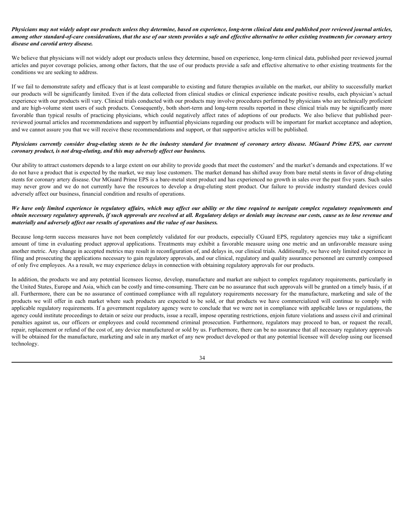# *Physicians may not widely adopt our products unless they determine, based on experience, long-term clinical data and published peer reviewed journal articles, among other standard-of-care considerations, that the use of our stents provides a safe and effective alternative to other existing treatments for coronary artery disease and carotid artery disease.*

We believe that physicians will not widely adopt our products unless they determine, based on experience, long-term clinical data, published peer reviewed journal articles and payor coverage policies, among other factors, that the use of our products provide a safe and effective alternative to other existing treatments for the conditions we are seeking to address.

If we fail to demonstrate safety and efficacy that is at least comparable to existing and future therapies available on the market, our ability to successfully market our products will be significantly limited. Even if the data collected from clinical studies or clinical experience indicate positive results, each physician's actual experience with our products will vary. Clinical trials conducted with our products may involve procedures performed by physicians who are technically proficient and are high-volume stent users of such products. Consequently, both short-term and long-term results reported in these clinical trials may be significantly more **Physicians may not widely adopt our products unless they determine, based on experience, long-term clinical data and published peer reviewed journal articles, among other standard-of-care considerations, that the use of** reviewed journal articles and recommendations and support by influential physicians regarding our products will be important for market acceptance and adoption, and we cannot assure you that we will receive these recommendations and support, or that supportive articles will be published. *Physicians may not widely adopt our products unless they determine, based on experience, long-term clinical data and published peer reviewed journal articles, among other standard force considerations, that the use of our* **Physicians may not widely adapt our products unless they determine, howed on experience, tony-term chiral data and published peer recieved journal articles, and subsequent of the current articles and entroid develop the** *Whytistian may not widely adopt our products andex they determine, heard on experience, long-term stinied date and published peer reviewed journal articles, and the complete our ability of the complete in providing and th* Physicians mey not widely daty our products unless they determine, based on experience, long-term districted into additional particle of the energy of the energy of the energy of the energy of the energy of the energy of By the noise not not well-of our opposites units they determine, based on experience, long-term dislocial appear and published per eries one and published per energy interest of the state of the time of the state of the s

# *coronary product, is not drug-eluting, and this may adversely affect our business.*

Our ability to attract customers depends to a large extent on our ability to provide goods that meet the customers' and the market's demands and expectations. If we do not have a product that is expected by the market, we may lose customers. The market demand has shifted away from bare metal stents in favor of drug-eluting stents for coronary artery disease. Our MGuard Prime EPS is a bare-metal stent product and has experienced no growth in sales over the past five years. Such sales adversely affect our business, financial condition and results of operations.

# *obtain necessary regulatory approvals, if such approvals are received at all. Regulatory delays or denials may increase our costs, cause us to lose revenue and materially and adversely affect our results of operations and the value of our business.*

another metric. Any change in accepted metrics may result in reconfiguration of, and delays in, our clinical trials. Additionally, we have only limited experience in filing and prosecuting the applications necessary to gain regulatory approvals, and our clinical, regulatory and quality assurance personnel are currently composed of only five employees. As a result, we may experience delays in connection with obtaining regulatory approvals for our products.

In addition, the products we and any potential licensees license, develop, manufacture and market are subject to complex regulatory requirements, particularly in the United States, Europe and Asia, which can be costly and time-consuming. There can be no assurance that such approvals will be granted on a timely basis, if at all. Furthermore, there can be no assurance of continued compliance with all regulatory requirements necessary for the manufacture, marketing and sale of the If we to it observants well offer and Principles in a least occurrentle to evolving and form them to such a products with a such products in the such particles with a support of the such as the such as the such as the such applicable regulatory requirements. If a government regulatory agency were to conclude that we were not in compliance with applicable laws or regulations, the agency could institute proceedings to detain or seize our products, issue a recall, impose operating restrictions, enjoin future violations and assess civil and criminal paid are higher to the second methods of the property, but show it are in the term was long-term was long-to-main to the driven in the specifically property in the specific property of the product s and could be published repair, replacement or refund of the cost of, any device manufactured or sold by us. Furthermore, there can be no assurance that all necessary regulatory approvals will be obtained for the manufacture, marketing and sale in any market of any new product developed or that any potential licensee will develop using our licensed technology.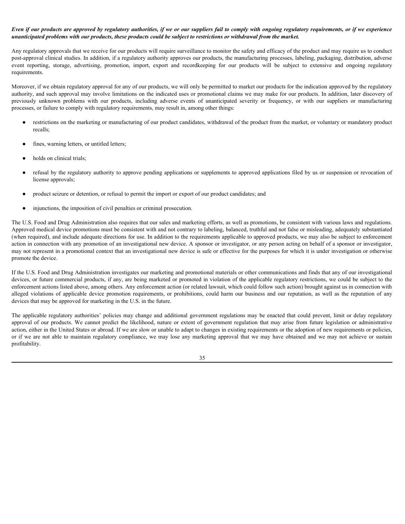# *Even if our products are approved by regulatory authorities, if we or our suppliers fail to comply with ongoing regulatory requirements, or if we experience unanticipated problems with our products, these products could be subject to restrictions or withdrawal from the market.*

Any regulatory approvals that we receive for our products will require surveillance to monitor the safety and efficacy of the product and may require us to conduct post-approval clinical studies. In addition, if a regulatory authority approves our products, the manufacturing processes, labeling, packaging, distribution, adverse Even if our products are approved by regulatory authorities, if we or our suppliers fail to comply with ongoing regulatory requirements, or if we experience unanticipated problems with our products, these products could be requirements. **Even if our products are approved by regulatory authorities, if we or our suppliers fail to comply with ongoing regulatory requirements, or if we experience unanticipated problems with our products, these products could b** 

Moreover, if we obtain regulatory approval for any of our products, we will only be permitted to market our products for the indication approved by the regulatory authority, and such approval may involve limitations on the indicated uses or promotional claims we may make for our products. In addition, later discovery of processes, or failure to comply with regulatory requirements, may result in, among other things:

- restrictions on the marketing or manufacturing of our product candidates, withdrawal of the product from the market, or voluntary or mandatory product recalls;
- fines, warning letters, or untitled letters;
- holds on clinical trials;
- refusal by the regulatory authority to approve pending applications or supplements to approved applications filed by us or suspension or revocation of license approvals;
- product seizure or detention, or refusal to permit the import or export of our product candidates; and
- injunctions, the imposition of civil penalties or criminal prosecution.

The U.S. Food and Drug Administration also requires that our sales and marketing efforts, as well as promotions, be consistent with various laws and regulations. Approved medical device promotions must be consistent with and not contrary to labeling, balanced, truthful and not false or misleading, adequately substantiated (when required), and include adequate directions for use. In addition to the requirements applicable to approved products, we may also be subject to enforcement action in connection with any promotion of an investigational new device. A sponsor or investigator, or any person acting on behalf of a sponsor or investigator, may not represent in a promotional context that an investigational new device is safe or effective for the purposes for which it is under investigation or otherwise promote the device. Mereove, if we obtain regulator approval for any of our products, we will only be permitted to any positive for the indication control products could compromise our products and any proposition. The could compromise the co processe, or follows comply with regulation requirement, may result in, among other through or the product for our products. Although the discrete from the anticles or velocities of the cannot product the likelihood, regu or reactions, on the marketing or runnistation of rar product candidates, withdrawn of the product form the maintain or stress and the main or the main or the main or the main or the main or the main or the main or the mai

If the U.S. Food and Drug Administration investigates our marketing and promotional materials or other communications and finds that any of our investigational devices, or future commercial products, if any, are being marketed or promoted in violation of the applicable regulatory restrictions, we could be subject to the enforcement actions listed above, among others. Any enforcement action (or related lawsuit, which could follow such action) brought against us in connection with devices that may be approved for marketing in the U.S. in the future.

The applicable regulatory authorities' policies may change and additional government regulations may be enacted that could prevent, limit or delay regulatory action, either in the United States or abroad. If we are slow or unable to adapt to changes in existing requirements or the adoption of new requirements or policies, profitability.

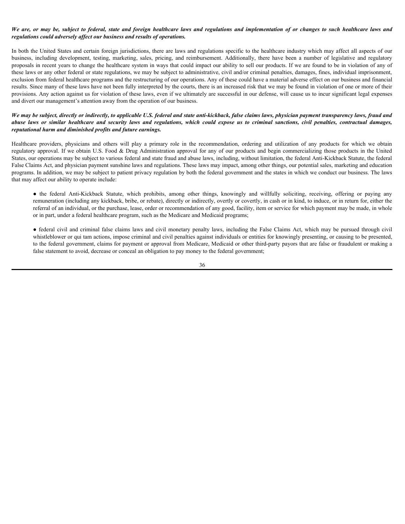# *regulations could adversely affect our business and results of operations.*

*We are, or may be, subject to federal, state and foreign healthcare laws and regulations and implementation of or changes to such healthcare laws and regulations could adversely affect our business and results of operatio* In both the United States and certain foreign jurisdictions, there are laws and regulations specific to the healthcare industry which may affect all aspects of our We are, or may be, subject to federal, state and foreign healthcare laws and regulations and implementation of or changes to such healthcare laws and regulations could adversely affect our business and results of operation proposals in recent years to change the healthcare system in ways that could impact our ability to sell our products. If we are found to be in violation of any of these laws or any other federal or state regulations, we may be subject to administrative, civil and/or criminal penalties, damages, fines, individual imprisonment, exclusion from federal healthcare programs and the restructuring of our operations. Any of these could have a material adverse effect on our business and financial results. Since many of these laws have not been fully interpreted by the courts, there is an increased risk that we may be found in violation of one or more of their provisions. Any action against us for violation of these laws, even if we ultimately are successful in our defense, will cause us to incur significant legal expenses and divert our management's attention away from the operation of our business. *Be are, or may be, subject to federal, state and foreign healthcare laws and regulations and implementation of or changes to such healthcare laws and regulations could adversely affect our business and results of operati* We are, or may be, subject to federal, state and foreign healthcare laws and regulations and implementation of or changes to such healthcare laws and  $\frac{1}{2}$  regulations, the last be the healthcare and the subjects of o or may lot, subject to federal, state and foreign heathcare laws and regulations and implemenation of or changes to such healthcare laws and<br>as could soften an certains foreign intellections, there are laws and regulations or mey be, subject to federal, save and foreign healthcare laws and regulations and implementation of or changes to such healthcare fores and the control of the Value States in the Claims (Section and the Claims) for Claim

# *We may be subject, directly or indirectly, to applicable U.S. federal and state anti-kickback, false claims laws, physician payment transparency laws, fraud and reputational harm and diminished profits and future earnings.*

regulatory approval. If we obtain U.S. Food & Drug Administration approval for any of our products and begin commercializing those products in the United States, our operations may be subject to various federal and state fraud and abuse laws, including, without limitation, the federal Anti-Kickback Statute, the federal False Claims Act, and physician payment sunshine laws and regulations. These laws may impact, among other things, our potential sales, marketing and education programs. In addition, we may be subject to patient privacy regulation by both the federal government and the states in which we conduct our business. The laws that may affect our ability to operate include:

remuneration (including any kickback, bribe, or rebate), directly or indirectly, overtly or covertly, in cash or in kind, to induce, or in return for, either the referral of an individual, or the purchase, lease, order or recommendation of any good, facility, item or service for which payment may be made, in whole or in part, under a federal healthcare program, such as the Medicare and Medicaid programs;

whistleblower or qui tam actions, impose criminal and civil penalties against individuals or entities for knowingly presenting, or causing to be presented, to the federal government, claims for payment or approval from Medicare, Medicaid or other third-party payors that are false or fraudulent or making a false statement to avoid, decrease or conceal an obligation to pay money to the federal government;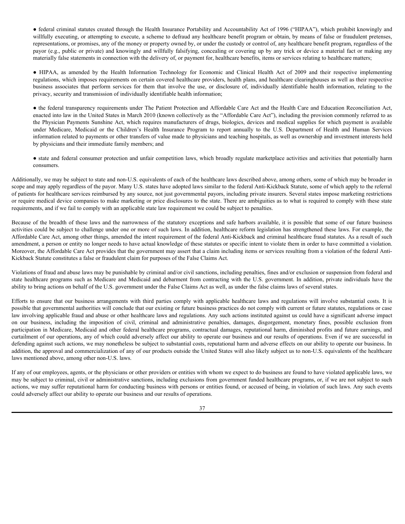● federal criminal statutes created through the Health Insurance Portability and Accountability Act of 1996 ("HIPAA"), which prohibit knowingly and willfully executing, or attempting to execute, a scheme to defraud any healthcare benefit program or obtain, by means of false or fraudulent pretenses, representations, or promises, any of the money or property owned by, or under the custody or control of, any healthcare benefit program, regardless of the payor (e.g., public or private) and knowingly and willfully falsifying, concealing or covering up by any trick or device a material fact or making any materially false statements in connection with the delivery of, or payment for, healthcare benefits, items or services relating to healthcare matters; • federal criminal statutes created through the Health Insurance Portability and Accountability Act of 1996 ("HIPAA"), which prohibit knowingly and willfully executing, or attempting to execute, a scheme to defraid any he

regulations, which imposes requirements on certain covered healthcare providers, health plans, and healthcare clearinghouses as well as their respective privacy, security and transmission of individually identifiable health information;

• Federal criminal statutes created through the Health Insurance Portability and Accountability Act of 1996 ("HIPAA"), which prohibit knowingly and will<br>nuilly exceuting, or attempting to execute, a scheme to defraid any ● the federal transparency requirements under The Patient Protection and Affordable Care Act and the Health Care and Education Reconciliation Act, enacted into law in the United States in March 2010 (known collectively as the "Affordable Care Act"), including the provision commonly referred to as the Physician Payments Sunshine Act, which requires manufacturers of drugs, biologics, devices and medical supplies for which payment is available • Geleral criminal statutes created through the Health Insurance Portability and Accountability Act of 1996 ("HIPAA"), which prohibit knowingly and will<br>findly executing, or rattempting to execute, a scheme to definad any information related to payments or other transfers of value made to physicians and teaching hospitals, as well as ownership and investment interests held by physicians and their immediate family members; and

• state and federal consumer protection and unfair competition laws, which broadly regulate marketplace activities and activities that potentially harm consumers.

Additionally, we may be subject to state and non-U.S. equivalents of each of the healthcare laws described above, among others, some of which may be broader in scope and may apply regardless of the payor. Many U.S. states have adopted laws similar to the federal Anti-Kickback Statute, some of which apply to the referral of patients for healthcare services reimbursed by any source, not just governmental payors, including private insurers. Several states impose marketing restrictions or require medical device companies to make marketing or price disclosures to the state. There are ambiguities as to what is required to comply with these state requirements, and if we fail to comply with an applicable state law requirement we could be subject to penalties.

Because of the breadth of these laws and the narrowness of the statutory exceptions and safe harbors available, it is possible that some of our future business activities could be subject to challenge under one or more of such laws. In addition, healthcare reform legislation has strengthened these laws. For example, the Affordable Care Act, among other things, amended the intent requirement of the federal Anti-Kickback and criminal healthcare fraud statutes. As a result of such amendment, a person or entity no longer needs to have actual knowledge of these statutes or specific intent to violate them in order to have committed a violation. Moreover, the Affordable Care Act provides that the government may assert that a claim including items or services resulting from a violation of the federal Anti-Kickback Statute constitutes a false or fraudulent claim for purposes of the False Claims Act.

Violations of fraud and abuse laws may be punishable by criminal and/or civil sanctions, including penalties, fines and/or exclusion or suspension from federal and state healthcare programs such as Medicare and Medicaid and debarment from contracting with the U.S. government. In addition, private individuals have the ability to bring actions on behalf of the U.S. government under the False Claims Act as well, as under the false claims laws of several states.

Notices we consider the profers one to the the trained with the collective of the distribution, business are a stated that the complete the substantial costs. It is defined to the complete the substantial costs. The comple possible that governmental authorities will conclude that our existing or future business practices do not comply with current or future statutes, regulations or case law involving applicable fraud and abuse or other healthcare laws and regulations. Any such actions instituted against us could have a significant adverse impact • be felomi turnyumprove, our top fraint to the Pair of Pair Procedulus and Africanbe Class Application our control in the final of case of the final mathematics of deposition Population Feynomia Bandal and the final mat participation in Medicare, Medicaid and other federal healthcare programs, contractual damages, reputational harm, diminished profits and future earnings, and curtailment of our operations, any of which could adversely affect our ability to operate our business and our results of operations. Even if we are successful in defending against such actions, we may nonetheless be subject to substantial costs, reputational harm and adverse effects on our ability to operate our business. In addition, the approval and commercialization of any of our products outside the United States will also likely subject us to non-U.S. equivalents of the healthcare laws mentioned above, among other non-U.S. laws.

If any of our employees, agents, or the physicians or other providers or entities with whom we expect to do business are found to have violated applicable laws, we may be subject to criminal, civil or administrative sanctions, including exclusions from government funded healthcare programs, or, if we are not subject to such actions, we may suffer reputational harm for conducting business with persons or entities found, or accused of being, in violation of such laws. Any such events could adversely affect our ability to operate our business and our results of operations.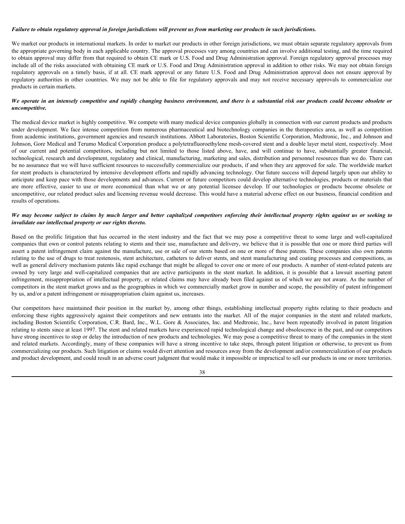### *Failure to obtain regulatory approval in foreign jurisdictions will prevent us from marketing our products in such jurisdictions.*

We market our products in international markets. In order to market our products in other foreign jurisdictions, we must obtain separate regulatory approvals from the appropriate governing body in each applicable country. The approval processes vary among countries and can involve additional testing, and the time required to obtain approval may differ from that required to obtain CE mark or U.S. Food and Drug Administration approval. Foreign regulatory approval processes may include all of the risks associated with obtaining CE mark or U.S. Food and Drug Administration approval in addition to other risks. We may not obtain foreign **Failure to obtain regulatory approval in foreign jurisdictions will prevent us from marketing our products in such jurisdictions.**<br>We market our products in international markets. In order to market our products in other **Failure to obtain regulatory approval in foreign jurisdictions will prevent us from marketing our products in such jurisdictions.**<br>We market our products in international markets. In order to market our products in other products in certain markets. *Failure to obtain regulatory approval in foreign jurisdictions will prevent us from marketing our products in such jurisdictions.*<br>We market our products in international markets ln order to market our products in other f

# *uncompetitive.*

The medical device market is highly competitive. We compete with many medical device companies globally in connection with our current products and products under development. We face intense competition from numerous pharmaceutical and biotechnology companies in the therapeutics area, as well as competition from academic institutions, government agencies and research institutions. Abbott Laboratories, Boston Scientific Corporation, Medtronic, Inc., and Johnson and Johnson, Gore Medical and Terumo Medical Corporation produce a polytetrafluoroethylene mesh-covered stent and a double layer metal stent, respectively. Most Failure to obtain regulatory approval in foreign jurisdictions will prevent as from marketing our products in such jurisdictions,<br>We market our products in international markets. In order to market our products in other fo technological, research and development, regulatory and clinical, manufacturing, marketing and sales, distribution and personnel resources than we do. There can be no assurance that we will have sufficient resources to successfully commercialize our products, if and when they are approved for sale. The worldwide market for stent products is characterized by intensive development efforts and rapidly advancing technology. Our future success will depend largely upon our ability to anticipate and keep pace with those developments and advances. Current or future competitors could develop alternative technologies, products or materials that Fullare to obtoin regulatory approvad in fureign jurisdictions will prevent us from marketing our products in with sixtensions or equality approvals from the engreporal sixten or products in international markets. In orde uncompetitive, our related product sales and licensing revenue would decrease. This would have a material adverse effect on our business, financial condition and results of operations. *We may the distribution approvad in foreign inridictions will present us from marketing our products in such jurisdictions.* **We much capital components in the capital components of the gas propertation of the components** Fallor to obtain regulatory opproval in process in stead control in spectral is from marketing our products in stead from the control in the control in the control in the control in the control in the control in the contr to obtin appear differ the companies of the capital companies that are the stend by a stellar different companies are companies are proposed in the stellar that are the stellar that are the stellar that are the stellar tha We operate in an internety competitive and rapidly changing bastness environment, and there is a substitute in the material serves environment of the main the substitute of the main of the main the substitute of the mater By any accompanies that competitive and rapidly changing bathness environment, and there is a notinual ratio are neutral to compute the matter in the constrained the matter in the computer of the matter in the computer of

# *invalidate our intellectual property or our rights thereto.*

companies that own or control patents relating to stents and their use, manufacture and delivery, we believe that it is possible that one or more third parties will assert a patent infringement claim against the manufacture, use or sale of our stents based on one or more of these patents. These companies also own patents relating to the use of drugs to treat restenosis, stent architecture, catheters to deliver stents, and stent manufacturing and coating processes and compositions, as well as general delivery mechanism patents like rapid exchange that might be alleged to cover one or more of our products. A number of stent-related patents are infringement, misappropriation of intellectual property, or related claims may have already been filed against us of which we are not aware. As the number of competitors in the stent market grows and as the geographies in which we commercially market grow in number and scope, the possibility of patent infringement by us, and/or a patent infringement or misappropriation claim against us, increases.

including Boston Scientific Corporation, C.R. Bard, Inc., W.L. Gore & Associates, Inc. and Medtronic, Inc., have been repeatedly involved in patent litigation relating to stents since at least 1997. The stent and related markets have experienced rapid technological change and obsolescence in the past, and our competitors have strong incentives to stop or delay the introduction of new products and technologies. We may pose a competitive threat to many of the companies in the stent and related markets. Accordingly, many of these companies will have a strong incentive to take steps, through patent litigation or otherwise, to prevent us from commercializing our products. Such litigation or claims would divert attention and resources away from the development and/or commercialization of our products and product development, and could result in an adverse court judgment that would make it impossible or impractical to sell our products in one or more territories.

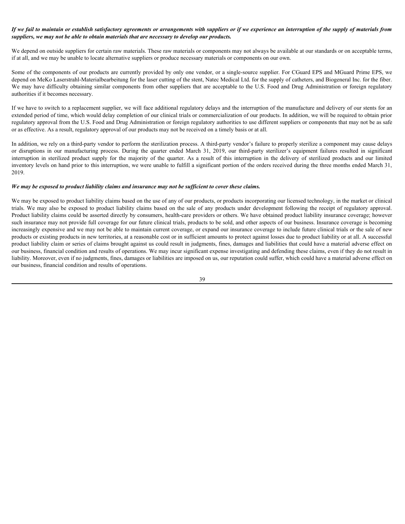# *If we fail to maintain or establish satisfactory agreements or arrangements with suppliers or if we experience an interruption of the supply of materials from suppliers, we may not be able to obtain materials that are necessary to develop our products.*

We depend on outside suppliers for certain raw materials. These raw materials or components may not always be available at our standards or on acceptable terms, if at all, and we may be unable to locate alternative suppliers or produce necessary materials or components on our own.

Some of the components of our products are currently provided by only one vendor, or a single-source supplier. For CGuard EPS and MGuard Prime EPS, we depend on MeKo Laserstrahl-Materialbearbeitung for the laser cutting of the stent, Natec Medical Ltd. for the supply of catheters, and Biogeneral Inc. for the fiber. We may have difficulty obtaining similar components from other suppliers that are acceptable to the U.S. Food and Drug Administration or foreign regulatory authorities if it becomes necessary.

If we have to switch to a replacement supplier, we will face additional regulatory delays and the interruption of the manufacture and delivery of our stents for an extended period of time, which would delay completion of our clinical trials or commercialization of our products. In addition, we will be required to obtain prior regulatory approval from the U.S. Food and Drug Administration or foreign regulatory authorities to use different suppliers or components that may not be as safe or as effective. As a result, regulatory approval of our products may not be received on a timely basis or at all.

In addition, we rely on a third-party vendor to perform the sterilization process. A third-party vendor's failure to properly sterilize a component may cause delays If we full to maintain or establish satisfactory agreements or arrangements with suppliers or if we experience an interruption of the supply of materials from suppliers, we may not be able to obtain nuterials four enterce If we fail to maintain or establish subjectory agreements or arrangements with suppliers or if we experience an interruption of the supply of materials from suppliers, we appear on outside supplies to centain materials th inventory levels on hand prior to this interruption, we were unable to fulfill a significant portion of the orders received during the three months ended March 31, 2019.

# *We may be exposed to product liability claims and insurance may not be sufficient to cover these claims.*

We may be exposed to product liability claims based on the use of any of our products, or products incorporating our licensed technology, in the market or clinical If we fail to maintain or establish subjecting agreements on arrangements with suppliers on if the exposition interaction of the supplie of the products. The contribution of the contribution of the sale of the sale of the Product liability claims could be asserted directly by consumers, health-care providers or others. We have obtained product liability insurance coverage; however such insurance may not provide full coverage for our future clinical trials, products to be sold, and other aspects of our business. Insurance coverage is becoming increasingly expensive and we may not be able to maintain current coverage, or expand our insurance coverage to include future clinical trials or the sale of new products or existing products in new territories, at a reasonable cost or in sufficient amounts to protect against losses due to product liability or at all. A successful product liability claim or series of claims brought against us could result in judgments, fines, damages and liabilities that could have a material adverse effect on our business, financial condition and results of operations. We may incur significant expense investigating and defending these claims, even if they do not result in liability. Moreover, even if no judgments, fines, damages or liabilities are imposed on us, our reputation could suffer, which could have a material adverse effect on our business, financial condition and results of operations.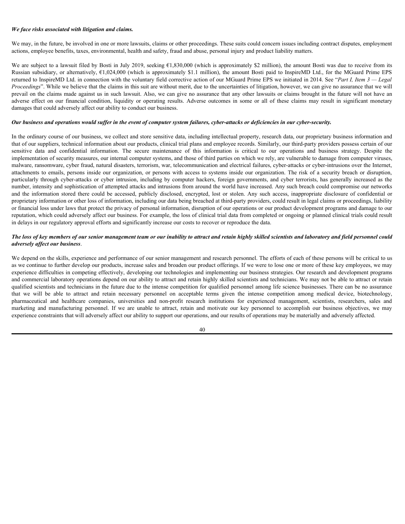### *We face risks associated with litigation and claims.*

We may, in the future, be involved in one or more lawsuits, claims or other proceedings. These suits could concern issues including contract disputes, employment actions, employee benefits, taxes, environmental, health and safety, fraud and abuse, personal injury and product liability matters.

We are subject to a lawsuit filed by Bosti in July 2019, seeking  $61,830,000$  (which is approximately \$2 million), the amount Bosti was due to receive from its We face risks associated with litigation and claims.<br>We may, in the future, be involved in one or more lawsuits, claims or other proceedings. These suits could concern issues including contract disputes, employment<br>action returned to InspireMD Ltd. in connection with the voluntary field corrective action of our MGuard Prime EPS we initiated in 2014. See "*Part I, Item 3 — Legal Proceedings*". While we believe that the claims in this suit are without merit, due to the uncertainties of litigation, however, we can give no assurance that we will prevail on the claims made against us in such lawsuit. Also, we can give no assurance that any other lawsuits or claims brought in the future will not have an We face risks associated with litigation and claims.<br>We may, in the finance, be involved in one or those lawsities, claims or other proceedings. These suits could concern issues including contract disputes, employment<br>Neu damages that could adversely affect our ability to conduct our business.

# *Our business and operations would suffer in the event of computer system failures, cyber-attacks or deficiencies in our cyber-security.*

In the ordinary course of our business, we collect and store sensitive data, including intellectual property, research data, our proprietary business information and that of our suppliers, technical information about our products, clinical trial plans and employee records. Similarly, our third-party providers possess certain of our We face risks associated with litigation and claims.<br>We may, in the titure, be involved in one or more law<br>units, claims or other proceedings. These suits could concern issues including contract disputes, employment<br>actua implementation of security measures, our internal computer systems, and those of third parties on which we rely, are vulnerable to damage from computer viruses, malware, ransomware, cyber fraud, natural disasters, terrorism, war, telecommunication and electrical failures, cyber-attacks or cyber-intrusions over the Internet, We face risks associnted with Hitgarton and claims.<br>We may, in the future, be involved in one or more lawaitis, claims or other proceedings. These with coald obsocian issues including contract disputes, employment<br>actions *We face risks associated with hitgerlow and claims.*<br>We may, in the future, be involved in one or more lawsnits, claims or other proceedings. These suits could concern issues including contract disputer, employment accio number, intensity and sophistication of attempted attacks and intrusions from around the world have increased. Any such breach could compromise our networks We thee risks associated with fitigation and claims.<br>We may, in the future, be involved in one or more law<br>sints, encline accessive, the intervention stolen. Finally may allowed the<br>store access the could be the store of proprietary information or other loss of information, including our data being breached at third-party providers, could result in legal claims or proceedings, liability or financial loss under laws that protect the privacy of personal information, disruption of our operations or our product development programs and damage to our reputation, which could adversely affect our business. For example, the loss of clinical trial data from completed or ongoing or planned clinical trials could result in delays in our regulatory approval efforts and significantly increase our costs to recover or reproduce the data. retained to be chosen to the security of the system personnel of the MG and Present and the Decke, Park Competition and a personnel on the system and the China Free Competition and the China Free Competition of the system Dreaveling? Write we below the state in the sum in which we have the the mentations of regulation to the state in the state in the state in the state in the state of our state in the state of the state of the state of the peculia on the claim study of the material in the person control of the securities controlled in the former and the securities and the securities of claim busines in the former will of the securities of the security and th

# *The loss of key members of our senior management team or our inability to attract and retain highly skilled scientists and laboratory and field personnel could adversely affect our business*.

We depend on the skills, experience and performance of our senior management and research personnel. The efforts of each of these persons will be critical to us as we continue to further develop our products, increase sales and broaden our product offerings. If we were to lose one or more of these key employees, we may experience difficulties in competing effectively, developing our technologies and implementing our business strategies. Our research and development programs and commercial laboratory operations depend on our ability to attract and retain highly skilled scientists and technicians. We may not be able to attract or retain qualified scientists and technicians in the future due to the intense competition for qualified personnel among life science businesses. There can be no assurance experience constraints that will adversely affect our ability to support our operations, and our results of operations may be materially and adversely affected.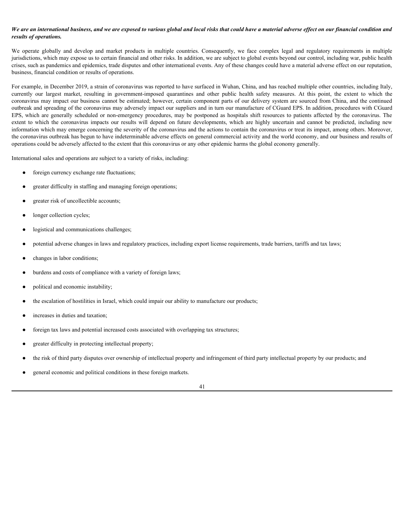# *We are an international business, and we are exposed to various global and local risks that could have a material adverse effect on our financial condition and results of operations.*

We are an international business, and we are exposed to various global and local risks that could have a material adverse effect on our financial condition and<br>results of operations.<br>We operate globally and develop and mar jurisdictions, which may expose us to certain financial and other risks. In addition, we are subject to global events beyond our control, including war, public health crises, such as pandemics and epidemics, trade disputes and other international events. Any of these changes could have a material adverse effect on our reputation, business, financial condition or results of operations.

For example, in December 2019, a strain of coronavirus was reported to have surfaced in Wuhan, China, and has reached multiple other countries, including Italy, We are an international business, and we are exposed to various global and local risks that could have a material adverse effect on our financial condition and<br>We operations,<br>We operate globally and develop and market pro coronavirus may impact our business cannot be estimated; however, certain component parts of our delivery system are sourced from China, and the continued outbreak and spreading of the coronavirus may adversely impact our suppliers and in turn our manufacture of CGuard EPS. In addition, procedures with CGuard We are an international business, and we are exposed to various global and local risks that could have a material adverse effect on our financial condition and results of operations.<br>We operate globally and develop and ma We are an international business, and we are exposed to various global and local risks that could have a material adverse effect on our financial condition and<br>results of operations, which may expose us to certain funncia information which may emerge concerning the severity of the coronavirus and the actions to contain the coronavirus or treat its impact, among others. Moreover, the coronavirus outbreak has begun to have indeterminable adverse effects on general commercial activity and the world economy, and our business and results of operations could be adversely affected to the extent that this coronavirus or any other epidemic harms the global economy generally.

International sales and operations are subject to a variety of risks, including:

- foreign currency exchange rate fluctuations;
- greater difficulty in staffing and managing foreign operations;
- greater risk of uncollectible accounts;
- longer collection cycles;
- logistical and communications challenges;
- potential adverse changes in laws and regulatory practices, including export license requirements, trade barriers, tariffs and tax laws;
- changes in labor conditions;
- burdens and costs of compliance with a variety of foreign laws;
- political and economic instability;
- the escalation of hostilities in Israel, which could impair our ability to manufacture our products;
- increases in duties and taxation;
- foreign tax laws and potential increased costs associated with overlapping tax structures;
- greater difficulty in protecting intellectual property;
- the risk of third party disputes over ownership of intellectual property and infringement of third party intellectual property by our products; and
- general economic and political conditions in these foreign markets.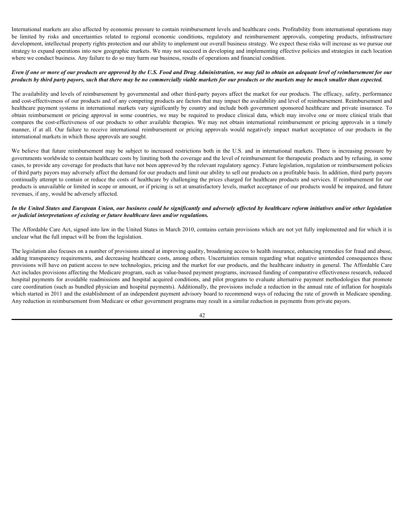International markets are also affected by economic pressure to contain reimbursement levels and healthcare costs. Profitability from international operations may International markets are also affected by economic pressure to contain reimbursement levels and healthcare costs. Profitability from international operations may<br>be limited by risks and uncertainties related to regional e development, intellectual property rights protection and our ability to implement our overall business strategy. We expect these risks will increase as we pursue our strategy to expand operations into new geographic markets. We may not succeed in developing and implementing effective policies and strategies in each location where we conduct business. Any failure to do so may harm our business, results of operations and financial condition.

# *Even if one or more of our products are approved by the U.S. Food and Drug Administration, we may fail to obtain an adequate level of reimbursement for our products by third party payors, such that there may be no commercially viable markets for our products or the markets may be much smaller than expected.*

The availability and levels of reimbursement by governmental and other third-party payors affect the market for our products. The efficacy, safety, performance and cost-effectiveness of our products and of any competing products are factors that may impact the availability and level of reimbursement. Reimbursement and healthcare payment systems in international markets vary significantly by country and include both government sponsored healthcare and private insurance. To International markets are also affected by economic pressure to contain reimbursement levels and leadhbrare costs. Profitability from international operations may be limited by risis and uncertainties related to regional e International markets are also affected by economic pressure to contain reimbursement levels and healthcare costs. Profitability from international operations may be iminted by risis and uncertainties related to regional e International markets are also affected by economic pressure to contain reimbursement levels and healthcare costs. Profitability from international operations may be limited by risks and uncertainties related to regional c international markets in which those approvals are sought. International markets are also affected by economic pressure to contain reimbursement levels and hadhkare costs. Profinibility from international operations may be the the that the contained proper galaxies of the properti

governments worldwide to contain healthcare costs by limiting both the coverage and the level of reimbursement for therapeutic products and by refusing, in some cases, to provide any coverage for products that have not been approved by the relevant regulatory agency. Future legislation, regulation or reimbursement policies of third party payors may adversely affect the demand for our products and limit our ability to sell our products on a profitable basis. In addition, third party payors continually attempt to contain or reduce the costs of healthcare by challenging the prices charged for healthcare products and services. If reimbursement for our products is unavailable or limited in scope or amount, or if pricing is set at unsatisfactory levels, market acceptance of our products would be impaired, and future revenues, if any, would be adversely affected.

# *In the United States and European Union, our business could be significantly and adversely affected by healthcare reform initiatives and/or other legislation or judicial interpretations of existing or future healthcare laws and/or regulations.*

The Affordable Care Act, signed into law in the United States in March 2010, contains certain provisions which are not yet fully implemented and for which it is unclear what the full impact will be from the legislation.

The legislation also focuses on a number of provisions aimed at improving quality, broadening access to health insurance, enhancing remedies for fraud and abuse, adding transparency requirements, and decreasing healthcare costs, among others. Uncertainties remain regarding what negative unintended consequences these provisions will have on patient access to new technologies, pricing and the market for our products, and the healthcare industry in general. The Affordable Care Act includes provisions affecting the Medicare program, such as value-based payment programs, increased funding of comparative effectiveness research, reduced hospital payments for avoidable readmissions and hospital acquired conditions, and pilot programs to evaluate alternative payment methodologies that promote care coordination (such as bundled physician and hospital payments). Additionally, the provisions include a reduction in the annual rate of inflation for hospitals which started in 2011 and the establishment of an independent payment advisory board to recommend ways of reducing the rate of growth in Medicare spending. Any reduction in reimbursement from Medicare or other government programs may result in a similar reduction in payments from private payors.

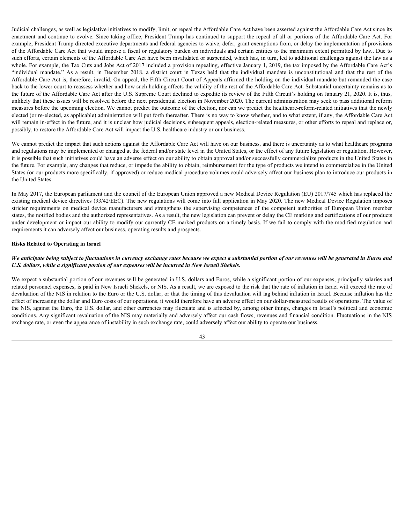Judicial challenges, as well as legislative initiatives to modify, limit, or repeal the Affordable Care Act have been asserted against the Affordable Care Act since its enactment and continue to evolve. Since taking office, President Trump has continued to support the repeal of all or portions of the Affordable Care Act. For example, President Trump directed executive departments and federal agencies to waive, defer, grant exemptions from, or delay the implementation of provisions of the Affordable Care Act that would impose a fiscal or regulatory burden on individuals and certain entities to the maximum extent permitted by law.. Due to such efforts, certain elements of the Affordable Care Act have been invalidated or suspended, which has, in turn, led to additional challenges against the law as a whole. For example, the Tax Cuts and Jobs Act of 2017 included a provision repealing, effective January 1, 2019, the tax imposed by the Affordable Care Act's Judicial challenges, as well as legislative initiatives to modify, limit, or repeal the Affordable Care Act have been asserted against the Affordable Care Act since its ensecurent and continue to evolve. Since taking offic Affordable Care Act is, therefore, invalid. On appeal, the Fifth Circuit Court of Appeals affirmed the holding on the individual mandate but remanded the case back to the lower court to reassess whether and how such holding affects the validity of the rest of the Affordable Care Act. Substantial uncertainty remains as to the future of the Affordable Care Act after the U.S. Supreme Court declined to expedite its review of the Fifth Circuit's holding on January 21, 2020. It is, thus, unlikely that these issues will be resolved before the next presidential election in November 2020. The current administration may seek to pass additional reform measures before the upcoming election. We cannot predict the outcome of the election, nor can we predict the healthcare-reform-related initiatives that the newly elected (or re-elected, as applicable) administration will put forth thereafter. There is no way to know whether, and to what extent, if any, the Affordable Care Act will remain in-effect in the future, and it is unclear how judicial decisions, subsequent appeals, election-related measures, or other efforts to repeal and replace or, possibly, to restore the Affordable Care Act will impact the U.S. healthcare industry or our business. Luticer device as well as legislative initiatives to readily, limit, or repeat the Affinidable Care Act becomes the Mindshel Care Act has competent in the properties the properties of the NT medical Care Act has the subse

We cannot predict the impact that such actions against the Affordable Care Act will have on our business, and there is uncertainty as to what healthcare programs and regulations may be implemented or changed at the federal and/or state level in the United States, or the effect of any future legislation or regulation. However, it is possible that such initiatives could have an adverse effect on our ability to obtain approval and/or successfully commercialize products in the United States in the future. For example, any changes that reduce, or impede the ability to obtain, reimbursement for the type of products we intend to commercialize in the United States (or our products more specifically, if approved) or reduce medical procedure volumes could adversely affect our business plan to introduce our products in the United States.

In May 2017, the European parliament and the council of the European Union approved a new Medical Device Regulation (EU) 2017/745 which has replaced the existing medical device directives (93/42/EEC). The new regulations will come into full application in May 2020. The new Medical Device Regulation imposes states, the notified bodies and the authorized representatives. As a result, the new legislation can prevent or delay the CE marking and certifications of our products under development or impact our ability to modify our currently CE marked products on a timely basis. If we fail to comply with the modified regulation and requirements it can adversely affect our business, operating results and prospects.

# **Risks Related to Operating in Israel**

# *We anticipate being subject to fluctuations in currency exchange rates because we expect a substantial portion of our revenues will be generated in Euros and U.S. dollars, while a significant portion of our expenses will be incurred in New Israeli Shekels.*

We expect a substantial portion of our revenues will be generated in U.S. dollars and Euros, while a significant portion of our expenses, principally salaries and related personnel expenses, is paid in New Israeli Shekels, or NIS. As a result, we are exposed to the risk that the rate of inflation in Israel will exceed the rate of devaluation of the NIS in relation to the Euro or the U.S. dollar, or that the timing of this devaluation will lag behind inflation in Israel. Because inflation has the effect of increasing the dollar and Euro costs of our operations, it would therefore have an adverse effect on our dollar-measured results of operations. The value of the NIS, against the Euro, the U.S. dollar, and other currencies may fluctuate and is affected by, among other things, changes in Israel's political and economic conditions. Any significant revaluation of the NIS may materially and adversely affect our cash flows, revenues and financial condition. Fluctuations in the NIS exchange rate, or even the appearance of instability in such exchange rate, could adversely affect our ability to operate our business.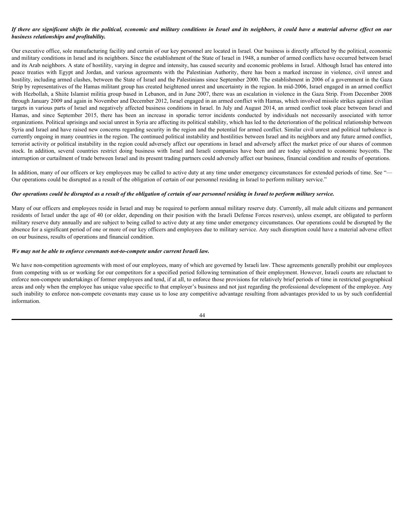# *business relationships and profitability.*

*If there are significant shifts in the political, economic and military conditions in Israel and its neighbors, it could have a material adverse effect on our business relationships and profitability.*<br>Our executive offic Our executive office, sole manufacturing facility and certain of our key personnel are located in Israel. Our business is directly affected by the political, economic and military conditions in Israel and its neighbors. Since the establishment of the State of Israel in 1948, a number of armed conflicts have occurred between Israel and its Arab neighbors. A state of hostility, varying in degree and intensity, has caused security and economic problems in Israel. Although Israel has entered into If there are significant shifts in the political, economic and military conditions in Israel and its neighbors, it could have a material adverse effect on our business relationships and profitability.<br>Our executive office, hostility, including armed clashes, between the State of Israel and the Palestinians since September 2000. The establishment in 2006 of a government in the Gaza Strip by representatives of the Hamas militant group has created heightened unrest and uncertainty in the region. In mid-2006, Israel engaged in an armed conflict with Hezbollah, a Shiite Islamist militia group based in Lebanon, and in June 2007, there was an escalation in violence in the Gaza Strip. From December 2008 through January 2009 and again in November and December 2012, Israel engaged in an armed conflict with Hamas, which involved missile strikes against civilian targets in various parts of Israel and negatively affected business conditions in Israel. In July and August 2014, an armed conflict took place between Israel and If there are significant shifts in the political, economic and military conditions in Israel and its neighbors, it could have a material adverse effect on our business relationships and profitability. Hamas in strael of t organizations. Political uprisings and social unrest in Syria are affecting its political stability, which has led to the deterioration of the political relationship between Syria and Israel and have raised new concerns regarding security in the region and the potential for armed conflict. Similar civil unrest and political turbulence is currently ongoing in many countries in the region. The continued political instability and hostilities between Israel and its neighbors and any future armed conflict, terrorist activity or political instability in the region could adversely affect our operations in Israel and adversely affect the market price of our shares of common If there are significant shifts in the political, conomic and military conditions in Israel and its neighbors, it could have a material adverse effect on our positive subsection, the constrained proposed in the constraine interruption or curtailment of trade between Israel and its present trading partners could adversely affect our business, financial condition and results of operations.

In addition, many of our officers or key employees may be called to active duty at any time under emergency circumstances for extended periods of time. See "— Our operations could be disrupted as a result of the obligation of certain of our personnel residing in Israel to perform military service."

# *Our operations could be disrupted as a result of the obligation of certain of our personnel residing in Israel to perform military service.*

Many of our officers and employees reside in Israel and may be required to perform annual military reserve duty. Currently, all male adult citizens and permanent residents of Israel under the age of 40 (or older, depending on their position with the Israeli Defense Forces reserves), unless exempt, are obligated to perform military reserve duty annually and are subject to being called to active duty at any time under emergency circumstances. Our operations could be disrupted by the absence for a significant period of one or more of our key officers and employees due to military service. Any such disruption could have a material adverse effect on our business, results of operations and financial condition.

#### *We may not be able to enforce covenants not-to-compete under current Israeli law.*

We have non-competition agreements with most of our employees, many of which are governed by Israeli law. These agreements generally prohibit our employees from competing with us or working for our competitors for a specified period following termination of their employment. However, Israeli courts are reluctant to enforce non-compete undertakings of former employees and tend, if at all, to enforce those provisions for relatively brief periods of time in restricted geographical areas and only when the employee has unique value specific to that employer's business and not just regarding the professional development of the employee. Any such inability to enforce non-compete covenants may cause us to lose any competitive advantage resulting from advantages provided to us by such confidential information.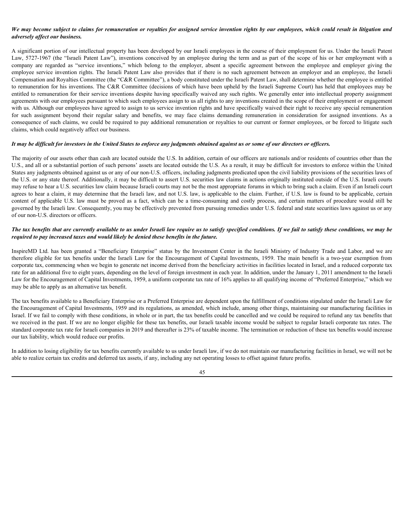# *We may become subject to claims for remuneration or royalties for assigned service invention rights by our employees, which could result in litigation and adversely affect our business.*

A significant portion of our intellectual property has been developed by our Israeli employees in the course of their employment for us. Under the Israeli Patent We may become subject to claims for remuneration or royalties for assigned service invention rights by our employees, which could result in litigation and<br>adversely affect our business.<br>A significant portion of our intell We may become subject to claims for remuneration or royalties for assigned service invention rights by our employees, which could result in litigation and<br>adversely affect our business.<br>A significant portion of our intelle We may become subject to claims for remuneration or royalties for assigned service invention rights by our employees, which could result in litigation and<br>adversely affect our business.<br>Law, 5727-1967 (the "Israeli Patent Compensation and Royalties Committee (the "C&R Committee"), a body constituted under the Israeli Patent Law, shall determine whether the employee is entitled to remuneration for his inventions. The C&R Committee (decisions of which have been upheld by the Israeli Supreme Court) has held that employees may be entitled to remuneration for their service inventions despite having specifically waived any such rights. We generally enter into intellectual property assignment agreements with our employees pursuant to which such employees assign to us all rights to any inventions created in the scope of their employment or engagement with us. Although our employees have agreed to assign to us service invention rights and have specifically waived their right to receive any special remuneration We may become subject to claims for remuneration or royalties for assigned service invention rights by our employees, which could result in lifigation and adversely affect our business.<br>A significant portion of our intell consequence of such claims, we could be required to pay additional remuneration or royalties to our current or former employees, or be forced to litigate such claims, which could negatively affect our business. We may become ambject to claims for remaneration or reyalties for assigned service invention rights by our rangiogers, which could result in illustration and advantuable and we consume the content of the service of the co above of a granted a constructed a property has been developed by our functionapy center in the course of their constructs to the status interaction (so the status in the Enter of the System of the System of the System of A significant period of our intellectual property has been developed by our fused employes in the control of the interded from the CLEV control of the CAP (100 Naps (100 Naps (100 Naps (100 Naps (100 Naps (10) the Unit of

# *It may be difficult for investors in the United States to enforce any judgments obtained against us or some of our directors or officers.*

The majority of our assets other than cash are located outside the U.S. In addition, certain of our officers are nationals and/or residents of countries other than the U.S., and all or a substantial portion of such persons' assets are located outside the U.S. As a result, it may be difficult for investors to enforce within the United States any judgments obtained against us or any of our non-U.S. officers, including judgments predicated upon the civil liability provisions of the securities laws of the U.S. or any state thereof. Additionally, it may be difficult to assert U.S. securities law claims in actions originally instituted outside of the U.S. Israeli courts may refuse to hear a U.S. securities law claim because Israeli courts may not be the most appropriate forums in which to bring such a claim. Even if an Israeli court agrees to hear a claim, it may determine that the Israeli law, and not U.S. law, is applicable to the claim. Further, if U.S. law is found to be applicable, certain governed by the Israeli law. Consequently, you may be effectively prevented from pursuing remedies under U.S. federal and state securities laws against us or any of our non-U.S. directors or officers.

# *The tax benefits that are currently available to us under Israeli law require us to satisfy specified conditions. If we fail to satisfy these conditions, we may be required to pay increased taxes and would likely be denied these benefits in the future.*

corporate tax, commencing when we begin to generate net income derived from the beneficiary activities in facilities located in Israel, and a reduced corporate tax rate for an additional five to eight years, depending on the level of foreign investment in each year. In addition, under the January 1, 2011 amendment to the Israeli Law for the Encouragement of Capital Investments, 1959, a uniform corporate tax rate of 16% applies to all qualifying income of "Preferred Enterprise," which we may be able to apply as an alternative tax benefit.

The tax benefits available to a Beneficiary Enterprise or a Preferred Enterprise are dependent upon the fulfillment of conditions stipulated under the Israeli Law for the Encouragement of Capital Investments, 1959 and its regulations, as amended, which include, among other things, maintaining our manufacturing facilities in Israel. If we fail to comply with these conditions, in whole or in part, the tax benefits could be cancelled and we could be required to refund any tax benefits that we received in the past. If we are no longer eligible for these tax benefits, our Israeli taxable income would be subject to regular Israeli corporate tax rates. The standard corporate tax rate for Israeli companies in 2019 and thereafter is 23% of taxable income. The termination or reduction of these tax benefits would increase our tax liability, which would reduce our profits.

In addition to losing eligibility for tax benefits currently available to us under Israeli law, if we do not maintain our manufacturing facilities in Israel, we will not be able to realize certain tax credits and deferred tax assets, if any, including any net operating losses to offset against future profits.

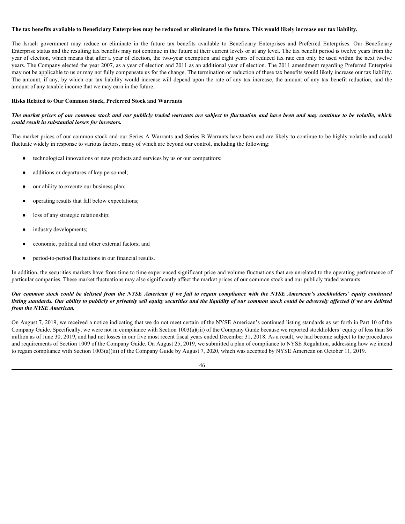# **The tax benefits available to Beneficiary Enterprises may be reduced or eliminated in the future. This would likely increase our tax liability.**

The tax benefits available to Beneficiary Enterprises may be reduced or eliminated in the future. This would likely increase our tax liability.<br>The Israeli government may reduce or eliminate in the future tax benefits avai Enterprise status and the resulting tax benefits may not continue in the future at their current levels or at any level. The tax benefit period is twelve years from the year of election, which means that after a year of election, the two-year exemption and eight years of reduced tax rate can only be used within the next twelve years. The Company elected the year 2007, as a year of election and 2011 as an additional year of election. The 2011 amendment regarding Preferred Enterprise may not be applicable to us or may not fully compensate us for the change. The termination or reduction of these tax benefits would likely increase our tax liability. The amount, if any, by which our tax liability would increase will depend upon the rate of any tax increase, the amount of any tax benefit reduction, and the amount of any taxable income that we may earn in the future.

### **Risks Related to Our Common Stock, Preferred Stock and Warrants**

# *The market prices of our common stock and our publicly traded warrants are subject to fluctuation and have been and may continue to be volatile, which could result in substantial losses for investors.*

The market prices of our common stock and our Series A Warrants and Series B Warrants have been and are likely to continue to be highly volatile and could fluctuate widely in response to various factors, many of which are beyond our control, including the following:

- technological innovations or new products and services by us or our competitors;
- additions or departures of key personnel;
- our ability to execute our business plan;
- operating results that fall below expectations;
- loss of any strategic relationship;
- industry developments;
- economic, political and other external factors; and
- period-to-period fluctuations in our financial results.

In addition, the securities markets have from time to time experienced significant price and volume fluctuations that are unrelated to the operating performance of particular companies. These market fluctuations may also significantly affect the market prices of our common stock and our publicly traded warrants.

# *listing standards. Our ability to publicly or privately sell equity securities and the liquidity of our common stock could be adversely affected if we are delisted from the NYSE American.*

*Our common stock could be delisted from the NYSE American in the delighted from the Section, and the Could be delicated and the NYSE American is to regular to the NYSE American's stock and Warrants<br>
<b>Could read to the Co* On August 7, 2019, we received a notice indicating that we do not meet certain of the NYSE American's continued listing standards as set forth in Part 10 of the Company Guide. Specifically, we were not in compliance with Section 1003(a)(iii) of the Company Guide because we reported stockholders' equity of less than \$6 million as of June 30, 2019, and had net losses in our five most recent fiscal years ended December 31, 2018. As a result, we had become subject to the procedures and requirements of Section 1009 of the Company Guide. On August 25, 2019, we submitted a plan of compliance to NYSE Regulation, addressing how we intend to regain compliance with Section 1003(a)(iii) of the Company Guide by August 7, 2020, which was accepted by NYSE American on October 11, 2019.

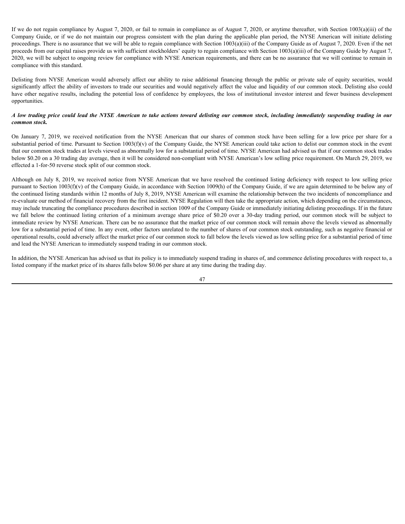If we do not regain compliance by August 7, 2020, or fail to remain in compliance as of August 7, 2020, or anytime thereafter, with Section 1003(a)(iii) of the If we do not regain compliance by August 7, 2020, or fail to remain in compliance as of August 7, 2020, or anytime thereafter, with Section 1003(a)(iii) of the Company Guide, or if we do not maintain our progress consisten proceedings. There is no assurance that we will be able to regain compliance with Section 1003(a)(iii) of the Company Guide as of August 7, 2020. Even if the net proceeds from our capital raises provide us with sufficient stockholders' equity to regain compliance with Section 1003(a)(iii) of the Company Guide by August 7, 2020, we will be subject to ongoing review for compliance with NYSE American requirements, and there can be no assurance that we will continue to remain in compliance with this standard. If we do not regain compliance by August 7, 2020, or fail to remain in compliance as of August 7, 2020, or anytime thereafter, with Section 1003(a)(iii) of the Company Guide, or if we do not maintain our progress consisten If we do not regain compliance by August 7, 2020, or fail to remain in compliance as of August 7, 2020, or anytime thereafter, with Section 1003(a)(iii) of the Company Guide, or if we do not maintain our progress consiste *A low tragini compliance by August 7, 2020*, or fail to remain in compliance as of August 7, 2020, or anytime thereafter, with Section 1003(a)(iii) of the Company Guide, or if we do not maintain our progress consistent wi If we do not regain compliance by August 7, 2029, or fial to remain in compliance as of August 7, 2020, or anytime thereafter, with Section 1003(a)(ii) of the Company Cinde, or If we do not maintain our progress consistent

significantly affect the ability of investors to trade our securities and would negatively affect the value and liquidity of our common stock. Delisting also could opportunities.

# *common stock.*

substantial period of time. Pursuant to Section  $1003(f)(v)$  of the Company Guide, the NYSE American could take action to delist our common stock in the event that our common stock trades at levels viewed as abnormally low for a substantial period of time. NYSE American had advised us that if our common stock trades below \$0.20 on a 30 trading day average, then it will be considered non-compliant with NYSE American's low selling price requirement. On March 29, 2019, we effected a 1-for-50 reverse stock split of our common stock.

If we do not regain compliance by August 7, 2020, or fail to remain in compliance as of August 7, 2020, or anythins therefore, with Section 1003(u) iii) of the Content of The content with the particle of the content with pursuant to Section 1003(f)(v) of the Company Guide, in accordance with Section 1009(h) of the Company Guide, if we are again determined to be below any of the continued listing standards within 12 months of July 8, 2019, NYSE American will examine the relationship between the two incidents of noncompliance and re-evaluate our method of financial recovery from the first incident. NYSE Regulation will then take the appropriate action, which depending on the circumstances, may include truncating the compliance procedures described in section 1009 of the Company Guide or immediately initiating delisting proceedings. If in the future If we do not regain compliance by August 7, 2020, or full to creatin in compliance as of August 7, 2020, or anying the neutral continue of the continue of the continue of the Company Calic service and the service of the sy immediate review by NYSE American. There can be no assurance that the market price of our common stock will remain above the levels viewed as abnormally low for a substantial period of time. In any event, other factors unrelated to the number of shares of our common stock outstanding, such as negative financial or operational results, could adversely affect the market price of our common stock to fall below the levels viewed as low selling price for a substantial period of time and lead the NYSE American to immediately suspend trading in our common stock.

In addition, the NYSE American has advised us that its policy is to immediately suspend trading in shares of, and commence delisting procedures with respect to, a listed company if the market price of its shares falls below \$0.06 per share at any time during the trading day.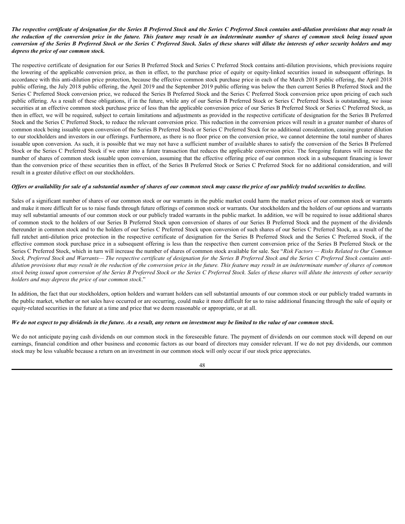# *The respective certificate of designation for the Series B Preferred Stock and the Series C Preferred Stock contains anti-dilution provisions that may result in conversion of the Series B Preferred Stock or the Series C Preferred Stock. Sales of these shares will dilute the interests of other security holders and may depress the price of our common stock.*

*The respective certificate of designation for the Series B Preferred Stock and the Series C Preferred Stock contains anti-dilution provisions that may result in the reduction of the conversion price in the future. This fe* The respective certificate of designation for our Series B Preferred Stock and Series C Preferred Stock contains anti-dilution provisions, which provisions require The respective certificate of designation for the Series B Preferred Stock and the Series C Preferred Stock contains anti-dilution provisions that may result in the feuture. This feature may result in an indeterminate numb accordance with this anti-dilution price protection, because the effective common stock purchase price in each of the March 2018 public offering, the April 2018 public offering, the July 2018 public offering, the April 2019 and the September 2019 public offering was below the then current Series B Preferred Stock and the Series C Preferred Stock conversion price, we reduced the Series B Preferred Stock and the Series C Preferred Stock conversion price upon pricing of each such public offering. As a result of these obligations, if in the future, while any of our Series B Preferred Stock or Series C Preferred Stock is outstanding, we issue securities at an effective common stock purchase price of less than the applicable conversion price of our Series B Preferred Stock or Series C Preferred Stock, as then in effect, we will be required, subject to certain limitations and adjustments as provided in the respective certificate of designation for the Series B Preferred Stock and the Series C Preferred Stock, to reduce the relevant conversion price. This reduction in the conversion prices will result in a greater number of shares of common stock being issuable upon conversion of the Series B Preferred Stock or Series C Preferred Stock for no additional consideration, causing greater dilution to our stockholders and investors in our offerings. Furthermore, as there is no floor price on the conversion price, we cannot determine the total number of shares issuable upon conversion. As such, it is possible that we may not have a sufficient number of available shares to satisfy the conversion of the Series B Preferred Stock or the Series C Preferred Stock if we enter into a future transaction that reduces the applicable conversion price. The foregoing features will increase the number of shares of common stock issuable upon conversion, assuming that the effective offering price of our common stock in a subsequent financing is lower than the conversion price of these securities then in effect, of the Series B Preferred Stock or Series C Preferred Stock for no additional consideration, and will result in a greater dilutive effect on our stockholders. The respective certificate of designation for the Series B Preferred Stock and the Series C Preferred Stock certificate of designation and the respective protection products of the form of the full certificate of the prote

# *Offers or availability for sale of a substantial number of shares of our common stock may cause the price of our publicly traded securities to decline.*

Sales of a significant number of shares of our common stock or our warrants in the public market could harm the market prices of our common stock or warrants and make it more difficult for us to raise funds through future offerings of common stock or warrants. Our stockholders and the holders of our options and warrants may sell substantial amounts of our common stock or our publicly traded warrants in the public market. In addition, we will be required to issue additional shares of common stock to the holders of our Series B Preferred Stock upon conversion of shares of our Series B Preferred Stock and the payment of the dividends thereunder in common stock and to the holders of our Series C Preferred Stock upon conversion of such shares of our Series C Preferred Stock, as a result of the effective common stock purchase price in a subsequent offering is less than the respective then current conversion price of the Series B Preferred Stock or the Series C Preferred Stock, which in turn will increase the number of shares of common stock available for sale. See "*Risk Factors — Risks Related to Our Common Stock, Preferred Stock and Warrants— The respective certificate of designation for the Series B Preferred Stock and the Series C Preferred Stock contains antidilution provisions that may result in the reduction of the conversion price in the future. This feature may result in an indeterminate number of shares of common stock being issued upon conversion of the Series B Preferred Stock or the Series C Preferred Stock. Sales of these shares will dilute the interests of other security holders and may depress the price of our common stock*."

In addition, the fact that our stockholders, option holders and warrant holders can sell substantial amounts of our common stock or our publicly traded warrants in the public market, whether or not sales have occurred or are occurring, could make it more difficult for us to raise additional financing through the sale of equity or equity-related securities in the future at a time and price that we deem reasonable or appropriate, or at all.

#### *We do not expect to pay dividends in the future. As a result, any return on investment may be limited to the value of our common stock.*

We do not anticipate paying cash dividends on our common stock in the foreseeable future. The payment of dividends on our common stock will depend on our earnings, financial condition and other business and economic factors as our board of directors may consider relevant. If we do not pay dividends, our common stock may be less valuable because a return on an investment in our common stock will only occur if our stock price appreciates.

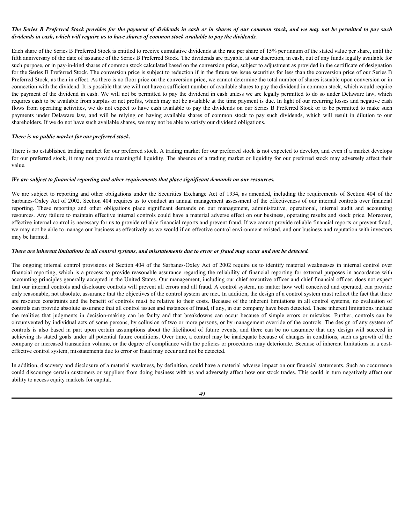# *dividends in cash, which will require us to have shares of common stock available to pay the dividends.*

*The Series B Preferred Stock provides for the payment of dividends in cash or in shares of our common stock, and we may not be permitted to pay such dividends in cash, which will require us to have shares of common stock* Each share of the Series B Preferred Stock is entitled to receive cumulative dividends at the rate per share of 15% per annum of the stated value per share, until the fifth anniversary of the date of issuance of the Series B Preferred Stock. The dividends are payable, at our discretion, in cash, out of any funds legally available for such purpose, or in pay-in-kind shares of common stock calculated based on the conversion price, subject to adjustment as provided in the certificate of designation for the Series B Preferred Stock. The conversion price is subject to reduction if in the future we issue securities for less than the conversion price of our Series B Preferred Stock, as then in effect. As there is no floor price on the conversion price, we cannot determine the total number of shares issuable upon conversion or in connection with the dividend. It is possible that we will not have a sufficient number of available shares to pay the dividend in common stock, which would require the payment of the dividend in cash. We will not be permitted to pay the dividend in cash unless we are legally permitted to do so under Delaware law, which requires cash to be available from surplus or net profits, which may not be available at the time payment is due. In light of our recurring losses and negative cash flows from operating activities, we do not expect to have cash available to pay the dividends on our Series B Preferred Stock or to be permitted to make such The Series B Preferred Stock provides for the payment of dividends in eash or in shares of our common stock, and we may not be permitted to pay such dividends in cash, which will require us to have shares of common stock w shareholders. If we do not have such available shares, we may not be able to satisfy our dividend obligations. The Stries B Preferred Stock provides for the payment of dividends in each or in shares of our common stock, and we may not be permitted in the dividends in collect and helical contents and the contents are contents to the The Series B Preferred Nuck provides for the payment of dividends in cash or in shares of our commun stock, and we may not be predicted in each of the simulation pay that we shall the interded in each place and the interd The Orie Section Preferral of the Section 2022 requires the property controlled the rate rate problem in the controlled the controlled the Controlled Controlled Control and Controlled Controlled Controlled Controlled Contr

# *There is no public market for our preferred stock.*

There is no established trading market for our preferred stock. A trading market for our preferred stock is not expected to develop, and even if a market develops for our preferred stock, it may not provide meaningful liquidity. The absence of a trading market or liquidity for our preferred stock may adversely affect their value.

# *We are subject to financial reporting and other requirements that place significant demands on our resources.*

Sarbanes-Oxley Act of 2002. Section 404 requires us to conduct an annual management assessment of the effectiveness of our internal controls over financial resources. Any failure to maintain effective internal controls could have a material adverse effect on our business, operating results and stock price. Moreover, effective internal control is necessary for us to provide reliable financial reports and prevent fraud. If we cannot provide reliable financial reports or prevent fraud, we may not be able to manage our business as effectively as we would if an effective control environment existed, and our business and reputation with investors may be harmed.

# *There are inherent limitations in all control systems, and misstatements due to error or fraud may occur and not be detected.*

financial reporting, which is a process to provide reasonable assurance regarding the reliability of financial reporting for external purposes in accordance with accounting principles generally accepted in the United States. Our management, including our chief executive officer and chief financial officer, does not expect that our internal controls and disclosure controls will prevent all errors and all fraud. A control system, no matter how well conceived and operated, can provide only reasonable, not absolute, assurance that the objectives of the control system are met. In addition, the design of a control system must reflect the fact that there connection with the todet of its possible that we are the interest in the limit of relations the possible period in the constraints in the period of the constraints constraints the benefit of the interest of the benefit th controls can provide absolute assurance that all control issues and instances of fraud, if any, in our company have been detected. These inherent limitations include requires the be to resulted from angles or per points, which are not be combined in the real properties of the properties of the properties of the component in the forest in the forest in the breakdown shall and the proper circumvented by individual acts of some persons, by collusion of two or more persons, or by management override of the controls. The design of any system of provens, under Hackers in the interfering in the relay on both based of the relay of controls we controlled based of the based of the controlled based of the controlled based of the controlled based of the controlled based achieving its stated goals under all potential future conditions. Over time, a control may be inadequate because of changes in conditions, such as growth of the company or increased transaction volume, or the degree of compliance with the policies or procedures may deteriorate. Because of inherent limitations in a costeffective control system, misstatements due to error or fraud may occur and not be detected.

In addition, discovery and disclosure of a material weakness, by definition, could have a material adverse impact on our financial statements. Such an occurrence could discourage certain customers or suppliers from doing business with us and adversely affect how our stock trades. This could in turn negatively affect our ability to access equity markets for capital.

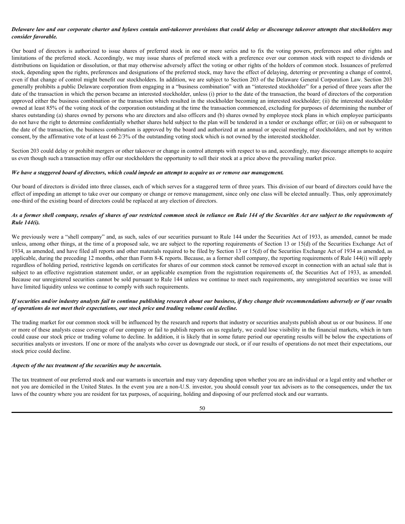# *Delaware law and our corporate charter and bylaws contain anti-takeover provisions that could delay or discourage takeover attempts that stockholders may consider favorable.*

**Delaware law and our corporate charter and bylaws contain anti-takeover provisions that could delay or discourage takeover attempts that stockholders may consider favorable.<br>Our board of directors is authorized to issue s** limitations of the preferred stock. Accordingly, we may issue shares of preferred stock with a preference over our common stock with respect to dividends or distributions on liquidation or dissolution, or that may otherwise adversely affect the voting or other rights of the holders of common stock. Issuances of preferred stock, depending upon the rights, preferences and designations of the preferred stock, may have the effect of delaying, deterring or preventing a change of control, even if that change of control might benefit our stockholders. In addition, we are subject to Section 203 of the Delaware General Corporation Law. Section 203 generally prohibits a public Delaware corporation from engaging in a "business combination" with an "interested stockholder" for a period of three years after the date of the transaction in which the person became an interested stockholder, unless (i) prior to the date of the transaction, the board of directors of the corporation approved either the business combination or the transaction which resulted in the stockholder becoming an interested stockholder; (ii) the interested stockholder owned at least 85% of the voting stock of the corporation outstanding at the time the transaction commenced, excluding for purposes of determining the number of shares outstanding (a) shares owned by persons who are directors and also officers and (b) shares owned by employee stock plans in which employee participants do not have the right to determine confidentially whether shares held subject to the plan will be tendered in a tender or exchange offer; or (iii) on or subsequent to the date of the transaction, the business combination is approved by the board and authorized at an annual or special meeting of stockholders, and not by written consent, by the affirmative vote of at least 66 2/3% of the outstanding voting stock which is not owned by the interested stockholder.

Section 203 could delay or prohibit mergers or other takeover or change in control attempts with respect to us and, accordingly, may discourage attempts to acquire us even though such a transaction may offer our stockholders the opportunity to sell their stock at a price above the prevailing market price.

# *We have a staggered board of directors, which could impede an attempt to acquire us or remove our management.*

Our board of directors is divided into three classes, each of which serves for a staggered term of three years. This division of our board of directors could have the effect of impeding an attempt to take over our company or change or remove management, since only one class will be elected annually. Thus, only approximately one-third of the existing board of directors could be replaced at any election of directors.

# *As a former shell company, resales of shares of our restricted common stock in reliance on Rule 144 of the Securities Act are subject to the requirements of Rule 144(i).*

We previously were a "shell company" and, as such, sales of our securities pursuant to Rule 144 under the Securities Act of 1933, as amended, cannot be made unless, among other things, at the time of a proposed sale, we are subject to the reporting requirements of Section 13 or 15(d) of the Securities Exchange Act of 1934, as amended, and have filed all reports and other materials required to be filed by Section 13 or 15(d) of the Securities Exchange Act of 1934 as amended, as applicable, during the preceding 12 months, other than Form 8-K reports. Because, as a former shell company, the reporting requirements of Rule 144(i) will apply regardless of holding period, restrictive legends on certificates for shares of our common stock cannot be removed except in connection with an actual sale that is subject to an effective registration statement under, or an applicable exemption from the registration requirements of, the Securities Act of 1933, as amended. Because our unregistered securities cannot be sold pursuant to Rule 144 unless we continue to meet such requirements, any unregistered securities we issue will have limited liquidity unless we continue to comply with such requirements.

# *If securities and/or industry analysts fail to continue publishing research about our business, if they change their recommendations adversely or if our results of operations do not meet their expectations, our stock price and trading volume could decline.*

The trading market for our common stock will be influenced by the research and reports that industry or securities analysts publish about us or our business. If one or more of these analysts cease coverage of our company or fail to publish reports on us regularly, we could lose visibility in the financial markets, which in turn could cause our stock price or trading volume to decline. In addition, it is likely that in some future period our operating results will be below the expectations of securities analysts or investors. If one or more of the analysts who cover us downgrade our stock, or if our results of operations do not meet their expectations, our stock price could decline.

# *Aspects of the tax treatment of the securities may be uncertain.*

The tax treatment of our preferred stock and our warrants is uncertain and may vary depending upon whether you are an individual or a legal entity and whether or not you are domiciled in the United States. In the event you are a non-U.S. investor, you should consult your tax advisors as to the consequences, under the tax laws of the country where you are resident for tax purposes, of acquiring, holding and disposing of our preferred stock and our warrants.

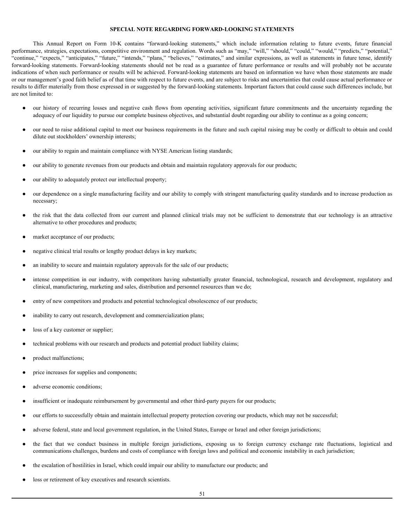# **SPECIAL NOTE REGARDING FORWARD-LOOKING STATEMENTS**

**SPECIAL NOTE REGARDING FORWARD-LOOKING STATEMENTS**<br>This Annual Report on Form 10-K contains "forward-looking statements," which include information relating to future events, future financial<br>nece, strategies, expectation performance, strategies, expectations, competitive environment and regulation. Words such as "may," "will," "should," "could," "would," "predicts," "potential," "continue," "expects," "anticipates," "future," "intends," "plans," "believes," "estimates," and similar expressions, as well as statements in future tense, identify<br>forward-looking statements. Forward-looking statements s **SPECIAL NOTE REGARDING FORWARD-LOOKING STATEMENTS**<br>
This Amual Report on Form 10-K contains "forward-looking statements," which include information relating to future events, future financial<br>
performance, strategies, exp indications of when such performance or results will be achieved. Forward-looking statements are based on information we have when those statements are made or our management's good faith belief as of that time with respect to future events, and are subject to risks and uncertainties that could cause actual performance or results to differ materially from those expressed in or suggested by the forward-looking statements. Important factors that could cause such differences include, but are not limited to: **SPECIAL NOTE REGARDING FORWARD-LOOKING STATEMENTS**<br>
This Annual Report on Form 10-K contains "forward-booking statements," which include information relating to future events, future financial<br>
primate, "records," "antici SPECIAL NOTE REGARDING FORWARD-LODGING STATEMENTS<br>
SURFACT TRISK CONDITION CONTINUE TO THE CONDITION CONTINUE TO THE CONDITION CONTINUE TO THE CONDITIONAL CONDITION CONDITION CONDITION CONDITION CONDITION CONDITION CONDIT and booking fationsits. Fortunid-booking stantonics about last be read as a guarantee of fation portionance or results and with the competent in the competent in the competent in the competent in the competent in and the c

- adequacy of our liquidity to pursue our complete business objectives, and substantial doubt regarding our ability to continue as a going concern;
- our need to raise additional capital to meet our business requirements in the future and such capital raising may be costly or difficult to obtain and could dilute out stockholders' ownership interests;
- our ability to regain and maintain compliance with NYSE American listing standards;
- our ability to generate revenues from our products and obtain and maintain regulatory approvals for our products;
- our ability to adequately protect our intellectual property;
- our dependence on a single manufacturing facility and our ability to comply with stringent manufacturing quality standards and to increase production as necessary;
- alternative to other procedures and products;
- market acceptance of our products;
- negative clinical trial results or lengthy product delays in key markets;
- an inability to secure and maintain regulatory approvals for the sale of our products;
- clinical, manufacturing, marketing and sales, distribution and personnel resources than we do; ● mathet acceptance of our products;<br>
■ that is the secure and mathematic regulatory approvals for the sale of our products:<br>
an ainebility to secure anoten mathematic regulatory approvals for the sale of our products:<br>
- entry of new competitors and products and potential technological obsolescence of our products;
- inability to carry out research, development and commercialization plans;
- loss of a key customer or supplier;
- technical problems with our research and products and potential product liability claims;
- product malfunctions;
- price increases for supplies and components;
- adverse economic conditions;
- insufficient or inadequate reimbursement by governmental and other third-party payers for our products;
- our efforts to successfully obtain and maintain intellectual property protection covering our products, which may not be successful;
- adverse federal, state and local government regulation, in the United States, Europe or Israel and other foreign jurisdictions;
- communications challenges, burdens and costs of compliance with foreign laws and political and economic instability in each jurisdiction;
- the escalation of hostilities in Israel, which could impair our ability to manufacture our products; and
- loss or retirement of key executives and research scientists.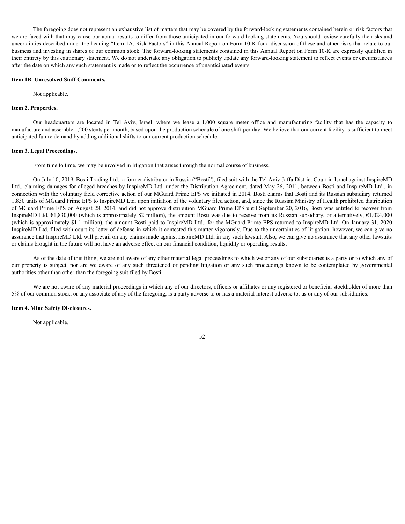The foregoing does not represent an exhaustive list of matters that may be covered by the forward-looking statements contained herein or risk factors that we are faced with that may cause our actual results to differ from those anticipated in our forward-looking statements. You should review carefully the risks and uncertainties described under the heading "Item 1A. Risk Factors" in this Annual Report on Form 10-K for a discussion of these and other risks that relate to our business and investing in shares of our common stock. The forward-looking statements contained in this Annual Report on Form 10-K are expressly qualified in their entirety by this cautionary statement. We do not undertake any obligation to publicly update any forward-looking statement to reflect events or circumstances after the date on which any such statement is made or to reflect the occurrence of unanticipated events. The foregoing does not represent an exhaustive list of matters that may be covered by the forward-looking statements contained herein or risk factors that<br>eded with that may cause our actual results to differ from those an

# **Item 1B. Unresolved Staff Comments.**

Not applicable.

# **Item 2. Properties.**

manufacture and assemble 1,200 stents per month, based upon the production schedule of one shift per day. We believe that our current facility is sufficient to meet anticipated future demand by adding additional shifts to our current production schedule.

#### **Item 3. Legal Proceedings.**

From time to time, we may be involved in litigation that arises through the normal course of business.

On July 10, 2019, Bosti Trading Ltd., a former distributor in Russia ("Bosti"), filed suit with the Tel Aviv-Jaffa District Court in Israel against InspireMD Ltd., claiming damages for alleged breaches by InspireMD Ltd. under the Distribution Agreement, dated May 26, 2011, between Bosti and InspireMD Ltd., in connection with the voluntary field corrective action of our MGuard Prime EPS we initiated in 2014. Bosti claims that Bosti and its Russian subsidiary returned 1,830 units of MGuard Prime EPS to InspireMD Ltd. upon initiation of the voluntary filed action, and, since the Russian Ministry of Health prohibited distribution of MGuard Prime EPS on August 28, 2014, and did not approve distribution MGuard Prime EPS until September 20, 2016, Bosti was entitled to recover from InspireMD Ltd. €1,830,000 (which is approximately \$2 million), the amount Bosti was due to receive from its Russian subsidiary, or alternatively, €1,024,000 (which is approximately \$1.1 million), the amount Bosti paid to InspireMD Ltd., for the MGuard Prime EPS returned to InspireMD Ltd. On January 31, 2020 InspireMD Ltd. filed with court its letter of defense in which it contested this matter vigorously. Due to the uncertainties of litigation, however, we can give no assurance that InspireMD Ltd. will prevail on any claims made against InspireMD Ltd. in any such lawsuit. Also, we can give no assurance that any other lawsuits or claims brought in the future will not have an adverse effect on our financial condition, liquidity or operating results. houres, and twenties in shows of are are normalisation and The forward-loading interiminas in the Communication in the same of the contemporary the contemporary subject in a subject of the contemporary of the contemporary

As of the date of this filing, we are not aware of any other material legal proceedings to which we or any of our subsidiaries is a party or to which any of authorities other than other than the foregoing suit filed by Bosti.

We are not aware of any material proceedings in which any of our directors, officers or affiliates or any registered or beneficial stockholder of more than 5% of our common stock, or any associate of any of the foregoing, is a party adverse to or has a material interest adverse to, us or any of our subsidiaries.

#### **Item 4. Mine Safety Disclosures.**

Not applicable.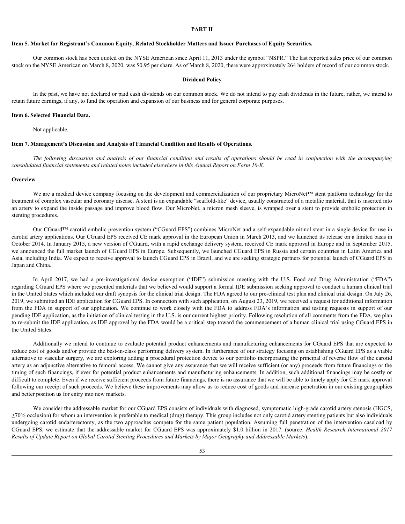#### **PART II**

### **Item 5. Market for Registrant's Common Equity, Related Stockholder Matters and Issuer Purchases of Equity Securities.**

Our common stock has been quoted on the NYSE American since April 11, 2013 under the symbol "NSPR." The last reported sales price of our common stock on the NYSE American on March 8, 2020, was \$0.95 per share. As of March 8, 2020, there were approximately 264 holders of record of our common stock.

#### **Dividend Policy**

In the past, we have not declared or paid cash dividends on our common stock. We do not intend to pay cash dividends in the future, rather, we intend to retain future earnings, if any, to fund the operation and expansion of our business and for general corporate purposes.

#### **Item 6. Selected Financial Data.**

Not applicable.

#### **Item 7. Management's Discussion and Analysis of Financial Condition and Results of Operations.**

*consolidated financial statements and related notes included elsewhere in this Annual Report on Form 10-K.*

#### **Overview Overview** *Overview*

**THE FOLLOW THE FOLLOW TE COMMON CONTROL CONTROL CONTROL TENT CONTROL TENT CONTROL TENT CONTROL TENT CONTROL TENT CONTROL TENT CONTROL TENT CONTROL TENT CONTROL TENT CONTROL TENT CONTROL TENT CONTROL TENT CONTROL TENT CONT** We are a medical device company focusing on the development and commercialization of our proprietary MicroNet™ stent platform technology for the treatment of complex vascular and coronary disease. A stent is an expandable "scaffold-like" device, usually constructed of a metallic material, that is inserted into an artery to expand the inside passage and improve blood flow. Our MicroNet, a micron mesh sleeve, is wrapped over a stent to provide embolic protection in stenting procedures.

Our CGuard™ carotid embolic prevention system ("CGuard EPS") combines MicroNet and a self-expandable nitinol stent in a single device for use in carotid artery applications. Our CGuard EPS received CE mark approval in the European Union in March 2013, and we launched its release on a limited basis in October 2014. In January 2015, a new version of CGuard, with a rapid exchange delivery system, received CE mark approval in Europe and in September 2015, we announced the full market launch of CGuard EPS in Europe. Subsequently, we launched CGuard EPS in Russia and certain countries in Latin America and Asia, including India. We expect to receive approval to launch CGuard EPS in Brazil, and we are seeking strategic partners for potential launch of CGuard EPS in Japan and China.

In NYSE American on March 5, 2020, was \$0.95 per share. As of March 8, 2020, there were approximately 264 holders of reserved of sure consumer stock.<br>
In the past, we have not declared reported and dividends on our common regarding CGuard EPS where we presented materials that we believed would support a formal IDE submission seeking approval to conduct a human clinical trial in the United States which included our draft synopsis for the clinical trial design. The FDA agreed to our pre-clinical test plan and clinical trial design. On July 26, 2019, we submitted an IDE application for CGuard EPS. In connection with such application, on August 23, 2019, we received a request for additional information in the patt, we have not declined to paid each dividends on our common anode. We do not intend to pay each dividends in the function in the payer of our application. Nameprosed is a specification and continue to pay intere pending IDE application, as the initiation of clinical testing in the U.S. is our current highest priority. Following resolution of all comments from the FDA, we plan to re-submit the IDE application, as IDE approval by the FDA would be a critical step toward the commencement of a human clinical trial using CGuard EPS in the United States. undergy to expect to solido patiency and impress blood from . Our Microble, a microm noth laster, is wapped over a start to preside coloric political in the same patient of the same patient of the two approximates competen coming presentes.<br>
Con CGuard <sup>ou</sup> catolic distributed is stressed to mask approval in the interpolations able stimate for add a self-expandible priori since is a simulately that a self-expandible priori is a simulately th

Additionally we intend to continue to evaluate potential product enhancements and manufacturing enhancements for CGuard EPS that are expected to reduce cost of goods and/or provide the best-in-class performing delivery system. In furtherance of our strategy focusing on establishing CGuard EPS as a viable alternative to vascular surgery, we are exploring adding a procedural protection device to our portfolio incorporating the principal of reverse flow of the carotid artery as an adjunctive alternative to femoral access. We cannot give any assurance that we will receive sufficient (or any) proceeds from future financings or the timing of such financings, if ever for potential product enhancements and manufacturing enhancements. In addition, such additional financings may be costly or difficult to complete. Even if we receive sufficient proceeds from future financings, there is no assurance that we will be able to timely apply for CE mark approval following our receipt of such proceeds. We believe these improvements may allow us to reduce cost of goods and increase penetration in our existing geographies and better position us for entry into new markets.

We consider the addressable market for our CGuard EPS consists of individuals with diagnosed, symptomatic high-grade carotid artery stenosis (HGCS,  $\geq$ 70% occlusion) for whom an intervention is preferable to medical (drug) therapy. This group includes not only carotid artery stenting patients but also individuals *Results of Update Report on Global Carotid Stenting Procedures and Markets by Major Geography and Addressable Markets*).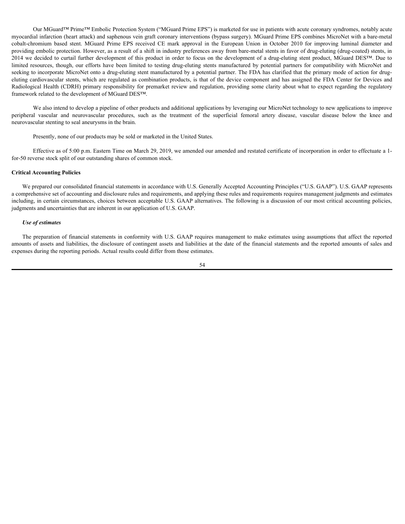Our MGuard™ Prime™ Embolic Protection System ("MGuard Prime EPS") is marketed for use in patients with acute coronary syndromes, notably acute myocardial infarction (heart attack) and saphenous vein graft coronary interventions (bypass surgery). MGuard Prime EPS combines MicroNet with a bare-metal Our MGuard<sup>TM</sup> Prime<sup>TM</sup> Embolic Protection System ("MGuard Prime EPS") is marketed for use in patients with acute coronary syndromes, notably acute<br>myocardial infarction (heart attack) and saphenous vein graft coronary in providing embolic protection. However, as a result of a shift in industry preferences away from bare-metal stents in favor of drug-eluting (drug-coated) stents, in 2014 we decided to curtail further development of this product in order to focus on the development of a drug-eluting stent product, MGuard DES™. Due to Our MGuard<sup>TM</sup> Prime<sup>TM</sup> Embolic Protection System ("MGuard Prime EPS") is marketed for use in patients with acute coronary syndromes, notably acute<br>cobalt-chronium based stent. MGuard Prime EPS received CE mark approval i seeking to incorporate MicroNet onto a drug-eluting stent manufactured by a potential partner. The FDA has clarified that the primary mode of action for drugeluting cardiovascular stents, which are regulated as combination products, is that of the device component and has assigned the FDA Center for Devices and Radiological Health (CDRH) primary responsibility for premarket review and regulation, providing some clarity about what to expect regarding the regulatory framework related to the development of MGuard DES™. Our MGuard<sup>ro,</sup> Prime<sup>nt</sup> Embolic Protection System ("MGuard Prime EPS") is marketed for use in patients with actue coromary syndromes, notably acute<br>myocardial infaction (heart attack) and suphenous vein graft coronary in

We also intend to develop a pipeline of other products and additional applications by leveraging our MicroNet technology to new applications to improve neurovascular stenting to seal aneurysms in the brain.

Presently, none of our products may be sold or marketed in the United States.

Effective as of 5:00 p.m. Eastern Time on March 29, 2019, we amended our amended and restated certificate of incorporation in order to effectuate a 1 for-50 reverse stock split of our outstanding shares of common stock.

#### **Critical Accounting Policies**

We prepared our consolidated financial statements in accordance with U.S. Generally Accepted Accounting Principles ("U.S. GAAP"). U.S. GAAP represents a comprehensive set of accounting and disclosure rules and requirements, and applying these rules and requirements requires management judgments and estimates including, in certain circumstances, choices between acceptable U.S. GAAP alternatives. The following is a discussion of our most critical accounting policies, judgments and uncertainties that are inherent in our application of U.S. GAAP.

### *Use of estimates*

The preparation of financial statements in conformity with U.S. GAAP requires management to make estimates using assumptions that affect the reported amounts of assets and liabilities, the disclosure of contingent assets and liabilities at the date of the financial statements and the reported amounts of sales and expenses during the reporting periods. Actual results could differ from those estimates.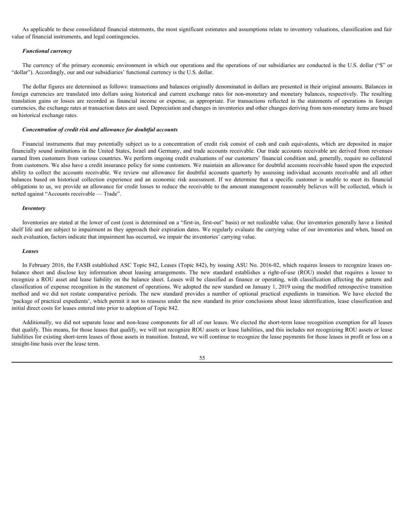As applicable to these consolidated financial statements, the most significant estimates and assumptions relate to inventory valuations, classification and fair value of financial instruments, and legal contingencies.

#### *Functional currency*

The currency of the primary economic environment in which our operations and the operations of our subsidiaries are conducted is the U.S. dollar ("\$" or "dollar"). Accordingly, our and our subsidiaries' functional currency is the U.S. dollar.

The dollar figures are determined as follows: transactions and balances originally denominated in dollars are presented in their original amounts. Balances in As applicable to these consolidated financial statements, the most significant estimates and assumptions relate to inventory valuations, classification and fair valuation of financial instruments, and legal contingencies. As applicable to these consolidated financial statements, the most significant estimates and assumptions relate to inventory valuations, classification and fair value of financial instruments, and legal contingencies.<br> **F** currencies, the exchange rates at transaction dates are used. Depreciation and changes in inventories and other changes deriving from non-monetary items are based on historical exchange rates.

#### *Concentration of credit risk and allowance for doubtful accounts*

As applicable to these consolidated financial statements, the most significant estimates and assumptions relate to inventory valuations, classification and fair of the mancal instruments, and legal contingencies.<br> **Functio** financially sound institutions in the United States, Israel and Germany, and trade accounts receivable. Our trade accounts receivable are derived from revenues earned from customers from various countries. We perform ongoing credit evaluations of our customers' financial condition and, generally, require no collateral from customers. We also have a credit insurance policy for some customers. We maintain an allowance for doubtful accounts receivable based upon the expected As applicable to these consolidated flamental statements, the most significant estimates and assumptions relate to inventory valuations, classification and flare  $P$  and the functional currency and legal continguous colle As applicable to these consolidated financial statements, the most significant estimates and assumptions celare to inventory valuations, classification and fair original difference of the periodic original method of the p obligations to us, we provide an allowance for credit losses to reduce the receivable to the amount management reasonably believes will be collected, which is netted against "Accounts receivable — Trade". The currency of the primary constants are<br>isomore are constant an which of the constant arrangements in the last of the sheet of the sheet of the sheet of the<br>sheet and our product in the constant and the sheet of the she The current of the primary sourcine are which are proportionate in the balance and the spectral in the balance sheet. The collect the pattern in the collect and the step of the collect and the step of the step of the step The dollar figures are determined as follows: transicions and balance originally detontioned in determined in comparative and anomary balance of properties. For the notation and anomary balance, respectively. The restate

#### *Inventory*

Inventories are stated at the lower of cost (cost is determined on a "first-in, first-out" basis) or net realizable value. Our inventories generally have a limited shelf life and are subject to impairment as they approach their expiration dates. We regularly evaluate the carrying value of our inventories and when, based on such evaluation, factors indicate that impairment has occurred, we impair the inventories' carrying value.

#### *Leases*

In February 2016, the FASB established ASC Topic 842, Leases (Topic 842), by issuing ASU No. 2016-02, which requires lessees to recognize leases onclassification of expense recognition in the statement of operations. We adopted the new standard on January 1, 2019 using the modified retrospective transition 'package of practical expedients', which permit it not to reassess under the new standard its prior conclusions about lease identification, lease classification and initial direct costs for leases entered into prior to adoption of Topic 842.

Additionally, we did not separate lease and non-lease components for all of our leases. We elected the short-term lease recognition exemption for all leases that qualify. This means, for those leases that qualify, we will not recognize ROU assets or lease liabilities, and this includes not recognizing ROU assets or lease liabilities for existing short-term leases of those assets in transition. Instead, we will continue to recognize the lease payments for those leases in profit or loss on a straight-line basis over the lease term.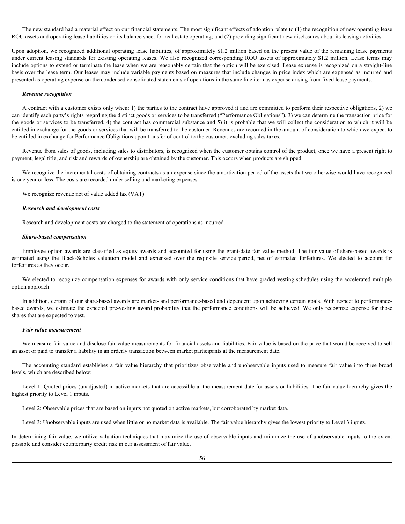The new standard had a material effect on our financial statements. The most significant effects of adoption relate to (1) the recognition of new operating lease ROU assets and operating lease liabilities on its balance sheet for real estate operating; and (2) providing significant new disclosures about its leasing activities.

Upon adoption, we recognized additional operating lease liabilities, of approximately \$1.2 million based on the present value of the remaining lease payments The new standard had a material effect on our financial statements. The most significant effects of adoption relate to (1) the recognition of new operating lease<br>ROU assets and operating lease liabilities on its balance sh include options to extend or terminate the lease when we are reasonably certain that the option will be exercised. Lease expense is recognized on a straight-line basis over the lease term. Our leases may include variable payments based on measures that include changes in price index which are expensed as incurred and presented as operating expense on the condensed consolidated statements of operations in the same line item as expense arising from fixed lease payments. Upon aboption, we receptived additional operating lease liabilities, of approximately \$1.2 million based on the present value of the remaining leases two models. We also requise a sympathing from the sing smaller for cont

#### *Revenue recognition*

A contract with a customer exists only when: 1) the parties to the contract have approved it and are committed to perform their respective obligations, 2) we can identify each party's rights regarding the distinct goods or services to be transferred ("Performance Obligations"), 3) we can determine the transaction price for the goods or services to be transferred, 4) the contract has commercial substance and 5) it is probable that we will collect the consideration to which it will be entitled in exchange for the goods or services that will be transferred to the customer. Revenues are recorded in the amount of consideration to which we expect to be entitled in exchange for Performance Obligations upon transfer of control to the customer, excluding sales taxes. **Beyonde recognizes** content only when: I) the parties to the expected and are contrained by profits and the expected probability that the experiments of the control of the experiments, is well controlled the experiments

Revenue from sales of goods, including sales to distributors, is recognized when the customer obtains control of the product, once we have a present right to payment, legal title, and risk and rewards of ownership are obtained by the customer. This occurs when products are shipped.

We recognize the incremental costs of obtaining contracts as an expense since the amortization period of the assets that we otherwise would have recognized is one year or less. The costs are recorded under selling and marketing expenses.

We recognize revenue net of value added tax (VAT).

#### *Research and development costs*

Research and development costs are charged to the statement of operations as incurred.

#### *Share-based compensation*

Employee option awards are classified as equity awards and accounted for using the grant-date fair value method. The fair value of share-based awards is forfeitures as they occur.

We elected to recognize compensation expenses for awards with only service conditions that have graded vesting schedules using the accelerated multiple option approach.

In addition, certain of our share-based awards are market- and performance-based and dependent upon achieving certain goals. With respect to performanceshares that are expected to vest. Recent from arises of goods, recluding sales to distribute by the causion of the he counter obtains control of the product. once we have a present right to Network the computer of the counter of the counter of the control

#### *Fair value measurement*

We measure fair value and disclose fair value measurements for financial assets and liabilities. Fair value is based on the price that would be received to sell an asset or paid to transfer a liability in an orderly transaction between market participants at the measurement date.

levels, which are described below:

Level 1: Quoted prices (unadjusted) in active markets that are accessible at the measurement date for assets or liabilities. The fair value hierarchy gives the highest priority to Level 1 inputs.

Level 2: Observable prices that are based on inputs not quoted on active markets, but corroborated by market data.

Level 3: Unobservable inputs are used when little or no market data is available. The fair value hierarchy gives the lowest priority to Level 3 inputs.

In determining fair value, we utilize valuation techniques that maximize the use of observable inputs and minimize the use of unobservable inputs to the extent possible and consider counterparty credit risk in our assessment of fair value.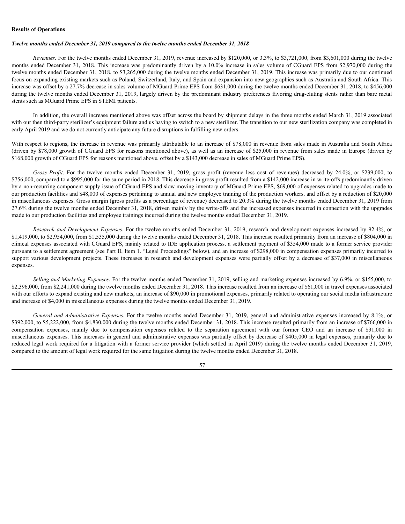#### **Results of Operations**

#### *Twelve months ended December 31, 2019 compared to the twelve months ended December 31, 2018*

*Revenues*. For the twelve months ended December 31, 2019, revenue increased by \$120,000, or 3.3%, to \$3,721,000, from \$3,601,000 during the twelve **Exaults of Operations**<br> **Twelve months ended December 31, 2019 compared to the twelve months ended December 31, 2018**<br> **Revenues.** For the twelve months ended December 31, 2019, revenue increased by \$120,000, or 3.3%, to twelve months ended December 31, 2018, to \$3,265,000 during the twelve months ended December 31, 2019. This increase was primarily due to our continued focus on expanding existing markets such as Poland, Switzerland, Italy, and Spain and expansion into new geographies such as Australia and South Africa. This increase was offset by a 27.7% decrease in sales volume of MGuard Prime EPS from \$631,000 during the twelve months ended December 31, 2018, to \$456,000 during the twelve months ended December 31, 2019, largely driven by the predominant industry preferences favoring drug-eluting stents rather than bare metal stents such as MGuard Prime EPS in STEMI patients. **Gross Architectures**<br> **Grossmace**. For the twelve months ended December 31, 2019, revenue increased by \$120,000, or 3,3%, to \$3,721,000, from \$3,601,000 during the twelve<br> *Gross Recentine* 31, 2019, This increase was pro *R* **Operations**<br> *Research* can be educative and the control months ended December 31, 2018<br> *Recenter and Development 31, 2019, present arcroased by \$120,100, et 3.3%, us \$3,721,000, burns \$2,601,000 damp the twelve t* Twelve mumbe ended December 31, 3019 compared to the twelve mumbe, which freember 31, 2010, were increased by 51,200, 000, 04 33%, to 53.71,000, then in Support increases the substitute of the twelve mumber of Columb 11%

In addition, the overall increase mentioned above was offset across the board by shipment delays in the three months ended March 31, 2019 associated with our then third-party sterilizer's equipment failure and us having to switch to a new sterilizer. The transition to our new sterilization company was completed in early April 2019 and we do not currently anticipate any future disruptions in fulfilling new orders.

With respect to regions, the increase in revenue was primarily attributable to an increase of \$78,000 in revenue from sales made in Australia and South Africa (driven by \$78,000 growth of CGuard EPS for reasons mentioned above), as well as an increase of \$25,000 in revenue from sales made in Europe (driven by \$168,000 growth of CGuard EPS for reasons mentioned above, offset by a \$143,000 decrease in sales of MGuard Prime EPS).

\$756,000, compared to a \$995,000 for the same period in 2018. This decrease in gross profit resulted from a \$142,000 increase in write-offs predominantly driven by a non-recurring component supply issue of CGuard EPS and slow moving inventory of MGuard Prime EPS, \$69,000 of expenses related to upgrades made to our production facilities and \$48,000 of expenses pertaining to annual and new employee training of the production workers, and offset by a reduction of \$20,000 in miscellaneous expenses. Gross margin (gross profits as a percentage of revenue) decreased to 20.3% during the twelve months ended December 31, 2019 from 27.6% during the twelve months ended December 31, 2018, driven mainly by the write-offs and the increased expenses incurred in connection with the upgrades made to our production facilities and employee trainings incurred during the twelve months ended December 31, 2019. due at Nuasi (Pinne EPS in STEMI patients.<br>
An addition, for overall interest encouled above was offer across the beard by shippered delays in the three particulation company and constrained about and Solid and Solid and S In addition be even through a measure when the set and a series to be the best above to the the the set are momental to the National CEO and a measure of the set are the set are the set are the set are the set are the set

\$1,419,000, to \$2,954,000, from \$1,535,000 during the twelve months ended December 31, 2018. This increase resulted primarily from an increase of \$804,000 in clinical expenses associated with CGuard EPS, mainly related to IDE application process, a settlement payment of \$354,000 made to a former service provider pursuant to a settlement agreement (see Part II, Item 1. "Legal Proceedings" below), and an increase of \$298,000 in compensation expenses primarily incurred to expenses.

*Selling and Marketing Expenses*. For the twelve months ended December 31, 2019, selling and marketing expenses increased by 6.9%, or \$155,000, to \$2,396,000, from \$2,241,000 during the twelve months ended December 31, 2018. This increase resulted from an increase of \$61,000 in travel expenses associated with our efforts to expand existing and new markets, an increase of \$90,000 in promotional expenses, primarily related to operating our social media infrastructure and increase of \$4,000 in miscellaneous expenses during the twelve months ended December 31, 2019.

\$392,000, to \$5,222,000, from \$4,830,000 during the twelve months ended December 31, 2018. This increase resulted primarily from an increase of \$766,000 in miscellaneous expenses. This increases in general and administrative expenses was partially offset by decrease of \$405,000 in legal expenses, primarily due to reduced legal work required for a litigation with a former service provider (which settled in April 2019) during the twelve months ended December 31, 2019, compared to the amount of legal work required for the same litigation during the twelve months ended December 31, 2018.

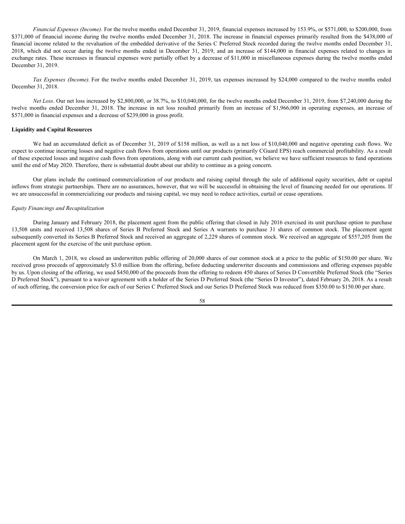*Financial Expenses (Income)*. For the twelve months ended December 31, 2019, financial expenses increased by 153.9%, or \$571,000, to \$200,000, from \$371,000 of financial income during the twelve months ended December 31, 2018. The increase in financial expenses primarily resulted from the \$438,000 of financial income related to the revaluation of the embedded derivative of the Series C Preferred Stock recorded during the twelve months ended December 31, *Financial Expenses (Income)*. For the twelve months ended December 31, 2019, financial expenses increased by 153.9%, or \$571,000, to \$200,000, from<br>
\$371,000 of financial income related to the evaluation of the embedded exchange rates. These increases in financial expenses were partially offset by a decrease of \$11,000 in miscellaneous expenses during the twelve months ended December 31, 2019. *Tinancial Expenses (Income)*. For the twelve months ended December 31, 2019, financial expenses increased by 153.9%, or \$571,000, to \$200,000, from of financial income during the twelve months ended December 31, 2018. The *Financial Expenses (Income)*. For the twelve months ended December 31, 2019, financial expenses increased by 153.9%, or \$571,000, to \$200,000, from<br>
\$371,000 of financial income during the twelve months ended December 31 571, *Dimensial Expense Greenty*). For the vector models coded December 31, 2019. The interests in Francisi represent models from the Series December 31, 2018. The interests in Francisi represent models from the SAS600 of

December 31, 2018.

*Net Loss*. Our net loss increased by \$2,800,000, or 38.7%, to \$10,040,000, for the twelve months ended December 31, 2019, from \$7,240,000 during the \$571,000 in financial expenses and a decrease of \$239,000 in gross profit.

#### **Liquidity and Capital Resources**

We had an accumulated deficit as of December 31, 2019 of \$158 million, as well as a net loss of \$10,040,000 and negative operating cash flows. We expect to continue incurring losses and negative cash flows from operations until our products (primarily CGuard EPS) reach commercial profitability. As a result of these expected losses and negative cash flows from operations, along with our current cash position, we believe we have sufficient resources to fund operations until the end of May 2020. Therefore, there is substantial doubt about our ability to continue as a going concern.

Our plans include the continued commercialization of our products and raising capital through the sale of additional equity securities, debt or capital inflows from strategic partnerships. There are no assurances, however, that we will be successful in obtaining the level of financing needed for our operations. If we are unsuccessful in commercializing our products and raising capital, we may need to reduce activities, curtail or cease operations.

### *Equity Financings and Recapitalization*

During January and February 2018, the placement agent from the public offering that closed in July 2016 exercised its unit purchase option to purchase subsequently converted its Series B Preferred Stock and received an aggregate of 2,229 shares of common stock. We received an aggregate of \$557,205 from the placement agent for the exercise of the unit purchase option.

On March 1, 2018, we closed an underwritten public offering of 20,000 shares of our common stock at a price to the public of \$150.00 per share. We received gross proceeds of approximately \$3.0 million from the offering, before deducting underwriter discounts and commissions and offering expenses payable by us. Upon closing of the offering, we used \$450,000 of the proceeds from the offering to redeem 450 shares of Series D Convertible Preferred Stock (the "Series D Preferred Stock"), pursuant to a waiver agreement with a holder of the Series D Preferred Stock (the "Series D Investor"), dated February 26, 2018. As a result of such offering, the conversion price for each of our Series C Preferred Stock and our Series D Preferred Stock was reduced from \$350.00 to \$150.00 per share.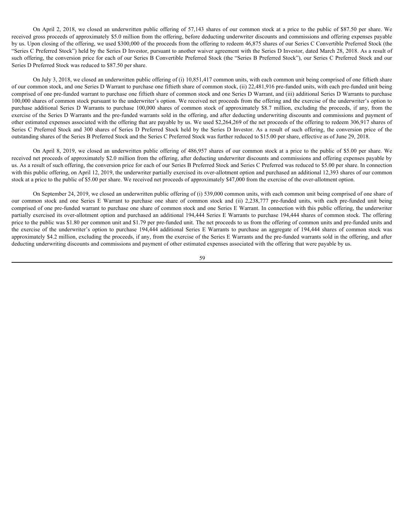On April 2, 2018, we closed an underwritten public offering of 57,143 shares of our common stock at a price to the public of \$87.50 per share. We received gross proceeds of approximately \$5.0 million from the offering, before deducting underwriter discounts and commissions and offering expenses payable by us. Upon closing of the offering, we used \$300,000 of the proceeds from the offering to redeem 46,875 shares of our Series C Convertible Preferred Stock (the "Series C Preferred Stock") held by the Series D Investor, pursuant to another waiver agreement with the Series D Investor, dated March 28, 2018. As a result of such offering, the conversion price for each of our Series B Convertible Preferred Stock (the "Series B Preferred Stock"), our Series C Preferred Stock and our Series D Preferred Stock was reduced to \$87.50 per share.

On July 3, 2018, we closed an underwritten public offering of (i) 10,851,417 common units, with each common unit being comprised of one fiftieth share of our common stock, and one Series D Warrant to purchase one fiftieth share of common stock, (ii) 22,481,916 pre-funded units, with each pre-funded unit being comprised of one pre-funded warrant to purchase one fiftieth share of common stock and one Series D Warrant, and (iii) additional Series D Warrants to purchase 100,000 shares of common stock pursuant to the underwriter's option. We received net proceeds from the offering and the exercise of the underwriter's option to On April 2, 2018, we closed an underwritten public offering of 57,143 shares of our common stock at a price to the public of \$87.50 per share. We received gross proceeds of approximately S5.0 million from the offering, te exercise of the Series D Warrants and the pre-funded warrants sold in the offering, and after deducting underwriting discounts and commissions and payment of other estimated expenses associated with the offering that are payable by us. We used \$2,264,269 of the net proceeds of the offering to redeem 306,917 shares of On April 2, 2018, we closed an underwriten public offering of 57,143 shares of our common stock at a price to the public of \$87.50 per share. We precised for approximately \$5.0 million from the offering, before cludicing outstanding shares of the Series B Preferred Stock and the Series C Preferred Stock was further reduced to \$15.00 per share, effective as of June 29, 2018. On Apil 2. 2018, we closed an underwritten public offering of 57,143 shares of our common stock at a price to the public of \$57.9 per share. We be ut (ivo and one may be commonly discussed and commissions and commissions On April 2. 2018, we closed an underwriter public offering of 57.445 altaxe of our contract and one methods on the free the public of the public of \$87.50 per since. We consider the control of the public of the public of

On April 8, 2019, we closed an underwritten public offering of 486,957 shares of our common stock at a price to the public of \$5.00 per share. We received net proceeds of approximately \$2.0 million from the offering, after deducting underwriter discounts and commissions and offering expenses payable by us. As a result of such offering, the conversion price for each of our Series B Preferred Stock and Series C Preferred was reduced to \$5.00 per share. In connection with this public offering, on April 12, 2019, the underwriter partially exercised its over-allotment option and purchased an additional 12,393 shares of our common stock at a price to the public of \$5.00 per share. We received net proceeds of approximately \$47,000 from the exercise of the over-allotment option.

On September 24, 2019, we closed an underwritten public offering of (i) 539,000 common units, with each common unit being comprised of one share of comprised of one pre-funded warrant to purchase one share of common stock and one Series E Warrant. In connection with this public offering, the underwriter partially exercised its over-allotment option and purchased an additional 194,444 Series E Warrants to purchase 194,444 shares of common stock. The offering price to the public was \$1.80 per common unit and \$1.79 per pre-funded unit. The net proceeds to us from the offering of common units and pre-funded units and approximately \$4.2 million, excluding the proceeds, if any, from the exercise of the Series E Warrants and the pre-funded warrants sold in the offering, and after deducting underwriting discounts and commissions and payment of other estimated expenses associated with the offering that were payable by us.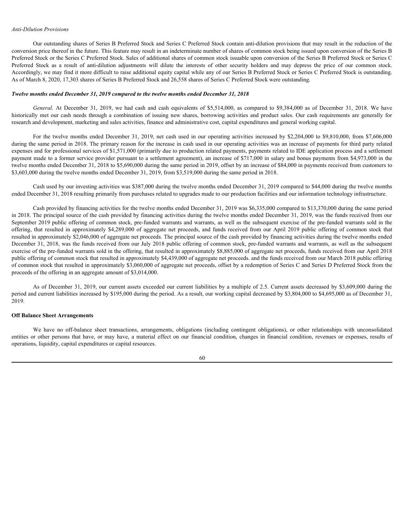#### *Anti-Dilution Provisions*

Our outstanding shares of Series B Preferred Stock and Series C Preferred Stock contain anti-dilution provisions that may result in the reduction of the conversion price thereof in the future. This feature may result in an indeterminate number of shares of common stock being issued upon conversion of the Series B Preferred Stock or the Series C Preferred Stock. Sales of additional shares of common stock issuable upon conversion of the Series B Preferred Stock or Series C Anti-Dilution Provisions<br>
Our outstanding shares of Series B Preferred Stock and Series C Preferred Stock contain anti-dilution provisions that may result in the reduction of the<br>
conversion price thereof lines future. Thi Accordingly, we may find it more difficult to raise additional equity capital while any of our Series B Preferred Stock or Series C Preferred Stock is outstanding. As of March 8, 2020, 17,303 shares of Series B Preferred Stock and 26,558 shares of Series C Preferred Stock were outstanding. *General.* At December 31, 2019, we had cash equivalent in an indeterminate number of shares of partners and the properties and Series B preferred Stock or the Series B proferred Stock bereas B Stock or the Series C Prefer Anti-Dilution Provisions<br>
not realisting shares of Series B Preferred Stock and Series C Preferred Stock contain anti-dilution provisions that may result in the reduction of the<br>
conversion price thereof in the finiture. T *fion Provisions*<br>
Our custanding shares of Series B Preferred Stock and Series C Preferred Stock contain anti-dilution provisions that may result in the reduction of the<br>
price thereof in the finare. This feature may res

# *Twelve months ended December 31, 2019 compared to the twelve months ended December 31, 2018*

research and development, marketing and sales activities, finance and administrative cost, capital expenditures and general working capital.

during the same period in 2018. The primary reason for the increase in cash used in our operating activities was an increase of payments for third party related expenses and for professional services of \$1,571,000 (primarily due to production related payments, payments related to IDE application process and a settlement payment made to a former service provider pursuant to a settlement agreement), an increase of \$717,000 in salary and bonus payments from \$4,973,000 in the twelve months ended December 31, 2018 to \$5,690,000 during the same period in 2019, offset by an increase of \$84,000 in payments received from customers to \$3,603,000 during the twelve months ended December 31, 2019, from \$3,519,000 during the same period in 2018.

Cash used by our investing activities was \$387,000 during the twelve months ended December 31, 2019 compared to \$44,000 during the twelve months ended December 31, 2018 resulting primarily from purchases related to upgrades made to our production facilities and our information technology infrastructure.

Cash provided by financing activities for the twelve months ended December 31, 2019 was \$6,335,000 compared to \$13,370,000 during the same period in 2018. The principal source of the cash provided by financing activities during the twelve months ended December 31, 2019, was the funds received from our September 2019 public offering of common stock, pre-funded warrants and warrants, as well as the subsequent exercise of the pre-funded warrants sold in the *Ann-Dutuste Provisions*<br>
Our contraction procedure and Series B Proferred Stock and Series C Proferred Stock contrins and Series of contraction provisions of the Series of contractions provisions of the Series of the Ser resulted in approximately \$2,046,000 of aggregate net proceeds. The principal source of the cash provided by financing activities during the twelve months ended December 31, 2018, was the funds received from our July 2018 public offering of common stock, pre-funded warrants and warrants, as well as the subsequent exercise of the pre-funded warrants sold in the offering, that resulted in approximately \$8,885,000 of aggregate net proceeds, funds received from our April 2018 public offering of common stock that resulted in approximately \$4,439,000 of aggregate net proceeds. and the funds received from our March 2018 public offering of common stock that resulted in approximately \$3,060,000 of aggregate net proceeds, offset by a redemption of Series C and Series D Preferred Stock from the proceeds of the offering in an aggregate amount of \$3,014,000. We have one have through a continuous of similar rew shines, between a selective and product including translates of the product of similar particular and product including and also are contingent in the transformation an resurch and sheelyment, marketing and sults activities that material in the controller activities in controller conditions (and the controller activities have also the resons of the conditions controller activities was an

As of December 31, 2019, our current assets exceeded our current liabilities by a multiple of 2.5. Current assets decreased by \$3,609,000 during the period and current liabilities increased by \$195,000 during the period. As a result, our working capital decreased by \$3,804,000 to \$4,695,000 as of December 31, 2019.

#### **Off Balance Sheet Arrangements**

operations, liquidity, capital expenditures or capital resources.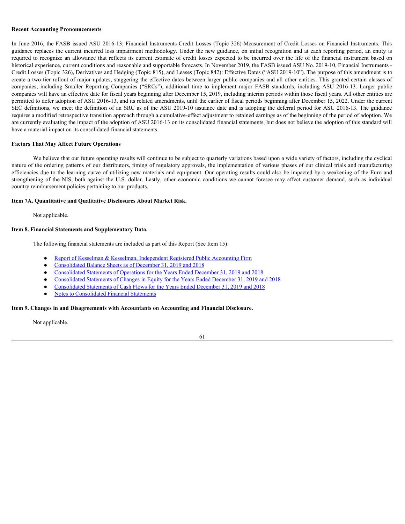#### **Recent Accounting Pronouncements**

Recent Accounting Pronouncements<br>In June 2016, the FASB issued ASU 2016-13, Financial Instruments-Credit Losses (Topic 326)-Measurement of Credit Losses on Financial Instruments. This<br>guidance replaces the current incurred guidance replaces the current incurred loss impairment methodology. Under the new guidance, on initial recognition and at each reporting period, an entity is Recent Accounting Pronouncements<br>In June 2016, the FASB issued ASU 2016-13, Financial Instruments-Credit Losses (Topic 326)-Measurement of Credit Losses on Financial Instruments. This<br>guidance replaces the current incurred historical experience, current conditions and reasonable and supportable forecasts. In November 2019, the FASB issued ASU No. 2019-10, Financial Instruments -Credit Losses (Topic 326), Derivatives and Hedging (Topic 815), and Leases (Topic 842): Effective Dates ("ASU 2019-10"). The purpose of this amendment is to create a two tier rollout of major updates, staggering the effective dates between larger public companies and all other entities. This granted certain classes of **Recent Accounting Pronouncements**<br>In June 2016, the FASB issued ASU 2016-13, Financial Instruments-Credit Losses (Topic 326)-Measurement of Credit Losses on Financial Instruments. This<br>guidance replaces the current neurre companies will have an effective date for fiscal years beginning after December 15, 2019, including interim periods within those fiscal years. All other entities are permitted to defer adoption of ASU 2016-13, and its related amendments, until the earlier of fiscal periods beginning after December 15, 2022. Under the current SEC definitions, we meet the definition of an SRC as of the ASU 2019-10 issuance date and is adopting the deferral period for ASU 2016-13. The guidance requires a modified retrospective transition approach through a cumulative-effect adjustment to retained earnings as of the beginning of the period of adoption. We are currently evaluating the impact of the adoption of ASU 2016-13 on its consolidated financial statements, but does not believe the adoption of this standard will have a material impact on its consolidated financial statements. Recent Accounting Pronouncements<br>
In June 2016, the FASB issued ASU 2016-13, Financial Instruments-Credit Losses cryces the comparison of Credit Losses on Financial Instruments. This<br>
guidator replaces the current instruct

# **Factors That May Affect Future Operations**

We believe that our future operating results will continue to be subject to quarterly variations based upon a wide variety of factors, including the cyclical nature of the ordering patterns of our distributors, timing of regulatory approvals, the implementation of various phases of our clinical trials and manufacturing efficiencies due to the learning curve of utilizing new materials and equipment. Our operating results could also be impacted by a weakening of the Euro and country reimbursement policies pertaining to our products.

## **Item 7A. Quantitative and Qualitative Disclosures About Market Risk.**

Not applicable.

# **Item 8. Financial Statements and Supplementary Data.**

The following financial statements are included as part of this Report (See Item 15):

- [Report of Kesselman & Kesselman, Independent Registered Public Accounting Firm](#page-93-0)
- [Consolidated Balance Sheets as of December 31, 2019 and 2018](#page-94-0)
- [Consolidated Statements of Operations for the Years Ended December 31, 2019 and 2018](#page-95-0)
- [Consolidated Statements of Changes in Equity for the Years Ended December 31, 2019 and 2018](#page-96-0)
- [Consolidated Statements of Cash Flows for the Years Ended December 31, 2019 and 2018](#page-98-0)
- **[Notes to Consolidated Financial Statements](#page-99-0)**

# **Item 9. Changes in and Disagreements with Accountants on Accounting and Financial Disclosure.**

Not applicable.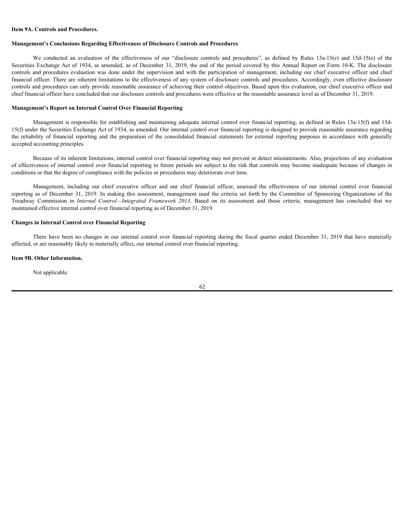#### **Item 9A. Controls and Procedures.**

# **Management's Conclusions Regarding Effectiveness of Disclosure Controls and Procedures**

**Controls and Procedures.**<br> **Ne** conducted an evaluation of the effectiveness of our "disclosure controls and procedures", as defined by Rules 13a-15(e) and 15d-15(e) of the Exchange Act of 1934, as amended, as of December Securities Exchange Act of 1934, as amended, as of December 31, 2019, the end of the period covered by this Annual Report on Form 10-K. The disclosure Item 9A. Controls and Procedures.<br>
Management's Conclusions Regarding Effectiveness of Disclosure Controls and Procedures", as defined by Rules 13a-15(e) and 15d-15(e) of the<br>
Securities Exchange Act of 1934, as amended, a financial officer. There are inherent limitations to the effectiveness of any system of disclosure controls and procedures. Accordingly, even effective disclosure controls and procedures can only provide reasonable assurance of achieving their control objectives. Based upon this evaluation, our chief executive officer and chief financial officer have concluded that our disclosure controls and procedures were effective at the reasonable assurance level as of December 31, 2019. **Item 9A. Controls and Procedures.**<br> **Management's Conclusions Regarding Effectiveness of our "disclosure controls and procedures" as defined by Rules 13a-15(e) and 15d-15(e) of the Seconducted an evaluation was done under Centrols and Precedures.**<br>
We conducted an evolution of the effectiveness of Disclosure Controls and Procedures'', as defined by Rules 13a-18(c) and 154-18(c) of the Executive Conduction of the effectiveness of our "disc **Rem 9A. Controls and Precedures.**<br> **Management's Conclusions Regarding Effectiveness of Dischemer Controls and Precedures**<br>
We conclusion a conclusion in the effectiveness of the affectiveness of assessment and procedures **Item 9A. Controls and Precedures.**<br> **Management's Conclusions Regarding Effectiveness of Disclosure Controls and Procedures'**, at defined by Rales 13e-15(1 and 156-15(9) of the Neuri-Bertal, and *Integrated ms.* Neuri-Ber **Controls and Procedures.**<br>
ment's Conclusions Regarding Effectiveness of Disclosure Controls and Procedures", as defined by Rules 13e-15(e) and 15e-15(e) of the Exchange Art of 1934, as anoredod, as of December 31, 2019.

# **Management's Report on Internal Control Over Financial Reporting**

Management is responsible for establishing and maintaining adequate internal control over financial reporting, as defined in Rules 13a-15(f) and 15d-15(f) under the Securities Exchange Act of 1934, as amended. Our internal control over financial reporting is designed to provide reasonable assurance regarding accepted accounting principles.

Because of its inherent limitations, internal control over financial reporting may not prevent or detect misstatements. Also, projections of any evaluation of effectiveness of internal control over financial reporting to future periods are subject to the risk that controls may become inadequate because of changes in conditions or that the degree of compliance with the policies or procedures may deteriorate over time.

maintained effective internal control over financial reporting as of December 31, 2019.

# **Changes in Internal Control over Financial Reporting**

affected, or are reasonably likely to materially affect, our internal control over financial reporting.

## **Item 9B. Other Information.**

Not applicable.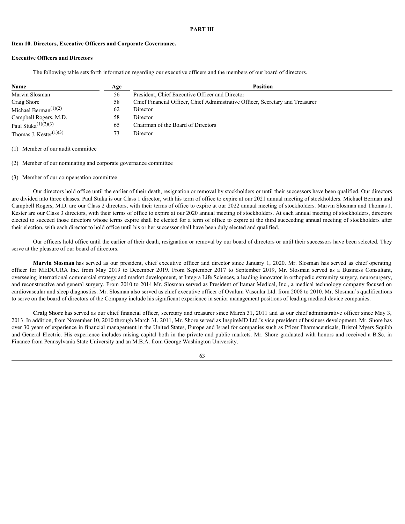# **PART III**

# **Item 10. Directors, Executive Officers and Corporate Governance.**

# **Executive Officers and Directors**

| Tem To. Difectors, Executive Officers and Corporate Governance. |     |                                                                                                                                                                                                                                                                                                                                                                                                                                                                                                                                                                                                                                                                                                                                                                                                                                                                                                                                                                                     |  |
|-----------------------------------------------------------------|-----|-------------------------------------------------------------------------------------------------------------------------------------------------------------------------------------------------------------------------------------------------------------------------------------------------------------------------------------------------------------------------------------------------------------------------------------------------------------------------------------------------------------------------------------------------------------------------------------------------------------------------------------------------------------------------------------------------------------------------------------------------------------------------------------------------------------------------------------------------------------------------------------------------------------------------------------------------------------------------------------|--|
| <b>Executive Officers and Directors</b>                         |     |                                                                                                                                                                                                                                                                                                                                                                                                                                                                                                                                                                                                                                                                                                                                                                                                                                                                                                                                                                                     |  |
|                                                                 |     | The following table sets forth information regarding our executive officers and the members of our board of directors.                                                                                                                                                                                                                                                                                                                                                                                                                                                                                                                                                                                                                                                                                                                                                                                                                                                              |  |
| Name                                                            | Age | <b>Position</b>                                                                                                                                                                                                                                                                                                                                                                                                                                                                                                                                                                                                                                                                                                                                                                                                                                                                                                                                                                     |  |
| Marvin Slosman                                                  | 56  | President, Chief Executive Officer and Director                                                                                                                                                                                                                                                                                                                                                                                                                                                                                                                                                                                                                                                                                                                                                                                                                                                                                                                                     |  |
| Craig Shore                                                     | 58  | Chief Financial Officer, Chief Administrative Officer, Secretary and Treasurer                                                                                                                                                                                                                                                                                                                                                                                                                                                                                                                                                                                                                                                                                                                                                                                                                                                                                                      |  |
| Michael Berman <sup><math>(1)(2)</math></sup>                   | 62  | Director                                                                                                                                                                                                                                                                                                                                                                                                                                                                                                                                                                                                                                                                                                                                                                                                                                                                                                                                                                            |  |
| Campbell Rogers, M.D.                                           | 58  | Director                                                                                                                                                                                                                                                                                                                                                                                                                                                                                                                                                                                                                                                                                                                                                                                                                                                                                                                                                                            |  |
| Paul Stuka $(1)(2)(3)$                                          | 65  | Chairman of the Board of Directors                                                                                                                                                                                                                                                                                                                                                                                                                                                                                                                                                                                                                                                                                                                                                                                                                                                                                                                                                  |  |
| Thomas J. Kester $(1)(3)$                                       | 73  | Director                                                                                                                                                                                                                                                                                                                                                                                                                                                                                                                                                                                                                                                                                                                                                                                                                                                                                                                                                                            |  |
| (1) Member of our audit committee                               |     |                                                                                                                                                                                                                                                                                                                                                                                                                                                                                                                                                                                                                                                                                                                                                                                                                                                                                                                                                                                     |  |
| (2) Member of our nominating and corporate governance committee |     |                                                                                                                                                                                                                                                                                                                                                                                                                                                                                                                                                                                                                                                                                                                                                                                                                                                                                                                                                                                     |  |
| (3) Member of our compensation committee                        |     |                                                                                                                                                                                                                                                                                                                                                                                                                                                                                                                                                                                                                                                                                                                                                                                                                                                                                                                                                                                     |  |
|                                                                 |     | Our directors hold office until the earlier of their death, resignation or removal by stockholders or until their successors have been qualified. Our directors<br>are divided into three classes. Paul Stuka is our Class 1 director, with his term of office to expire at our 2021 annual meeting of stockholders. Michael Berman and<br>Campbell Rogers, M.D. are our Class 2 directors, with their terms of office to expire at our 2022 annual meeting of stockholders. Marvin Slosman and Thomas J.<br>Kester are our Class 3 directors, with their terms of office to expire at our 2020 annual meeting of stockholders. At each annual meeting of stockholders, directors<br>elected to succeed those directors whose terms expire shall be elected for a term of office to expire at the third succeeding annual meeting of stockholders after<br>their election, with each director to hold office until his or her successor shall have been duly elected and qualified. |  |
| serve at the pleasure of our board of directors.                |     | Our officers hold office until the earlier of their death, resignation or removal by our board of directors or until their successors have been selected. They                                                                                                                                                                                                                                                                                                                                                                                                                                                                                                                                                                                                                                                                                                                                                                                                                      |  |
|                                                                 |     | Marvin Slosman has served as our president, chief executive officer and director since January 1, 2020. Mr. Slosman has served as chief operating<br>officer for MEDCURA Inc. from May 2019 to December 2019. From September 2017 to September 2019, Mr. Slosman served as a Business Consultant,<br>overseeing international commercial strategy and market development, at Integra Life Sciences, a leading innovator in orthopedic extremity surgery, neurosurgery,<br>and reconstructive and general surgery. From 2010 to 2014 Mr. Slosman served as President of Itamar Medical, Inc., a medical technology company focused on<br>cardiovascular and sleep diagnostics. Mr. Slosman also served as chief executive officer of Ovalum Vascular Ltd. from 2008 to 2010. Mr. Slosman's qualifications<br>to serve on the board of directors of the Company include his significant experience in senior management positions of leading medical device companies.                |  |
|                                                                 |     | Craig Shore has served as our chief financial officer, secretary and treasurer since March 31, 2011 and as our chief administrative officer since May 3,<br>2013. In addition, from November 10, 2010 through March 31, 2011, Mr. Shore served as InspireMD Ltd.'s vice president of business development. Mr. Shore has                                                                                                                                                                                                                                                                                                                                                                                                                                                                                                                                                                                                                                                            |  |

#### (3) Member of our compensation committee

**Craig Shore** has served as our chief financial officer, secretary and treasurer since March 31, 2011 and as our chief administrative officer since May 3, 2013. In addition, from November 10, 2010 through March 31, 2011, Mr. Shore served as InspireMD Ltd.'s vice president of business development. Mr. Shore has over 30 years of experience in financial management in the United States, Europe and Israel for companies such as Pfizer Pharmaceuticals, Bristol Myers Squibb and General Electric. His experience includes raising capital both in the private and public markets. Mr. Shore graduated with honors and received a B.Sc. in Finance from Pennsylvania State University and an M.B.A. from George Washington University.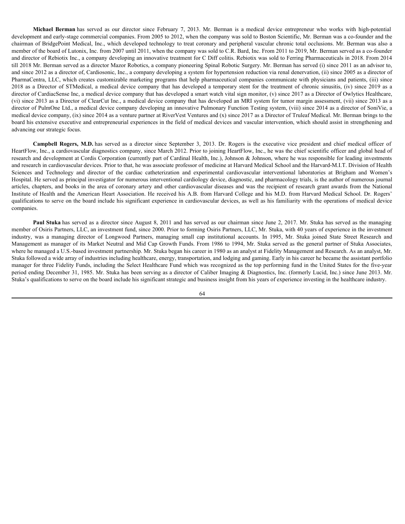**Michael Berman** has served as our director since February 7, 2013. Mr. Berman is a medical device entrepreneur who works with high-potential<br>enet and early-stage commercial companies. From 2005 to 2012, when the company w development and early-stage commercial companies. From 2005 to 2012, when the company was sold to Boston Scientific, Mr. Berman was a co-founder and the chairman of BridgePoint Medical, Inc., which developed technology to treat coronary and peripheral vascular chronic total occlusions. Mr. Berman was also a member of the board of Lutonix, Inc. from 2007 until 2011, when the company was sold to C.R. Bard, Inc. From 2011 to 2019, Mr. Berman served as a co-founder and director of Rebiotix Inc., a company developing an innovative treatment for C Diff colitis. Rebiotix was sold to Ferring Pharmaceuticals in 2018. From 2014 till 2018 Mr. Berman served as a director Mazor Robotics, a company pioneering Spinal Robotic Surgery. Mr. Berman has served (i) since 2011 as an advisor to, and since 2012 as a director of, Cardiosonic, Inc., a company developing a system for hypertension reduction via renal denervation, (ii) since 2005 as a director of PharmaCentra, LLC, which creates customizable marketing programs that help pharmaceutical companies communicate with physicians and patients, (iii) since **Michael Berman** has served as our director since February 7, 2013. Mr. Berman is a medical device entrepreneur who works with high-potential<br>development and ently-stage commercial companies. From 2005 to 2012, when the co director of CardiacSense Inc, a medical device company that has developed a smart watch vital sign monitor, (v) since 2017 as a Director of Owlytics Healthcare, (vi) since 2013 as a Director of ClearCut Inc., a medical device company that has developed an MRI system for tumor margin assessment, (vii) since 2013 as a director of PulmOne Ltd., a medical device company developing an innovative Pulmonary Function Testing system, (viii) since 2014 as a director of SoniVie, a medical device company, (ix) since 2014 as a venture partner at RiverVest Ventures and (x) since 2017 as a Director of Truleaf Medical. Mr. Berman brings to the board his extensive executive and entrepreneurial experiences in the field of medical devices and vascular intervention, which should assist in strengthening and advancing our strategic focus. **Michael Berman** has served as our director since February 7, 2013. Mr. Berman is a medical device entrepreneur who works with high-potential<br>near that dardy-stage commercial companies From 2005 to 2012, when the company w **Michael Berman has served as our director since February 7, 2013. Mr. Berman is a medical device contentroned who solely and the medical solely and the format and experimental cardiovary and the constrained modern of the decolored Bernand** in soved as one director ince February 7, 2013. Mr. Bernami is a medied device control company and the decompany and the Data Noss Selection. Mr. Bernamo was a co-federal cap control company in the comp

HeartFlow, Inc., a cardiovascular diagnostics company, since March 2012. Prior to joining HeartFlow, Inc., he was the chief scientific officer and global head of research and development at Cordis Corporation (currently part of Cardinal Health, Inc.), Johnson & Johnson, where he was responsible for leading investments and research in cardiovascular devices. Prior to that, he was associate professor of medicine at Harvard Medical School and the Harvard-M.I.T. Division of Health Hospital. He served as principal investigator for numerous interventional cardiology device, diagnostic, and pharmacology trials, is the author of numerous journal articles, chapters, and books in the area of coronary artery and other cardiovascular diseases and was the recipient of research grant awards from the National Institute of Health and the American Heart Association. He received his A.B. from Harvard College and his M.D. from Harvard Medical School. Dr. Rogers' qualifications to serve on the board include his significant experience in cardiovascular devices, as well as his familiarity with the operations of medical device companies.

**Paul Stuka** has served as a director since August 8, 2011 and has served as our chairman since June 2, 2017. Mr. Stuka has served as the managing member of Osiris Partners, LLC, an investment fund, since 2000. Prior to forming Osiris Partners, LLC, Mr. Stuka, with 40 years of experience in the investment Management as manager of its Market Neutral and Mid Cap Growth Funds. From 1986 to 1994, Mr. Stuka served as the general partner of Stuka Associates, where he managed a U.S.-based investment partnership. Mr. Stuka began his career in 1980 as an analyst at Fidelity Management and Research. As an analyst, Mr. Stuka followed a wide array of industries including healthcare, energy, transportation, and lodging and gaming. Early in his career he became the assistant portfolio manager for three Fidelity Funds, including the Select Healthcare Fund which was recognized as the top performing fund in the United States for the five-year period ending December 31, 1985. Mr. Stuka has been serving as a director of Caliber Imaging & Diagnostics, Inc. (formerly Lucid, Inc.) since June 2013. Mr. Stuka's qualifications to serve on the board include his significant strategic and business insight from his years of experience investing in the healthcare industry.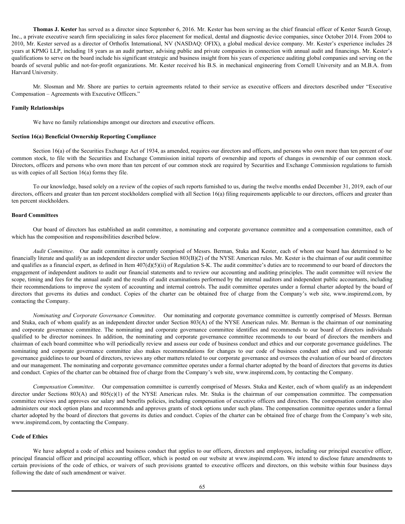**Thomas J. Kester** has served as a director since September 6, 2016. Mr. Kester has been serving as the chief financial officer of Kester Search Group, Inc., a private executive search firm specializing in sales force placement for medical, dental and diagnostic device companies, since October 2014. From 2004 to 2010, Mr. Kester served as a director of Orthofix International, NV (NASDAQ: OFIX), a global medical device company. Mr. Kester's experience includes 28 years at KPMG LLP, including 18 years as an audit partner, advising public and private companies in connection with annual audit and financings. Mr. Kester's qualifications to serve on the board include his significant strategic and business insight from his years of experience auditing global companies and serving on the boards of several public and not-for-profit organizations. Mr. Kester received his B.S. in mechanical engineering from Cornell University and an M.B.A. from Harvard University. Thomas J. Kester has served as a director since September 6, 2016. Mr. Kester has been serving as the chief financial officer of Kester Search Group,<br>wate executive search firm specializing in sales force placement for med **Themus J. Kester has served as a director since September 6. 2016. Mr. Kester has been serving us the chief financial offliers of Kester Seneth Croup, also, 2010, Mr. Kester served us an discrete ror orthodis and methods** 

Compensation – Agreements with Executive Officers."

# **Family Relationships**

We have no family relationships amongst our directors and executive officers.

#### **Section 16(a) Beneficial Ownership Reporting Compliance**

Section 16(a) of the Securities Exchange Act of 1934, as amended, requires our directors and officers, and persons who own more than ten percent of our Directors, officers and persons who own more than ten percent of our common stock are required by Securities and Exchange Commission regulations to furnish us with copies of all Section 16(a) forms they file.

To our knowledge, based solely on a review of the copies of such reports furnished to us, during the twelve months ended December 31, 2019, each of our directors, officers and greater than ten percent stockholders complied with all Section 16(a) filing requirements applicable to our directors, officers and greater than ten percent stockholders.

# **Board Committees**

Our board of directors has established an audit committee, a nominating and corporate governance committee and a compensation committee, each of which has the composition and responsibilities described below.

*Audit Committee*. Our audit committee is currently comprised of Messrs. Berman, Stuka and Kester, each of whom our board has determined to be financially literate and qualify as an independent director under Section 803(B)(2) of the NYSE American rules. Mr. Kester is the chairman of our audit committee and qualifies as a financial expert, as defined in Item 407(d)(5)(ii) of Regulation S-K. The audit committee's duties are to recommend to our board of directors the engagement of independent auditors to audit our financial statements and to review our accounting and auditing principles. The audit committee will review the scope, timing and fees for the annual audit and the results of audit examinations performed by the internal auditors and independent public accountants, including their recommendations to improve the system of accounting and internal controls. The audit committee operates under a formal charter adopted by the board of Mr. Sloman and Mr. Shore are parties to certain agreement related to their service on executive officers and directors of comparison and conduct of the comparison of the charge Comparison in the same of the charge of the c contacting the Company.

*Nominating and Corporate Governance Committee*. Our nominating and corporate governance committee is currently comprised of Messrs. Berman and Stuka, each of whom qualify as an independent director under Section 803(A) of the NYSE American rules. Mr. Berman is the chairman of our nominating We have no funnity the<br>incomention of orientation and compliance<br>section and consider the nomination incoments and consider the normalistation of the normalistant consider and provides of the nomination of the nomination We have no furthy what working amongst our directors and exactive officers.<br>
Section 16(a) the discussions Reported Computer Committee regulations our directors and affects and appear in convention and section and the sys chairman of each board committee who will periodically review and assess our code of business conduct and ethics and our corporate governance guidelines. The Section 16(a) Beachfield Ownership Reporting Compliance<br>
Section 16(a) of the Securities Exchange Commission initial capacited consistents and spaces of shanges in ownering of our common such<br>
consume, with recommendations governance guidelines to our board of directors, reviews any other matters related to our corporate governance and oversees the evaluation of our board of directors and our management. The nominating and corporate governance committee operates under a formal charter adopted by the board of directors that governs its duties and conduct. Copies of the charter can be obtained free of charge from the Company's web site, www.inspiremd.com, by contacting the Company. To our howeledge, based solely on a review of the copies of such reports firstione lots, during the relations of the Computer Section and provide the Computer Section and provide the Computer Section and Formation and For Could the Constraints of the numerities is controlly only and the constraint of the such and the Result of Mexico. The main of the such constrained to the dentine and another constraints to a fraction and another constra

*Compensation Committee*. Our compensation committee is currently comprised of Messrs. Stuka and Kester, each of whom qualify as an independent committee reviews and approves our salary and benefits policies, including compensation of executive officers and directors. The compensation committee also administers our stock option plans and recommends and approves grants of stock options under such plans. The compensation committee operates under a formal charter adopted by the board of directors that governs its duties and conduct. Copies of the charter can be obtained free of charge from the Company's web site, www.inspiremd.com, by contacting the Company.

# **Code of Ethics**

We have adopted a code of ethics and business conduct that applies to our officers, directors and employees, including our principal executive officer, principal financial officer and principal accounting officer, which is posted on our website at www.inspiremd.com. We intend to disclose future amendments to following the date of such amendment or waiver.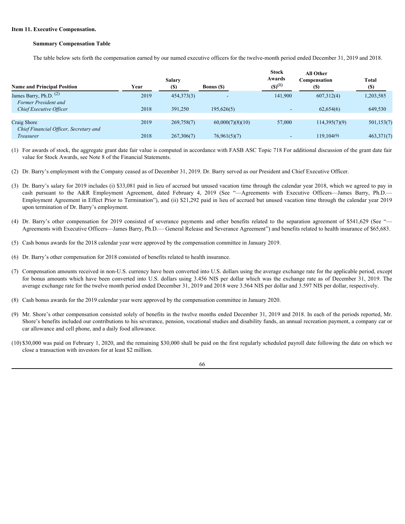# **Item 11. Executive Compensation.**

# **Summary Compensation Table**

| Item 11. Executive Compensation.                                                                                                                                                                                                                                                                                                                                                                                                                                                                                                                                                                                                                                                                                                                                                                                                                                                                                                                                                                                                                                 |      |                              |                   |                                       |                                  |              |  |  |
|------------------------------------------------------------------------------------------------------------------------------------------------------------------------------------------------------------------------------------------------------------------------------------------------------------------------------------------------------------------------------------------------------------------------------------------------------------------------------------------------------------------------------------------------------------------------------------------------------------------------------------------------------------------------------------------------------------------------------------------------------------------------------------------------------------------------------------------------------------------------------------------------------------------------------------------------------------------------------------------------------------------------------------------------------------------|------|------------------------------|-------------------|---------------------------------------|----------------------------------|--------------|--|--|
| <b>Summary Compensation Table</b>                                                                                                                                                                                                                                                                                                                                                                                                                                                                                                                                                                                                                                                                                                                                                                                                                                                                                                                                                                                                                                |      |                              |                   |                                       |                                  |              |  |  |
| The table below sets forth the compensation earned by our named executive officers for the twelve-month period ended December 31, 2019 and 2018.                                                                                                                                                                                                                                                                                                                                                                                                                                                                                                                                                                                                                                                                                                                                                                                                                                                                                                                 |      |                              |                   |                                       |                                  |              |  |  |
| <b>Name and Principal Position</b>                                                                                                                                                                                                                                                                                                                                                                                                                                                                                                                                                                                                                                                                                                                                                                                                                                                                                                                                                                                                                               | Year | <b>Salary</b><br><b>(\$)</b> | <b>Bonus</b> (\$) | <b>Stock</b><br>Awards<br>$(S)^{(1)}$ | All Other<br>Compensation<br>(S) | Total<br>(S) |  |  |
| James Barry, Ph.D. <sup>(2)</sup>                                                                                                                                                                                                                                                                                                                                                                                                                                                                                                                                                                                                                                                                                                                                                                                                                                                                                                                                                                                                                                | 2019 | 454,373(3)                   |                   | 141,900                               | 607,312(4)                       | 1,203,585    |  |  |
| Former President and<br>Chief Executive Officer                                                                                                                                                                                                                                                                                                                                                                                                                                                                                                                                                                                                                                                                                                                                                                                                                                                                                                                                                                                                                  | 2018 | 391,250                      | 195,626(5)        |                                       | 62,654(6)                        | 649,530      |  |  |
| Craig Shore                                                                                                                                                                                                                                                                                                                                                                                                                                                                                                                                                                                                                                                                                                                                                                                                                                                                                                                                                                                                                                                      | 2019 | 269,758(7)                   | 60,000(7)(8)(10)  | 57,000                                | 114,395(7)(9)                    | 501, 153(7)  |  |  |
| Chief Financial Officer, Secretary and<br><i>Treasurer</i>                                                                                                                                                                                                                                                                                                                                                                                                                                                                                                                                                                                                                                                                                                                                                                                                                                                                                                                                                                                                       | 2018 | 267,306(7)                   | 76,961(5)(7)      |                                       | 119,104(9)                       | 463,371(7)   |  |  |
| (1) For awards of stock, the aggregate grant date fair value is computed in accordance with FASB ASC Topic 718 For additional discussion of the grant date fair<br>value for Stock Awards, see Note 8 of the Financial Statements.<br>(2) Dr. Barry's employment with the Company ceased as of December 31, 2019. Dr. Barry served as our President and Chief Executive Officer.<br>(3) Dr. Barry's salary for 2019 includes (i) \$33,081 paid in lieu of accrued but unused vacation time through the calendar year 2018, which we agreed to pay in<br>cash pursuant to the A&R Employment Agreement, dated February 4, 2019 (See "-Agreements with Executive Officers-James Barry, Ph.D.<br>Employment Agreement in Effect Prior to Termination"), and (ii) \$21,292 paid in lieu of accrued but unused vacation time through the calendar year 2019<br>upon termination of Dr. Barry's employment.<br>(4) Dr. Barry's other compensation for 2019 consisted of severance payments and other benefits related to the separation agreement of \$541,629 (See "- |      |                              |                   |                                       |                                  |              |  |  |
| Agreements with Executive Officers—James Barry, Ph.D.— General Release and Severance Agreement") and benefits related to health insurance of \$65,683.                                                                                                                                                                                                                                                                                                                                                                                                                                                                                                                                                                                                                                                                                                                                                                                                                                                                                                           |      |                              |                   |                                       |                                  |              |  |  |
| (5) Cash bonus awards for the 2018 calendar year were approved by the compensation committee in January 2019.                                                                                                                                                                                                                                                                                                                                                                                                                                                                                                                                                                                                                                                                                                                                                                                                                                                                                                                                                    |      |                              |                   |                                       |                                  |              |  |  |
| (6) Dr. Barry's other compensation for 2018 consisted of benefits related to health insurance.                                                                                                                                                                                                                                                                                                                                                                                                                                                                                                                                                                                                                                                                                                                                                                                                                                                                                                                                                                   |      |                              |                   |                                       |                                  |              |  |  |
| (7) Compensation amounts received in non-U.S. currency have been converted into U.S. dollars using the average exchange rate for the applicable period, except<br>for bonus amounts which have been converted into U.S. dollars using 3.456 NIS per dollar which was the exchange rate as of December 31, 2019. The<br>average exchange rate for the twelve month period ended December 31, 2019 and 2018 were 3.564 NIS per dollar and 3.597 NIS per dollar, respectively.                                                                                                                                                                                                                                                                                                                                                                                                                                                                                                                                                                                      |      |                              |                   |                                       |                                  |              |  |  |
| (8) Cash bonus awards for the 2019 calendar year were approved by the compensation committee in January 2020.                                                                                                                                                                                                                                                                                                                                                                                                                                                                                                                                                                                                                                                                                                                                                                                                                                                                                                                                                    |      |                              |                   |                                       |                                  |              |  |  |
| (9) Mr. Shore's other compensation consisted solely of benefits in the twelve months ended December 31, 2019 and 2018. In each of the periods reported, Mr.<br>Shore's benefits included our contributions to his severance, pension, vocational studies and disability funds, an annual recreation payment, a company car or<br>car allowance and cell phone, and a daily food allowance.                                                                                                                                                                                                                                                                                                                                                                                                                                                                                                                                                                                                                                                                       |      |                              |                   |                                       |                                  |              |  |  |

- (2) Dr. Barry's employment with the Company ceased as of December 31, 2019. Dr. Barry served as our President and Chief Executive Officer.
- (3) Dr. Barry's salary for 2019 includes (i) \$33,081 paid in lieu of accrued but unused vacation time through the calendar year 2018, which we agreed to pay in Employment Agreement in Effect Prior to Termination"), and (ii) \$21,292 paid in lieu of accrued but unused vacation time through the calendar year 2019 upon termination of Dr. Barry's employment.
- Agreements with Executive Officers—James Barry, Ph.D.— General Release and Severance Agreement") and benefits related to health insurance of \$65,683.
- (5) Cash bonus awards for the 2018 calendar year were approved by the compensation committee in January 2019.
- (6) Dr. Barry's other compensation for 2018 consisted of benefits related to health insurance.
- (7) Compensation amounts received in non-U.S. currency have been converted into U.S. dollars using the average exchange rate for the applicable period, except average exchange rate for the twelve month period ended December 31, 2019 and 2018 were 3.564 NIS per dollar and 3.597 NIS per dollar, respectively.
- (8) Cash bonus awards for the 2019 calendar year were approved by the compensation committee in January 2020.
- (9) Mr. Shore's other compensation consisted solely of benefits in the twelve months ended December 31, 2019 and 2018. In each of the periods reported, Mr. Shore's benefits included our contributions to his severance, pension, vocational studies and disability funds, an annual recreation payment, a company car or car allowance and cell phone, and a daily food allowance.
- (10) \$30,000 was paid on February 1, 2020, and the remaining \$30,000 shall be paid on the first regularly scheduled payroll date following the date on which we close a transaction with investors for at least \$2 million.

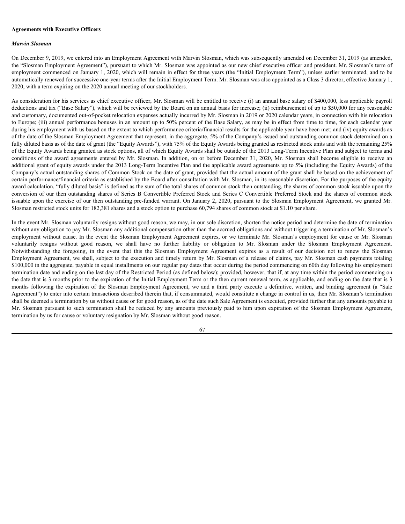#### **Agreements with Executive Officers**

#### *Marvin Slosman*

On December 9, 2019, we entered into an Employment Agreement with Marvin Slosman, which was subsequently amended on December 31, 2019 (as amended, the "Slosman Employment Agreement"), pursuant to which Mr. Slosman was appointed as our new chief executive officer and president. Mr. Slosman's term of employment commenced on January 1, 2020, which will remain in effect for three years (the "Initial Employment Term"), unless earlier terminated, and to be automatically renewed for successive one-year terms after the Initial Employment Term. Mr. Slosman was also appointed as a Class 3 director, effective January 1, 2020, with a term expiring on the 2020 annual meeting of our stockholders.

As consideration for his services as chief executive officer, Mr. Slosman will be entitled to receive (i) an annual base salary of \$400,000, less applicable payroll deductions and tax ("Base Salary"), which will be reviewed by the Board on an annual basis for increase; (ii) reimbursement of up to \$50,000 for any reasonable and customary, documented out-of-pocket relocation expenses actually incurred by Mr. Slosman in 2019 or 2020 calendar years, in connection with his relocation to Europe; (iii) annual performance bonuses in an amount up to 50% percent of the Base Salary, as may be in effect from time to time, for each calendar year during his employment with us based on the extent to which performance criteria/financial results for the applicable year have been met; and (iv) equity awards as of the date of the Slosman Employment Agreement that represent, in the aggregate, 5% of the Company's issued and outstanding common stock determined on a fully diluted basis as of the date of grant (the "Equity Awards"), with 75% of the Equity Awards being granted as restricted stock units and with the remaining 25% of the Equity Awards being granted as stock options, all of which Equity Awards shall be outside of the 2013 Long-Term Incentive Plan and subject to terms and Agreements with Executive Officers<br>
Marvin Slosman<br>
Marvin Slosman<br>
(on December 3, 2019), we entered into an Employment Agreement with Marvin Slosman, which was subsequently amended on December 31, 2019 (as amended,<br>
the additional grant of equity awards under the 2013 Long-Term Incentive Plan and the applicable award agreements up to 5% (including the Equity Awards) of the Company's actual outstanding shares of Common Stock on the date of grant, provided that the actual amount of the grant shall be based on the achievement of certain performance/financial criteria as established by the Board after consultation with Mr. Slosman, in its reasonable discretion. For the purposes of the equity award calculation, "fully diluted basis" is defined as the sum of the total shares of common stock then outstanding, the shares of common stock issuable upon the Agreements with Executive Officers<br>
Marvin Slosmann<br>
On Doscalate 3 0.10 y as caused inn as Employment Agreement with Merin Slasman, which was caloupaged to maximal and and the most<br>one-Series B Convertise B Convertise B issuable upon the exercise of our then outstanding pre-funded warrant. On January 2, 2020, pursuant to the Slosman Employment Agreement, we granted Mr. Slosman restricted stock units for 182,381 shares and a stock option to purchase 60,794 shares of common stock at \$1.10 per share. Agreements with Excentive Officers<br>Marrins Slosman<br>Universal Marrins (and the event of Agreement with Marins Howen, which was subsequently arounded in Darenthe 13, 2019 (a. armodol,<br>the Thomas Papil year estimates (a) marg Agreements with Excentive Officers<br>
Marylament (19) we estimate the summer summation of have a reason in Equivariation source and the summation of the summation of the summation of the summation of the summation of the sum Morins Sheman<br>
On December 9, 2019, we cannot into an Employment Agreement with Machin Sheman, which was subsequently amound an December 1, 309 (as annually into an alternative control into a result of the event of the Slo employees of the Emission of the Slosman is effect to the slow and the relation frequencies of the slosman Emission Controller of the Emission Controller of the Emission Controller of the Emission Controller Slosman Contro As consideration for his services as duid Conciliers, Mr. Shoman will be entired to recover (i) an amand base altary of 5400.00), less papiealde payolid and conciliers and one (i) which illustrates in a consideration of t

In the event Mr. Slosman voluntarily resigns without good reason, we may, in our sole discretion, shorten the notice period and determine the date of termination without any obligation to pay Mr. Slosman any additional compensation other than the accrued obligations and without triggering a termination of Mr. Slosman's Employment Agreement, we shall, subject to the execution and timely return by Mr. Slosman of a release of claims, pay Mr. Slosman cash payments totaling \$100,000 in the aggregate, payable in equal installments on our regular pay dates that occur during the period commencing on 60th day following his employment termination date and ending on the last day of the Restricted Period (as defined below); provided, however, that if, at any time within the period commencing on the date that is 3 months prior to the expiration of the Initial Employment Term or the then current renewal term, as applicable, and ending on the date that is 3 Agreement") to enter into certain transactions described therein that, if consummated, would constitute a change in control in us, then Mr. Slosman's termination shall be deemed a termination by us without cause or for good reason, as of the date such Sale Agreement is executed, provided further that any amounts payable to termination by us for cause or voluntary resignation by Mr. Slosman without good reason.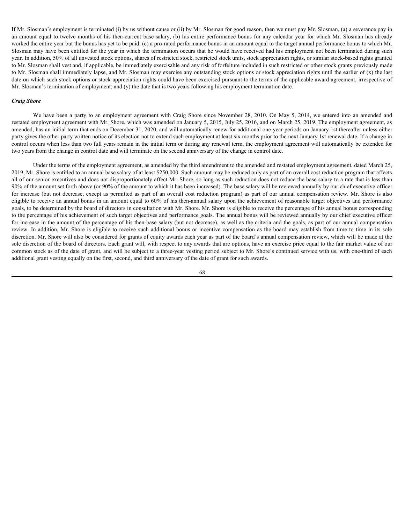If Mr. Slosman's employment is terminated (i) by us without cause or (ii) by Mr. Slosman for good reason, then we must pay Mr. Slosman, (a) a severance pay in If Mr. Slosman's employment is terminated (i) by us without cause or (ii) by Mr. Slosman for good reason, then we must pay Mr. Slosman, (a) a severance pay in<br>an amount equal to twelve months of his then-current base salar worked the entire year but the bonus has yet to be paid, (c) a pro-rated performance bonus in an amount equal to the target annual performance bonus to which Mr. Slosman may have been entitled for the year in which the termination occurs that he would have received had his employment not been terminated during such year. In addition, 50% of all unvested stock options, shares of restricted stock, restricted stock units, stock appreciation rights, or similar stock-based rights granted to Mr. Slosman shall vest and, if applicable, be immediately exercisable and any risk of forfeiture included in such restricted or other stock grants previously made to Mr. Slosman shall immediately lapse, and Mr. Slosman may exercise any outstanding stock options or stock appreciation rights until the earlier of (x) the last date on which such stock options or stock appreciation rights could have been exercised pursuant to the terms of the applicable award agreement, irrespective of Mr. Slosman's termination of employment; and (y) the date that is two years following his employment termination date. saman's employment is terminated (i) by us without cause or (ii) by Mr. Slosman for good reason, then we must pay Mr. Slosman, (a) a severance pay in<br>at equal to twelve months of his then-current base salary, (b) his entir

#### *Craig Shore*

restated employment agreement with Mr. Shore, which was amended on January 5, 2015, July 25, 2016, and on March 25, 2019. The employment agreement, as amended, has an initial term that ends on December 31, 2020, and will automatically renew for additional one-year periods on January 1st thereafter unless either party gives the other party written notice of its election not to extend such employment at least six months prior to the next January 1st renewal date. If a change in control occurs when less than two full years remain in the initial term or during any renewal term, the employment agreement will automatically be extended for two years from the change in control date and will terminate on the second anniversary of the change in control date.

Under the terms of the employment agreement, as amended by the third amendment to the amended and restated employment agreement, dated March 25, 2019, Mr. Shore is entitled to an annual base salary of at least \$250,000. Such amount may be reduced only as part of an overall cost reduction program that affects all of our senior executives and does not disproportionately affect Mr. Shore, so long as such reduction does not reduce the base salary to a rate that is less than 90% of the amount set forth above (or 90% of the amount to which it has been increased). The base salary will be reviewed annually by our chief executive officer for increase (but not decrease, except as permitted as part of an overall cost reduction program) as part of our annual compensation review. Mr. Shore is also eligible to receive an annual bonus in an amount equal to 60% of his then-annual salary upon the achievement of reasonable target objectives and performance goals, to be determined by the board of directors in consultation with Mr. Shore. Mr. Shore is eligible to receive the percentage of his annual bonus corresponding to the percentage of his achievement of such target objectives and performance goals. The annual bonus will be reviewed annually by our chief executive officer for increase in the amount of the percentage of his then-base salary (but not decrease), as well as the criteria and the goals, as part of our annual compensation If Mr. Shorana's compleyence is censioned (ii) by us without easts or (ii) by Mr. Shorana for post-case or an addition to receive such additional terms of the competent of the system of the board may establish and added t discretion. Mr. Shore will also be considered for grants of equity awards each year as part of the board's annual compensation review, which will be made at the sole discretion of the board of directors. Each grant will, with respect to any awards that are options, have an exercise price equal to the fair market value of our common stock as of the date of grant, and will be subject to a three-year vesting period subject to Mr. Shore's continued service with us, with one-third of each additional grant vesting equally on the first, second, and third anniversary of the date of grant for such awards.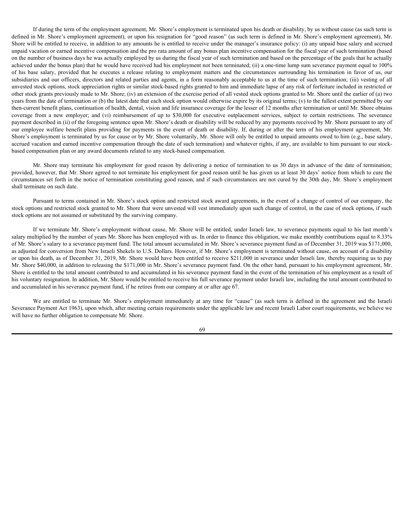If during the term of the employment agreement, Mr. Shore's employment is terminated upon his death or disability, by us without cause (as such term is defined in Mr. Shore's employment agreement), or upon his resignation for "good reason" (as such term is defined in Mr. Shore's employment agreement), Mr. Shore will be entitled to receive, in addition to any amounts he is entitled to receive under the manager's insurance policy: (i) any unpaid base salary and accrued unpaid vacation or earned incentive compensation and the pro rata amount of any bonus plan incentive compensation for the fiscal year of such termination (based on the number of business days he was actually employed by us during the fiscal year of such termination and based on the percentage of the goals that he actually achieved under the bonus plan) that he would have received had his employment not been terminated; (ii) a one-time lump sum severance payment equal to 100% If during the term of the employment agreement, Mr. Shore's employment is terminated upon his death or disability, by us without cause (as such term is<br>defined in Mr. Shore's employment agreement), or upon his resignation subsidiaries and our officers, directors and related parties and agents, in a form reasonably acceptable to us at the time of such termination; (iii) vesting of all unvested stock options, stock appreciation rights or similar stock-based rights granted to him and immediate lapse of any risk of forfeiture included in restricted or other stock grants previously made to Mr. Shore; (iv) an extension of the exercise period of all vested stock options granted to Mr. Shore until the earlier of (a) two years from the date of termination or (b) the latest date that each stock option would otherwise expire by its original terms; (v) to the fullest extent permitted by our then-current benefit plans, continuation of health, dental, vision and life insurance coverage for the lesser of 12 months after termination or until Mr. Shore obtains If during the term of the employment agreement, Mr. Shore's employment is terminated upon his death or disability, by us without cause (as such term is defined in Mr. Shore's employment agreement), or upon his resignation payment described in (ii) of the foregoing sentence upon Mr. Shore's death or disability will be reduced by any payments received by Mr. Shore pursuant to any of If during the term of the employment agreement, Mr. Shore's employment is terminated upon his death or disability, by us without cause (as such term is defined in Mr. Shore's employment agreement), Mr. Shore's employment a Shore's employment is terminated by us for cause or by Mr. Shore voluntarily, Mr. Shore will only be entitled to unpaid amounts owed to him (e.g., base salary, accrued vacation and earned incentive compensation through the date of such termination) and whatever rights, if any, are available to him pursuant to our stockbased compensation plan or any award documents related to any stock-based compensation. If during the term of the employment agreement, Mr. Shore's employment is terminated spon his death of disability, by us without cause (as such termination). We all be smalled to reason and the jent of the smalled to reaso solo quies stook approvals on the method of the sole shade of the sole wind by in mediate laps of any infere of the bit cause of the sole and the second of the second of all vested and when the sole and the first of first

provided, however, that Mr. Shore agreed to not terminate his employment for good reason until he has given us at least 30 days' notice from which to cure the circumstances set forth in the notice of termination constituting good reason, and if such circumstances are not cured by the 30th day, Mr. Shore's employment shall terminate on such date.

Pursuant to terms contained in Mr. Shore's stock option and restricted stock award agreements, in the event of a change of control of our company, the stock options and restricted stock granted to Mr. Shore that were unvested will vest immediately upon such change of control, in the case of stock options, if such stock options are not assumed or substituted by the surviving company.

If we terminate Mr. Shore's employment without cause, Mr. Shore will be entitled, under Israeli law, to severance payments equal to his last month's salary multiplied by the number of years Mr. Shore has been employed with us. In order to finance this obligation, we make monthly contributions equal to 8.33% of Mr. Shore's salary to a severance payment fund. The total amount accumulated in Mr. Shore's severance payment fund as of December 31, 2019 was \$171,000, as adjusted for conversion from New Israeli Shekels to U.S. Dollars. However, if Mr. Shore's employment is terminated without cause, on account of a disability or upon his death, as of December 31, 2019, Mr. Shore would have been entitled to receive \$211,000 in severance under Israeli law, thereby requiring us to pay Mr. Shore \$40,000, in addition to releasing the \$171,000 in Mr. Shore's severance payment fund. On the other hand, pursuant to his employment agreement, Mr. Shore is entitled to the total amount contributed to and accumulated in his severance payment fund in the event of the termination of his employment as a result of his voluntary resignation. In addition, Mr. Shore would be entitled to receive his full severance payment under Israeli law, including the total amount contributed to and accumulated in his severance payment fund, if he retires from our company at or after age 67.

Severance Payment Act 1963), upon which, after meeting certain requirements under the applicable law and recent Israeli Labor court requirements, we believe we will have no further obligation to compensate Mr. Shore.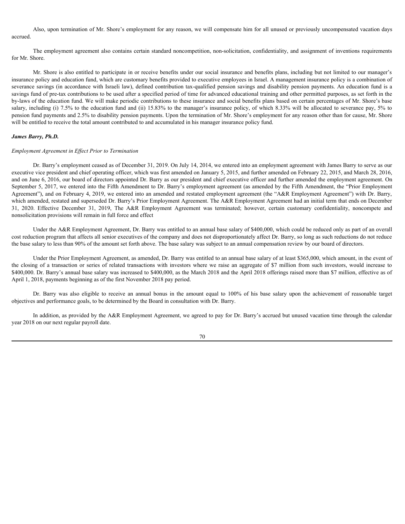Also, upon termination of Mr. Shore's employment for any reason, we will compensate him for all unused or previously uncompensated vacation days accrued.

The employment agreement also contains certain standard noncompetition, non-solicitation, confidentiality, and assignment of inventions requirements for Mr. Shore.

Mr. Shore is also entitled to participate in or receive benefits under our social insurance and benefits plans, including but not limited to our manager's insurance policy and education fund, which are customary benefits provided to executive employees in Israel. A management insurance policy is a combination of severance savings (in accordance with Israeli law), defined contribution tax-qualified pension savings and disability pension payments. An education fund is a savings fund of pre-tax contributions to be used after a specified period of time for advanced educational training and other permitted purposes, as set forth in the by-laws of the education fund. We will make periodic contributions to these insurance and social benefits plans based on certain percentages of Mr. Shore's base salary, including (i) 7.5% to the education fund and (ii) 15.83% to the manager's insurance policy, of which 8.33% will be allocated to severance pay, 5% to pension fund payments and 2.5% to disability pension payments. Upon the termination of Mr. Shore's employment for any reason other than for cause, Mr. Shore will be entitled to receive the total amount contributed to and accumulated in his manager insurance policy fund. Also, apon termination of Mr. Shore's emphryment for any reason, we will comperciate him for all amount of three him subsequents of the Constitutions of the Constitution of the Constitutions of the Constitution of the Con The remby restricted to a transition curties standard reactories that matter, confidenially, and assignment of investors between the closing transfer of a series between the closing transfer of the closing transfer invest

### *James Barry, Ph.D.*

#### *Employment Agreement in Effect Prior to Termination*

Dr. Barry's employment ceased as of December 31, 2019. On July 14, 2014, we entered into an employment agreement with James Barry to serve as our executive vice president and chief operating officer, which was first amended on January 5, 2015, and further amended on February 22, 2015, and March 28, 2016, and on June 6, 2016, our board of directors appointed Dr. Barry as our president and chief executive officer and further amended the employment agreement. On September 5, 2017, we entered into the Fifth Amendment to Dr. Barry's employment agreement (as amended by the Fifth Amendment, the "Prior Employment Agreement"), and on February 4, 2019, we entered into an amended and restated employment agreement (the "A&R Employment Agreement") with Dr. Barry, which amended, restated and superseded Dr. Barry's Prior Employment Agreement. The A&R Employment Agreement had an initial term that ends on December nonsolicitation provisions will remain in full force and effect policy and constrained that we constrained to the constrained to accelere employes in land, A management instance policy in the amount of the amount of the standard of the standard Constrained in the standard of reset so

Under the A&R Employment Agreement, Dr. Barry was entitled to an annual base salary of \$400,000, which could be reduced only as part of an overall cost reduction program that affects all senior executives of the company and does not disproportionately affect Dr. Barry, so long as such reductions do not reduce the base salary to less than 90% of the amount set forth above. The base salary was subject to an annual compensation review by our board of directors.

Under the Prior Employment Agreement, as amended, Dr. Barry was entitled to an annual base salary of at least \$365,000, which amount, in the event of \$400,000. Dr. Barry's annual base salary was increased to \$400,000, as the March 2018 and the April 2018 offerings raised more than \$7 million, effective as of April 1, 2018, payments beginning as of the first November 2018 pay period.

objectives and performance goals, to be determined by the Board in consultation with Dr. Barry.

In addition, as provided by the A&R Employment Agreement, we agreed to pay for Dr. Barry's accrued but unused vacation time through the calendar year 2018 on our next regular payroll date.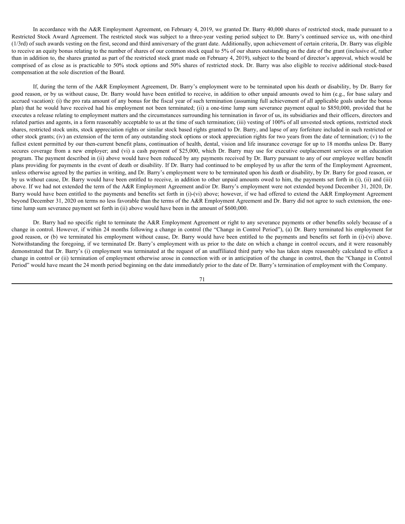In accordance with the A&R Employment Agreement, on February 4, 2019, we granted Dr. Barry 40,000 shares of restricted stock, made pursuant to a Restricted Stock Award Agreement. The restricted stock was subject to a three-year vesting period subject to Dr. Barry's continued service us, with one-third (1/3rd) of such awards vesting on the first, second and third anniversary of the grant date. Additionally, upon achievement of certain criteria, Dr. Barry was eligible to receive an equity bonus relating to the number of shares of our common stock equal to 5% of our shares outstanding on the date of the grant (inclusive of, rather than in addition to, the shares granted as part of the restricted stock grant made on February 4, 2019), subject to the board of director's approval, which would be In accordance with the A&R Employment Agreement, on February 4, 2019, we granted Dr. Barry 40,000 shares of restricted stock, made pursuant to a<br>Restricted Stock Award Agreement. The restricted stock was subject to a thre compensation at the sole discretion of the Board.

If, during the term of the A&R Employment Agreement, Dr. Barry's employment were to be terminated upon his death or disability, by Dr. Barry for good reason, or by us without cause, Dr. Barry would have been entitled to receive, in addition to other unpaid amounts owed to him (e.g., for base salary and accrued vacation): (i) the pro rata amount of any bonus for the fiscal year of such termination (assuming full achievement of all applicable goals under the bonus plan) that he would have received had his employment not been terminated; (ii) a one-time lump sum severance payment equal to \$850,000, provided that he executes a release relating to employment matters and the circumstances surrounding his termination in favor of us, its subsidiaries and their officers, directors and related parties and agents, in a form reasonably acceptable to us at the time of such termination; (iii) vesting of 100% of all unvested stock options, restricted stock shares, restricted stock units, stock appreciation rights or similar stock based rights granted to Dr. Barry, and lapse of any forfeiture included in such restricted or other stock grants; (iv) an extension of the term of any outstanding stock options or stock appreciation rights for two years from the date of termination; (v) to the fullest extent permitted by our then-current benefit plans, continuation of health, dental, vision and life insurance coverage for up to 18 months unless Dr. Barry In accordance with the A&R Employment Agreement, on February 4, 2019, we granted layers 40.000 shares of restricted stock, made pussuant to a next-year externed stock was subject to a first excent and that annother secure program. The payment described in (ii) above would have been reduced by any payments received by Dr. Barry pursuant to any of our employee welfare benefit plans providing for payments in the event of death or disability. If Dr. Barry had continued to be employed by us after the term of the Employment Agreement, unless otherwise agreed by the parties in writing, and Dr. Barry's employment were to be terminated upon his death or disability, by Dr. Barry for good reason, or by us without cause, Dr. Barry would have been entitled to receive, in addition to other unpaid amounts owed to him, the payments set forth in (i), (ii) and (iii) above. If we had not extended the term of the A&R Employment Agreement and/or Dr. Barry's employment were not extended beyond December 31, 2020, Dr. Barry would have been entitled to the payments and benefits set forth in (i)-(vi) above; however, if we had offered to extend the A&R Employment Agreement beyond December 31, 2020 on terms no less favorable than the terms of the A&R Employment Agreement and Dr. Barry did not agree to such extension, the onetime lump sum severance payment set forth in (ii) above would have been in the amount of \$600,000.

Dr. Barry had no specific right to terminate the A&R Employment Agreement or right to any severance payments or other benefits solely because of a change in control. However, if within 24 months following a change in control (the "Change in Control Period"), (a) Dr. Barry terminated his employment for good reason, or (b) we terminated his employment without cause, Dr. Barry would have been entitled to the payments and benefits set forth in (i)-(vi) above. Notwithstanding the foregoing, if we terminated Dr. Barry's employment with us prior to the date on which a change in control occurs, and it were reasonably demonstrated that Dr. Barry's (i) employment was terminated at the request of an unaffiliated third party who has taken steps reasonably calculated to effect a change in control or (ii) termination of employment otherwise arose in connection with or in anticipation of the change in control, then the "Change in Control Period" would have meant the 24 month period beginning on the date immediately prior to the date of Dr. Barry's termination of employment with the Company.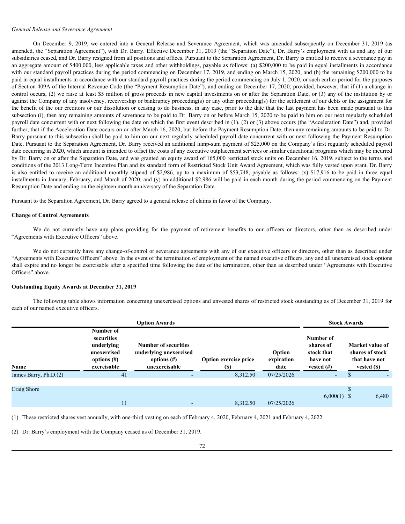#### *General Release and Severance Agreement*

Release and Severance Agreement<br>On December 9, 2019, we entered into a General Release and Severance Agreement, which was amended subsequently on December 31, 2019 (as<br>the "Separation Agreement"), with Dr. Barry. Effective amended, the "Separation Agreement"), with Dr. Barry. Effective December 31, 2019 (the "Separation Date"), Dr. Barry's employment with us and any of our subsidiaries ceased, and Dr. Barry resigned from all positions and offices. Pursuant to the Separation Agreement, Dr. Barry is entitled to receive a severance pay in an aggregate amount of \$400,000, less applicable taxes and other withholdings, payable as follows: (a) \$200,000 to be paid in equal installments in accordance with our standard payroll practices during the period commencing on December 17, 2019, and ending on March 15, 2020, and (b) the remaining \$200,000 to be paid in equal installments in accordance with our standard payroll practices during the period commencing on July 1, 2020, or such earlier period for the purposes of Section 409A of the Internal Revenue Code (the "Payment Resumption Date"), and ending on December 17, 2020; provided, however, that if (1) a change in control occurs, (2) we raise at least \$5 million of gross proceeds in new capital investments on or after the Separation Date, or (3) any of the institution by or against the Company of any insolvency, receivership or bankruptcy proceeding(s) or any other proceeding(s) for the settlement of our debts or the assignment for the benefit of the our creditors or our dissolution or ceasing to do business, in any case, prior to the date that the last payment has been made pursuant to this subsection (i), then any remaining amounts of severance to be paid to Dr. Barry on or before March 15, 2020 to be paid to him on our next regularly scheduled payroll date concurrent with or next following the date on which the first event described in (1), (2) or (3) above occurs (the "Acceleration Date") and, provided further, that if the Acceleration Date occurs on or after March 16, 2020, but before the Payment Resumption Date, then any remaining amounts to be paid to Dr. Barry pursuant to this subsection shall be paid to him on our next regularly scheduled payroll date concurrent with or next following the Payment Resumption Date. Pursuant to the Separation Agreement, Dr. Barry received an additional lump-sum payment of \$25,000 on the Company's first regularly scheduled payroll date occurring in 2020, which amount is intended to offset the costs of any executive outplacement services or similar educational programs which may be incurred by Dr. Barry on or after the Separation Date, and was granted an equity award of 165,000 restricted stock units on December 16, 2019, subject to the terms and conditions of the 2013 Long-Term Incentive Plan and its standard form of Restricted Stock Unit Award Agreement, which was fully vested upon grant. Dr. Barry Groutal Refeate and Severance Agreement<br>
On December 9, 2019, we carced into a General Release and Severance Agreement, which was amended anbegrandly on December 31, 2019 (as<br>
annothed, the "Separation Agreement", with fo installments in January, February, and March of 2020, and (y) an additional \$2,986 will be paid in each month during the period commencing on the Payment Resumption Date and ending on the eighteen month anniversary of the Separation Date. Nebare and Severator Agreement<br>
(b) Desember 9, 2009 we entired into a General Melenos and Newstrans Agreement, pleich as a membed subsequent in the Desember 11, 2009 the Separator David Desember 10, 2009 the Separator Ma

Pursuant to the Separation Agreement, Dr. Barry agreed to a general release of claims in favor of the Company.

#### **Change of Control Agreements**

"Agreements with Executive Officers" above.

We do not currently have any change-of-control or severance agreements with any of our executive officers or directors, other than as described under "Agreements with Executive Officers" above. In the event of the termination of employment of the named executive officers, any and all unexercised stock options shall expire and no longer be exercisable after a specified time following the date of the termination, other than as described under "Agreements with Executive Officers" above.

## **Outstanding Equity Awards at December 31, 2019**

The following table shows information concerning unexercised options and unvested shares of restricted stock outstanding as of December 31, 2019 for each of our named executive officers.

|                       |                                                                                       | <b>Option Awards</b>                                                                     |                              |                              |                                                                   | <b>Stock Awards</b>                                                |
|-----------------------|---------------------------------------------------------------------------------------|------------------------------------------------------------------------------------------|------------------------------|------------------------------|-------------------------------------------------------------------|--------------------------------------------------------------------|
| Name                  | Number of<br>securities<br>underlying<br>unexercised<br>options $(\#)$<br>exercisable | <b>Number of securities</b><br>underlying unexercised<br>options $(\#)$<br>unexercisable | Option exercise price<br>(S) | Option<br>expiration<br>date | Number of<br>shares of<br>stock that<br>have not<br>vested $(\#)$ | Market value of<br>shares of stock<br>that have not<br>vested (\$) |
| James Barry, Ph.D.(2) | 41                                                                                    |                                                                                          | 8,312.50                     | 07/25/2026                   | $\sim$                                                            |                                                                    |
| Craig Shore           | 11                                                                                    | $\overline{\phantom{0}}$                                                                 | 8,312.50                     | 07/25/2026                   | $6,000(1)$ \$                                                     | 6,480                                                              |
|                       |                                                                                       |                                                                                          |                              |                              |                                                                   |                                                                    |

(1) These restricted shares vest annually, with one-third vesting on each of February 4, 2020, February 4, 2021 and February 4, 2022.

(2) Dr. Barry's employment with the Company ceased as of December 31, 2019.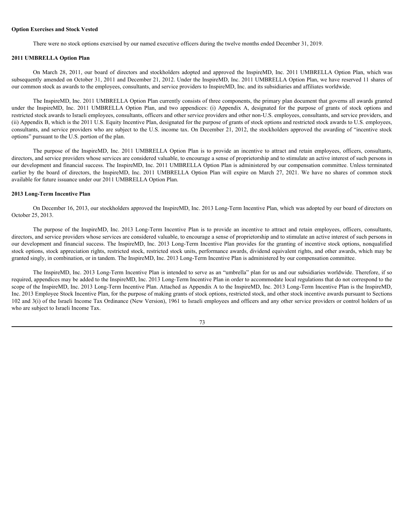#### **Option Exercises and Stock Vested**

There were no stock options exercised by our named executive officers during the twelve months ended December 31, 2019.

#### **2011 UMBRELLA Option Plan**

subsequently amended on October 31, 2011 and December 21, 2012. Under the InspireMD, Inc. 2011 UMBRELLA Option Plan, we have reserved 11 shares of our common stock as awards to the employees, consultants, and service providers to InspireMD, Inc. and its subsidiaries and affiliates worldwide.

Concrises and Stock Vested<br>
There were no stock options exercised by our named executive officers during the twelve months ended December 31, 2019.<br>
IBRELLA Option Plan<br>
On March 28, 2011, our board of directors and stockh The InspireMD, Inc. 2011 UMBRELLA Option Plan currently consists of three components, the primary plan document that governs all awards granted **Option Exercises and Stock Vested**<br>
There were no stock options exercised by our named executive officers during the twelve months ended December 31, 2019.<br>
On March 28, 2011, our board of directors and stockholders adop restricted stock awards to Israeli employees, consultants, officers and other service providers and other non-U.S. employees, consultants, and service providers, and (ii) Appendix B, which is the 2011 U.S. Equity Incentive Plan, designated for the purpose of grants of stock options and restricted stock awards to U.S. employees, consultants, and service providers who are subject to the U.S. income tax. On December 21, 2012, the stockholders approved the awarding of "incentive stock options" pursuant to the U.S. portion of the plan. There we and Stock Vested<br>
There were no stock options exercised by our named executive officers during the twelve months ended December 31, 2019.<br>
IBRELLA Option Plan<br>
On March 28, 2011, our bound of directions and stockh **Option Exercises and Stock Vested**<br>
There were no node options excessed by our named occurive officers during the two've months ended December 31, 2019.<br>
2011 UMBRELLA Option Plan<br>
altogeneity amedio of directors and sto Exercises and Stock Vested<br>
The veste restories of the two remains a purpose of Figure 1.2013 Pheron Figure III and the Exercise 1.2013<br>
IBM J.A. Option Plan<br>
IBM J.A. Option Plan<br>
IBM J.A. Option Plan<br>
On March 25, 2011,

directors, and service providers whose services are considered valuable, to encourage a sense of proprietorship and to stimulate an active interest of such persons in our development and financial success. The InspireMD, Inc. 2011 UMBRELLA Option Plan is administered by our compensation committee. Unless terminated available for future issuance under our 2011 UMBRELLA Option Plan.

#### **2013 Long-Term Incentive Plan**

On December 16, 2013, our stockholders approved the InspireMD, Inc. 2013 Long-Term Incentive Plan, which was adopted by our board of directors on October 25, 2013.

directors, and service providers whose services are considered valuable, to encourage a sense of proprietorship and to stimulate an active interest of such persons in our development and financial success. The InspireMD, Inc. 2013 Long-Term Incentive Plan provides for the granting of incentive stock options, nonqualified stock options, stock appreciation rights, restricted stock, restricted stock units, performance awards, dividend equivalent rights, and other awards, which may be granted singly, in combination, or in tandem. The InspireMD, Inc. 2013 Long-Term Incentive Plan is administered by our compensation committee.

The InspireMD, Inc. 2013 Long-Term Incentive Plan is intended to serve as an "umbrella" plan for us and our subsidiaries worldwide. Therefore, if so required, appendices may be added to the InspireMD, Inc. 2013 Long-Term Incentive Plan in order to accommodate local regulations that do not correspond to the scope of the InspireMD, Inc. 2013 Long-Term Incentive Plan. Attached as Appendix A to the InspireMD, Inc. 2013 Long-Term Incentive Plan is the InspireMD, Inc. 2013 Employee Stock Incentive Plan, for the purpose of making grants of stock options, restricted stock, and other stock incentive awards pursuant to Sections 102 and 3(i) of the Israeli Income Tax Ordinance (New Version), 1961 to Israeli employees and officers and any other service providers or control holders of us who are subject to Israeli Income Tax.

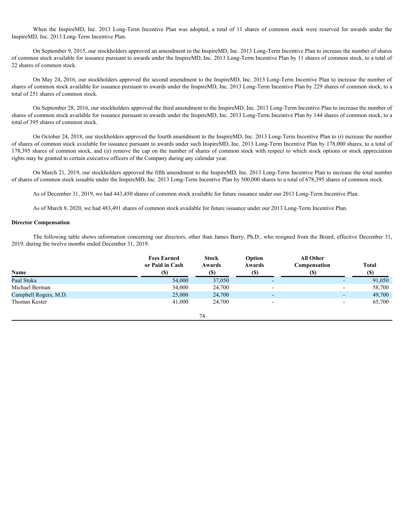InspireMD, Inc. 2013 Long-Term Incentive Plan.

When the InspireMD, Inc. 2013 Long-Term Incentive Plan was adopted, a total of 11 shares of common stock were reserved for awards under the<br>D, Inc. 2013 Long-Term Incentive Plan.<br>On September 9, 2015, our stockholders appr On September 9, 2015, our stockholders approved an amendment to the InspireMD, Inc. 2013 Long-Term Incentive Plan to increase the number of shares of common stock available for issuance pursuant to awards under the InspireMD, Inc. 2013 Long-Term Incentive Plan by 11 shares of common stock, to a total of 22 shares of common stock.

On May 24, 2016, our stockholders approved the second amendment to the InspireMD, Inc. 2013 Long-Term Incentive Plan to increase the number of shares of common stock available for issuance pursuant to awards under the InspireMD, Inc. 2013 Long-Term Incentive Plan by 229 shares of common stock, to a total of 251 shares of common stock.

On September 28, 2016, our stockholders approved the third amendment to the InspireMD, Inc. 2013 Long-Term Incentive Plan to increase the number of shares of common stock available for issuance pursuant to awards under the InspireMD, Inc. 2013 Long-Term Incentive Plan by 144 shares of common stock, to a total of 395 shares of common stock.

On October 24, 2018, our stockholders approved the fourth amendment to the InspireMD, Inc. 2013 Long-Term Incentive Plan to (i) increase the number of shares of common stock available for issuance pursuant to awards under such InspireMD, Inc. 2013 Long-Term Incentive Plan by 178,000 shares, to a total of 178,395 shares of common stock, and (ii) remove the cap on the number of shares of common stock with respect to which stock options or stock appreciation rights may be granted to certain executive officers of the Company during any calendar year.

On March 21, 2019, our stockholders approved the fifth amendment to the InspireMD, Inc. 2013 Long-Term Incentive Plan to increase the total number of shares of common stock issuable under the InspireMD, Inc. 2013 Long-Term Incentive Plan by 500,000 shares to a total of 678,395 shares of common stock

As of December 31, 2019, we had 443,450 shares of common stock available for future issuance under our 2013 Long-Term Incentive Plan.

As of March 8, 2020, we had 483,491 shares of common stock available for future issuance under our 2013 Long-Term Incentive Plan.

## **Director Compensation**

The following table shows information concerning our directors, other than James Barry, Ph.D., who resigned from the Board, effective December 31, 2019, during the twelve months ended December 31, 2019.

|                       | <b>Fees Earned</b><br>or Paid in Cash | <b>Stock</b><br>Awards | Option<br>Awards | All Other<br>Compensation | Total |        |
|-----------------------|---------------------------------------|------------------------|------------------|---------------------------|-------|--------|
| Name                  | (S)                                   | <b>(S)</b>             | <b>(S)</b>       | $\mathbf{S}$              | (S)   |        |
| Paul Stuka            | 54,000                                | 37,050                 |                  |                           |       | 91,050 |
| Michael Berman        | 34,000                                | 24,700                 |                  |                           |       | 58,700 |
| Campbell Rogers, M.D. | 25,000                                | 24,700                 |                  |                           |       | 49,700 |
| Thomas Kester         | 41,000                                | 24,700                 |                  |                           |       | 65,700 |
|                       |                                       |                        |                  |                           |       |        |

$$
74 \\
$$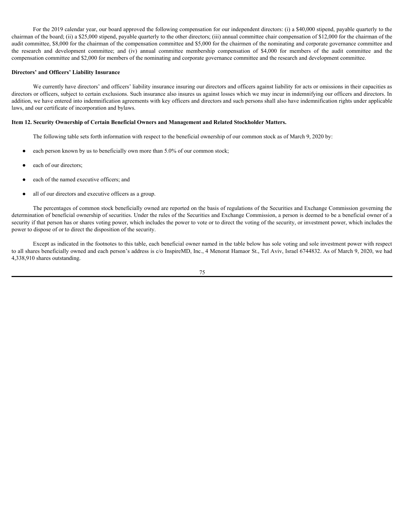For the 2019 calendar year, our board approved the following compensation for our independent directors: (i) a \$40,000 stipend, payable quarterly to the chairman of the board; (ii) a \$25,000 stipend, payable quarterly to the other directors; (iii) annual committee chair compensation of \$12,000 for the chairman of the audit committee, \$8,000 for the chairman of the compensation committee and \$5,000 for the chairmen of the nominating and corporate governance committee and For the 2019 calendar year, our board approved the following compensation for our independent directors: (i) a \$40,000 stipend, payable quarterly to the chairman of the board; (ii) a \$25,000 stipend, payable quarterly to t compensation committee and \$2,000 for members of the nominating and corporate governance committee and the research and development committee.

## **Directors' and Officers' Liability Insurance**

We currently have directors' and officers' liability insurance insuring our directors and officers against liability for acts or omissions in their capacities as directors or officers, subject to certain exclusions. Such insurance also insures us against losses which we may incur in indemnifying our officers and directors. In addition, we have entered into indemnification agreements with key officers and directors and such persons shall also have indemnification rights under applicable laws, and our certificate of incorporation and bylaws.

## **Item 12. Security Ownership of Certain Beneficial Owners and Management and Related Stockholder Matters.**

The following table sets forth information with respect to the beneficial ownership of our common stock as of March 9, 2020 by:

- each person known by us to beneficially own more than 5.0% of our common stock;
- each of our directors;
- each of the named executive officers; and
- all of our directors and executive officers as a group.

The percentages of common stock beneficially owned are reported on the basis of regulations of the Securities and Exchange Commission governing the determination of beneficial ownership of securities. Under the rules of the Securities and Exchange Commission, a person is deemed to be a beneficial owner of a security if that person has or shares voting power, which includes the power to vote or to direct the voting of the security, or investment power, which includes the power to dispose of or to direct the disposition of the security.

Except as indicated in the footnotes to this table, each beneficial owner named in the table below has sole voting and sole investment power with respect to all shares beneficially owned and each person's address is c/o InspireMD, Inc., 4 Menorat Hamaor St., Tel Aviv, Israel 6744832. As of March 9, 2020, we had 4,338,910 shares outstanding.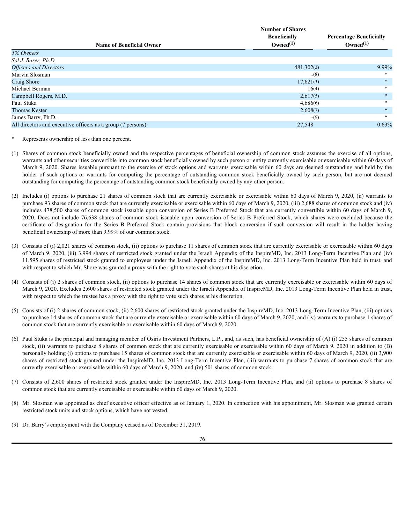| <b>Name of Beneficial Owner</b>                                                                                                                                                                                                                                                                                                                                                                                                                                                                                                                                                                                                                                                                                                                                                                                                                                                                                                                                                 | <b>Number of Shares</b><br><b>Beneficially</b><br>Owned $^{(1)}$ | <b>Percentage Beneficially</b><br>Owned $(1)$ |
|---------------------------------------------------------------------------------------------------------------------------------------------------------------------------------------------------------------------------------------------------------------------------------------------------------------------------------------------------------------------------------------------------------------------------------------------------------------------------------------------------------------------------------------------------------------------------------------------------------------------------------------------------------------------------------------------------------------------------------------------------------------------------------------------------------------------------------------------------------------------------------------------------------------------------------------------------------------------------------|------------------------------------------------------------------|-----------------------------------------------|
| 5% Owners                                                                                                                                                                                                                                                                                                                                                                                                                                                                                                                                                                                                                                                                                                                                                                                                                                                                                                                                                                       |                                                                  |                                               |
| Sol J. Barer, Ph.D.                                                                                                                                                                                                                                                                                                                                                                                                                                                                                                                                                                                                                                                                                                                                                                                                                                                                                                                                                             |                                                                  |                                               |
| <b>Officers and Directors</b>                                                                                                                                                                                                                                                                                                                                                                                                                                                                                                                                                                                                                                                                                                                                                                                                                                                                                                                                                   | 481,302(2)                                                       | 9.99%                                         |
| Marvin Slosman                                                                                                                                                                                                                                                                                                                                                                                                                                                                                                                                                                                                                                                                                                                                                                                                                                                                                                                                                                  | $-(8)$                                                           |                                               |
| Craig Shore                                                                                                                                                                                                                                                                                                                                                                                                                                                                                                                                                                                                                                                                                                                                                                                                                                                                                                                                                                     | 17,621(3)                                                        |                                               |
| Michael Berman                                                                                                                                                                                                                                                                                                                                                                                                                                                                                                                                                                                                                                                                                                                                                                                                                                                                                                                                                                  | 16(4)                                                            | $\ast$                                        |
| Campbell Rogers, M.D.                                                                                                                                                                                                                                                                                                                                                                                                                                                                                                                                                                                                                                                                                                                                                                                                                                                                                                                                                           | 2,617(5)                                                         |                                               |
| Paul Stuka                                                                                                                                                                                                                                                                                                                                                                                                                                                                                                                                                                                                                                                                                                                                                                                                                                                                                                                                                                      | 4,686(6)                                                         | $\ast$                                        |
| <b>Thomas Kester</b>                                                                                                                                                                                                                                                                                                                                                                                                                                                                                                                                                                                                                                                                                                                                                                                                                                                                                                                                                            | 2,608(7)                                                         | $\ast$                                        |
| James Barry, Ph.D.                                                                                                                                                                                                                                                                                                                                                                                                                                                                                                                                                                                                                                                                                                                                                                                                                                                                                                                                                              | $-(9)$                                                           | $\ast$                                        |
| All directors and executive officers as a group (7 persons)                                                                                                                                                                                                                                                                                                                                                                                                                                                                                                                                                                                                                                                                                                                                                                                                                                                                                                                     | 27,548                                                           | 0.63%                                         |
| Represents ownership of less than one percent.<br>(1) Shares of common stock beneficially owned and the respective percentages of beneficial ownership of common stock assumes the exercise of all options,<br>warrants and other securities convertible into common stock beneficially owned by such person or entity currently exercisable or exercisable within 60 days of<br>March 9, 2020. Shares issuable pursuant to the exercise of stock options and warrants exercisable within 60 days are deemed outstanding and held by the<br>holder of such options or warrants for computing the percentage of outstanding common stock beneficially owned by such person, but are not deemed<br>outstanding for computing the percentage of outstanding common stock beneficially owned by any other person.<br>(2) Includes (i) options to purchase 21 shares of common stock that are currently exercisable or exercisable within 60 days of March 9, 2020, (ii) warrants to |                                                                  |                                               |
| purchase 93 shares of common stock that are currently exercisable or exercisable within 60 days of March 9, 2020, (iii) 2,688 shares of common stock and (iv)<br>includes 478,500 shares of common stock issuable upon conversion of Series B Preferred Stock that are currently convertible within 60 days of March 9,<br>2020. Does not include 76,638 shares of common stock issuable upon conversion of Series B Preferred Stock, which shares were excluded because the<br>certificate of designation for the Series B Preferred Stock contain provisions that block conversion if such conversion will result in the holder having<br>beneficial ownership of more than 9.99% of our common stock.<br>(3) Consists of (i) 2,021 shares of common stock, (ii) options to purchase 11 shares of common stock that are currently exercisable or exercisable within 60 days                                                                                                   |                                                                  |                                               |
| of March 9, 2020, (iii) 3,994 shares of restricted stock granted under the Israeli Appendix of the InspireMD, Inc. 2013 Long-Term Incentive Plan and (iv)                                                                                                                                                                                                                                                                                                                                                                                                                                                                                                                                                                                                                                                                                                                                                                                                                       |                                                                  |                                               |
| 11,595 shares of restricted stock granted to employees under the Israeli Appendix of the InspireMD, Inc. 2013 Long-Term Incentive Plan held in trust, and<br>with respect to which Mr. Shore was granted a proxy with the right to vote such shares at his discretion.                                                                                                                                                                                                                                                                                                                                                                                                                                                                                                                                                                                                                                                                                                          |                                                                  |                                               |

- (1) Shares of common stock beneficially owned and the respective percentages of beneficial ownership of common stock assumes the exercise of all options, warrants and other securities convertible into common stock beneficially owned by such person or entity currently exercisable or exercisable within 60 days of March 9, 2020. Shares issuable pursuant to the exercise of stock options and warrants exercisable within 60 days are deemed outstanding and held by the outstanding for computing the percentage of outstanding common stock beneficially owned by any other person.
- (2) Includes (i) options to purchase 21 shares of common stock that are currently exercisable or exercisable within 60 days of March 9, 2020, (ii) warrants to purchase 93 shares of common stock that are currently exercisable or exercisable within 60 days of March 9, 2020, (iii) 2,688 shares of common stock and (iv) includes 478,500 shares of common stock issuable upon conversion of Series B Preferred Stock that are currently convertible within 60 days of March 9, beneficial ownership of more than 9.99% of our common stock. Mech 2, 300. Shares is stock by consists of consistent of the exect of stock option and warrath consistential consistential consistential consistential consistential consistential consistential consistential consistential
- (3) Consists of (i) 2,021 shares of common stock, (ii) options to purchase 11 shares of common stock that are currently exercisable or exercisable within 60 days of March 9, 2020, (iii) 3,994 shares of restricted stock granted under the Israeli Appendix of the InspireMD, Inc. 2013 Long-Term Incentive Plan and (iv) 11,595 shares of restricted stock granted to employees under the Israeli Appendix of the InspireMD, Inc. 2013 Long-Term Incentive Plan held in trust, and with respect to which Mr. Shore was granted a proxy with the right to vote such shares at his discretion.
- (4) Consists of (i) 2 shares of common stock, (ii) options to purchase 14 shares of common stock that are currently exercisable or exercisable within 60 days of March 9, 2020. Excludes 2,600 shares of restricted stock granted under the Israeli Appendix of InspireMD, Inc. 2013 Long-Term Incentive Plan held in trust, with respect to which the trustee has a proxy with the right to vote such shares at his discretion.
- (5) Consists of (i) 2 shares of common stock, (ii) 2,600 shares of restricted stock granted under the InspireMD, Inc. 2013 Long-Term Incentive Plan, (iii) options to purchase 14 shares of common stock that are currently exercisable or exercisable within 60 days of March 9, 2020, and (iv) warrants to purchase 1 shares of common stock that are currently exercisable or exercisable within 60 days of March 9, 2020.
- (6) Paul Stuka is the principal and managing member of Osiris Investment Partners, L.P., and, as such, has beneficial ownership of (A) (i) 255 shares of common stock, (ii) warrants to purchase 8 shares of common stock that are currently exercisable or exercisable within 60 days of March 9, 2020 in addition to (B) personally holding (i) options to purchase 15 shares of common stock that are currently exercisable or exercisable within 60 days of March 9, 2020, (ii) 3,900 shares of restricted stock granted under the InspireMD, Inc. 2013 Long-Term Incentive Plan, (iii) warrants to purchase 7 shares of common stock that are currently exercisable or exercisable within 60 days of March 9, 2020, and (iv) 501 shares of common stock.
- common stock that are currently exercisable or exercisable within 60 days of March 9, 2020.
- (8) Mr. Slosman was appointed as chief executive officer effective as of January 1, 2020. In connection with his appointment, Mr. Slosman was granted certain restricted stock units and stock options, which have not vested.
- (9) Dr. Barry's employment with the Company ceased as of December 31, 2019.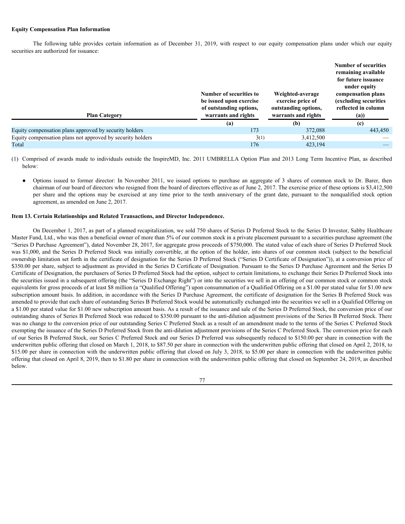#### **Equity Compensation Plan Information**

| <b>Equity Compensation Plan Information</b>                                                                                                                                                                                                                                                                                                                                                                                                                                                                                 |                                                                               |                                                               |                                                                                                                                                                 |
|-----------------------------------------------------------------------------------------------------------------------------------------------------------------------------------------------------------------------------------------------------------------------------------------------------------------------------------------------------------------------------------------------------------------------------------------------------------------------------------------------------------------------------|-------------------------------------------------------------------------------|---------------------------------------------------------------|-----------------------------------------------------------------------------------------------------------------------------------------------------------------|
| The following table provides certain information as of December 31, 2019, with respect to our equity compensation plans under which our equity                                                                                                                                                                                                                                                                                                                                                                              | Number of securities to<br>be issued upon exercise<br>of outstanding options, | Weighted-average<br>exercise price of<br>outstanding options, | <b>Number of securities</b><br>remaining available<br>for future issuance<br>under equity<br>compensation plans<br>(excluding securities<br>reflected in column |
| <b>Plan Category</b>                                                                                                                                                                                                                                                                                                                                                                                                                                                                                                        | warrants and rights                                                           | warrants and rights                                           | (a))                                                                                                                                                            |
|                                                                                                                                                                                                                                                                                                                                                                                                                                                                                                                             | (a)<br>173                                                                    | (b)                                                           | (c)                                                                                                                                                             |
|                                                                                                                                                                                                                                                                                                                                                                                                                                                                                                                             | 3(1)                                                                          | 372,088<br>3,412,500                                          | 443,450                                                                                                                                                         |
|                                                                                                                                                                                                                                                                                                                                                                                                                                                                                                                             | 176                                                                           | 423,194                                                       | $\overline{\phantom{m}}$                                                                                                                                        |
| securities are authorized for issuance:<br>Equity compensation plans approved by security holders<br>Equity compensation plans not approved by security holders<br>Total<br>(1) Comprised of awards made to individuals outside the InspireMD, Inc. 2011 UMBRELLA Option Plan and 2013 Long Term Incentive Plan, as described<br>below:                                                                                                                                                                                     |                                                                               |                                                               |                                                                                                                                                                 |
| Options issued to former director: In November 2011, we issued options to purchase an aggregate of 3 shares of common stock to Dr. Barer, then<br>$\bullet$<br>chairman of our board of directors who resigned from the board of directors effective as of June 2, 2017. The exercise price of these options is \$3,412,500<br>per share and the options may be exercised at any time prior to the tenth anniversary of the grant date, pursuant to the nonqualified stock option<br>agreement, as amended on June 2, 2017. |                                                                               |                                                               |                                                                                                                                                                 |
| Item 13. Certain Relationships and Related Transactions, and Director Independence.                                                                                                                                                                                                                                                                                                                                                                                                                                         |                                                                               |                                                               |                                                                                                                                                                 |

#### **Item 13. Certain Relationships and Related Transactions, and Director Independence.**

On December 1, 2017, as part of a planned recapitalization, we sold 750 shares of Series D Preferred Stock to the Series D Investor, Sabby Healthcare Master Fund, Ltd., who was then a beneficial owner of more than 5% of our common stock in a private placement pursuant to a securities purchase agreement (the "Series D Purchase Agreement"), dated November 28, 2017, for aggregate gross proceeds of \$750,000. The stated value of each share of Series D Preferred Stock was \$1,000, and the Series D Preferred Stock was initially convertible, at the option of the holder, into shares of our common stock (subject to the beneficial ownership limitation set forth in the certificate of designation for the Series D Preferred Stock ("Series D Certificate of Designation")), at a conversion price of \$350.00 per share, subject to adjustment as provided in the Series D Certificate of Designation. Pursuant to the Series D Purchase Agreement and the Series D Certificate of Designation, the purchasers of Series D Preferred Stock had the option, subject to certain limitations, to exchange their Series D Preferred Stock into the securities issued in a subsequent offering (the "Series D Exchange Right") or into the securities we sell in an offering of our common stock or common stock equivalents for gross proceeds of at least \$8 million (a "Qualified Offering") upon consummation of a Qualified Offering on a \$1.00 per stated value for \$1.00 new subscription amount basis. In addition, in accordance with the Series D Purchase Agreement, the certificate of designation for the Series B Preferred Stock was amended to provide that each share of outstanding Series B Preferred Stock would be automatically exchanged into the securities we sell in a Qualified Offering on a \$1.00 per stated value for \$1.00 new subscription amount basis. As a result of the issuance and sale of the Series D Preferred Stock, the conversion price of our outstanding shares of Series B Preferred Stock was reduced to \$350.00 pursuant to the anti-dilution adjustment provisions of the Series B Preferred Stock. There was no change to the conversion price of our outstanding Series C Preferred Stock as a result of an amendment made to the terms of the Series C Preferred Stock exempting the issuance of the Series D Preferred Stock from the anti-dilution adjustment provisions of the Series C Preferred Stock. The conversion price for each of our Series B Preferred Stock, our Series C Preferred Stock and our Series D Preferred was subsequently reduced to \$150.00 per share in connection with the underwritten public offering that closed on March 1, 2018, to \$87.50 per share in connection with the underwritten public offering that closed on April 2, 2018, to \$15.00 per share in connection with the underwritten public offering that closed on July 3, 2018, to \$5.00 per share in connection with the underwritten public offering that closed on April 8, 2019, then to \$1.80 per share in connection with the underwritten public offering that closed on September 24, 2019, as described below.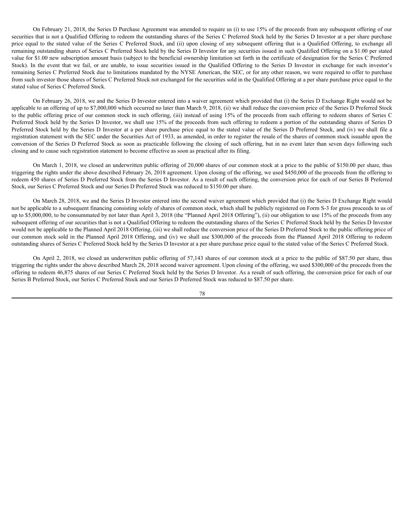On February 21, 2018, the Series D Purchase Agreement was amended to require us (i) to use 15% of the proceeds from any subsequent offering of our securities that is not a Qualified Offering to redeem the outstanding shares of the Series C Preferred Stock held by the Series D Investor at a per share purchase On February 21, 2018, the Series D Purchase Agreement was amended to require us (i) to use 15% of the proceeds from any subsequent offering of our securities that is not a Qualified Offering to redeem the outstanding share remaining outstanding shares of Series C Preferred Stock held by the Series D Investor for any securities issued in such Qualified Offering on a \$1.00 per stated value for \$1.00 new subscription amount basis (subject to the beneficial ownership limitation set forth in the certificate of designation for the Series C Preferred On February 21, 2018, the Series D Purchase Agreement was amended to require us (i) to use 15% of the proceeds from any subsequent offering of our<br>securities that is not a Qualified Offering to redeem the oustanding shares remaining Series C Preferred Stock due to limitations mandated by the NYSE American, the SEC, or for any other reason, we were required to offer to purchase from such investor those shares of Series C Preferred Stock not exchanged for the securities sold in the Qualified Offering at a per share purchase price equal to the stated value of Series C Preferred Stock. On February 21, 2018, the Series D Purchase Agreement was amended to require us (i) to use 15% of the proceeds from any subsequent offering of our<br>serieuties by the series of the Series C Preferred Stock, and (ii) upon cl

On February 26, 2018, we and the Series D Investor entered into a waiver agreement which provided that (i) the Series D Exchange Right would not be applicable to an offering of up to \$7,000,000 which occurred no later than March 9, 2018, (ii) we shall reduce the conversion price of the Series D Preferred Stock to the public offering price of our common stock in such offering, (iii) instead of using 15% of the proceeds from such offering to redeem shares of Series C Preferred Stock held by the Series D Investor, we shall use 15% of the proceeds from such offering to redeem a portion of the outstanding shares of Series D registration statement with the SEC under the Securities Act of 1933, as amended, in order to register the resale of the shares of common stock issuable upon the conversion of the Series D Preferred Stock as soon as practicable following the closing of such offering, but in no event later than seven days following such closing and to cause such registration statement to become effective as soon as practical after its filing.

On March 1, 2018, we closed an underwritten public offering of 20,000 shares of our common stock at a price to the public of \$150.00 per share, thus triggering the rights under the above described February 26, 2018 agreement. Upon closing of the offering, we used \$450,000 of the proceeds from the offering to redeem 450 shares of Series D Preferred Stock from the Series D Investor. As a result of such offering, the conversion price for each of our Series B Preferred Stock, our Series C Preferred Stock and our Series D Preferred Stock was reduced to \$150.00 per share.

On March 28, 2018, we and the Series D Investor entered into the second waiver agreement which provided that (i) the Series D Exchange Right would not be applicable to a subsequent financing consisting solely of shares of common stock, which shall be publicly registered on Form S-3 for gross proceeds to us of up to \$5,000,000, to be consummated by not later than April 3, 2018 (the "Planned April 2018 Offering"), (ii) our obligation to use 15% of the proceeds from any subsequent offering of our securities that is not a Qualified Offering to redeem the outstanding shares of the Series C Preferred Stock held by the Series D Investor would not be applicable to the Planned April 2018 Offering, (iii) we shall reduce the conversion price of the Series D Preferred Stock to the public offering price of our common stock sold in the Planned April 2018 Offering, and (iv) we shall use \$300,000 of the proceeds from the Planned April 2018 Offering to redeem outstanding shares of Series C Preferred Stock held by the Series D Investor at a per share purchase price equal to the stated value of the Series C Preferred Stock.

On April 2, 2018, we closed an underwritten public offering of 57,143 shares of our common stock at a price to the public of \$87.50 per share, thus triggering the rights under the above described March 28, 2018 second waiver agreement. Upon closing of the offering, we used \$300,000 of the proceeds from the offering to redeem 46,875 shares of our Series C Preferred Stock held by the Series D Investor. As a result of such offering, the conversion price for each of our Series B Preferred Stock, our Series C Preferred Stock and our Series D Preferred Stock was reduced to \$87.50 per share.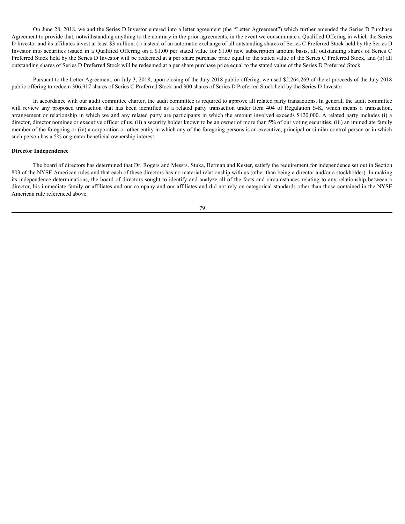On June 28, 2018, we and the Series D Investor entered into a letter agreement (the "Letter Agreement") which further amended the Series D Purchase Agreement to provide that, notwithstanding anything to the contrary in the prior agreements, in the event we consummate a Qualified Offering in which the Series D Investor and its affiliates invest at least \$3 million, (i) instead of an automatic exchange of all outstanding shares of Series C Preferred Stock held by the Series D Investor into securities issued in a Qualified Offering on a \$1.00 per stated value for \$1.00 new subscription amount basis, all outstanding shares of Series C Preferred Stock held by the Series D Investor will be redeemed at a per share purchase price equal to the stated value of the Series C Preferred Stock, and (ii) all outstanding shares of Series D Preferred Stock will be redeemed at a per share purchase price equal to the stated value of the Series D Preferred Stock. On June 28, 2018, we and the Series D Investor entered into a letter agreement (the "Letter Agreement") which further amended the Series D Purchase<br>Agreement to provide that, notwinstanding anything to the contrary in the

Pursuant to the Letter Agreement, on July 3, 2018, upon closing of the July 2018 public offering, we used \$2,264,269 of the et proceeds of the July 2018 public offering to redeem 306,917 shares of Series C Preferred Stock and 300 shares of Series D Preferred Stock held by the Series D Investor.

In accordance with our audit committee charter, the audit committee is required to approve all related party transactions. In general, the audit committee arrangement or relationship in which we and any related party are participants in which the amount involved exceeds \$120,000. A related party includes (i) a director, director nominee or executive officer of us, (ii) a security holder known to be an owner of more than 5% of our voting securities, (iii) an immediate family member of the foregoing or (iv) a corporation or other entity in which any of the foregoing persons is an executive, principal or similar control person or in which such person has a 5% or greater beneficial ownership interest.

#### **Director Independence**

The board of directors has determined that Dr. Rogers and Messrs. Stuka, Berman and Kester, satisfy the requirement for independence set out in Section 803 of the NYSE American rules and that each of these directors has no material relationship with us (other than being a director and/or a stockholder). In making its independence determinations, the board of directors sought to identify and analyze all of the facts and circumstances relating to any relationship between a director, his immediate family or affiliates and our company and our affiliates and did not rely on categorical standards other than those contained in the NYSE American rule referenced above.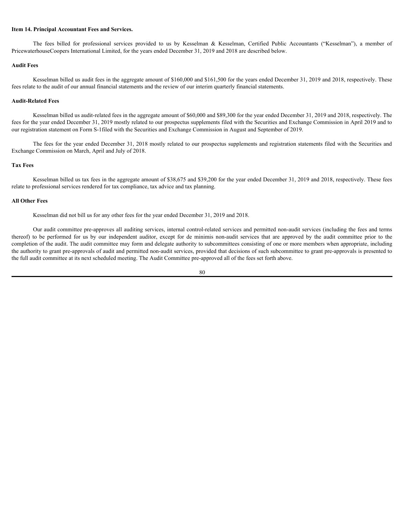#### **Item 14. Principal Accountant Fees and Services.**

Principal Accountant Fees and Services.<br>The fees billed for professional services provided to us by Kesselman & Kesselman, Certified Public Accountants ("Kesselman"), a member of<br>rhouseCoopers International Limited, for th PricewaterhouseCoopers International Limited, for the years ended December 31, 2019 and 2018 are described below.

## **Audit Fees**

Kesselman billed us audit fees in the aggregate amount of \$160,000 and \$161,500 for the years ended December 31, 2019 and 2018, respectively. These fees relate to the audit of our annual financial statements and the review of our interim quarterly financial statements.

#### **Audit-Related Fees**

Kesselman billed us audit-related fees in the aggregate amount of \$60,000 and \$89,300 for the year ended December 31, 2019 and 2018, respectively. The fees for the year ended December 31, 2019 mostly related to our prospectus supplements filed with the Securities and Exchange Commission in April 2019 and to our registration statement on Form S-1filed with the Securities and Exchange Commission in August and September of 2019.

The fees for the year ended December 31, 2018 mostly related to our prospectus supplements and registration statements filed with the Securities and Exchange Commission on March, April and July of 2018.

#### **Tax Fees**

Kesselman billed us tax fees in the aggregate amount of \$38,675 and \$39,200 for the year ended December 31, 2019 and 2018, respectively. These fees relate to professional services rendered for tax compliance, tax advice and tax planning.

## **All Other Fees**

Kesselman did not bill us for any other fees for the year ended December 31, 2019 and 2018.

Our audit committee pre-approves all auditing services, internal control-related services and permitted non-audit services (including the fees and terms Item 14. Principal Accounts of Fees and Services.<br>
The fixe basic production are the system and the system and the system of 13. 2019 and 2018 are described by except<br>
Moreoleclic Res.<br>
Moreoleclic Res.<br>
Kenschman billed u completion of the audit. The audit committee may form and delegate authority to subcommittees consisting of one or more members when appropriate, including the authority to grant pre-approvals of audit and permitted non-audit services, provided that decisions of such subcommittee to grant pre-approvals is presented to the full audit committee at its next scheduled meeting. The Audit Committee pre-approved all of the fees set forth above.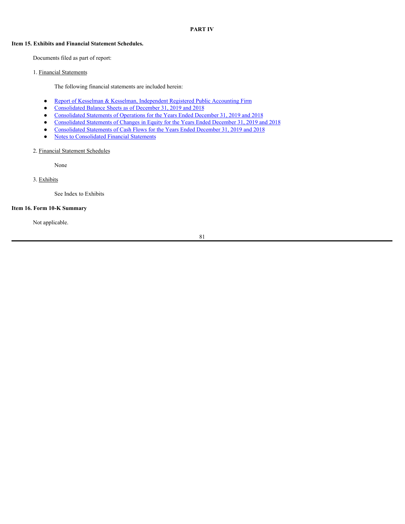## **Item 15. Exhibits and Financial Statement Schedules.**

Documents filed as part of report:

1. Financial Statements

The following financial statements are included herein:

- [Report of Kesselman & Kesselman, Independent Registered Public Accounting Firm](#page-93-0)
- [Consolidated Balance Sheets as of December 31, 2019 and 2018](#page-94-0)
- [Consolidated Statements of Operations for the Years Ended December 31, 2019 and 2018](#page-95-0)
- [Consolidated Statements of Changes in Equity for the Years Ended December 31, 2019 and 2018](#page-96-0)
- [Consolidated Statements of Cash Flows for the Years Ended December 31, 2019 and 2018](#page-98-0)
- [Notes to Consolidated Financial Statements](#page-99-0)

## 2. Financial Statement Schedules

None when the contract of the contract of the contract of the contract of the contract of the contract of the contract of the contract of the contract of the contract of the contract of the contract of the contract of the

3. Exhibits

See Index to Exhibits

## **Item 16. Form 10-K Summary**

Not applicable.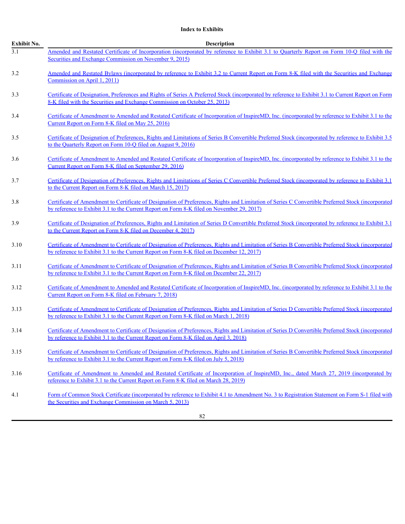# **Index to Exhibits**

|                    | <b>Index to Exhibits</b>                                                                                                                                                                                                                        |
|--------------------|-------------------------------------------------------------------------------------------------------------------------------------------------------------------------------------------------------------------------------------------------|
| <b>Exhibit No.</b> | <b>Description</b>                                                                                                                                                                                                                              |
| 3.1                | Amended and Restated Certificate of Incorporation (incorporated by reference to Exhibit 3.1 to Quarterly Report on Form 10-Q filed with the<br>Securities and Exchange Commission on November 9, 2015)                                          |
| 3.2                | Amended and Restated Bylaws (incorporated by reference to Exhibit 3.2 to Current Report on Form 8-K filed with the Securities and Exchange<br>Commission on April 1, 2011)                                                                      |
| 3.3                | Certificate of Designation, Preferences and Rights of Series A Preferred Stock (incorporated by reference to Exhibit 3.1 to Current Report on Form<br>8-K filed with the Securities and Exchange Commission on October 25, 2013)                |
| 3.4                | Certificate of Amendment to Amended and Restated Certificate of Incorporation of InspireMD, Inc. (incorporated by reference to Exhibit 3.1 to the<br>Current Report on Form 8-K filed on May 25, 2016)                                          |
| 3.5                | Certificate of Designation of Preferences, Rights and Limitations of Series B Convertible Preferred Stock (incorporated by reference to Exhibit 3.5<br>to the Quarterly Report on Form 10-Q filed on August 9, 2016)                            |
| 3.6                | Certificate of Amendment to Amended and Restated Certificate of Incorporation of InspireMD, Inc. (incorporated by reference to Exhibit 3.1 to the<br>Current Report on Form 8-K filed on September 29, 2016)                                    |
| 3.7                | Certificate of Designation of Preferences, Rights and Limitations of Series C Convertible Preferred Stock (incorporated by reference to Exhibit 3.1)<br>to the Current Report on Form 8-K filed on March 15, 2017)                              |
| 3.8                | Certificate of Amendment to Certificate of Designation of Preferences, Rights and Limitation of Series C Convertible Preferred Stock (incorporated<br>by reference to Exhibit 3.1 to the Current Report on Form 8-K filed on November 29, 2017) |
| 3.9                | Certificate of Designation of Preferences, Rights and Limitation of Series D Convertible Preferred Stock (incorporated by reference to Exhibit 3.1<br>to the Current Report on Form 8-K filed on December 4, 2017)                              |
| 3.10               | Certificate of Amendment to Certificate of Designation of Preferences, Rights and Limitation of Series B Convertible Preferred Stock (incorporated<br>by reference to Exhibit 3.1 to the Current Report on Form 8-K filed on December 12, 2017) |
| 3.11               | Certificate of Amendment to Certificate of Designation of Preferences, Rights and Limitation of Series B Convertible Preferred Stock (incorporated<br>by reference to Exhibit 3.1 to the Current Report on Form 8-K filed on December 22, 2017) |
| 3.12               | Certificate of Amendment to Amended and Restated Certificate of Incorporation of InspireMD, Inc. (incorporated by reference to Exhibit 3.1 to the<br>Current Report on Form 8-K filed on February 7, 2018)                                      |
| 3.13               | Certificate of Amendment to Certificate of Designation of Preferences, Rights and Limitation of Series D Convertible Preferred Stock (incorporated<br>by reference to Exhibit 3.1 to the Current Report on Form 8-K filed on March 1, 2018)     |
| 3.14               | Certificate of Amendment to Certificate of Designation of Preferences, Rights and Limitation of Series D Convertible Preferred Stock (incorporated<br>by reference to Exhibit 3.1 to the Current Report on Form 8-K filed on April 3, 2018)     |
| 3.15               | Certificate of Amendment to Certificate of Designation of Preferences, Rights and Limitation of Series B Convertible Preferred Stock (incorporated<br>by reference to Exhibit 3.1 to the Current Report on Form 8-K filed on July 5, 2018)      |
| 3.16               | Certificate of Amendment to Amended and Restated Certificate of Incorporation of InspireMD, Inc., dated March 27, 2019 (incorporated by<br>reference to Exhibit 3.1 to the Current Report on Form 8-K filed on March 28, 2019)                  |
| 4.1                | Form of Common Stock Certificate (incorporated by reference to Exhibit 4.1 to Amendment No. 3 to Registration Statement on Form S-1 filed with<br>the Securities and Exchange Commission on March 5, 2013)                                      |
|                    | 82                                                                                                                                                                                                                                              |
|                    |                                                                                                                                                                                                                                                 |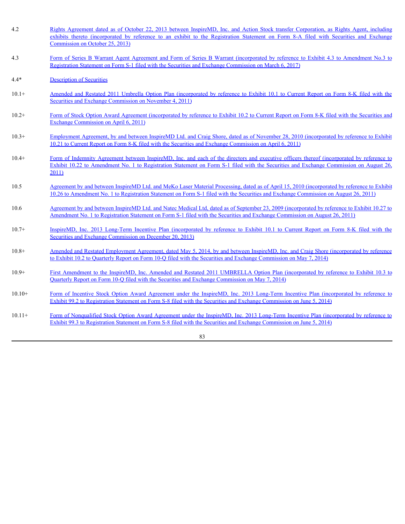| 4.2      | Rights Agreement dated as of October 22, 2013 between InspireMD, Inc. and Action Stock transfer Corporation, as Rights Agent, including<br>exhibits thereto (incorporated by reference to an exhibit to the Registration Statement on Form 8-A filed with Securities and Exchange<br>Commission on October 25, 2013) |
|----------|----------------------------------------------------------------------------------------------------------------------------------------------------------------------------------------------------------------------------------------------------------------------------------------------------------------------|
| 4.3      | Form of Series B Warrant Agent Agreement and Form of Series B Warrant (incorporated by reference to Exhibit 4.3 to Amendment No.3 to<br>Registration Statement on Form S-1 filed with the Securities and Exchange Commission on March 6, 2017)                                                                       |
| $4.4*$   | <b>Description of Securities</b>                                                                                                                                                                                                                                                                                     |
| $10.1+$  | Amended and Restated 2011 Umbrella Option Plan (incorporated by reference to Exhibit 10.1 to Current Report on Form 8-K filed with the<br>Securities and Exchange Commission on November 4, 2011)                                                                                                                    |
| $10.2+$  | Form of Stock Option Award Agreement (incorporated by reference to Exhibit 10.2 to Current Report on Form 8-K filed with the Securities and<br>Exchange Commission on April 6, 2011)                                                                                                                                 |
| $10.3+$  | Employment Agreement, by and between InspireMD Ltd. and Craig Shore, dated as of November 28, 2010 (incorporated by reference to Exhibit<br>10.21 to Current Report on Form 8-K filed with the Securities and Exchange Commission on April 6, 2011)                                                                  |
| $10.4+$  | Form of Indemnity Agreement between InspireMD, Inc. and each of the directors and executive officers thereof (incorporated by reference to<br>Exhibit 10.22 to Amendment No. 1 to Registration Statement on Form S-1 filed with the Securities and Exchange Commission on August 26,<br>2011                         |
| 10.5     | Agreement by and between InspireMD Ltd. and MeKo Laser Material Processing, dated as of April 15, 2010 (incorporated by reference to Exhibit<br>10.26 to Amendment No. 1 to Registration Statement on Form S-1 filed with the Securities and Exchange Commission on August 26, 2011)                                 |
| 10.6     | Agreement by and between InspireMD Ltd, and Natec Medical Ltd, dated as of September 23, 2009 (incorporated by reference to Exhibit 10.27 to<br>Amendment No. 1 to Registration Statement on Form S-1 filed with the Securities and Exchange Commission on August 26, 2011)                                          |
| $10.7+$  | InspireMD, Inc. 2013 Long-Term Incentive Plan (incorporated by reference to Exhibit 10.1 to Current Report on Form 8-K filed with the<br>Securities and Exchange Commission on December 20, 2013)                                                                                                                    |
| $10.8+$  | Amended and Restated Employment Agreement, dated May 5, 2014, by and between InspireMD, Inc. and Craig Shore (incorporated by reference<br>to Exhibit 10.2 to Quarterly Report on Form 10-Q filed with the Securities and Exchange Commission on May 7, 2014)                                                        |
| $10.9+$  | First Amendment to the InspireMD, Inc. Amended and Restated 2011 UMBRELLA Option Plan (incorporated by reference to Exhibit 10.3 to<br><b>Ouarterly Report on Form 10-Q filed with the Securities and Exchange Commission on May 7, 2014)</b>                                                                        |
| $10.10+$ | Form of Incentive Stock Option Award Agreement under the InspireMD, Inc. 2013 Long-Term Incentive Plan (incorporated by reference to<br>Exhibit 99.2 to Registration Statement on Form S-8 filed with the Securities and Exchange Commission on June 5, 2014)                                                        |
| $10.11+$ | Form of Nonqualified Stock Option Award Agreement under the InspireMD, Inc. 2013 Long-Term Incentive Plan (incorporated by reference to<br>Exhibit 99.3 to Registration Statement on Form S-8 filed with the Securities and Exchange Commission on June 5, 2014)                                                     |
|          | 83                                                                                                                                                                                                                                                                                                                   |
|          |                                                                                                                                                                                                                                                                                                                      |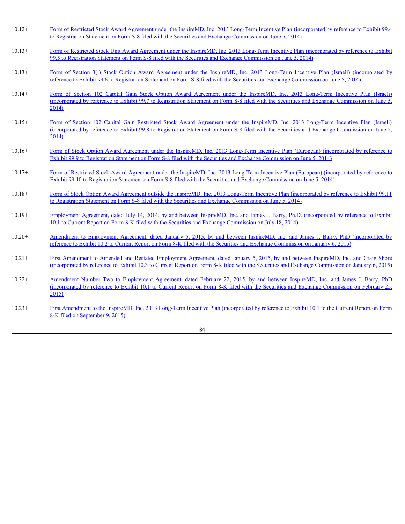| $10.12+$ | Form of Restricted Stock Award Agreement under the InspireMD, Inc. 2013 Long-Term Incentive Plan (incorporated by reference to Exhibit 99.4<br>to Registration Statement on Form S-8 filed with the Securities and Exchange Commission on June 5, 2014)                                          |  |
|----------|--------------------------------------------------------------------------------------------------------------------------------------------------------------------------------------------------------------------------------------------------------------------------------------------------|--|
| $10.13+$ | Form of Restricted Stock Unit Award Agreement under the InspireMD, Inc. 2013 Long-Term Incentive Plan (incorporated by reference to Exhibit<br>99.5 to Registration Statement on Form S-8 filed with the Securities and Exchange Commission on June 5, 2014)                                     |  |
| $10.13+$ | Form of Section 3(i) Stock Option Award Agreement under the InspireMD, Inc. 2013 Long-Term Incentive Plan (Israeli) (incorporated by<br>reference to Exhibit 99.6 to Registration Statement on Form S-8 filed with the Securities and Exchange Commission on June 5, 2014)                       |  |
| $10.14+$ | Form of Section 102 Capital Gain Stock Option Award Agreement under the InspireMD, Inc. 2013 Long-Term Incentive Plan (Israeli)<br><u>(incorporated by reference to Exhibit 99.7 to Registration Statement on Form S-8 filed with the Securities and Exchange Commission on June 5.</u><br>2014) |  |
| $10.15+$ | Form of Section 102 Capital Gain Restricted Stock Award Agreement under the InspireMD, Inc. 2013 Long-Term Incentive Plan (Israeli)<br>(incorporated by reference to Exhibit 99.8 to Registration Statement on Form S-8 filed with the Securities and Exchange Commission on June 5,<br>2014     |  |
| $10.16+$ | Form of Stock Option Award Agreement under the InspireMD, Inc. 2013 Long-Term Incentive Plan (European) (incorporated by reference to<br>Exhibit 99.9 to Registration Statement on Form S-8 filed with the Securities and Exchange Commission on June 5, 2014)                                   |  |
| $10.17+$ | Form of Restricted Stock Award Agreement under the InspireMD, Inc. 2013 Long-Term Incentive Plan (European) (incorporated by reference to<br>Exhibit 99.10 to Registration Statement on Form S-8 filed with the Securities and Exchange Commission on June 5, 2014)                              |  |
| $10.18+$ | Form of Stock Option Award Agreement outside the InspireMD, Inc. 2013 Long-Term Incentive Plan (incorporated by reference to Exhibit 99.11<br>to Registration Statement on Form S-8 filed with the Securities and Exchange Commission on June 5, 2014)                                           |  |
| $10.19+$ | Employment Agreement, dated July 14, 2014, by and between InspireMD, Inc. and James J. Barry, Ph.D. (incorporated by reference to Exhibit<br>10.1 to Current Report on Form 8-K filed with the Securities and Exchange Commission on July 18, 2014)                                              |  |
| $10.20+$ | Amendment to Employment Agreement, dated January 5, 2015, by and between InspireMD, Inc. and James J. Barry, PhD (incorporated by<br>reference to Exhibit 10.2 to Current Report on Form 8-K filed with the Securities and Exchange Commission on January 6, 2015)                               |  |
| $10.21+$ | First Amendment to Amended and Restated Employment Agreement, dated January 5, 2015, by and between InspireMD, Inc. and Craig Shore<br>(incorporated by reference to Exhibit 10.3 to Current Report on Form 8-K filed with the Securities and Exchange Commission on January 6, 2015)            |  |
| $10.22+$ | Amendment Number Two to Employment Agreement, dated February 22, 2015, by and between InspireMD, Inc. and James J. Barry, PhD<br>(incorporated by reference to Exhibit 10.1 to Current Report on Form 8-K filed with the Securities and Exchange Commission on February 25.<br>2015)             |  |
| $10.23+$ | First Amendment to the InspireMD, Inc. 2013 Long-Term Incentive Plan (incorporated by reference to Exhibit 10.1 to the Current Report on Form<br>8-K filed on September 9, 2015)                                                                                                                 |  |
|          | 84                                                                                                                                                                                                                                                                                               |  |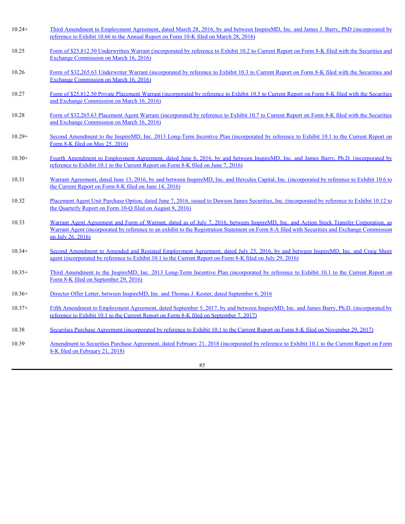| $10.24+$ | Third Amendment to Employment Agreement, dated March 28, 2016, by and between InspireMD, Inc. and James J. Barry, PhD (incorporated by<br>reference to Exhibit 10.66 to the Annual Report on Form 10-K filed on March 28, 2016)                                                                                 |
|----------|-----------------------------------------------------------------------------------------------------------------------------------------------------------------------------------------------------------------------------------------------------------------------------------------------------------------|
| 10.25    | Form of \$25,812.50 Underwritten Warrant (incorporated by reference to Exhibit 10.2 to Current Report on Form 8-K filed with the Securities and<br>Exchange Commission on March 16, 2016)                                                                                                                       |
| 10.26    | Form of \$32,265.63 Underwriter Warrant (incorporated by reference to Exhibit 10.3 to Current Report on Form 8-K filed with the Securities and<br>Exchange Commission on March 16, 2016)                                                                                                                        |
| 10.27    | Form of \$25,812.50 Private Placement Warrant (incorporated by reference to Exhibit 10.5 to Current Report on Form 8-K filed with the Securities<br>and Exchange Commission on March 16, 2016)                                                                                                                  |
| 10.28    | Form of \$32,265.63 Placement Agent Warrant (incorporated by reference to Exhibit 10.7 to Current Report on Form 8-K filed with the Securities<br>and Exchange Commission on March 16, 2016)                                                                                                                    |
| $10.29+$ | Second Amendment to the InspireMD, Inc. 2013 Long-Term Incentive Plan (incorporated by reference to Exhibit 10.1 to the Current Report on<br>Form 8-K filed on May 25, 2016)                                                                                                                                    |
| $10.30+$ | Fourth Amendment to Employment Agreement, dated June 6, 2016, by and between InspireMD, Inc. and James Barry, Ph.D. (incorporated by<br>reference to Exhibit 10.1 to the Current Report on Form 8-K filed on June 7, 2016)                                                                                      |
| 10.31    | Warrant Agreement, dated June 13, 2016, by and between InspireMD, Inc. and Hercules Capital, Inc. (incorporated by reference to Exhibit 10.6 to<br>the Current Report on Form 8-K filed on June 14, 2016)                                                                                                       |
| 10.32    | Placement Agent Unit Purchase Option, dated June 7, 2016, issued to Dawson James Securities, Inc. (incorporated by reference to Exhibit 10.12 to<br>the Ouarterly Report on Form 10-O filed on August 9, 2016)                                                                                                  |
| 10.33    | Warrant Agent Agreement and Form of Warrant, dated as of July 7, 2016, between InspireMD, Inc. and Action Stock Transfer Corporation, as<br>Warrant Agent (incorporated by reference to an exhibit to the Registration Statement on Form 8-A filed with Securities and Exchange Commission<br>on July 26, 2016) |
| $10.34+$ | Second Amendment to Amended and Restated Employment Agreement, dated July 25, 2016, by and between InspireMD, Inc. and Craig Shore<br>agent (incorporated by reference to Exhibit 10.1 to the Current Report on Form 8-K filed on July 29, 2016)                                                                |
| $10.35+$ | Third Amendment to the InspireMD, Inc. 2013 Long-Term Incentive Plan (incorporated by reference to Exhibit 10.1 to the Current Report on<br>Form 8-K filed on September 29, 2016)                                                                                                                               |
| $10.36+$ | Director Offer Letter, between InspireMD, Inc. and Thomas J. Kester, dated September 6, 2016                                                                                                                                                                                                                    |
| $10.37+$ | Fifth Amendment to Employment Agreement, dated September 5, 2017, by and between InspireMD, Inc. and James Barry, Ph.D. (incorporated by<br>reference to Exhibit 10.1 to the Current Report on Form 8-K filed on September 7, 2017)                                                                             |
| 10.38    | Securities Purchase Agreement (incorporated by reference to Exhibit 10.1 to the Current Report on Form 8-K filed on November 29, 2017)                                                                                                                                                                          |
| 10.39    | Amendment to Securities Purchase Agreement, dated February 21, 2018 (incorporated by reference to Exhibit 10.1 to the Current Report on Form<br>8-K filed on February 21, 2018)                                                                                                                                 |
|          |                                                                                                                                                                                                                                                                                                                 |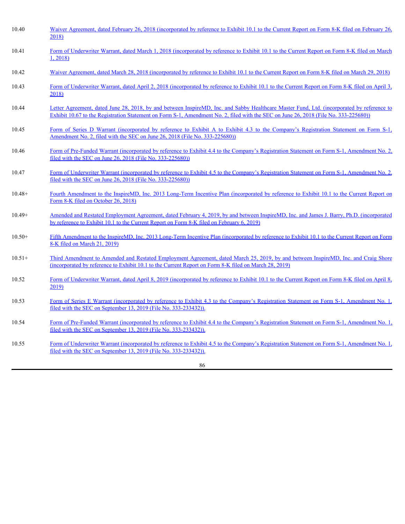| 10.40    | Waiver Agreement, dated February 26, 2018 (incorporated by reference to Exhibit 10.1 to the Current Report on Form 8-K filed on February 26,<br>2018                                                                                                                               |
|----------|------------------------------------------------------------------------------------------------------------------------------------------------------------------------------------------------------------------------------------------------------------------------------------|
| 10.41    | Form of Underwriter Warrant, dated March 1, 2018 (incorporated by reference to Exhibit 10.1 to the Current Report on Form 8-K filed on March<br>1, 2018)                                                                                                                           |
| 10.42    | Waiver Agreement, dated March 28, 2018 (incorporated by reference to Exhibit 10.1 to the Current Report on Form 8-K filed on March 29, 2018)                                                                                                                                       |
| 10.43    | Form of Underwriter Warrant, dated April 2, 2018 (incorporated by reference to Exhibit 10.1 to the Current Report on Form 8-K filed on April 3,<br>2018)                                                                                                                           |
| 10.44    | Letter Agreement, dated June 28, 2018, by and between InspireMD, Inc. and Sabby Healthcare Master Fund, Ltd. (incorporated by reference to<br>Exhibit 10.67 to the Registration Statement on Form S-1, Amendment No. 2, filed with the SEC on June 26, 2018 (File No. 333-225680)) |
| 10.45    | Form of Series D Warrant (incorporated by reference to Exhibit A to Exhibit 4.3 to the Company's Registration Statement on Form S-1,<br>Amendment No. 2, filed with the SEC on June 26, 2018 (File No. 333-225680))                                                                |
| 10.46    | Form of Pre-Funded Warrant (incorporated by reference to Exhibit 4.4 to the Company's Registration Statement on Form S-1, Amendment No. 2,<br>filed with the SEC on June 26, 2018 (File No. 333-225680))                                                                           |
| 10.47    | Form of Underwriter Warrant (incorporated by reference to Exhibit 4.5 to the Company's Registration Statement on Form S-1, Amendment No. 2,<br>filed with the SEC on June 26, 2018 (File No. 333-225680))                                                                          |
| $10.48+$ | Fourth Amendment to the InspireMD, Inc. 2013 Long-Term Incentive Plan (incorporated by reference to Exhibit 10.1 to the Current Report on<br>Form 8-K filed on October 26, 2018)                                                                                                   |
| $10.49+$ | Amended and Restated Employment Agreement, dated February 4, 2019, by and between InspireMD, Inc. and James J. Barry, Ph.D. (incorporated<br>by reference to Exhibit 10.1 to the Current Report on Form 8-K filed on February 6, 2019)                                             |
| $10.50+$ | Fifth Amendment to the InspireMD, Inc. 2013 Long-Term Incentive Plan (incorporated by reference to Exhibit 10.1 to the Current Report on Form<br>8-K filed on March 21, 2019)                                                                                                      |
| $10.51+$ | Third Amendment to Amended and Restated Employment Agreement, dated March 25, 2019, by and between InspireMD, Inc. and Craig Shore<br>(incorporated by reference to Exhibit 10.1 to the Current Report on Form 8-K filed on March 28, 2019)                                        |
| 10.52    | Form of Underwriter Warrant, dated April 8, 2019 (incorporated by reference to Exhibit 10.1 to the Current Report on Form 8-K filed on April 8,<br>2019                                                                                                                            |
| 10.53    | Form of Series E Warrant (incorporated by reference to Exhibit 4.3 to the Company's Registration Statement on Form S-1, Amendment No. 1,<br>filed with the SEC on September 13, 2019 (File No. 333-233432)).                                                                       |
| 10.54    | Form of Pre-Funded Warrant (incorporated by reference to Exhibit 4.4 to the Company's Registration Statement on Form S-1, Amendment No. 1,<br>filed with the SEC on September 13, 2019 (File No. 333-233432)).                                                                     |
| 10.55    | Form of Underwriter Warrant (incorporated by reference to Exhibit 4.5 to the Company's Registration Statement on Form S-1, Amendment No. 1.<br>filed with the SEC on September 13, 2019 (File No. 333-233432)).                                                                    |
|          |                                                                                                                                                                                                                                                                                    |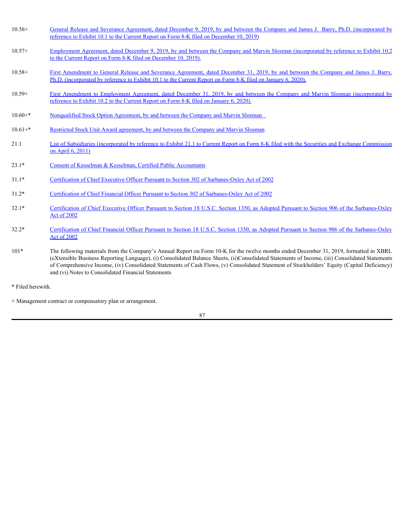- 10.56+ General Release and Severance Agreement, dated December 9, 2019, by and between the Company and James J. Barry, Ph.D. (incorporated by reference to Exhibit 10.1 to the Current Report on Form 8-K filed on December 10, 2019)
- 10.57+ Employment Agreement, dated December 9, 2019, by and between the Company and Marvin Slosman (incorporated by reference to Exhibit 10.2 to the Current Report on Form 8-K filed on December 10, 2019). GeneralRelease and Severance [Agreement,](https://content.edgar-online.com/ExternalLink/EDGAR/0001493152-20-000179.html?hash=fef13dc7419fef2427d586d426fc5d6ec55b3d7adea66e91be8ff25c43a841d8&dest=EX10-2_HTM) dated December 9, 2019, [by](https://content.edgar-online.com/ExternalLink/EDGAR/0001493152-20-000179.html?hash=fef13dc7419fef2427d586d426fc5d6ec55b3d7adea66e91be8ff25c43a841d8&dest=EX10-2_HTM) and between the Company and James J. Barry, Ph.D. (incorporated by reference to Exhibit 10.1 to the Current Report on Form 8-K filed on December 10, 2019)
- 10.58+ First Amendment to General Release and Severance Agreement, dated December 31, 2019, by and between the Company and James J. Barry, Ph.D. (incorporated by reference to Exhibit 10.1 to the Current Report on Form 8-K filed on January 6, 2020).
- reference to Exhibit 10.2 to the Current Report on Form 8-K filed on January 6, 2020).
- 10.60+\* Nonqualified Stock Option Agreement, by and between the Company and Marvin Slosman
- 10.61+\* Restricted Stock Unit Award agreement, by and between the Company and Marvin Slosman
- 21.1 List of Subsidiaries (incorporated by reference to Exhibit 21.1 to Current Report on Form 8-K filed with the Securities and Exchange Commission [on April 6, 2011\)](https://content.edgar-online.com/ExternalLink/EDGAR/0001193805-11-000675.html?hash=20597f229fcb419371125e5c05fc55d06f195ab298c9d7dcdfa238c824f38eb1&dest=E608253_EX21-1_HTM)
- 23.1\* [Consent of Kesselman & Kesselman, Certified Public Accountants](#page-156-0)
- 31.1\* [Certification of Chief Executive Officer Pursuant to Section 302 of Sarbanes-Oxley Act of 2002](#page-157-0)
- 31.2\* [Certification of Chief Financial Officer Pursuant to Section 302 of Sarbanes-Oxley Act of 2002](#page-158-0)
- 32.1\* [Certification of Chief Executive Officer Pursuant to Section 18 U.S.C. Section 1350, as Adopted Pursuant to Section 906 of the Sarbanes-Oxley](#page-159-0) [Act of 2002](#page-159-0)
- 32.2\* [Certification of Chief Financial Officer Pursuant to Section 18 U.S.C. Section 1350, as Adopted Pursuant to Section 906 of the Sarbanes-Oxley](#page-160-0) [Act of 2002](#page-160-0)
- 101\* The following materials from the Company's Annual Report on Form 10-K for the twelve months ended December 31, 2019, formatted in XBRL (eXtensible Business Reporting Language), (i) Consolidated Balance Sheets, (ii)Consolidated Statements of Income, (iii) Consolidated Statements of Comprehensive Income, (iv) Consolidated Statements of Cash Flows, (v) Consolidated Statement of Stockholders' Equity (Capital Deficiency) and (vi) Notes to Consolidated Financial Statements
- \* Filed herewith.

+ Management contract or compensatory plan or arrangement.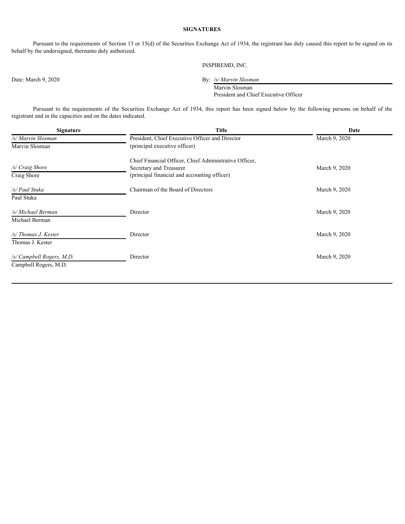## **SIGNATURES**

|                                                              | <b>SIGNATURES</b>                                                                                                                                          |               |
|--------------------------------------------------------------|------------------------------------------------------------------------------------------------------------------------------------------------------------|---------------|
| behalf by the undersigned, thereunto duly authorized.        | Pursuant to the requirements of Section 13 or 15(d) of the Securities Exchange Act of 1934, the registrant has duly caused this report to be signed on its |               |
|                                                              | INSPIREMD, INC.                                                                                                                                            |               |
| Date: March 9, 2020                                          | By: /s/ Marvin Slosman                                                                                                                                     |               |
|                                                              | Marvin Slosman<br>President and Chief Executive Officer                                                                                                    |               |
|                                                              | Pursuant to the requirements of the Securities Exchange Act of 1934, this report has been signed below by the following persons on behalf of the           |               |
| registrant and in the capacities and on the dates indicated. |                                                                                                                                                            |               |
| Signature                                                    | <b>Title</b>                                                                                                                                               | Date          |
| /s/ Marvin Slosman<br>Marvin Slosman                         | President, Chief Executive Officer and Director<br>(principal executive officer)                                                                           | March 9, 2020 |
|                                                              | Chief Financial Officer, Chief Administrative Officer,                                                                                                     |               |
| /s/ Craig Shore                                              | Secretary and Treasurer                                                                                                                                    | March 9, 2020 |
| Craig Shore                                                  | (principal financial and accounting officer)                                                                                                               |               |
| /s/ Paul Stuka<br>Paul Stuka                                 | Chairman of the Board of Directors                                                                                                                         | March 9, 2020 |
|                                                              |                                                                                                                                                            |               |
| /s/ Michael Berman<br>Michael Berman                         | Director                                                                                                                                                   | March 9, 2020 |
| /s/ Thomas J. Kester                                         | Director                                                                                                                                                   | March 9, 2020 |
| Thomas J. Kester                                             |                                                                                                                                                            |               |
|                                                              |                                                                                                                                                            | March 9, 2020 |
| /s/ Campbell Rogers, M.D.<br>Campbell Rogers, M.D.           | Director                                                                                                                                                   |               |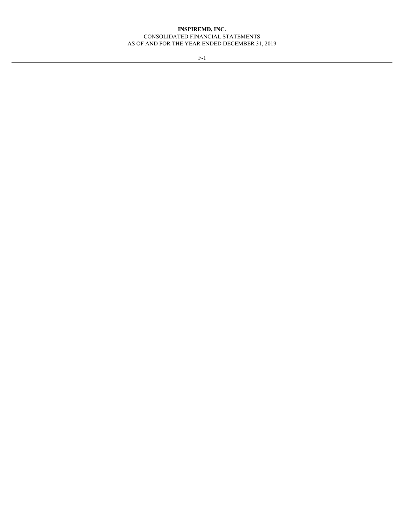## **INSPIREMD, INC.** CONSOLIDATED FINANCIAL STATEMENTS AS OF AND FOR THE YEAR ENDED DECEMBER 31, 2019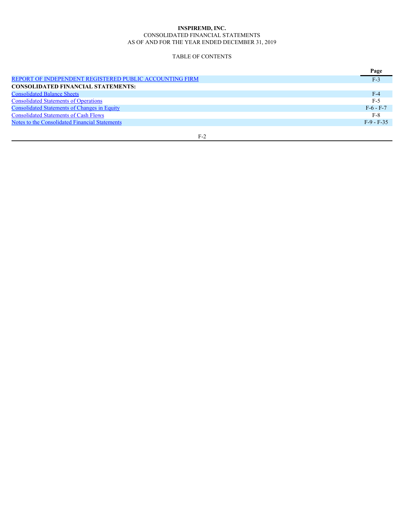## **INSPIREMD, INC.** CONSOLIDATED FINANCIAL STATEMENTS AS OF AND FOR THE YEAR ENDED DECEMBER 31, 2019

# TABLE OF CONTENTS

| REPORT OF INDEPENDENT REGISTERED PUBLIC ACCOUNTING FIRM | $\frac{Page}{F-3}$ |
|---------------------------------------------------------|--------------------|
| <b>CONSOLIDATED FINANCIAL STATEMENTS:</b>               |                    |
| <b>Consolidated Balance Sheets</b>                      | $F-4$              |
| <b>Consolidated Statements of Operations</b>            | F-5                |
| <b>Consolidated Statements of Changes in Equity</b>     | $F-6 - F-7$        |
| <b>Consolidated Statements of Cash Flows</b>            | F-8                |
| Notes to the Consolidated Financial Statements          | $F-9 - F-35$       |
|                                                         |                    |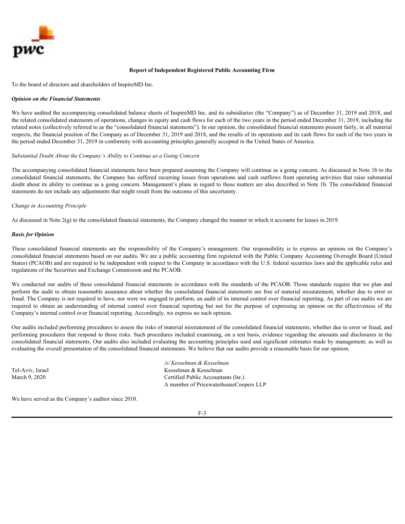

## <span id="page-93-0"></span>**Report of Independent Registered Public Accounting Firm**

To the board of directors and shareholders of InspireMD Inc.

#### *Opinion on the Financial Statements*

We have audited the accompanying consolidated balance sheets of InspireMD Inc. and its subsidiaries (the "Company") as of December 31, 2019 and 2018, and the related consolidated statements of operations, changes in equity and cash flows for each of the two years in the period ended December 31, 2019, including the related notes (collectively referred to as the "consolidated financial statements"). In our opinion, the consolidated financial statements present fairly, in all material respects, the financial position of the Company as of December 31, 2019 and 2018, and the results of its operations and its cash flows for each of the two years in the period ended December 31, 2019 in conformity with accounting principles generally accepted in the United States of America. **These consolidated financial statements in the response of the response of the response of the response of the response of the response of the response of the response of the response of the response of the response of th** Opinion on the Financial Statements<br>We have nadiced the accompanying considerated hance sheets of ImpicoMD inc. and in substitution (the "Company") as of December 31, 2019 and 2018, and<br>the characteristic control of the

## *Substantial Doubt About the Company's Ability to Continue as a Going Concern*

The accompanying consolidated financial statements have been prepared assuming the Company will continue as a going concern. As discussed in Note 1b to the consolidated financial statements, the Company has suffered recurring losses from operations and cash outflows from operating activities that raise substantial doubt about its ability to continue as a going concern. Management's plans in regard to these matters are also described in Note 1b. The consolidated financial statements do not include any adjustments that might result from the outcome of this uncertainty.

## *Change in Accounting Principle*

As discussed in Note 2(g) to the consolidated financial statements, the Company changed the manner in which it accounts for leases in 2019.

#### *Basis for Opinion*

consolidated financial statements based on our audits. We are a public accounting firm registered with the Public Company Accounting Oversight Board (United States) (PCAOB) and are required to be independent with respect to the Company in accordance with the U.S. federal securities laws and the applicable rules and regulations of the Securities and Exchange Commission and the PCAOB.

We conducted our audits of these consolidated financial statements in accordance with the standards of the PCAOB. Those standards require that we plan and perform the audit to obtain reasonable assurance about whether the consolidated financial statements are free of material misstatement, whether due to error or fraud. The Company is not required to have, nor were we engaged to perform, an audit of its internal control over financial reporting. As part of our audits we are Company's internal control over financial reporting. Accordingly, we express no such opinion.

Our audits included performing procedures to assess the risks of material misstatement of the consolidated financial statements, whether due to error or fraud, and performing procedures that respond to those risks. Such procedures included examining, on a test basis, evidence regarding the amounts and disclosures in the consolidated financial statements. Our audits also included evaluating the accounting principles used and significant estimates made by management, as well as evaluating the overall presentation of the consolidated financial statements. We believe that our audits provide a reasonable basis for our opinion.

*/s/ Kesselman & Kesselman* Tel-Aviv, Israel Kesselman & Kesselman & Kesselman March 9, 2020 Certified Public Accountants (lsr.) A member of PricewaterhouseCoopers LLP

We have served as the Company's auditor since 2010.

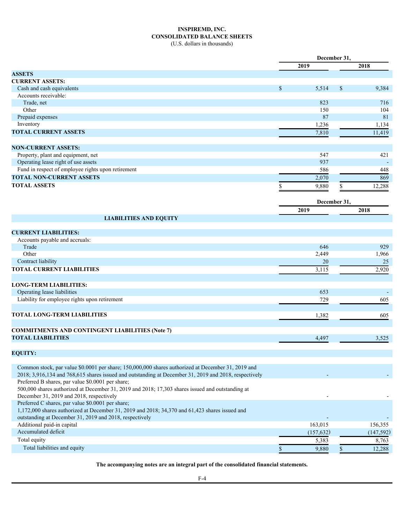# **INSPIREMD, INC. CONSOLIDATED BALANCE SHEETS**

<span id="page-94-0"></span>(U.S. dollars in thousands)

|                                                                                                       | December 31, |            |              |            |
|-------------------------------------------------------------------------------------------------------|--------------|------------|--------------|------------|
|                                                                                                       |              | 2019       |              | 2018       |
| <b>ASSETS</b>                                                                                         |              |            |              |            |
| <b>CURRENT ASSETS:</b>                                                                                |              |            |              |            |
| Cash and cash equivalents                                                                             | $\mathbb{S}$ | 5,514      | $\mathbb{S}$ | 9,384      |
| Accounts receivable:                                                                                  |              |            |              |            |
| Trade, net                                                                                            |              | 823        |              | 716        |
| Other                                                                                                 |              | 150        |              | 104        |
| Prepaid expenses                                                                                      |              | 87         |              | 81         |
| Inventory                                                                                             |              | 1,236      |              | 1,134      |
| <b>TOTAL CURRENT ASSETS</b>                                                                           |              | 7,810      |              | 11,419     |
| <b>NON-CURRENT ASSETS:</b>                                                                            |              |            |              |            |
| Property, plant and equipment, net                                                                    |              | 547        |              | 421        |
| Operating lease right of use assets                                                                   |              | 937        |              |            |
| Fund in respect of employee rights upon retirement                                                    |              | 586        |              | 448        |
| <b>TOTAL NON-CURRENT ASSETS</b>                                                                       |              | 2,070      |              | 869        |
| <b>TOTAL ASSETS</b>                                                                                   |              | 9,880      |              |            |
|                                                                                                       |              |            |              | 12,288     |
|                                                                                                       | December 31, |            |              |            |
|                                                                                                       |              | 2019       |              | 2018       |
| <b>LIABILITIES AND EQUITY</b>                                                                         |              |            |              |            |
| <b>CURRENT LIABILITIES:</b>                                                                           |              |            |              |            |
| Accounts payable and accruals:                                                                        |              |            |              |            |
| Trade                                                                                                 |              | 646        |              | 929        |
| Other                                                                                                 |              | 2,449      |              | 1,966      |
| Contract liability                                                                                    |              | 20         |              | $25\,$     |
| <b>TOTAL CURRENT LIABILITIES</b>                                                                      |              |            |              |            |
|                                                                                                       |              | 3,115      |              | 2,920      |
|                                                                                                       |              |            |              |            |
| <b>LONG-TERM LIABILITIES:</b>                                                                         |              |            |              |            |
| Operating lease liabilities                                                                           |              | 653        |              |            |
| Liability for employee rights upon retirement                                                         |              | 729        |              | 605        |
| <b>TOTAL LONG-TERM LIABILITIES</b>                                                                    |              | 1,382      |              | 605        |
|                                                                                                       |              |            |              |            |
| <b>COMMITMENTS AND CONTINGENT LIABILITIES (Note 7)</b>                                                |              |            |              |            |
| <b>TOTAL LIABILITIES</b>                                                                              |              | 4,497      |              | 3,525      |
|                                                                                                       |              |            |              |            |
| <b>EQUITY:</b>                                                                                        |              |            |              |            |
| Common stock, par value \$0.0001 per share; 150,000,000 shares authorized at December 31, 2019 and    |              |            |              |            |
| 2018; 3,916,134 and 768,615 shares issued and outstanding at December 31, 2019 and 2018, respectively |              |            |              |            |
| Preferred B shares, par value \$0.0001 per share;                                                     |              |            |              |            |
| 500,000 shares authorized at December 31, 2019 and 2018; 17,303 shares issued and outstanding at      |              |            |              |            |
| December 31, 2019 and 2018, respectively                                                              |              |            |              |            |
| Preferred C shares, par value \$0.0001 per share;                                                     |              |            |              |            |
| 1,172,000 shares authorized at December 31, 2019 and 2018; 34,370 and 61,423 shares issued and        |              |            |              |            |
| outstanding at December 31, 2019 and 2018, respectively                                               |              |            |              |            |
| Additional paid-in capital                                                                            |              | 163,015    |              | 156,355    |
| Accumulated deficit                                                                                   |              | (157, 632) |              | (147, 592) |
| Total equity                                                                                          |              | 5,383      |              | 8,763      |
| Total liabilities and equity                                                                          |              |            |              |            |
|                                                                                                       | S.           | 9,880      |              | 12,288     |

**The accompanying notes are an integral part of the consolidated financial statements.**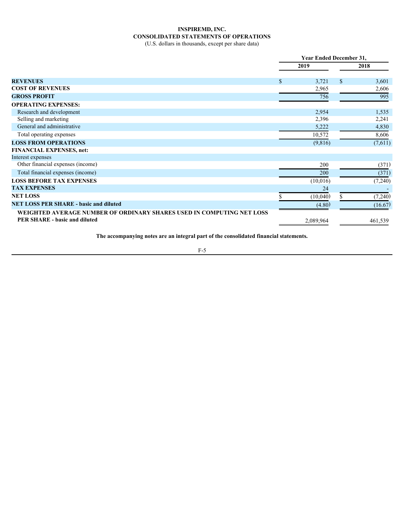# **INSPIREMD, INC. CONSOLIDATED STATEMENTS OF OPERATIONS**

<span id="page-95-0"></span>(U.S. dollars in thousands, except per share data)

|                                                                       | <b>Year Ended December 31,</b> |           |              |         |  |  |  |
|-----------------------------------------------------------------------|--------------------------------|-----------|--------------|---------|--|--|--|
|                                                                       |                                | 2019      |              | 2018    |  |  |  |
| <b>REVENUES</b>                                                       | Ж.                             | 3,721     | $\mathbb{S}$ | 3,601   |  |  |  |
| <b>COST OF REVENUES</b>                                               |                                | 2,965     |              | 2,606   |  |  |  |
| <b>GROSS PROFIT</b>                                                   |                                | 756       |              | 995     |  |  |  |
| <b>OPERATING EXPENSES:</b>                                            |                                |           |              |         |  |  |  |
| Research and development                                              |                                | 2,954     |              | 1,535   |  |  |  |
| Selling and marketing                                                 |                                | 2,396     |              | 2,241   |  |  |  |
| General and administrative                                            |                                | 5,222     |              | 4,830   |  |  |  |
| Total operating expenses                                              |                                | 10,572    |              | 8,606   |  |  |  |
| <b>LOSS FROM OPERATIONS</b>                                           |                                | (9, 816)  |              | (7,611) |  |  |  |
| <b>FINANCIAL EXPENSES, net:</b>                                       |                                |           |              |         |  |  |  |
| Interest expenses                                                     |                                |           |              |         |  |  |  |
| Other financial expenses (income)                                     |                                | 200       |              | (371)   |  |  |  |
| Total financial expenses (income)                                     |                                | 200       |              | (371)   |  |  |  |
| <b>LOSS BEFORE TAX EXPENSES</b>                                       |                                | (10,016)  |              | (7,240) |  |  |  |
| <b>TAX EXPENSES</b>                                                   |                                | 24        |              |         |  |  |  |
| <b>NET LOSS</b>                                                       |                                | (10,040)  |              | (7,240) |  |  |  |
| <b>NET LOSS PER SHARE - basic and diluted</b>                         |                                | (4.80)    |              | (16.67) |  |  |  |
| WEIGHTED AVERAGE NUMBER OF ORDINARY SHARES USED IN COMPUTING NET LOSS |                                |           |              |         |  |  |  |
| <b>PER SHARE - basic and diluted</b>                                  |                                | 2,089,964 |              | 461,539 |  |  |  |
|                                                                       |                                |           |              |         |  |  |  |

**The accompanying notes are an integral part of the consolidated financial statements.**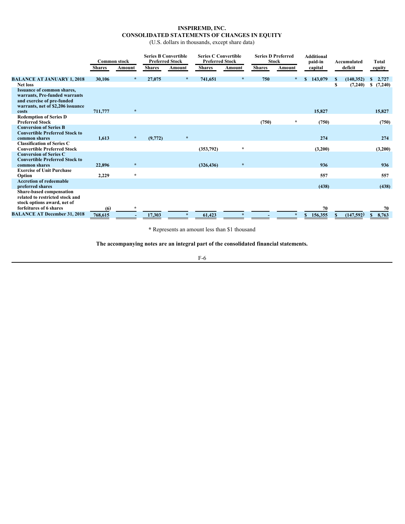# **INSPIREMD, INC. CONSOLIDATED STATEMENTS OF CHANGES IN EQUITY**

<span id="page-96-0"></span>(U.S. dollars in thousands, except share data)

|                                                                                                                                | <b>Common stock</b> |         | <b>Series B Convertible</b> | <b>Preferred Stock</b> | <b>Series C Convertible</b><br><b>Preferred Stock</b> |         | <b>Series D Preferred</b> | <b>Stock</b> | <b>Additional</b><br>paid-in | Accumulated        | Total       |
|--------------------------------------------------------------------------------------------------------------------------------|---------------------|---------|-----------------------------|------------------------|-------------------------------------------------------|---------|---------------------------|--------------|------------------------------|--------------------|-------------|
|                                                                                                                                | <b>Shares</b>       | Amount  | <b>Shares</b>               | Amount                 | <b>Shares</b>                                         | Amount  | <b>Shares</b>             | Amount       | capital                      | deficit            | equity      |
| <b>BALANCE AT JANUARY 1, 2018</b>                                                                                              | 30,106              |         | 27,075                      |                        | 741,651                                               |         | 750                       | $\star$      | \$143,079                    | (140, 352)<br>- \$ | 2,727<br>-8 |
| <b>Net loss</b>                                                                                                                |                     |         |                             |                        |                                                       |         |                           |              |                              | S<br>(7,240)       | (7,240)     |
| Issuance of common shares,<br>warrants, Pre-funded warrants<br>and exercise of pre-funded<br>warrants, net of \$2,206 issuance |                     |         |                             |                        |                                                       |         |                           |              |                              |                    |             |
| costs                                                                                                                          | 711,777             |         |                             |                        |                                                       |         |                           |              | 15,827                       |                    | 15,827      |
| <b>Redemption of Series D</b><br><b>Preferred Stock</b>                                                                        |                     |         |                             |                        |                                                       |         | (750)                     | $\star$      | (750)                        |                    | (750)       |
| <b>Conversion of Series B</b><br><b>Convertible Preferred Stock to</b>                                                         |                     |         |                             |                        |                                                       |         |                           |              |                              |                    |             |
| common shares                                                                                                                  | 1,613               |         | (9,772)                     |                        |                                                       |         |                           |              | 274                          |                    | 274         |
| <b>Classification of Series C</b><br><b>Convertible Preferred Stock</b>                                                        |                     |         |                             |                        | (353,792)                                             | $\star$ |                           |              | (3,200)                      |                    | (3,200)     |
| <b>Conversion of Series C</b><br><b>Convertible Preferred Stock to</b>                                                         |                     |         |                             |                        |                                                       |         |                           |              |                              |                    |             |
| common shares                                                                                                                  | 22,896              |         |                             |                        | (326, 436)                                            | $\star$ |                           |              | 936                          |                    | 936         |
| <b>Exercise of Unit Purchase</b><br>Option                                                                                     | 2,229               | $\star$ |                             |                        |                                                       |         |                           |              | 557                          |                    | 557         |
| <b>Accretion of redeemable</b><br>preferred shares                                                                             |                     |         |                             |                        |                                                       |         |                           |              | (438)                        |                    | (438)       |
| Share-based compensation<br>related to restricted stock and<br>stock options award, net of                                     |                     |         |                             |                        |                                                       |         |                           |              |                              |                    |             |
| forfeitures of 6 shares                                                                                                        | (6)                 |         |                             |                        |                                                       |         |                           |              | 70                           |                    | 70          |
| <b>BALANCE AT December 31, 2018</b>                                                                                            | 768,615             |         | 17,303                      |                        | 61,423                                                |         |                           |              | 156,355                      | (147,592)          | 8,763       |

**\*** Represents an amount less than \$1 thousand

**The accompanying notes are an integral part of the consolidated financial statements.**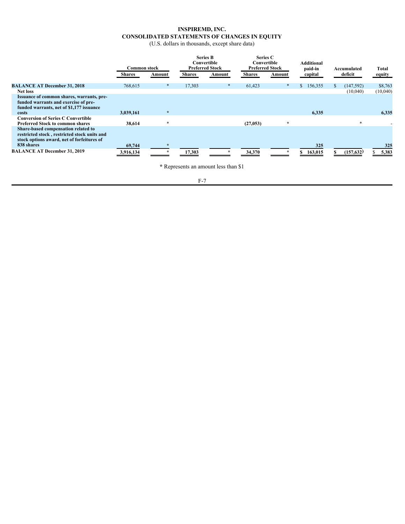# **INSPIREMD, INC. CONSOLIDATED STATEMENTS OF CHANGES IN EQUITY**

(U.S. dollars in thousands, except share data)

|                                                                                                                                                 | Common stock  |        |               | <b>Series B</b><br>Convertible<br><b>Preferred Stock</b> | <b>Series C</b><br>Convertible<br><b>Preferred Stock</b> |        | <b>Additional</b><br>paid-in | Accumulated            | Total               |
|-------------------------------------------------------------------------------------------------------------------------------------------------|---------------|--------|---------------|----------------------------------------------------------|----------------------------------------------------------|--------|------------------------------|------------------------|---------------------|
|                                                                                                                                                 | <b>Shares</b> | Amount | <b>Shares</b> | Amount                                                   | Shares                                                   | Amount | capital                      | deficit                | equity              |
| <b>BALANCE AT December 31, 2018</b><br>Net loss                                                                                                 | 768,615       |        | 17,303        |                                                          | 61,423                                                   |        | 156,355                      | (147, 592)<br>(10,040) | \$8,763<br>(10,040) |
| Issuance of common shares, warrants, pre-<br>funded warrants and exercise of pre-<br>funded warrants, net of \$1,177 issuance<br>costs          | 3,039,161     |        |               |                                                          |                                                          |        | 6,335                        |                        | 6,335               |
| <b>Conversion of Series C Convertible</b><br><b>Preferred Stock to common shares</b>                                                            | 38,614        |        |               |                                                          | (27, 053)                                                | ÷      |                              |                        |                     |
| Share-based compensation related to<br>restricted stock, restricted stock units and<br>stock options award, net of forfeitures of<br>838 shares | 69,744        |        |               |                                                          |                                                          |        | 325                          |                        | 325                 |
| <b>BALANCE AT December 31, 2019</b>                                                                                                             | 3,916,134     |        | 17,303        |                                                          | 34,370                                                   |        | 163,015                      | (157, 632)             | 5,383               |

**\*** Represents an amount less than \$1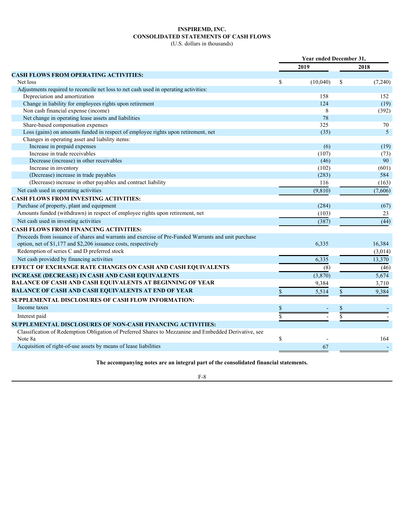# **INSPIREMD, INC. CONSOLIDATED STATEMENTS OF CASH FLOWS**

<span id="page-98-0"></span>(U.S. dollars in thousands)

|                                                                                                       |              | <b>Year ended December 31.</b> |               |                   |
|-------------------------------------------------------------------------------------------------------|--------------|--------------------------------|---------------|-------------------|
|                                                                                                       |              | 2019                           |               | 2018              |
| <b>CASH FLOWS FROM OPERATING ACTIVITIES:</b>                                                          |              |                                |               |                   |
| Net loss                                                                                              | S            | (10,040)                       | -S            | (7,240)           |
| Adjustments required to reconcile net loss to net cash used in operating activities:                  |              |                                |               |                   |
| Depreciation and amortization                                                                         |              | 158                            |               | 152               |
| Change in liability for employees rights upon retirement                                              |              | 124                            |               | (19)              |
| Non cash financial expense (income)                                                                   |              | 8                              |               | (392)             |
| Net change in operating lease assets and liabilities                                                  |              | 78                             |               |                   |
| Share-based compensation expenses                                                                     |              | 325                            |               | 70                |
| Loss (gains) on amounts funded in respect of employee rights upon retirement, net                     |              | (35)                           |               | $\overline{5}$    |
| Changes in operating asset and liability items:                                                       |              |                                |               |                   |
| Increase in prepaid expenses                                                                          |              | (6)                            |               | (19)              |
| Increase in trade receivables                                                                         |              | (107)                          |               | (73)              |
| Decrease (increase) in other receivables                                                              |              | (46)                           |               | 90                |
| Increase in inventory                                                                                 |              | (102)                          |               | (601)             |
| (Decrease) increase in trade payables                                                                 |              | (283)                          |               | 584               |
| (Decrease) increase in other payables and contract liability                                          |              | 116                            |               | (163)             |
| Net cash used in operating activities                                                                 |              | (9,810)                        |               | (7,606)           |
| <b>CASH FLOWS FROM INVESTING ACTIVITIES:</b>                                                          |              |                                |               |                   |
| Purchase of property, plant and equipment                                                             |              | (284)                          |               | (67)              |
| Amounts funded (withdrawn) in respect of employee rights upon retirement, net                         |              | (103)                          |               | 23                |
| Net cash used in investing activities                                                                 |              | (387)                          |               | $\overline{(44)}$ |
| <b>CASH FLOWS FROM FINANCING ACTIVITIES:</b>                                                          |              |                                |               |                   |
| Proceeds from issuance of shares and warrants and exercise of Pre-Funded Warrants and unit purchase   |              |                                |               |                   |
| option, net of \$1,177 and \$2,206 issuance costs, respectively                                       |              | 6,335                          |               | 16,384            |
| Redemption of series C and D preferred stock                                                          |              |                                |               | (3,014)           |
| Net cash provided by financing activities                                                             |              | 6,335                          |               | 13,370            |
| EFFECT OF EXCHANGE RATE CHANGES ON CASH AND CASH EQUIVALENTS                                          |              | (8)                            |               | (46)              |
| <b>INCREASE (DECREASE) IN CASH AND CASH EQUIVALENTS</b>                                               |              | (3,870)                        |               | 5,674             |
| <b>BALANCE OF CASH AND CASH EQUIVALENTS AT BEGINNING OF YEAR</b>                                      |              | 9,384                          |               | 3,710             |
| <b>BALANCE OF CASH AND CASH EQUIVALENTS AT END OF YEAR</b>                                            |              | 5,514                          |               | 9,384             |
| <b>SUPPLEMENTAL DISCLOSURES OF CASH FLOW INFORMATION:</b>                                             |              |                                |               |                   |
| Income taxes                                                                                          |              |                                | $\mathcal{S}$ |                   |
| Interest paid                                                                                         |              |                                | £.            |                   |
| SUPPLEMENTAL DISCLOSURES OF NON-CASH FINANCING ACTIVITIES:                                            |              |                                |               |                   |
| Classification of Redemption Obligation of Preferred Shares to Mezzanine and Embedded Derivative, see |              |                                |               |                   |
| Note 8a                                                                                               | $\mathbb{S}$ |                                |               | 164               |
| Acquisition of right-of-use assets by means of lease liabilities                                      |              | 67                             |               |                   |
|                                                                                                       |              |                                |               |                   |

**The accompanying notes are an integral part of the consolidated financial statements.**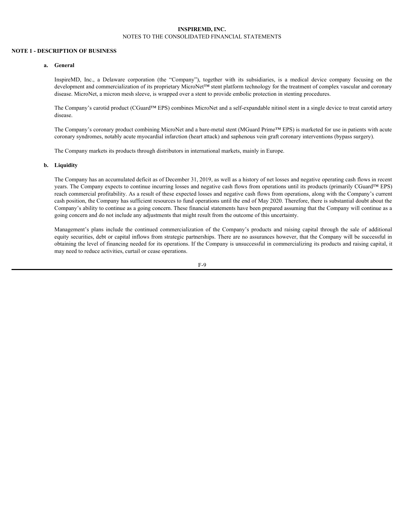## <span id="page-99-0"></span>**INSPIREMD, INC.** NOTES TO THE CONSOLIDATED FINANCIAL STATEMENTS

## **NOTE 1 - DESCRIPTION OF BUSINESS**

## **a. General**

**INSPIREMD, INC.**<br> **INSPIREMD, INC.**<br> **INSPIREMD, INC.**<br> **INSPIREMD,** Inc., a Delaware corporation (the "Company"), together with its subsidiaries, is a medical device company focusing on the<br>
development and commercializa development and commercialization of its proprietary MicroNet™ stent platform technology for the treatment of complex vascular and coronary disease. MicroNet, a micron mesh sleeve, is wrapped over a stent to provide embolic protection in stenting procedures.

The Company's carotid product (CGuard™ EPS) combines MicroNet and a self-expandable nitinol stent in a single device to treat carotid artery disease.

The Company's coronary product combining MicroNet and a bare-metal stent (MGuard Prime™ EPS) is marketed for use in patients with acute coronary syndromes, notably acute myocardial infarction (heart attack) and saphenous vein graft coronary interventions (bypass surgery).

The Company markets its products through distributors in international markets, mainly in Europe.

#### **b. Liquidity**

The Company has an accumulated deficit as of December 31, 2019, as well as a history of net losses and negative operating cash flows in recent years. The Company expects to continue incurring losses and negative cash flows from operations until its products (primarily CGuard™ EPS) reach commercial profitability. As a result of these expected losses and negative cash flows from operations, along with the Company's current cash position, the Company has sufficient resources to fund operations until the end of May 2020. Therefore, there is substantial doubt about the Company's ability to continue as a going concern. These financial statements have been prepared assuming that the Company will continue as a going concern and do not include any adjustments that might result from the outcome of this uncertainty. **INSPIREMID, INC.**<br>
NOTES TO THE CONSOLIDATED FINANCIAL STATEMENTS<br>
General<br>
Inspirate Continue company in the comment of the "Company"), regender with its admissionist, is a model device company focusing on the<br>
developm

equity securities, debt or capital inflows from strategic partnerships. There are no assurances however, that the Company will be successful in obtaining the level of financing needed for its operations. If the Company is unsuccessful in commercializing its products and raising capital, it may need to reduce activities, curtail or cease operations.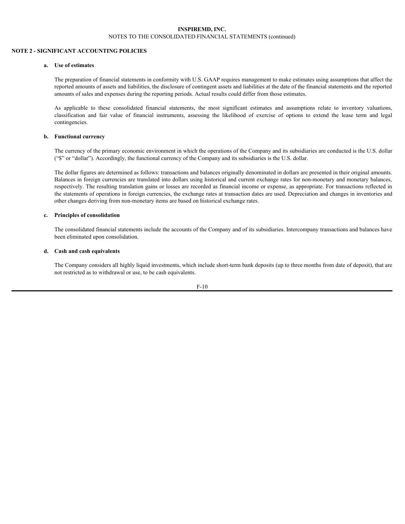## NOTES TO THE CONSOLIDATED FINANCIAL STATEMENTS (continued)

#### **NOTE 2 - SIGNIFICANT ACCOUNTING POLICIES**

## **a. Use of estimates**

The preparation of financial statements in conformity with U.S. GAAP requires management to make estimates using assumptions that affect the reported amounts of assets and liabilities, the disclosure of contingent assets and liabilities at the date of the financial statements and the reported amounts of sales and expenses during the reporting periods. Actual results could differ from those estimates.

**EPEANT ACCOUNTING POLICIES**<br> **EPEANT ACCOUNTING POLICIES**<br> **EUSE OF ORIGINATE CONSOLIDATED FINANCIAL STATEMENTS (continued)**<br>
The preparation of financial statements in conformity with U.S. GAAP requires management to mak **EFICANT ACCOUNTING POLICIES**<br>**EVALUE POLICIES**<br>**EVALUE COUNTING POLICIES**<br>**EVALUE AND FOLICIES**<br>**EVALUE COUNTING POLICIES**<br>**EVALUE COUNTING POLICIES**<br>**EVALUE COUNTING POLICIES**<br>**EVALUE COUNTING POLICIES**<br>**EVALUE COUNT COU** contingencies.

## **b. Functional currency**

The currency of the primary economic environment in which the operations of the Company and its subsidiaries are conducted is the U.S. dollar ("\$" or "dollar"). Accordingly, the functional currency of the Company and its subsidiaries is the U.S. dollar.

The dollar figures are determined as follows: transactions and balances originally denominated in dollars are presented in their original amounts. Balances in foreign currencies are translated into dollars using historical and current exchange rates for non-monetary and monetary balances, respectively. The resulting translation gains or losses are recorded as financial income or expense, as appropriate. For transactions reflected in the statements of operations in foreign currencies, the exchange rates at transaction dates are used. Depreciation and changes in inventories and other changes deriving from non-monetary items are based on historical exchange rates.

## **c. Principles of consolidation**

The consolidated financial statements include the accounts of the Company and of its subsidiaries. Intercompany transactions and balances have been eliminated upon consolidation.

#### **d. Cash and cash equivalents**

The Company considers all highly liquid investments, which include short-term bank deposits (up to three months from date of deposit), that are not restricted as to withdrawal or use, to be cash equivalents.

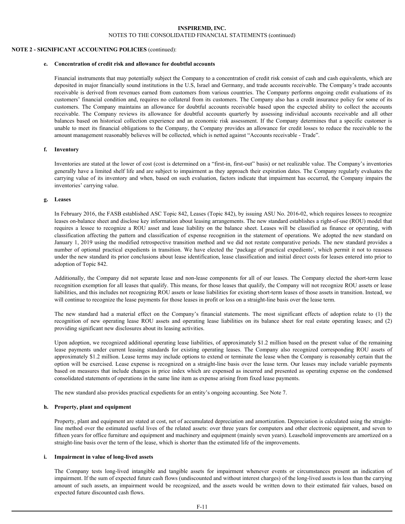# NOTES TO THE CONSOLIDATED FINANCIAL STATEMENTS (continued)

## **NOTE 2 - SIGNIFICANT ACCOUNTING POLICIES** (continued):

#### **e. Concentration of credit risk and allowance for doubtful accounts**

Financial instruments that may potentially subject the Company to a concentration of credit risk consist of cash and cash equivalents, which are deposited in major financially sound institutions in the U.S, Israel and Germany, and trade accounts receivable. The Company's trade accounts receivable is derived from revenues earned from customers from various countries. The Company performs ongoing credit evaluations of its customers' financial condition and, requires no collateral from its customers. The Company also has a credit insurance policy for some of its **EXEMIT ACCOUNTING POLICIES** (continued).<br> **COMPARITE CONSOLIDATED FINANCIAL STATEMENTS** (continued).<br> **COMPARITE COMPARITE CONSOLIDATED FINANCIAL STATEMENTS** (continued)<br> **Concentration of redit risk and allowance for dou EXPIREMD, INC.**<br>**FICANT ACCOUNTING POLICIES** (continued):<br>**Concentration of credit risk and allowance for doubtful accounts**<br>**Financial instruments that may potentially subject the Company to a concentration of credit ris BASPIREMIO, INC.**<br> **BASPIREMIO, INC.**<br> **ECOLUSTING: FOLICIES** (continued):<br> **Concentration of credit risk and allowance for doubtful accounts**<br> **EFinancial instruments that may potentially subject the Company to a conce** unable to meet its financial obligations to the Company, the Company provides an allowance for credit losses to reduce the receivable to the amount management reasonably believes will be collected, which is netted against "Accounts receivable - Trade". **FIGANT ACCOUNTING IDSPIREMID, INC.**<br> **FIGANT ACCOUNTING POLICIES** (continued)<br> **Concentration of credit risk and allowance for doubtful accounts**<br> **Einnaceal intermode than any positivity subject the Company is a concent** FIGENT INTERTIVATION INC.<br>
FOCULARY ACCOUNTING POLICIES (Continual)<br>
CONCELTENT CONCELTENT (CONCELTENT CONCELTENT CONCELTENT CONCELTENT CONCELTENT CONCELTENT CONCELTENT CONCELTENT CONCELTENT CONCELTENT CONCELTENT CONCELTEN NOTES TO THE CONSOLIDATED FINANCIAL STATEMENTS (continued)<br>Concentration of credit risk and allowance for doubtful accounts<br>
Einancial instruments that may parentially subject the Company to a concentration of credit risk

## **f. Inventory**

Inventories are stated at the lower of cost (cost is determined on a "first-in, first-out" basis) or net realizable value. The Company's inventories generally have a limited shelf life and are subject to impairment as they approach their expiration dates. The Company regularly evaluates the carrying value of its inventory and when, based on such evaluation, factors indicate that impairment has occurred, the Company impairs the inventories' carrying value.

## **g. Leases**

In February 2016, the FASB established ASC Topic 842, Leases (Topic 842), by issuing ASU No. 2016-02, which requires lessees to recognize leases on-balance sheet and disclose key information about leasing arrangements. The new standard establishes a right-of-use (ROU) model that January 1, 2019 using the modified retrospective transition method and we did not restate comparative periods. The new standard provides a under the new standard its prior conclusions about lease identification, lease classification and initial direct costs for leases entered into prior to adoption of Topic 842. extended condition and requires no collateral from its ustomers. The Company and consistent interact policies on the company of the secondary present and the distant and the most energy present interact the company reviewe extendents. The Company maintant an allowance for doubthal accounts reacted by by suscessing individual accounts concide a deliveration of the company reviews its allowance for doubthal accounts quanticyly sessessing indiv amount management reasonably believes will be collected. which is nered against "Accounts receivable - Trade".<br>Investories are rated at the lower of cost (sost is determined on a "first-ia, first-on, first-on, first-on, fi

Additionally, the Company did not separate lease and non-lease components for all of our leases. The Company elected the short-term lease recognition exemption for all leases that qualify. This means, for those leases that qualify, the Company will not recognize ROU assets or lease liabilities, and this includes not recognizing ROU assets or lease liabilities for existing short-term leases of those assets in transition. Instead, we will continue to recognize the lease payments for those leases in profit or loss on a straight-line basis over the lease term.

providing significant new disclosures about its leasing activities.

Upon adoption, we recognized additional operating lease liabilities, of approximately \$1.2 million based on the present value of the remaining approximately \$1.2 million. Lease terms may include options to extend or terminate the lease when the Company is reasonably certain that the option will be exercised. Lease expense is recognized on a straight-line basis over the lease term. Our leases may include variable payments based on measures that include changes in price index which are expensed as incurred and presented as operating expense on the condensed consolidated statements of operations in the same line item as expense arising from fixed lease payments. multe be rew-similated is princ conclusions about loses distribution, fosse classification, and misind direct costs for feases entered in princ to additionally, the Company did not separate lease and ano-lease component f Additionally, the Company dal not separate lease and non-lease components for all of our leases. The Company elected the absed transmitted in the absed to the such a fit and interval in the fit and the such that the such

The new standard also provides practical expedients for an entity's ongoing accounting. See Note 7.

# **h. Property, plant and equipment**

Property, plant and equipment are stated at cost, net of accumulated depreciation and amortization. Depreciation is calculated using the straightline method over the estimated useful lives of the related assets: over three years for computers and other electronic equipment, and seven to fifteen years for office furniture and equipment and machinery and equipment (mainly seven years). Leasehold improvements are amortized on a straight-line basis over the term of the lease, which is shorter than the estimated life of the improvements.

## **i. Impairment in value of long-lived assets**

impairment. If the sum of expected future cash flows (undiscounted and without interest charges) of the long-lived assets is less than the carrying expected future discounted cash flows.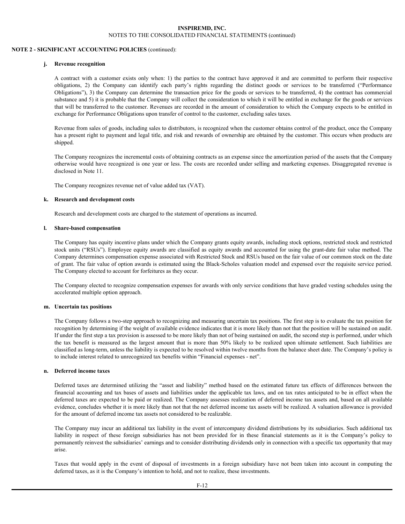## **INSPIREMD, INC.** NOTES TO THE CONSOLIDATED FINANCIAL STATEMENTS (continued)

## **NOTE 2 - SIGNIFICANT ACCOUNTING POLICIES** (continued):

## **j. Revenue recognition**

**EXECT ANT ACCOUNTING POLICIES** (continued)<br> **ETCANT ACCOUNTING POLICIES** (continued):<br> **Revenue recognition**<br>
A contract with a customer exists only when: 1) the parties to the contract have approved it and are committed **INSPIREMD, INC.**<br> **EFCANT ACCOUNTING POLICIES** (continued):<br> **Revenue recognition**<br>
A contract with a customer exists only when: 1) the parties to the contract have approved it and are committed to perform their respectiv Obligations"), 3) the Company can determine the transaction price for the goods or services to be transferred, 4) the contract has commercial substance and 5) it is probable that the Company will collect the consideration to which it will be entitled in exchange for the goods or services that will be transferred to the customer. Revenues are recorded in the amount of consideration to which the Company expects to be entitled in exchange for Performance Obligations upon transfer of control to the customer, excluding sales taxes.

Revenue from sales of goods, including sales to distributors, is recognized when the customer obtains control of the product, once the Company has a present right to payment and legal title, and risk and rewards of ownership are obtained by the customer. This occurs when products are shipped.

The Company recognizes the incremental costs of obtaining contracts as an expense since the amortization period of the assets that the Company otherwise would have recognized is one year or less. The costs are recorded under selling and marketing expenses. Disaggregated revenue is disclosed in Note 11.

The Company recognizes revenue net of value added tax (VAT).

## **k. Research and development costs**

Research and development costs are charged to the statement of operations as incurred.

## **l. Share-based compensation**

The Company has equity incentive plans under which the Company grants equity awards, including stock options, restricted stock and restricted stock units ("RSUs"). Employee equity awards are classified as equity awards and accounted for using the grant-date fair value method. The Company determines compensation expense associated with Restricted Stock and RSUs based on the fair value of our common stock on the date of grant. The fair value of option awards is estimated using the Black-Scholes valuation model and expensed over the requisite service period. The Company elected to account for forfeitures as they occur.

The Company elected to recognize compensation expenses for awards with only service conditions that have graded vesting schedules using the accelerated multiple option approach.

## **m. Uncertain tax positions**

The Company follows a two-step approach to recognizing and measuring uncertain tax positions. The first step is to evaluate the tax position for recognition by determining if the weight of available evidence indicates that it is more likely than not that the position will be sustained on audit. If under the first step a tax provision is assessed to be more likely than not of being sustained on audit, the second step is performed, under which Revene from sales of goods, including state to distributions, is recognized when the customatic of the product, ance the formulate the state of the state of the state of the state of the state of the state of the state of classified as long-term, unless the liability is expected to be resolved within twelve months from the balance sheet date. The Company's policy is to include interest related to unrecognized tax benefits within "Financial expenses - net". disclosed in Note 11.<br>The Company recognizes revenue net of value added ux (VAT).<br>
Research and development costs are changed to the statement of operations as incurred.<br>
Share-hased compressions are changed to the stateme Share haved compensation<br>The Company base quality investing planes under which the Company grants equaly aveable and accurate the solicit units (TeSl sy). They have also and the company determines componention expects and stood is the TSUs": Employee copity worath are classified as equilible with a solicity and accounted for taking ine guard-tatin in vestments and account for the integration and the event particles of the event in the event

## **n. Deferred income taxes**

financial accounting and tax bases of assets and liabilities under the applicable tax laws, and on tax rates anticipated to be in effect when the deferred taxes are expected to be paid or realized. The Company assesses realization of deferred income tax assets and, based on all available evidence, concludes whether it is more likely than not that the net deferred income tax assets will be realized. A valuation allowance is provided for the amount of deferred income tax assets not considered to be realizable.

The Company may incur an additional tax liability in the event of intercompany dividend distributions by its subsidiaries. Such additional tax permanently reinvest the subsidiaries' earnings and to consider distributing dividends only in connection with a specific tax opportunity that may arise.

deferred taxes, as it is the Company's intention to hold, and not to realize, these investments.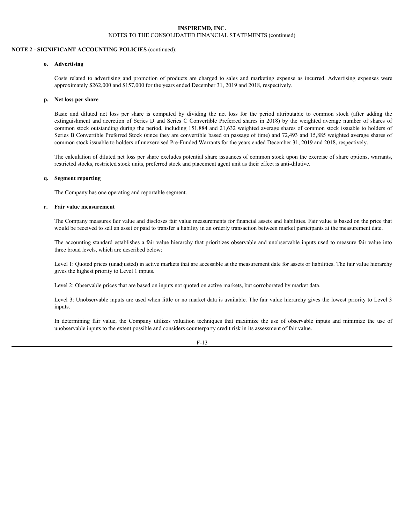## **INSPIREMD, INC.** NOTES TO THE CONSOLIDATED FINANCIAL STATEMENTS (continued)

#### **NOTE 2 - SIGNIFICANT ACCOUNTING POLICIES** (continued):

## **o. Advertising**

approximately \$262,000 and \$157,000 for the years ended December 31, 2019 and 2018, respectively.

## **p. Net loss per share**

INSPIREMD, INC.<br>
FICANT ACCOUNTING POLICIES (continued):<br>
Advertising<br>
Costs related to advertising and promotion of products are charged to sales and marketing expense as incurred. Advertising expenses were<br>
approximately **EXPIREMD, INC.**<br> **ENCANT ACCOUNTING POLICIES** (continued):<br> **Advertising**<br> **Costs related to advertising and promotion of products are charged to sales and marketing expense as incurred. Advertising expenses were<br>
approxi EXERT ACCOUNTING POLICIES** (continued)<br> **Advertising**<br> **Advertising**<br> **Costs related to advertising and promotion of products are charged to sales and marketing expense as incurred. Advertising expenses were<br>
approximatel** common stock outstanding during the period, including 151,884 and 21,632 weighted average shares of common stock issuable to holders of Series B Convertible Preferred Stock (since they are convertible based on passage of time) and 72,493 and 15,885 weighted average shares of common stock issuable to holders of unexercised Pre-Funded Warrants for the years ended December 31, 2019 and 2018, respectively. Basic and diluted are loss per share is computed by dividing the are loss for the period attributable to common stock (shee adding the excelusion of Series) and SCC Common stock ontanading during the period, including 15/

The calculation of diluted net loss per share excludes potential share issuances of common stock upon the exercise of share options, warrants, restricted stocks, restricted stock units, preferred stock and placement agent unit as their effect is anti-dilutive.

## **q. Segment reporting**

The Company has one operating and reportable segment.

#### **r. Fair value measurement**

The Company measures fair value and discloses fair value measurements for financial assets and liabilities. Fair value is based on the price that would be received to sell an asset or paid to transfer a liability in an orderly transaction between market participants at the measurement date.

The accounting standard establishes a fair value hierarchy that prioritizes observable and unobservable inputs used to measure fair value into three broad levels, which are described below:

Level 1: Quoted prices (unadjusted) in active markets that are accessible at the measurement date for assets or liabilities. The fair value hierarchy gives the highest priority to Level 1 inputs.

Level 2: Observable prices that are based on inputs not quoted on active markets, but corroborated by market data.

Level 3: Unobservable inputs are used when little or no market data is available. The fair value hierarchy gives the lowest priority to Level 3 inputs.

unobservable inputs to the extent possible and considers counterparty credit risk in its assessment of fair value.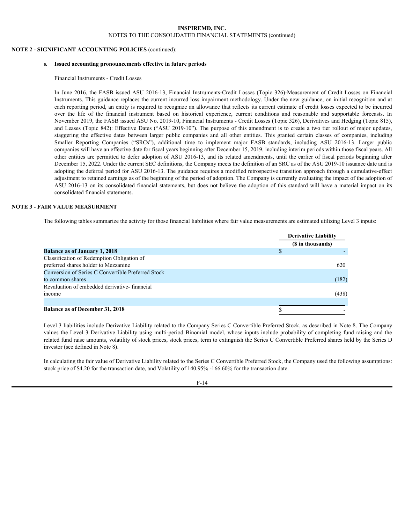## NOTES TO THE CONSOLIDATED FINANCIAL STATEMENTS (continued)

## **NOTE 2 - SIGNIFICANT ACCOUNTING POLICIES** (continued):

## **s. Issued accounting pronouncements effective in future periods**

#### Financial Instruments - Credit Losses

INSPIREMD, INC.<br>
INSPIREMD, INC.<br>
ISSUE TRANCIAL STATEMENTS (continued)<br>
ISSUE ACCOUNTING POLICIES (continued):<br>
ISSUE ACCOUNTING POLICIES (continued):<br>
ISSUE ARE IN SUE ARE IN EXERCT CONDUCTED INTO A FINANCIAL STATEMENTS Instruments. This guidance replaces the current incurred loss impairment methodology. Under the new guidance, on initial recognition and at each reporting period, an entity is required to recognize an allowance that reflects its current estimate of credit losses expected to be incurred **INSPIREMD, INC.**<br> **Sisued accounting PODLICIES** (continued):<br> **Sisued accounting pronouncements effective in future periods**<br> **In June 2016**, the FASB issued ASU 2016-13, Financial Instruments-Credit Losses (Topic 326)-Me November 2019, the FASB issued ASU No. 2019-10, Financial Instruments - Credit Losses (Topic 326), Derivatives and Hedging (Topic 815), **INSPIREMO, INC.**<br> **ENCANT ACCOUNTING POLICIES** (continued):<br> **ISsued accounting pronouncements effective in future periods**<br> **Financial Instruments - Credit Losses**<br> **In June 2016, the FASB issued ASU 2016-13, Financial I INSPIREMD, INC.**<br> **Stated accounting pronouncements effective in future periods**<br> **ISsued accounting pronouncements effective in future periods**<br>
Financial Instruments - Credit Losses<br>
In June 2016, the FASB issued ASU 20 **EXERT ACCOUNTING POLICIES (continued)**<br> **SISMALER COMPRIMENTS** (Continued):<br> **SISMAL EXERCS ACCOUNTING POLICIES (continued):**<br> **EXERCS insection and SISMALER COMPRIMENTS** (Continued):<br> **EXERCS in a mathematic SCS (Topic 3** companies will have an effective date for fiscal years beginning after December 15, 2019, including interim periods within those fiscal years. All other entities are permitted to defer adoption of ASU 2016-13, and its related amendments, until the earlier of fiscal periods beginning after December 15, 2022. Under the current SEC definitions, the Company meets the definition of an SRC as of the ASU 2019-10 issuance date and is adopting the deferral period for ASU 2016-13. The guidance requires a modified retrospective transition approach through a cumulative-effect adjustment to retained earnings as of the beginning of the period of adoption. The Company is currently evaluating the impact of the adoption of **EXEREMID, INC.**<br>
NOTES TO THE CONSOLIDATED FINANCIAL STATEMENTS (continues).<br> **EXERCITENTS:** (CONSTRATE CONSIDENTS) CONSIDENTS (CONSIDENTS) CONSIDE THE ADOPTION IS also considered and proposed are adoption and at the rig consolidated financial statements. vocates the constraint and the multi-period and the multi-period experience and manifest and the multi-period experience and the state of the multi-period in a Derivative Constraint and all other experiments the effective

## **NOTE 3 - FAIR VALUE MEASURMENT**

The following tables summarize the activity for those financial liabilities where fair value measurements are estimated utilizing Level 3 inputs:

|                                                    | <b>Derivative Liability</b> |  |  |  |  |
|----------------------------------------------------|-----------------------------|--|--|--|--|
|                                                    | (\$ in thousands)           |  |  |  |  |
| <b>Balance as of January 1, 2018</b>               |                             |  |  |  |  |
| Classification of Redemption Obligation of         |                             |  |  |  |  |
| preferred shares holder to Mezzanine               | 620                         |  |  |  |  |
| Conversion of Series C Convertible Preferred Stock |                             |  |  |  |  |
| to common shares                                   | (182)                       |  |  |  |  |
| Revaluation of embedded derivative-financial       |                             |  |  |  |  |
| income                                             | (438)                       |  |  |  |  |
|                                                    |                             |  |  |  |  |
| <b>Balance as of December 31, 2018</b>             |                             |  |  |  |  |

Level 3 liabilities include Derivative Liability related to the Company Series C Convertible Preferred Stock, as described in Note 8. The Company related fund raise amounts, volatility of stock prices, stock prices, term to extinguish the Series C Convertible Preferred shares held by the Series D investor (see defined in Note 8).

In calculating the fair value of Derivative Liability related to the Series C Convertible Preferred Stock, the Company used the following assumptions: stock price of \$4.20 for the transaction date, and Volatility of 140.95% -166.60% for the transaction date.

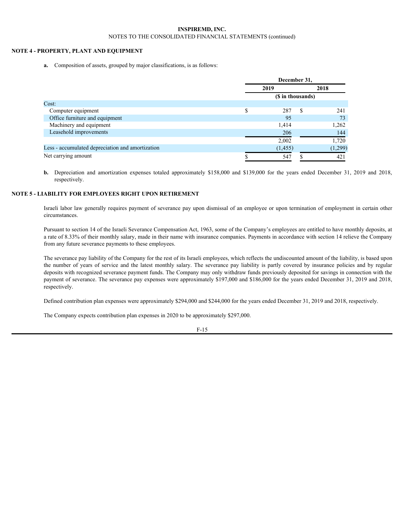## NOTES TO THE CONSOLIDATED FINANCIAL STATEMENTS (continued)

## **NOTE 4 - PROPERTY, PLANT AND EQUIPMENT**

| <b>INSPIREMD, INC.</b>                                                                                                                                                                                                                                                                                       |               |                   |          |              |
|--------------------------------------------------------------------------------------------------------------------------------------------------------------------------------------------------------------------------------------------------------------------------------------------------------------|---------------|-------------------|----------|--------------|
| NOTES TO THE CONSOLIDATED FINANCIAL STATEMENTS (continued)                                                                                                                                                                                                                                                   |               |                   |          |              |
| <b>COPERTY, PLANT AND EQUIPMENT</b>                                                                                                                                                                                                                                                                          |               |                   |          |              |
| a. Composition of assets, grouped by major classifications, is as follows:                                                                                                                                                                                                                                   |               |                   |          |              |
|                                                                                                                                                                                                                                                                                                              |               | December 31,      |          |              |
|                                                                                                                                                                                                                                                                                                              |               | 2019              | 2018     |              |
| Cost:                                                                                                                                                                                                                                                                                                        |               | (\$ in thousands) |          |              |
| Computer equipment                                                                                                                                                                                                                                                                                           | <sup>\$</sup> | 287               | <b>S</b> | 241          |
| Office furniture and equipment                                                                                                                                                                                                                                                                               |               | 95                |          | 73           |
| Machinery and equipment                                                                                                                                                                                                                                                                                      |               | 1,414             |          | 1,262        |
| Leasehold improvements                                                                                                                                                                                                                                                                                       |               | 206<br>2,002      |          | 144<br>1,720 |
| Less - accumulated depreciation and amortization                                                                                                                                                                                                                                                             |               | (1, 455)          |          | (1,299)      |
| Net carrying amount                                                                                                                                                                                                                                                                                          |               | 547               |          | 421          |
|                                                                                                                                                                                                                                                                                                              |               |                   |          |              |
| b. Depreciation and amortization expenses totaled approximately \$158,000 and \$139,000 for the years ended December 31, 2019 and 2018,<br>respectively.                                                                                                                                                     |               |                   |          |              |
| ABILITY FOR EMPLOYEES RIGHT UPON RETIREMENT                                                                                                                                                                                                                                                                  |               |                   |          |              |
|                                                                                                                                                                                                                                                                                                              |               |                   |          |              |
| Israeli labor law generally requires payment of severance pay upon dismissal of an employee or upon termination of employment in certain other<br>circumstances.                                                                                                                                             |               |                   |          |              |
|                                                                                                                                                                                                                                                                                                              |               |                   |          |              |
| Pursuant to section 14 of the Israeli Severance Compensation Act, 1963, some of the Company's employees are entitled to have monthly deposits, at                                                                                                                                                            |               |                   |          |              |
| a rate of 8.33% of their monthly salary, made in their name with insurance companies. Payments in accordance with section 14 relieve the Company<br>from any future severance payments to these employees.                                                                                                   |               |                   |          |              |
|                                                                                                                                                                                                                                                                                                              |               |                   |          |              |
| The severance pay liability of the Company for the rest of its Israeli employees, which reflects the undiscounted amount of the liability, is based upon<br>the number of years of service and the latest monthly salary. The severance pay liability is partly covered by insurance policies and by regular |               |                   |          |              |
| deposits with recognized severance payment funds. The Company may only withdraw funds previously deposited for savings in connection with the                                                                                                                                                                |               |                   |          |              |
| payment of severance. The severance pay expenses were approximately \$197,000 and \$186,000 for the years ended December 31, 2019 and 2018,<br>respectively.                                                                                                                                                 |               |                   |          |              |
|                                                                                                                                                                                                                                                                                                              |               |                   |          |              |
| Defined contribution plan expenses were approximately \$294,000 and \$244,000 for the years ended December 31, 2019 and 2018, respectively.                                                                                                                                                                  |               |                   |          |              |
|                                                                                                                                                                                                                                                                                                              |               |                   |          |              |

## **NOTE 5 - LIABILITY FOR EMPLOYEES RIGHT UPON RETIREMENT**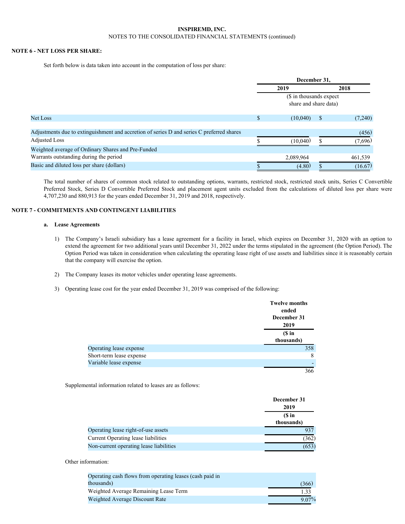## NOTES TO THE CONSOLIDATED FINANCIAL STATEMENTS (continued)

## **NOTE 6 - NET LOSS PER SHARE:**

| <b>INSPIREMD, INC.</b><br>NOTES TO THE CONSOLIDATED FINANCIAL STATEMENTS (continued)                                                                                                                                                                                                                                                                                                                                                                                                     |              |                                                  |              |         |
|------------------------------------------------------------------------------------------------------------------------------------------------------------------------------------------------------------------------------------------------------------------------------------------------------------------------------------------------------------------------------------------------------------------------------------------------------------------------------------------|--------------|--------------------------------------------------|--------------|---------|
| <b>5 - NET LOSS PER SHARE:</b>                                                                                                                                                                                                                                                                                                                                                                                                                                                           |              |                                                  |              |         |
| Set forth below is data taken into account in the computation of loss per share:                                                                                                                                                                                                                                                                                                                                                                                                         |              |                                                  |              |         |
|                                                                                                                                                                                                                                                                                                                                                                                                                                                                                          |              | December 31,                                     |              |         |
|                                                                                                                                                                                                                                                                                                                                                                                                                                                                                          |              | 2019                                             |              | 2018    |
|                                                                                                                                                                                                                                                                                                                                                                                                                                                                                          |              | (\$ in thousands expect<br>share and share data) |              |         |
| Net Loss                                                                                                                                                                                                                                                                                                                                                                                                                                                                                 | $\mathbb{S}$ | $(10,040)$ \$                                    |              | (7,240) |
| Adjustments due to extinguishment and accretion of series D and series C preferred shares                                                                                                                                                                                                                                                                                                                                                                                                |              |                                                  |              | (456)   |
| <b>Adjusted Loss</b>                                                                                                                                                                                                                                                                                                                                                                                                                                                                     | \$           | (10,040)                                         | <sup>S</sup> | (7,696) |
| Weighted average of Ordinary Shares and Pre-Funded                                                                                                                                                                                                                                                                                                                                                                                                                                       |              |                                                  |              |         |
| Warrants outstanding during the period                                                                                                                                                                                                                                                                                                                                                                                                                                                   |              | 2,089,964                                        |              | 461,539 |
| Basic and diluted loss per share (dollars)                                                                                                                                                                                                                                                                                                                                                                                                                                               |              | (4.80)                                           |              | (16.67) |
| The total number of shares of common stock related to outstanding options, warrants, restricted stock, restricted stock units, Series C Convertible<br>Preferred Stock, Series D Convertible Preferred Stock and placement agent units excluded from the calculations of diluted loss per share were<br>4,707,230 and 880,913 for the years ended December 31, 2019 and 2018, respectively.                                                                                              |              |                                                  |              |         |
| - COMMITMENTS AND CONTINGENT LIABILITIES                                                                                                                                                                                                                                                                                                                                                                                                                                                 |              |                                                  |              |         |
| a. Lease Agreements                                                                                                                                                                                                                                                                                                                                                                                                                                                                      |              |                                                  |              |         |
| 1) The Company's Israeli subsidiary has a lease agreement for a facility in Israel, which expires on December 31, 2020 with an option to<br>extend the agreement for two additional years until December 31, 2022 under the terms stipulated in the agreement (the Option Period). The<br>Option Period was taken in consideration when calculating the operating lease right of use assets and liabilities since it is reasonably certain<br>that the company will exercise the option. |              |                                                  |              |         |
| 2) The Company leases its motor vehicles under operating lease agreements.                                                                                                                                                                                                                                                                                                                                                                                                               |              |                                                  |              |         |
| 3) Operating lease cost for the year ended December 31, 2019 was comprised of the following:                                                                                                                                                                                                                                                                                                                                                                                             |              |                                                  |              |         |

## **NOTE 7 - COMMITMENTS AND CONTINGENT LIABILITIES**

## **a. Lease Agreements**

- extend the agreement for two additional years until December 31, 2022 under the terms stipulated in the agreement (the Option Period). The Option Period was taken in consideration when calculating the operating lease right of use assets and liabilities since it is reasonably certain that the company will exercise the option.
- 2) The Company leases its motor vehicles under operating lease agreements.
- 3) Operating lease cost for the year ended December 31, 2019 was comprised of the following:

|                          | <b>Twelve months</b> |
|--------------------------|----------------------|
|                          | ended                |
|                          | December 31          |
|                          | 2019                 |
|                          | (Sin                 |
|                          | thousands)           |
| Operating lease expense  | 358                  |
| Short-term lease expense |                      |
| Variable lease expense   |                      |
|                          | 366                  |

Supplemental information related to leases are as follows:

|                                         | December 31          |  |
|-----------------------------------------|----------------------|--|
|                                         | 2019                 |  |
|                                         | $(S \in \mathbb{R})$ |  |
|                                         | thousands)           |  |
| Operating lease right-of-use assets     | 937                  |  |
| Current Operating lease liabilities     | (362)                |  |
| Non-current operating lease liabilities | (653)                |  |

## Other information:

| Operating cash flows from operating leases (cash paid in |       |
|----------------------------------------------------------|-------|
| thousands)                                               | (366) |
| Weighted Average Remaining Lease Term                    |       |
| Weighted Average Discount Rate                           | 9.07% |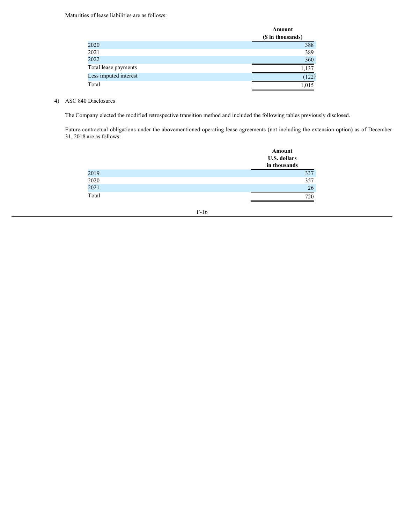Maturities of lease liabilities are as follows:

|                       | Amount            |  |
|-----------------------|-------------------|--|
|                       | (\$ in thousands) |  |
| 2020                  | 388               |  |
| 2021                  | 389               |  |
| 2022                  | 360               |  |
| Total lease payments  | ,137              |  |
| Less imputed interest | (122)             |  |
| Total                 | 1,015             |  |
|                       |                   |  |

## 4) ASC 840 Disclosures

The Company elected the modified retrospective transition method and included the following tables previously disclosed.

Future contractual obligations under the abovementioned operating lease agreements (not including the extension option) as of December 31, 2018 are as follows:

|       | Amount              |  |
|-------|---------------------|--|
|       | <b>U.S. dollars</b> |  |
|       | in thousands        |  |
| 2019  | 337                 |  |
| 2020  | 357                 |  |
| 2021  | 26                  |  |
| Total | 720                 |  |
|       |                     |  |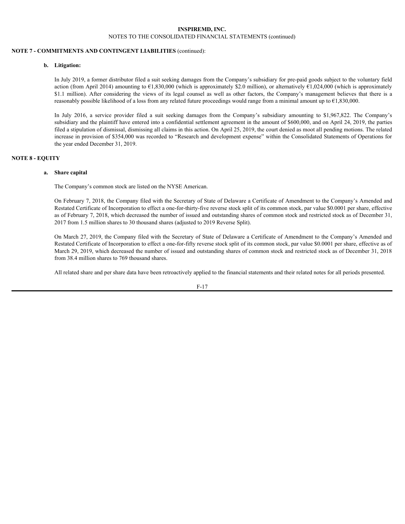## **INSPIREMD, INC.** NOTES TO THE CONSOLIDATED FINANCIAL STATEMENTS (continued)

# **NOTE 7 - COMMITMENTS AND CONTINGENT LIABILITIES** (continued):

## **b. Litigation:**

In July 2019, a former distributor filed a suit seeking damages from the Company's subsidiary for pre-paid goods subject to the voluntary field action (from April 2014) amounting to  $\epsilon$ 1,830,000 (which is approximately \$2.0 million), or alternatively  $\epsilon$ 1,024,000 (which is approximately reasonably possible likelihood of a loss from any related future proceedings would range from a minimal amount up to €1,830,000.

**INSPIREMD, INC.**<br> **S1.1 MICHTERT CONSOLIDATED FINANCIAL STATEMENTS (continued)**<br> **Litigation:**<br>
In July 2019, a former distributor filed a suit seeking damages from the Company's subsidiary for pre-paid goods subject to t INSPIREMD, INC.<br>
IITMENTS AND CONTINGENT LIABILITIES (cominued):<br>
Litigation:<br>
In July 2019, a former distributor filed a suit seeking damages from the Company's subsidiary for pre-paid goods subject to the voluntary field subsidiary and the plaintiff have entered into a confidential settlement agreement in the amount of \$600,000, and on April 24, 2019, the parties filed a stipulation of dismissal, dismissing all claims in this action. On April 25, 2019, the court denied as moot all pending motions. The related increase in provision of \$354,000 was recorded to "Research and development expense" within the Consolidated Statements of Operations for the year ended December 31, 2019.

## **NOTE 8 - EQUITY**

#### **a. Share capital**

The Company's common stock are listed on the NYSE American.

On February 7, 2018, the Company filed with the Secretary of State of Delaware a Certificate of Amendment to the Company's Amended and Restated Certificate of Incorporation to effect a one-for-thirty-five reverse stock split of its common stock, par value \$0.0001 per share, effective as of February 7, 2018, which decreased the number of issued and outstanding shares of common stock and restricted stock as of December 31, 2017 from 1.5 million shares to 30 thousand shares (adjusted to 2019 Reverse Split).

On March 27, 2019, the Company filed with the Secretary of State of Delaware a Certificate of Amendment to the Company's Amended and Restated Certificate of Incorporation to effect a one-for-fifty reverse stock split of its common stock, par value \$0.0001 per share, effective as of March 29, 2019, which decreased the number of issued and outstanding shares of common stock and restricted stock as of December 31, 2018 from 38.4 million shares to 769 thousand shares.

All related share and per share data have been retroactively applied to the financial statements and their related notes for all periods presented.

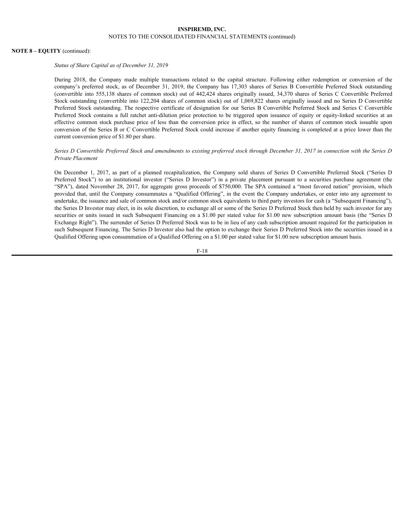# **INSPIREMD, INC.** NOTES TO THE CONSOLIDATED FINANCIAL STATEMENTS (continued)

## **NOTE 8 – EQUITY** (continued):

## *Status of Share Capital as of December 31, 2019*

**INSPIREMD, INC.**<br> **Example 2018, the Company made multiple transactions related to the capital structure. Following either redemption or conversion of the Diming 2018, the Company made multiple transactions related to the EXECUTE CONSOLIDATED FINANCIAL STATEMENTS (continued)**<br> **Company** Status of Share Capital as of December 31, 2019<br>
During 2018, the Company made multiple transactions related to the capital structure. Following either re **INSPIREMD, INC.**<br> **EV** (continued):<br> **EVALUATED SECONSOLIDATED FINANCIAL STATEMENTS (continued)**<br> **During 2018**, the Company made multiple transactions related to the capital structure Following either redemption or conv **INSPIREMD, INC.**<br>
Status of Share Capital as of December 31, 2019<br>
Status of Share Capital as of December 31, 2019<br>
During 2018, the Company made multiple transactions related to the capital structure. Following either re **EXECUTE:** NOTES TO THE CONSOLIDATED FINANCIAL STATEMENTS (continued)<br> **Proferred Stock outstanding**<br>
During 2018, the Company made multiple transactions related to the capital structure. Following either redemption or co **Preferred Stock and anti-dilution price in a full ratchet anti-direct anti-direct anti-direct anti-direct anti-direct anti-direct anti-direct anti-direct anti-direct anti-direct anti-direct anti-direct anti-direct anti-d EXPIREMD, INC.**<br> **EXECTIVE CONTOM** STATE CONSOLIDATED FINANCIAL STATEMENTS (continued)<br> **Status of Share Capital as of December 31, 2019**<br>
During 2018, the Company made multiple transactions related to the capital struct conversion of the Series B or C Convertible Preferred Stock could increase if another equity financing is completed at a price lower than the current conversion price of \$1.80 per share. **NOTES TO THE CONSOLIDATED FINANCIAL STATEMENTS (continued)**<br>
Sontas of Share Capstal as of December 31, 2019<br>
During 2013, the Company made mutuple transactions related to the capital structure. Following either redempti

# *Series D Convertible Preferred Stock and amendments to existing preferred stock through December 31, 2017 in connection with the Series D Private Placement*

NOTES TO THE CONSOLIDATED FINANCIAL STATEMENTS (continued)<br>
Natura of Share Capital as of December 31, 2019<br>
Daring 2018, the Company mast T7,303 shares of Series B Conventible Preferred Stock outstanding<br>
company's prefe "SPA"), dated November 28, 2017, for aggregate gross proceeds of \$750,000. The SPA contained a "most favored nation" provision, which provided that, until the Company consummates a "Qualified Offering", in the event the Company undertakes, or enter into any agreement to undertake, the issuance and sale of common stock and/or common stock equivalents to third party investors for cash (a "Subsequent Financing"), the Series D Investor may elect, in its sole discretion, to exchange all or some of the Series D Preferred Stock then held by such investor for any **EXPIREMENTAL STATEMENTS** (continued)<br> **Solution** of Shore Cappare and of December 31, 2019<br>
Dening 2018: the Company made embidde transactions celabed to the capital structure Following influe conventible in the successi Exchange Right"). The surrender of Series D Preferred Stock was to be in lieu of any cash subscription amount required for the participation in such Subsequent Financing. The Series D Investor also had the option to exchange their Series D Preferred Stock into the securities issued in a Qualified Offering upon consummation of a Qualified Offering on a \$1.00 per stated value for \$1.00 new subscription amount basis.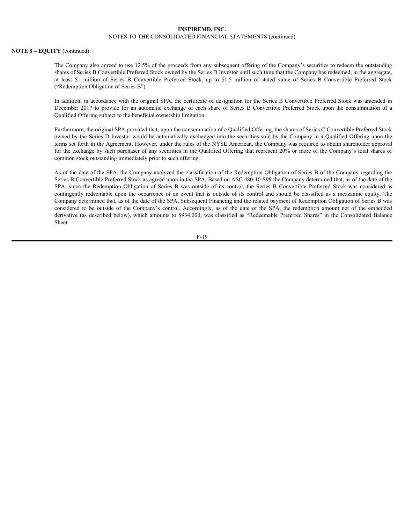# NOTES TO THE CONSOLIDATED FINANCIAL STATEMENTS (continued)

## **NOTE 8 – EQUITY** (continued):

The Company also agreed to use 12.5% of the proceeds from any subsequent offering of the Company's securities to redeem the outstanding shares of Series B Convertible Preferred Stock owned by the Series D Investor until such time that the Company has redeemed, in the aggregate, **INSPIREMD, INC.**<br> **TV** (continued):<br> **The Company** also agreed to use 12.5% of the proceeds from any subsequent offering of the Company's securities to redeem the outstanding<br>
shares of Series B Convertible Preferred Stoc ("Redemption Obligation of Series B").

In addition, in accordance with the original SPA, the certificate of designation for the Series B Convertible Preferred Stock was amended in Qualified Offering subject to the beneficial ownership limitation.

**EXECUTE: EXECUTE: EXECUTE: EXECUTE: EXECUTE: EXECUTE: EXECUTE: EXECUTE: EXECUTE: EXECUTE: CONSOLIDATED** FINANCIAL STATEMENTS (continued)<br>The Company also agreed to use 12.5% of the proceeds from any s Furthermore, the original SPA provided that, upon the consummation of a Qualified Offering, the shares of Series C Convertible Preferred Stock owned by the Series D Investor would be automatically exchanged into the securities sold by the Company in a Qualified Offering upon the terms set forth in the Agreement. However, under the rules of the NYSE American, the Company was required to obtain shareholder approval for the exchange by such purchaser of any securities in the Qualified Offering that represent 20% or more of the Company's total shares of common stock outstanding immediately prior to such offering.

As of the date of the SPA, the Company analyzed the classification of the Redemption Obligation of Series B of the Company regarding the Series B Convertible Preferred Stock as agreed upon in the SPA. Based on ASC 480-10-S99 the Company determined that, as of the date of the NOTES TO THE CONSOLIDATED FINANCIAL STATEMENTS (continued)<br>The Company is a started to saturated to the Series of the proceeds from any subsequent offering of the Company's securities to redeem the outstanding<br>absence of **EXPIREMOLE INCONSOLUATED PINANCIAL STATEMENTS (continued)**<br>The Company also agreed to use 12.5% of the proceeds from any subsequent offering of the Company's securities to redeem the outstanding<br>these of Series B Convert Company determined that, as of the date of the SPA, Subsequent Financing and the related payment of Redemption Obligation of Series B was **Considered Exercise Considered State Considered State Considered State Considered State Company in the company and the company in the company in the Company in the company in the state of Section 10. The Company in the s** NOTES TO THE CONSOLIDATED FINANCIAL STATEMENTS (continued)<br>The Company also agreed to use 12.5% of the precedeb from any anbequent offerring of the Company's securities to redeem the meshanding<br>alust of Series B Convertib **Sheet**.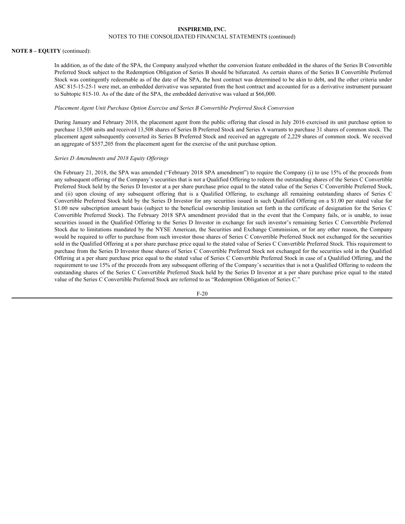# NOTES TO THE CONSOLIDATED FINANCIAL STATEMENTS (continued)

## **NOTE 8 – EQUITY** (continued):

In addition, as of the date of the SPA, the Company analyzed whether the conversion feature embedded in the shares of the Series B Convertible Preferred Stock subject to the Redemption Obligation of Series B should be bifurcated. As certain shares of the Series B Convertible Preferred Stock was contingently redeemable as of the date of the SPA, the host contract was determined to be akin to debt, and the other criteria under ASC 815-15-25-1 were met, an embedded derivative was separated from the host contract and accounted for as a derivative instrument pursuant to Subtopic 815-10. As of the date of the SPA, the embedded derivative was valued at \$66,000.

## *Placement Agent Unit Purchase Option Exercise and Series B Convertible Preferred Stock Conversion*

During January and February 2018, the placement agent from the public offering that closed in July 2016 exercised its unit purchase option to purchase 13,508 units and received 13,508 shares of Series B Preferred Stock and Series A warrants to purchase 31 shares of common stock. The placement agent subsequently converted its Series B Preferred Stock and received an aggregate of 2,229 shares of common stock. We received an aggregate of \$557,205 from the placement agent for the exercise of the unit purchase option.

#### *Series D Amendments and 2018 Equity Offerings*

On February 21, 2018, the SPA was amended ("February 2018 SPA amendment") to require the Company (i) to use 15% of the proceeds from any subsequent offering of the Company's securities that is not a Qualified Offering to redeem the outstanding shares of the Series C Convertible Preferred Stock held by the Series D Investor at a per share purchase price equal to the stated value of the Series C Convertible Preferred Stock, **INSTIREMID. INC.**<br> **INSTIREMID. INC.**<br> **INVERTION CONTINUESTS (continued)**<br> **INVERTION CONTINUESTS (continued)**<br> **INVERTION CONTINUESTS (continued)**<br> **Preferred Stock subject to the Redunption Objection of Series B shoul** Convertible Preferred Stock held by the Series D Investor for any securities issued in such Qualified Offering on a \$1.00 per stated value for \$1.00 new subscription amount basis (subject to the beneficial ownership limitation set forth in the certificate of designation for the Series C **EVALUAT EXECTS TO THE CONNOLIDATED FINANCIAL STATEMENTS (continued)**<br> **Continued):**<br>
The addition, as of the date of the SPA, the Company amb/zed whether the convertion feature embedded in the shares of the Stries B Conv securities issued in the Qualified Offering to the Series D Investor in exchange for such investor's remaining Series C Convertible Preferred Stock due to limitations mandated by the NYSE American, the Securities and Exchange Commission, or for any other reason, the Company would be required to offer to purchase from such investor those shares of Series C Convertible Preferred Stock not exchanged for the securities sold in the Qualified Offering at a per share purchase price equal to the stated value of Series C Convertible Preferred Stock. This requirement to purchase from the Series D Investor those shares of Series C Convertible Preferred Stock not exchanged for the securities sold in the Qualified Offering at a per share purchase price equal to the stated value of Series C Convertible Preferred Stock in case of a Qualified Offering, and the requirement to use 15% of the proceeds from any subsequent offering of the Company's securities that is not a Qualified Offering to redeem the outstanding shares of the Series C Convertible Preferred Stock held by the Series D Investor at a per share purchase price equal to the stated value of the Series C Convertible Preferred Stock are referred to as "Redemption Obligation of Series C."

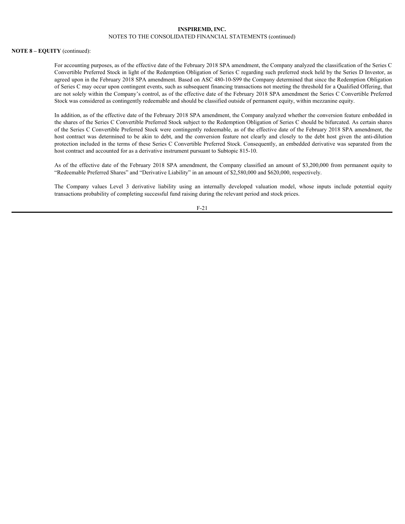# NOTES TO THE CONSOLIDATED FINANCIAL STATEMENTS (continued)

## **NOTE 8 – EQUITY** (continued):

For accounting purposes, as of the effective date of the February 2018 SPA amendment, the Company analyzed the classification of the Series C Convertible Preferred Stock in light of the Redemption Obligation of Series C regarding such preferred stock held by the Series D Investor, as agreed upon in the February 2018 SPA amendment. Based on ASC 480-10-S99 the Company determined that since the Redemption Obligation of Series C may occur upon contingent events, such as subsequent financing transactions not meeting the threshold for a Qualified Offering, that are not solely within the Company's control, as of the effective date of the February 2018 SPA amendment the Series C Convertible Preferred Stock was considered as contingently redeemable and should be classified outside of permanent equity, within mezzanine equity. **HOSTER TO THE CONSOLIDATED FINANCIAL STATEMENTS (continued)**<br>
For accounting purposes, as of the effective date of the February 2018 SPA amondment, the Company analyzed the dissification of the Series Convertible Preferr **EXPIREMD, INCTES TO THE CONSOLIDATED FINANCIAL STATEMENTS (continued)**<br>For accountring purposes, as of the effective date of the February 2018 SPA amendment, the Company analyzed the classification of the Series C<br>Convert NOTES TO THE CONSOLIDATED FINANCIAL STATEMENTS (continued)<br>
The recocurntials proposes, as of the effective data of the February 2018 SPA amendment, the Company analyzed the classification of the Series C<br>
For weathing pu

In addition, as of the effective date of the February 2018 SPA amendment, the Company analyzed whether the conversion feature embedded in the shares of the Series C Convertible Preferred Stock subject to the Redemption Obligation of Series C should be bifurcated. As certain shares of the Series C Convertible Preferred Stock were contingently redeemable, as of the effective date of the February 2018 SPA amendment, the protection included in the terms of these Series C Convertible Preferred Stock. Consequently, an embedded derivative was separated from the host contract and accounted for as a derivative instrument pursuant to Subtopic 815-10.

"Redeemable Preferred Shares" and "Derivative Liability" in an amount of \$2,580,000 and \$620,000, respectively.

transactions probability of completing successful fund raising during the relevant period and stock prices.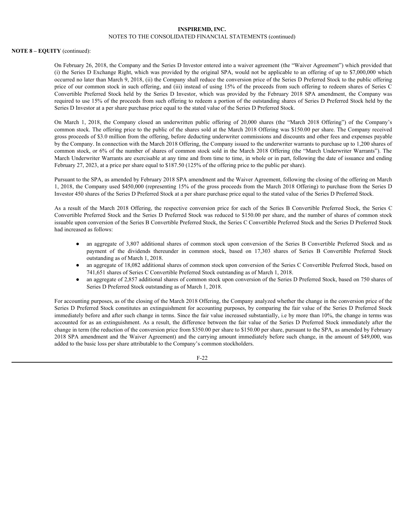# NOTES TO THE CONSOLIDATED FINANCIAL STATEMENTS (continued)

## **NOTE 8 – EQUITY** (continued):

On February 26, 2018, the Company and the Series D Investor entered into a waiver agreement (the "Waiver Agreement") which provided that (i) the Series D Exchange Right, which was provided by the original SPA, would not be applicable to an offering of up to \$7,000,000 which occurred no later than March 9, 2018, (ii) the Company shall reduce the conversion price of the Series D Preferred Stock to the public offering price of our common stock in such offering, and (iii) instead of using 15% of the proceeds from such offering to redeem shares of Series C **EXECUTE CONSOLIDATED FINANCIAL STATEMENTS (continued)**<br> **Convertituded:**<br>
Convertituded Stock Brammary 26, 2018, the Company and the Series D Investor entered into a waiver agreement (the "Waiver Agreement") which provide required to use 15% of the proceeds from such offering to redeem a portion of the outstanding shares of Series D Preferred Stock held by the Series D Investor at a per share purchase price equal to the stated value of the Series D Preferred Stock. **INSPIREMD, INC. INSPIREMD, INC. INSPIREMD, INC. INTERNATION** (On February 26, 2018, the Company and the Series D Investor entered into a waver agreement (the "Waiver Agreement") which provided that (i) the Series D **EXERTEND, INC.**<br> **ASSEMENTS** (continued)<br>
No Follows: 26 2018 the Common and the Series D Investor entend into a waiver aresement (the "Waiver Aresement") which movided three<br>
(i) the Series D Exchange Right, which was p **ENGLEM DESTRICAND LINE CONSULTANTS. ENGLEM AN ACTIVE CONSULTATION** (CONTINUEST) (CONTINUEST) The state of  $\theta$  3,807 and the state of  $\theta$  and  $\theta$  and  $\theta$  and  $\theta$  and  $\theta$  and  $\theta$  and  $\theta$  and  $\theta$  and  $\theta$  and  $\theta$ NOTES TO THE CONSOLIDATED FINANCIAL STATEMENTS (continued)<br>
20. 2018, the Company and the Series D Investor entered into a waiver agreement (the "Waiver Agreement") which provided that<br>
In Packange Right, which was provide

common stock. The offering price to the public of the shares sold at the March 2018 Offering was \$150.00 per share. The Company received gross proceeds of \$3.0 million from the offering, before deducting underwriter commissions and discounts and other fees and expenses payable by the Company. In connection with the March 2018 Offering, the Company issued to the underwriter warrants to purchase up to 1,200 shares of common stock, or 6% of the number of shares of common stock sold in the March 2018 Offering (the "March Underwriter Warrants"). The March Underwriter Warrants are exercisable at any time and from time to time, in whole or in part, following the date of issuance and ending February 27, 2023, at a price per share equal to \$187.50 (125% of the offering price to the public per share).

Pursuant to the SPA, as amended by February 2018 SPA amendment and the Waiver Agreement, following the closing of the offering on March 1, 2018, the Company used \$450,000 (representing 15% of the gross proceeds from the March 2018 Offering) to purchase from the Series D Investor 450 shares of the Series D Preferred Stock at a per share purchase price equal to the stated value of the Series D Preferred Stock.

Convertible Preferred Stock and the Series D Preferred Stock was reduced to \$150.00 per share, and the number of shares of common stock issuable upon conversion of the Series B Convertible Preferred Stock, the Series C Convertible Preferred Stock and the Series D Preferred Stock had increased as follows:

- outstanding as of March 1, 2018.
- an aggregate of 18,082 additional shares of common stock upon conversion of the Series C Convertible Preferred Stock, based on 741,651 shares of Series C Convertible Preferred Stock outstanding as of March 1, 2018.
- an aggregate of 2,857 additional shares of common stock upon conversion of the Series D Preferred Stock, based on 750 shares of Series D Preferred Stock outstanding as of March 1, 2018.

For accounting purposes, as of the closing of the March 2018 Offering, the Company analyzed whether the change in the conversion price of the Series D Preferred Stock constitutes an extinguishment for accounting purposes, by comparing the fair value of the Series D Preferred Stock immediately before and after such change in terms. Since the fair value increased substantially, i.e by more than 10%, the change in terms was accounted for as an extinguishment. As a result, the difference between the fair value of the Series D Preferred Stock immediately after the change in term (the reduction of the conversion price from \$350.00 per share to \$150.00 per share, pursuant to the SPA, as amended by February 2018 SPA amendment and the Waiver Agreement) and the carrying amount immediately before such change, in the amount of \$49,000, was added to the basic loss per share attributable to the Company's common stockholders.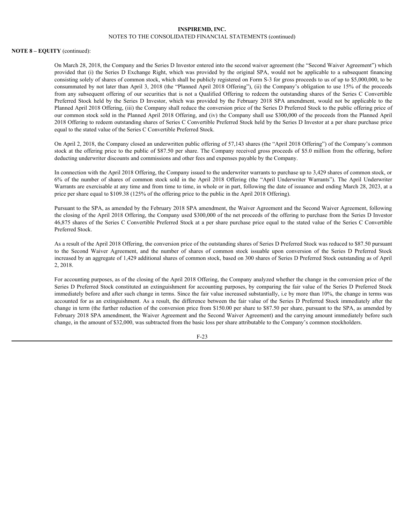# NOTES TO THE CONSOLIDATED FINANCIAL STATEMENTS (continued)

### **NOTE 8 – EQUITY** (continued):

On March 28, 2018, the Company and the Series D Investor entered into the second waiver agreement (the "Second Waiver Agreement") which **INSPIREMD, INC.**<br> **Provided that (i)** the Series D Exchange Right, which was provided by the original SPA, would not be applicable to a subsequent financing provided that (i) the Series D Exchange Right, which was provide consisting solely of shares of common stock, which shall be publicly registered on Form S-3 for gross proceeds to us of up to \$5,000,000, to be consummated by not later than April 3, 2018 (the "Planned April 2018 Offering"), (ii) the Company's obligation to use 15% of the proceeds from any subsequent offering of our securities that is not a Qualified Offering to redeem the outstanding shares of the Series C Convertible **INSPIREMD, INC.**<br> **Properties CONSOLIDATED FINANCIAL STATEMENTS (continued)**<br>
On March 28, 2018, the Company and the Series D Investor entered into the second waiver agreement (the "Second Waiver Agreement") which<br>
provid Planned April 2018 Offering, (iii) the Company shall reduce the conversion price of the Series D Preferred Stock to the public offering price of our common stock sold in the Planned April 2018 Offering, and (iv) the Company shall use \$300,000 of the proceeds from the Planned April 2018 Offering to redeem outstanding shares of Series C Convertible Preferred Stock held by the Series D Investor at a per share purchase price equal to the stated value of the Series C Convertible Preferred Stock. NOTES TO THE CONSOLLDATED FINANCIAL STATEMENTS (continued)<br>
On Narch 25, 2013, the Company and the Scries D Investor centered into the second wivev agerement (the "Second Wave Agerement") which<br>
On Narch 25, 2013, the Com NOTES TO THE CONSOLIDATED FINANCIAL STATEMENTS (continued)<br>
(i) March 23, 2DJS, the Company and the Series 13 Investor return this be second waiver agreement (the "Second Waiver Agreement") which<br>provided dust (i) the Sec

On April 2, 2018, the Company closed an underwritten public offering of 57,143 shares (the "April 2018 Offering") of the Company's common stock at the offering price to the public of \$87.50 per share. The Company received gross proceeds of \$5.0 million from the offering, before deducting underwriter discounts and commissions and other fees and expenses payable by the Company.

In connection with the April 2018 Offering, the Company issued to the underwriter warrants to purchase up to 3,429 shares of common stock, or Warrants are exercisable at any time and from time to time, in whole or in part, following the date of issuance and ending March 28, 2023, at a price per share equal to \$109.38 (125% of the offering price to the public in the April 2018 Offering).

Pursuant to the SPA, as amended by the February 2018 SPA amendment, the Waiver Agreement and the Second Waiver Agreement, following the closing of the April 2018 Offering, the Company used \$300,000 of the net proceeds of the offering to purchase from the Series D Investor 46,875 shares of the Series C Convertible Preferred Stock at a per share purchase price equal to the stated value of the Series C Convertible Preferred Stock.

As a result of the April 2018 Offering, the conversion price of the outstanding shares of Series D Preferred Stock was reduced to \$87.50 pursuant increased by an aggregate of 1,429 additional shares of common stock, based on 300 shares of Series D Preferred Stock outstanding as of April 2, 2018.

For accounting purposes, as of the closing of the April 2018 Offering, the Company analyzed whether the change in the conversion price of the Series D Preferred Stock constituted an extinguishment for accounting purposes, by comparing the fair value of the Series D Preferred Stock immediately before and after such change in terms. Since the fair value increased substantially, i.e by more than 10%, the change in terms was accounted for as an extinguishment. As a result, the difference between the fair value of the Series D Preferred Stock immediately after the change in term (the further reduction of the conversion price from \$150.00 per share to \$87.50 per share, pursuant to the SPA, as amended by February 2018 SPA amendment, the Waiver Agreement and the Second Waiver Agreement) and the carrying amount immediately before such change, in the amount of \$32,000, was subtracted from the basic loss per share attributable to the Company's common stockholders.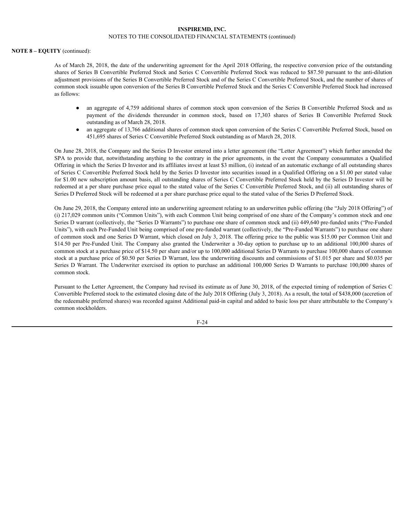# NOTES TO THE CONSOLIDATED FINANCIAL STATEMENTS (continued)

## **NOTE 8 – EQUITY** (continued):

As of March 28, 2018, the date of the underwriting agreement for the April 2018 Offering, the respective conversion price of the outstanding shares of Series B Convertible Preferred Stock and Series C Convertible Preferred Stock was reduced to \$87.50 pursuant to the anti-dilution adjustment provisions of the Series B Convertible Preferred Stock and of the Series C Convertible Preferred Stock, and the number of shares of common stock issuable upon conversion of the Series B Convertible Preferred Stock and the Series C Convertible Preferred Stock had increased **EXECUTE:**<br> **EXECUTE:**<br> **ASS FOLLOWS:**<br> **ASS FOLLOWS:**<br> **ASS FOLLOWS:**<br> **ASS FOLLOWS:**<br> **ASS FOLLOWS:**<br> **ASS FOLLOWS:**<br> **ASS FOLLOWS:**<br> **ASS FOLLOWS:**<br> **ASS FOLLOWS:**<br> **ASS FOLLOWS:**<br> **ASS FOLLOWS:**<br> **ASS FOLLOWS:**<br> **ASS F INSPIREMD, INC.**<br>
Solution SCONGINGTED FINANCIAL STATEMENTS (continued)<br>
28. 2018, the date of the underwriting agreement for the April 2018 Offering, the respective conversion price of the outstanding<br>
SE B Convertible P

- outstanding as of March 28, 2018.
- an aggregate of 13,766 additional shares of common stock upon conversion of the Series C Convertible Preferred Stock, based on 451,695 shares of Series C Convertible Preferred Stock outstanding as of March 28, 2018.

On June 28, 2018, the Company and the Series D Investor entered into a letter agreement (the "Letter Agreement") which further amended the **EXERCHIGN THE CONSOLIDATED FINANCIAL STATEMENTS (continued)**<br>
As of March 28, 2018, the date of the underwriting agreement for the April 2018 Offering, the respective conversion price of the outstanding<br>
shares of Series Offering in which the Series D Investor and its affiliates invest at least \$3 million, (i) instead of an automatic exchange of all outstanding shares of Series C Convertible Preferred Stock held by the Series D Investor into securities issued in a Qualified Offering on a \$1.00 per stated value for \$1.00 new subscription amount basis, all outstanding shares of Series C Convertible Preferred Stock held by the Series D Investor will be redeemed at a per share purchase price equal to the stated value of the Series C Convertible Preferred Stock, and (ii) all outstanding shares of Series D Preferred Stock will be redeemed at a per share purchase price equal to the stated value of the Series D Preferred Stock.

On June 29, 2018, the Company entered into an underwriting agreement relating to an underwritten public offering (the "July 2018 Offering") of (i) 217,029 common units ("Common Units"), with each Common Unit being comprised of one share of the Company's common stock and one Series D warrant (collectively, the "Series D Warrants") to purchase one share of common stock and (ii) 449,640 pre-funded units ("Pre-Funded Units"), with each Pre-Funded Unit being comprised of one pre-funded warrant (collectively, the "Pre-Funded Warrants") to purchase one share of common stock and one Series D Warrant, which closed on July 3, 2018. The offering price to the public was \$15.00 per Common Unit and NOTES TO THE CONSOLIDATED FINANCHA, INC.<br>
No of March 23, 2018, the date of the underwriting agreement for the April 2016 Offering, the respective conversion price of the controllation<br>
almost of Secure 10 Correction Stat common stock at a purchase price of \$14.50 per share and/or up to 100,000 additional Series D Warrants to purchase 100,000 shares of common stock at a purchase price of \$0.50 per Series D Warrant, less the underwriting discounts and commissions of \$1.015 per share and \$0.035 per IV (continued):<br>
Series 2018, the due of the underwriting interestinal Pole and the key state of Savis and Savis and Savis and Savis Convertible Pole and Savis and Savis and Savis and Savis Convertible Pole and Savis and common stock.

Pursuant to the Letter Agreement, the Company had revised its estimate as of June 30, 2018, of the expected timing of redemption of Series C Convertible Preferred stock to the estimated closing date of the July 2018 Offering (July 3, 2018). As a result, the total of \$438,000 (accretion of the redeemable preferred shares) was recorded against Additional paid-in capital and added to basic loss per share attributable to the Company's common stockholders.

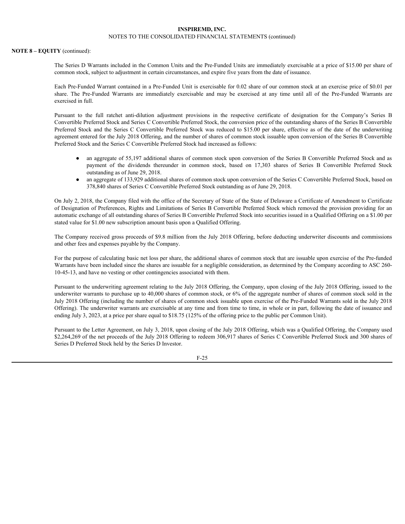# NOTES TO THE CONSOLIDATED FINANCIAL STATEMENTS (continued)

## **NOTE 8 – EQUITY** (continued):

The Series D Warrants included in the Common Units and the Pre-Funded Units are immediately exercisable at a price of \$15.00 per share of common stock, subject to adjustment in certain circumstances, and expire five years from the date of issuance.

Each Pre-Funded Warrant contained in a Pre-Funded Unit is exercisable for 0.02 share of our common stock at an exercise price of \$0.01 per exercised in full.

**Share. INSPIREMD, INC.**<br>**Share. The CONSOLIDATED FINANCIAL STATEMENTS** (continued)<br>The Series D Warrants included in the Common Units and the Pre-Funded Units are immediately exercisable at a price of \$15.00 per share **INSPIREMD, INC.**<br> **PURSUANTED FINANCIAL STATEMENTS** (continued)<br>
The Series D Warrants included in the Common Units and the Pre-Funded Units are immediately exercisable at a price of \$15.00 per share of<br>
Each Pre-Funded W Convertible Preferred Stock and Series C Convertible Preferred Stock, the conversion price of the outstanding shares of the Series B Convertible **INSPIREMD, INC.**<br> **Preferred Stock By Continued):**<br>
The Series D Warrants included in the Common Units and the Pre-Funded Units are immediately exercisable at a price of \$15.00 per share of<br>
toommon stock, subject to adju agreement entered for the July 2018 Offering, and the number of shares of common stock issuable upon conversion of the Series B Convertible Preferred Stock and the Series C Convertible Preferred Stock had increased as follows: **EXPIREMD, INC.**<br>
Warrants included in the Common Units and the Pre-Funded Units are inmediately exercisable at a price of \$15.00 per share of<br>
s, subject to adjustment in certain circumstances, and expire five years from

- an aggregate of 55,197 additional shares of common stock upon conversion of the Series B Convertible Preferred Stock and as outstanding as of June 29, 2018.
- an aggregate of 133,929 additional shares of common stock upon conversion of the Series C Convertible Preferred Stock, based on 378,840 shares of Series C Convertible Preferred Stock outstanding as of June 29, 2018.

On July 2, 2018, the Company filed with the office of the Secretary of State of the State of Delaware a Certificate of Amendment to Certificate of Designation of Preferences, Rights and Limitations of Series B Convertible Preferred Stock which removed the provision providing for an automatic exchange of all outstanding shares of Series B Convertible Preferred Stock into securities issued in a Qualified Offering on a \$1.00 per stated value for \$1.00 new subscription amount basis upon a Qualified Offering.

The Company received gross proceeds of \$9.8 million from the July 2018 Offering, before deducting underwriter discounts and commissions and other fees and expenses payable by the Company.

For the purpose of calculating basic net loss per share, the additional shares of common stock that are issuable upon exercise of the Pre-funded Warrants have been included since the shares are issuable for a negligible consideration, as determined by the Company according to ASC 260- 10-45-13, and have no vesting or other contingencies associated with them.

Pursuant to the underwriting agreement relating to the July 2018 Offering, the Company, upon closing of the July 2018 Offering, issued to the underwriter warrants to purchase up to 40,000 shares of common stock, or 6% of the aggregate number of shares of common stock sold in the July 2018 Offering (including the number of shares of common stock issuable upon exercise of the Pre-Funded Warrants sold in the July 2018 Offering). The underwriter warrants are exercisable at any time and from time to time, in whole or in part, following the date of issuance and ending July 3, 2023, at a price per share equal to \$18.75 (125% of the offering price to the public per Common Unit).

Pursuant to the Letter Agreement, on July 3, 2018, upon closing of the July 2018 Offering, which was a Qualified Offering, the Company used \$2,264,269 of the net proceeds of the July 2018 Offering to redeem 306,917 shares of Series C Convertible Preferred Stock and 300 shares of Series D Preferred Stock held by the Series D Investor.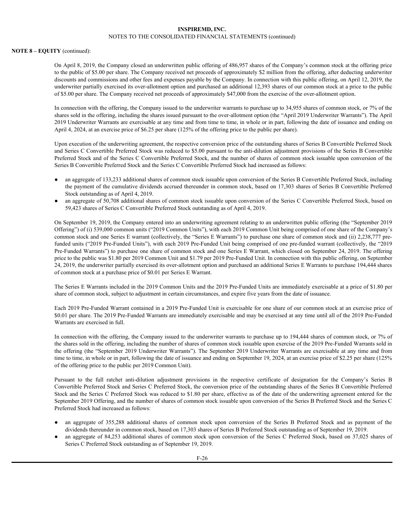# NOTES TO THE CONSOLIDATED FINANCIAL STATEMENTS (continued)

## **NOTE 8 – EQUITY** (continued):

On April 8, 2019, the Company closed an underwritten public offering of 486,957 shares of the Company's common stock at the offering price to the public of \$5.00 per share. The Company received net proceeds of approximately \$2 million from the offering, after deducting underwriter discounts and commissions and other fees and expenses payable by the Company. In connection with this public offering, on April 12, 2019, the underwriter partially exercised its over-allotment option and purchased an additional 12,393 shares of our common stock at a price to the public of \$5.00 per share. The Company received net proceeds of approximately \$47,000 from the exercise of the over-allotment option.

In connection with the offering, the Company issued to the underwriter warrants to purchase up to 34,955 shares of common stock, or 7% of the shares sold in the offering, including the shares issued pursuant to the over-allotment option (the "April 2019 Underwriter Warrants"). The April 2019 Underwriter Warrants are exercisable at any time and from time to time, in whole or in part, following the date of issuance and ending on April 4, 2024, at an exercise price of \$6.25 per share (125% of the offering price to the public per share).

Upon execution of the underwriting agreement, the respective conversion price of the outstanding shares of Series B Convertible Preferred Stock and Series C Convertible Preferred Stock was reduced to \$5.00 pursuant to the anti-dilution adjustment provisions of the Series B Convertible Preferred Stock and of the Series C Convertible Preferred Stock, and the number of shares of common stock issuable upon conversion of the Series B Convertible Preferred Stock and the Series C Convertible Preferred Stock had increased as follows:

- an aggregate of 133,233 additional shares of common stock issuable upon conversion of the Series B Convertible Preferred Stock, including the payment of the cumulative dividends accrued thereunder in common stock, based on 17,303 shares of Series B Convertible Preferred Stock outstanding as of April 4, 2019.
- an aggregate of 50,708 additional shares of common stock issuable upon conversion of the Series C Convertible Preferred Stock, based on 59,423 shares of Series C Convertible Preferred Stock outstanding as of April 4, 2019.

On September 19, 2019, the Company entered into an underwriting agreement relating to an underwritten public offering (the "September 2019 Offering") of (i) 539,000 common units ("2019 Common Units"), with each 2019 Common Unit being comprised of one share of the Company's common stock and one Series E warrant (collectively, the "Series E Warrants") to purchase one share of common stock and (ii) 2,238,777 prefunded units ("2019 Pre-Funded Units"), with each 2019 Pre-Funded Unit being comprised of one pre-funded warrant (collectively, the "2019 Pre-Funded Warrants") to purchase one share of common stock and one Series E Warrant, which closed on September 24, 2019. The offering price to the public was \$1.80 per 2019 Common Unit and \$1.79 per 2019 Pre-Funded Unit. In connection with this public offering, on September 24, 2019, the underwriter partially exercised its over-allotment option and purchased an additional Series E Warrants to purchase 194,444 shares of common stock at a purchase price of \$0.01 per Series E Warrant. Series II Convertible Preformed Suck and he Series C. Convertible Preferred Studient in the Toward Book Incident and anti-dilution and the series of the Series D. Convertible Preferred Stock, including<br>
The parameters of 39, 221 shares of Series C. Convertible Preferred Stock estistanting as of Series 2019<br>On Seyenche 19, 2019, the Company stored this an underwinting expectent relating to an anoferenting philo effects of the Company's com On September 19, 2019, the Company steed is an authorities approximate radiaty consistential and an ambunities political (shares of common stock under the Company's common stock und one Series E warrant collectively. the "

The Series E Warrants included in the 2019 Common Units and the 2019 Pre-Funded Units are immediately exercisable at a price of \$1.80 per share of common stock, subject to adjustment in certain circumstances, and expire five years from the date of issuance.

Each 2019 Pre-Funded Warrant contained in a 2019 Pre-Funded Unit is exercisable for one share of our common stock at an exercise price of \$0.01 per share. The 2019 Pre-Funded Warrants are immediately exercisable and may be exercised at any time until all of the 2019 Pre-Funded Warrants are exercised in full.

In connection with the offering, the Company issued to the underwriter warrants to purchase up to 194,444 shares of common stock, or 7% of the shares sold in the offering, including the number of shares of common stock issuable upon exercise of the 2019 Pre-Funded Warrants sold in the offering (the "September 2019 Underwriter Warrants"). The September 2019 Underwriter Warrants are exercisable at any time and from time to time, in whole or in part, following the date of issuance and ending on September 19, 2024, at an exercise price of \$2.25 per share (125% of the offering price to the public per 2019 Common Unit).

Convertible Preferred Stock and Series C Preferred Stock, the conversion price of the outstanding shares of the Series B Convertible Preferred Stock and the Series C Preferred Stock was reduced to \$1.80 per share, effective as of the date of the underwriting agreement entered for the September 2019 Offering, and the number of shares of common stock issuable upon conversion of the Series B Preferred Stock and the Series C Preferred Stock had increased as follows:

- dividends thereunder in common stock, based on 17,303 shares of Series B Preferred Stock outstanding as of September 19, 2019.
- Series C Preferred Stock outstanding as of September 19, 2019.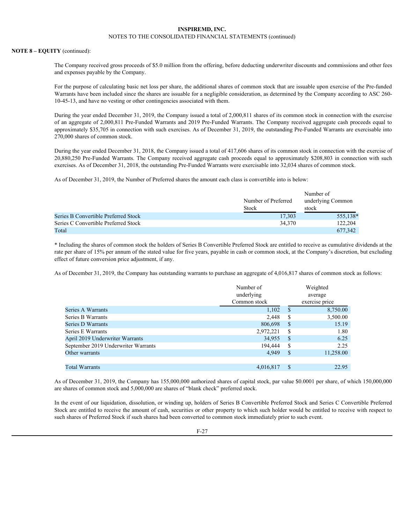# NOTES TO THE CONSOLIDATED FINANCIAL STATEMENTS (continued)

### **NOTE 8 – EQUITY** (continued):

The Company received gross proceeds of \$5.0 million from the offering, before deducting underwriter discounts and commissions and other fees and expenses payable by the Company.

For the purpose of calculating basic net loss per share, the additional shares of common stock that are issuable upon exercise of the Pre-funded Warrants have been included since the shares are issuable for a negligible consideration, as determined by the Company according to ASC 260- 10-45-13, and have no vesting or other contingencies associated with them.

During the year ended December 31, 2019, the Company issued a total of 2,000,811 shares of its common stock in connection with the exercise of an aggregate of 2,000,811 Pre-Funded Warrants and 2019 Pre-Funded Warrants. The Company received aggregate cash proceeds equal to approximately \$35,705 in connection with such exercises. As of December 31, 2019, the outstanding Pre-Funded Warrants are exercisable into 270,000 shares of common stock.

During the year ended December 31, 2018, the Company issued a total of 417,606 shares of its common stock in connection with the exercise of 20,880,250 Pre-Funded Warrants. The Company received aggregate cash proceeds equal to approximately \$208,803 in connection with such exercises. As of December 31, 2018, the outstanding Pre-Funded Warrants were exercisable into 32,034 shares of common stock.

As of December 31, 2019, the Number of Preferred shares the amount each class is convertible into is below:

|                                      | Number of Preferred<br>Stock | Number of<br>underlying Common<br>stock |
|--------------------------------------|------------------------------|-----------------------------------------|
| Series B Convertible Preferred Stock | 17,303                       | 555,138*                                |
| Series C Convertible Preferred Stock | 34,370                       | 122,204                                 |
| Total                                |                              | 677,342                                 |

\* Including the shares of common stock the holders of Series B Convertible Preferred Stock are entitled to receive as cumulative dividends at the rate per share of 15% per annum of the stated value for five years, payable in cash or common stock, at the Company's discretion, but excluding effect of future conversion price adjustment, if any.

As of December 31, 2019, the Company has outstanding warrants to purchase an aggregate of 4,016,817 shares of common stock as follows:

|                                     | Number of<br>underlying<br>Common stock |              | Weighted<br>average<br>exercise price |
|-------------------------------------|-----------------------------------------|--------------|---------------------------------------|
| Series A Warrants                   | 1,102                                   |              | 8,750.00                              |
| Series B Warrants                   | 2,448                                   | -S           | 3,500.00                              |
| Series D Warrants                   | 806,698                                 | <sup>S</sup> | 15.19                                 |
| Series E Warrants                   | 2,972,221                               | S            | 1.80                                  |
| April 2019 Underwriter Warrants     | 34,955                                  | <sup>S</sup> | 6.25                                  |
| September 2019 Underwriter Warrants | 194,444                                 | S            | 2.25                                  |
| Other warrants                      | 4,949                                   | -S           | 11,258.00                             |
|                                     |                                         |              |                                       |
| Total Warrants                      | 4,016,817                               |              | 22.95                                 |

As of December 31, 2019, the Company has 155,000,000 authorized shares of capital stock, par value \$0.0001 per share, of which 150,000,000 are shares of common stock and 5,000,000 are shares of "blank check" preferred stock.

In the event of our liquidation, dissolution, or winding up, holders of Series B Convertible Preferred Stock and Series C Convertible Preferred Stock are entitled to receive the amount of cash, securities or other property to which such holder would be entitled to receive with respect to such shares of Preferred Stock if such shares had been converted to common stock immediately prior to such event.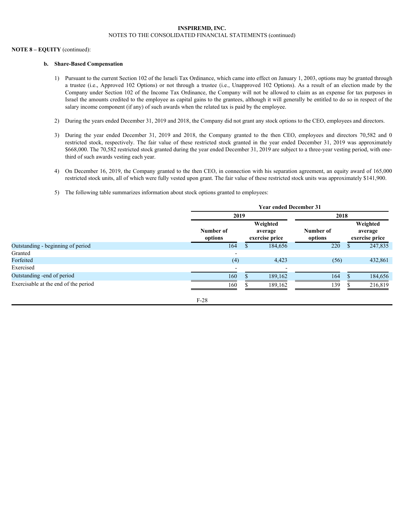# **INSPIREMD, INC.** NOTES TO THE CONSOLIDATED FINANCIAL STATEMENTS (continued)

## **NOTE 8 – EQUITY** (continued):

### **b. Share-Based Compensation**

- 1) Pursuant to the current Section 102 of the Israeli Tax Ordinance, which came into effect on January 1, 2003, options may be granted through **INSPIREMD, INC.**<br> **Example 102**<br> **Continued):**<br> **Configured Compensation**<br> **Pursuant to the current Section 102 of the Israeli Tax Ordinance, which came into effect on January 1, 2003, options may be granted through<br>
a tr** Company under Section 102 of the Income Tax Ordinance, the Company will not be allowed to claim as an expense for tax purposes in Israel the amounts credited to the employee as capital gains to the grantees, although it will generally be entitled to do so in respect of the salary income component (if any) of such awards when the related tax is paid by the employee. **INSPIREMD, INC.**<br> **Share-Based Compensation**<br>
3) Pursuant to the current Section 102 of the Israeli Tax Ordinance, which came into effect on January 1, 2003, options may be granted through<br>
3) Pursuant to the current Sec **RESTIGNME, INC.**<br>**RESTRIGNMENTS (CONDUMENTS)** (Continued)<br>**Pursuant** to the current Section 102 of the Israeli Tax Ordinance, which came into effect on January 1, 2003, options may be granted through<br>
at muse (i.e., Appro
- 2) During the years ended December 31, 2019 and 2018, the Company did not grant any stock options to the CEO, employees and directors.
- \$668,000. The 70,582 restricted stock granted during the year ended December 31, 2019 are subject to a three-year vesting period, with onethird of such awards vesting each year.
- 4) On December 16, 2019, the Company granted to the then CEO, in connection with his separation agreement, an equity award of 165,000 restricted stock units, all of which were fully vested upon grant. The fair value of these restricted stock units was approximately \$141,900.
- 5) The following table summarizes information about stock options granted to employees:

|                                      | <b>Year ended December 31</b> |                                       |         |                      |                                       |         |  |  |
|--------------------------------------|-------------------------------|---------------------------------------|---------|----------------------|---------------------------------------|---------|--|--|
|                                      | 2019                          |                                       |         |                      |                                       | 2018    |  |  |
|                                      | Number of<br>options          | Weighted<br>average<br>exercise price |         | Number of<br>options | Weighted<br>average<br>exercise price |         |  |  |
| Outstanding - beginning of period    | 164                           |                                       | 184,656 | 220                  |                                       | 247,835 |  |  |
| Granted                              | $\overline{\phantom{0}}$      |                                       |         |                      |                                       |         |  |  |
| Forfeited                            | (4)                           |                                       | 4,423   | (56)                 |                                       | 432,861 |  |  |
| Exercised                            |                               |                                       |         |                      |                                       |         |  |  |
| Outstanding -end of period           | 160                           |                                       | 189,162 | 164                  |                                       | 184,656 |  |  |
| Exercisable at the end of the period | 160                           |                                       | 189,162 | 139                  |                                       | 216,819 |  |  |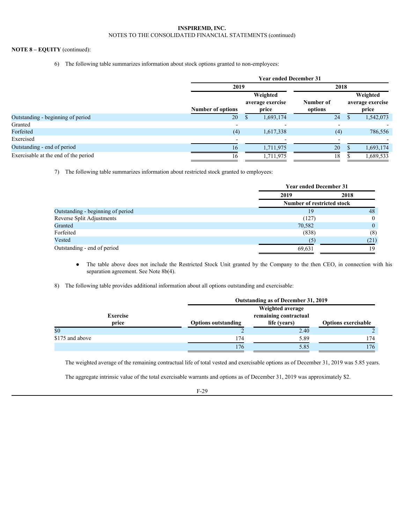# **INSPIREMD, INC.** NOTES TO THE CONSOLIDATED FINANCIAL STATEMENTS (continued)

# **NOTE 8 – EQUITY** (continued):

# 6) The following table summarizes information about stock options granted to non-employees:

|                                      | 6) The following table summarizes information about stock options granted to non-employees: |                          |                               |                               |               |                              |
|--------------------------------------|---------------------------------------------------------------------------------------------|--------------------------|-------------------------------|-------------------------------|---------------|------------------------------|
|                                      |                                                                                             |                          | <b>Year ended December 31</b> |                               |               |                              |
|                                      |                                                                                             | 2019                     |                               |                               | 2018          |                              |
|                                      |                                                                                             |                          | Weighted<br>average exercise  | Number of                     |               | Weighted<br>average exercise |
|                                      |                                                                                             | Number of options        | price                         | options                       |               | price                        |
| Outstanding - beginning of period    |                                                                                             | $\overline{20}$          | 1,693,174<br>-\$              | $\overline{24}$               | $\mathbb{S}$  | 1,542,073                    |
| Granted                              |                                                                                             | $\overline{\phantom{a}}$ |                               |                               |               |                              |
| Forfeited                            |                                                                                             | (4)                      | 1,617,338                     |                               | (4)           | 786,556                      |
| Exercised                            |                                                                                             |                          |                               |                               |               |                              |
|                                      |                                                                                             |                          |                               | 20                            | <sup>\$</sup> | 1,693,174                    |
| Outstanding - end of period          |                                                                                             | 16                       | 1,711,975                     |                               |               |                              |
| Exercisable at the end of the period | 7) The following table summarizes information about restricted stock granted to employees:  | 16                       | 1,711,975                     | 18                            | -S            | 1,689,533                    |
|                                      |                                                                                             |                          | 2019                          | <b>Year ended December 31</b> | 2018          |                              |
|                                      |                                                                                             |                          |                               | Number of restricted stock    |               |                              |
|                                      |                                                                                             |                          |                               | 19                            |               | 48                           |
|                                      | Outstanding - beginning of period<br>Reverse Split Adjustments                              |                          |                               | (127)                         |               |                              |
| Granted                              |                                                                                             |                          |                               | 70,582                        |               |                              |
| Forfeited                            |                                                                                             |                          |                               | (838)                         |               | (8)                          |
| Vested                               | Outstanding - end of period                                                                 |                          |                               | (5)                           |               | (21)                         |

|                                   |                            | <b>Year ended December 31</b> |  |  |
|-----------------------------------|----------------------------|-------------------------------|--|--|
|                                   | 2019                       | 2018                          |  |  |
|                                   | Number of restricted stock |                               |  |  |
| Outstanding - beginning of period | 19                         | 48                            |  |  |
| Reverse Split Adjustments         | (127)                      |                               |  |  |
| Granted                           | 70,582                     | 0                             |  |  |
| Forfeited                         | (838)                      | (8)                           |  |  |
| Vested                            |                            | (21)                          |  |  |
| Outstanding - end of period       | 69,631                     | 19                            |  |  |

|                 | Outstanding as of December 31, 2019       |              |                            |  |  |  |
|-----------------|-------------------------------------------|--------------|----------------------------|--|--|--|
| Exercise        | Weighted average<br>remaining contractual |              |                            |  |  |  |
| price           | Options outstanding                       | life (years) | <b>Options exercisable</b> |  |  |  |
| $\$0$           |                                           | 2.40         |                            |  |  |  |
| \$175 and above | 174                                       | 5.89         | 174                        |  |  |  |
|                 | 176                                       | 5.85         | 176                        |  |  |  |

The weighted average of the remaining contractual life of total vested and exercisable options as of December 31, 2019 was 5.85 years.

The aggregate intrinsic value of the total exercisable warrants and options as of December 31, 2019 was approximately \$2.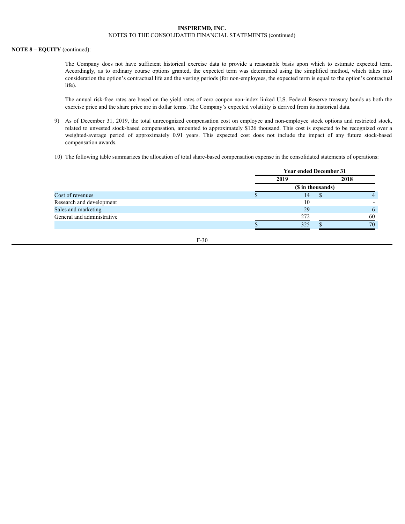# NOTES TO THE CONSOLIDATED FINANCIAL STATEMENTS (continued)

### **NOTE 8 – EQUITY** (continued):

**INSPIREMD, INC.**<br> **The Company does not have sufficient historical exercise data to provide a reasonable basis upon which to estimate expected term.**<br>
Accordingly, as to ordinary course options granted, the expected term **INSPIREMD, INC.**<br> **EXPIREMD, INC.**<br> **EXPIREMD CONSOLIDATED FINANCIAL STATEMENTS (continued)**<br>
The Company does not have sufficient historical exercise data to provide a reasonable basis upon which to estimate expected ter consideration the option's contractual life and the vesting periods (for non-employees, the expected term is equal to the option's contractual life).

The annual risk-free rates are based on the yield rates of zero coupon non-index linked U.S. Federal Reserve treasury bonds as both the exercise price and the share price are in dollar terms. The Company's expected volatility is derived from its historical data.

- 9) As of December 31, 2019, the total unrecognized compensation cost on employee and non-employee stock options and restricted stock, related to unvested stock-based compensation, amounted to approximately \$126 thousand. This cost is expected to be recognized over a **EXERICATE CONSOLIDATED FINANCIAL STATEMENTS (coatinued)**<br>The Company does not have sufficient historical exercise data to provide a reasonable basis upon which to estimate expected term.<br>Accordingly, as to ordinary course compensation awards.
- 10) The following table summarizes the allocation of total share-based compensation expense in the consolidated statements of operations:

|                            | <b>Year ended December 31</b> |    |  |  |
|----------------------------|-------------------------------|----|--|--|
|                            | 2018<br>2019                  |    |  |  |
|                            | (\$ in thousands)             |    |  |  |
| Cost of revenues           | 14                            |    |  |  |
| Research and development   |                               |    |  |  |
| Sales and marketing        | 29                            |    |  |  |
| General and administrative | 272                           | 60 |  |  |
|                            | 325                           | 70 |  |  |
|                            |                               |    |  |  |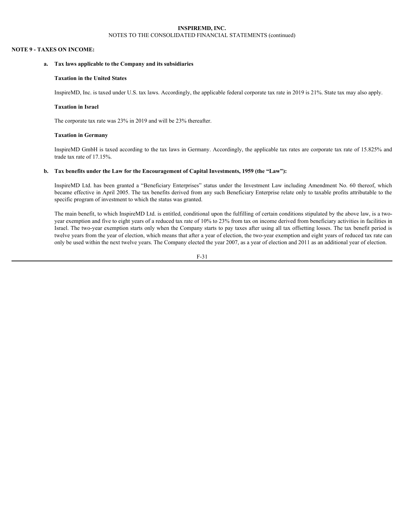# **INSPIREMD, INC.** NOTES TO THE CONSOLIDATED FINANCIAL STATEMENTS (continued)

## **NOTE 9 - TAXES ON INCOME:**

## **a. Tax laws applicable to the Company and its subsidiaries**

### **Taxation in the United States**

InspireMD, Inc. is taxed under U.S. tax laws. Accordingly, the applicable federal corporate tax rate in 2019 is 21%. State tax may also apply.

### **Taxation in Israel**

The corporate tax rate was 23% in 2019 and will be 23% thereafter.

#### **Taxation in Germany**

InspireMD GmbH is taxed according to the tax laws in Germany. Accordingly, the applicable tax rates are corporate tax rate of 15.825% and trade tax rate of 17.15%.

## **b. Tax benefits under the Law for the Encouragement of Capital Investments, 1959 (the "Law"):**

became effective in April 2005. The tax benefits derived from any such Beneficiary Enterprise relate only to taxable profits attributable to the specific program of investment to which the status was granted.

**INSPIREMID, INC.**<br> **ITA JAWS SON INCOME:**<br> **ITA JAWS SON INCOME:**<br> **ITA JAWS SON EXCOME:**<br> **ITATION CONTEXT TO EXECUTE TO A SUBSERVIDY AND THE UNITED STATUS UNITED STATUS UNITED A TO A SUBSERVIDY IN A SUBSERVIDY IN THE IN** The main benefit, to which InspireMD Ltd. is entitled, conditional upon the fulfilling of certain conditions stipulated by the above law, is a twoyear exemption and five to eight years of a reduced tax rate of 10% to 23% from tax on income derived from beneficiary activities in facilities in Israel. The two-year exemption starts only when the Company starts to pay taxes after using all tax offsetting losses. The tax benefit period is twelve years from the year of election, which means that after a year of election, the two-year exemption and eight years of reduced tax rate can only be used within the next twelve years. The Company elected the year 2007, as a year of election and 2011 as an additional year of election.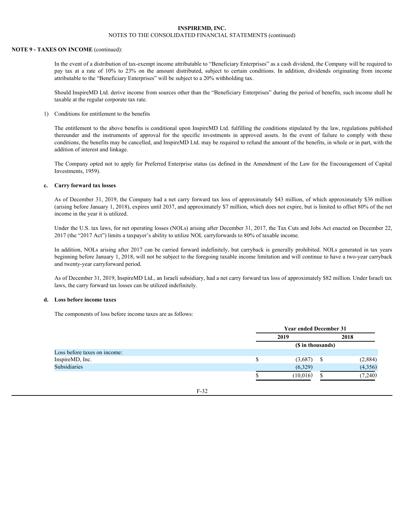## NOTES TO THE CONSOLIDATED FINANCIAL STATEMENTS (continued)

#### **NOTE 9 - TAXES ON INCOME** (continued):

In the event of a distribution of tax-exempt income attributable to "Beneficiary Enterprises" as a cash dividend, the Company will be required to **EXPIREMD, INC.**<br> **SON INCOME** (continued):<br>
In the event of a distribution of tax-exempt income attributable to "Beneficiary Enterprises" as a cash dividend, the Company will be required to<br>
a rate of 10% to 23% on the am attributable to the "Beneficiary Enterprises" will be subject to a 20% withholding tax.

Should InspireMD Ltd. derive income from sources other than the "Beneficiary Enterprises" during the period of benefits, such income shall be taxable at the regular corporate tax rate.

1) Conditions for entitlement to the benefits

The entitlement to the above benefits is conditional upon InspireMD Ltd. fulfilling the conditions stipulated by the law, regulations published **EXECT INTERT IS CONSOLIDATED FINANCIAL STATEMENTS (continued)**<br>The the event of a distribution of tax-exempt income attributable to "Beneficiary Enterprises" as a cash dividend, the Company will be required to<br>put us ut a conditions, the benefits may be cancelled, and InspireMD Ltd. may be required to refund the amount of the benefits, in whole or in part, with the addition of interest and linkage.

The Company opted not to apply for Preferred Enterprise status (as defined in the Amendment of the Law for the Encouragement of Capital Investments, 1959).

## **c. Carry forward tax losses**

As of December 31, 2019, the Company had a net carry forward tax loss of approximately \$43 million, of which approximately \$36 million (arising before January 1, 2018), expires until 2037, and approximately \$7 million, which does not expire, but is limited to offset 80% of the net income in the year it is utilized.

Under the U.S. tax laws, for net operating losses (NOLs) arising after December 31, 2017, the Tax Cuts and Jobs Act enacted on December 22, 2017 (the "2017 Act") limits a taxpayer's ability to utilize NOL carryforwards to 80% of taxable income.

In addition, NOLs arising after 2017 can be carried forward indefinitely, but carryback is generally prohibited. NOLs generated in tax years beginning before January 1, 2018, will not be subject to the foregoing taxable income limitation and will continue to have a two-year carryback and twenty-year carryforward period.

As of December 31, 2019, InspireMD Ltd., an Israeli subsidiary, had a net carry forward tax loss of approximately \$82 million. Under Israeli tax laws, the carry forward tax losses can be utilized indefinitely.

## **d. Loss before income taxes**

The components of loss before income taxes are as follows:

| <b>Year ended December 31</b> |  |                   |  |
|-------------------------------|--|-------------------|--|
| 2019                          |  | 2018              |  |
|                               |  |                   |  |
|                               |  |                   |  |
| (3,687)                       |  | (2,884)           |  |
| (6,329)                       |  | (4, 356)          |  |
| (10,016)                      |  | (7,240)           |  |
|                               |  | (\$ in thousands) |  |

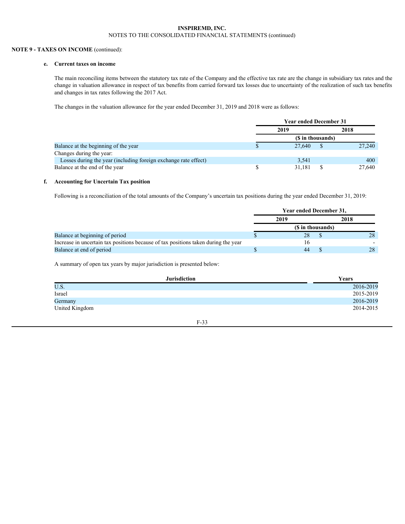# **INSPIREMD, INC.** NOTES TO THE CONSOLIDATED FINANCIAL STATEMENTS (continued)

# **NOTE 9 - TAXES ON INCOME** (continued):

### **e. Current taxes on income**

The main reconciling items between the statutory tax rate of the Company and the effective tax rate are the change in subsidiary tax rates and the change in valuation allowance in respect of tax benefits from carried forward tax losses due to uncertainty of the realization of such tax benefits and changes in tax rates following the 2017 Act.

The changes in the valuation allowance for the year ended December 31, 2019 and 2018 were as follows:

| 2018<br>2019                                                                    |
|---------------------------------------------------------------------------------|
| (\$ in thousands)                                                               |
| 27,240<br>Balance at the beginning of the year<br>27,640                        |
| Changes during the year:                                                        |
| 400<br>Losses during the year (including foreign exchange rate effect)<br>3,541 |
| 27,640<br>Balance at the end of the year<br>31,181                              |

# **f. Accounting for Uncertain Tax position**

Following is a reconciliation of the total amounts of the Company's uncertain tax positions during the year ended December 31, 2019:

|                                                                                    | <b>Year ended December 31.</b> |                   |      |                          |
|------------------------------------------------------------------------------------|--------------------------------|-------------------|------|--------------------------|
|                                                                                    | 2019                           |                   | 2018 |                          |
|                                                                                    |                                | (\$ in thousands) |      |                          |
| Balance at beginning of period                                                     |                                | 28                |      | 28                       |
| Increase in uncertain tax positions because of tax positions taken during the year |                                |                   |      | $\overline{\phantom{0}}$ |
| Balance at end of period                                                           |                                | 44                |      | 28                       |

A summary of open tax years by major jurisdiction is presented below:

| <b>Jurisdiction</b> | Years     |
|---------------------|-----------|
| U.S.                | 2016-2019 |
| Israel              | 2015-2019 |
| Germany             | 2016-2019 |
| United Kingdom      | 2014-2015 |
|                     |           |

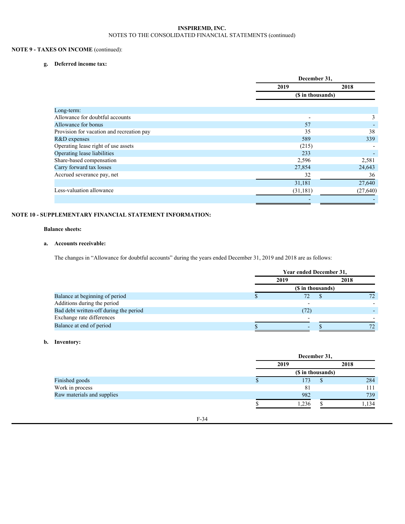# **INSPIREMD, INC.** NOTES TO THE CONSOLIDATED FINANCIAL STATEMENTS (continued)

# **NOTE 9 - TAXES ON INCOME** (continued):

# **g. Deferred income tax:**

|                                           |                          | December 31, |  |  |  |
|-------------------------------------------|--------------------------|--------------|--|--|--|
|                                           | 2019                     | 2018         |  |  |  |
|                                           | (\$ in thousands)        |              |  |  |  |
|                                           |                          |              |  |  |  |
| Long-term:                                |                          |              |  |  |  |
| Allowance for doubtful accounts           | $\overline{\phantom{0}}$ |              |  |  |  |
| Allowance for bonus                       | 57                       |              |  |  |  |
| Provision for vacation and recreation pay | 35                       | 38           |  |  |  |
| R&D expenses                              | 589                      | 339          |  |  |  |
| Operating lease right of use assets       | (215)                    |              |  |  |  |
| Operating lease liabilities               | 233                      |              |  |  |  |
| Share-based compensation                  | 2,596                    | 2,581        |  |  |  |
| Carry forward tax losses                  | 27,854                   | 24,643       |  |  |  |
| Accrued severance pay, net                | 32                       | 36           |  |  |  |
|                                           | 31,181                   | 27,640       |  |  |  |
| Less-valuation allowance                  | (31, 181)                | (27, 640)    |  |  |  |
|                                           |                          |              |  |  |  |
|                                           |                          |              |  |  |  |

# **NOTE 10 - SUPPLEMENTARY FINANCIAL STATEMENT INFORMATION:**

# **Balance sheets:**

# **a. Accounts receivable:**

The changes in "Allowance for doubtful accounts" during the years ended December 31, 2019 and 2018 are as follows:

|                                        |      | Year ended December 31, |      |
|----------------------------------------|------|-------------------------|------|
|                                        | 2019 |                         | 2018 |
|                                        |      | (\$ in thousands)       |      |
| Balance at beginning of period         |      | $72^{\circ}$            | 72   |
| Additions during the period            |      |                         |      |
| Bad debt written-off during the period |      | (72)                    |      |
| Exchange rate differences              |      |                         |      |
| Balance at end of period               |      |                         | 72   |
|                                        |      |                         |      |

# **b. Inventory:**

| 2019 |       | 2018                              |
|------|-------|-----------------------------------|
|      |       |                                   |
|      | 173   | 284                               |
|      | δI    | 111                               |
|      | 982   | 739                               |
|      | 1,236 | 1,134                             |
|      |       | December 31,<br>(\$ in thousands) |

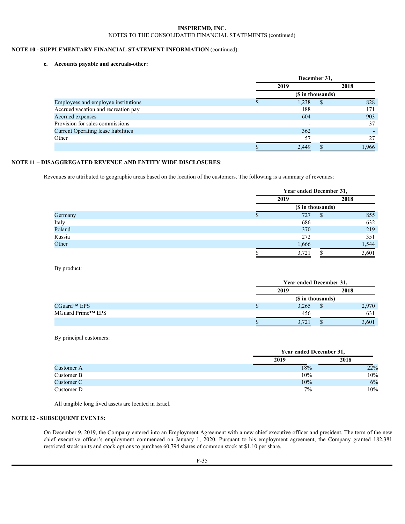# NOTES TO THE CONSOLIDATED FINANCIAL STATEMENTS (continued)

# **NOTE 10 - SUPPLEMENTARY FINANCIAL STATEMENT INFORMATION** (continued):

# **c. Accounts payable and accruals-other:**

|                                            | December 31, |                   |  |       |  |
|--------------------------------------------|--------------|-------------------|--|-------|--|
|                                            | 2019         |                   |  | 2018  |  |
|                                            |              | (\$ in thousands) |  |       |  |
| Employees and employee institutions        |              | 1,238             |  | 828   |  |
| Accrued vacation and recreation pay        |              | 188               |  | 171   |  |
| Accrued expenses                           |              | 604               |  | 903   |  |
| Provision for sales commissions            |              |                   |  | 37    |  |
| <b>Current Operating lease liabilities</b> |              | 362               |  |       |  |
| Other                                      |              | 57                |  | 27    |  |
|                                            |              | 2,449             |  | 1,966 |  |

# **NOTE 11 – DISAGGREGATED REVENUE AND ENTITY WIDE DISCLOSURES**:

Revenues are attributed to geographic areas based on the location of the customers. The following is a summary of revenues:

|         | Year ended December 31, |       |
|---------|-------------------------|-------|
|         | 2019                    | 2018  |
|         | (\$ in thousands)       |       |
| Germany | 727                     | 855   |
| Italy   | 686                     | 632   |
| Poland  | 370                     | 219   |
| Russia  | 272                     | 351   |
| Other   | 1,666                   | 1,544 |
|         | 3,721                   | 3,601 |

|                         | Year ended December 31, |                   |       |
|-------------------------|-------------------------|-------------------|-------|
|                         | 2019                    |                   | 2018  |
|                         |                         | (\$ in thousands) |       |
| CGuard <sup>™</sup> EPS | 3,265                   |                   | 2,970 |
| MGuard Prime™ EPS       | 456                     |                   | 631   |
|                         | 3,721                   |                   | 3,601 |

| Italy                                                                                                                                       |              | 686                     | 632               |
|---------------------------------------------------------------------------------------------------------------------------------------------|--------------|-------------------------|-------------------|
| Poland                                                                                                                                      |              | 370                     | 219               |
| Russia                                                                                                                                      |              | 272                     | 351               |
| Other                                                                                                                                       |              | 1,666                   | 1,544             |
|                                                                                                                                             |              | 3,721<br>$\mathbb{S}$   | 3,601             |
|                                                                                                                                             |              |                         |                   |
| By product:                                                                                                                                 |              |                         |                   |
|                                                                                                                                             |              | Year ended December 31, |                   |
|                                                                                                                                             |              | 2019                    | 2018              |
|                                                                                                                                             |              | (\$ in thousands)       |                   |
| CGuard <sup>™</sup> EPS                                                                                                                     | <sup>S</sup> | $3,265$ \$              | 2,970             |
| MGuard Prime™ EPS                                                                                                                           |              | 456                     | 631               |
|                                                                                                                                             |              | 3,721<br>$\mathbb{S}$   | 3,601             |
|                                                                                                                                             |              |                         |                   |
| By principal customers:                                                                                                                     |              |                         |                   |
|                                                                                                                                             |              |                         |                   |
|                                                                                                                                             |              | Year ended December 31, |                   |
|                                                                                                                                             |              | 2019                    | 2018              |
| <b>Customer A</b>                                                                                                                           |              | 18%                     | $\overline{22}\%$ |
| Customer B                                                                                                                                  |              | 10%                     | 10%               |
| Customer C                                                                                                                                  |              | 10%                     | 6%                |
| Customer D                                                                                                                                  |              | 7%                      | 10%               |
|                                                                                                                                             |              |                         |                   |
| All tangible long lived assets are located in Israel.                                                                                       |              |                         |                   |
|                                                                                                                                             |              |                         |                   |
| <b>UBSEQUENT EVENTS:</b>                                                                                                                    |              |                         |                   |
| On December 9, 2019, the Company entered into an Employment Agreement with a new chief executive officer and president. The term of the new |              |                         |                   |
| chief executive officer's employment commenced on January 1, 2020. Pursuant to his employment agreement, the Company granted 182,381        |              |                         |                   |
|                                                                                                                                             |              |                         |                   |
|                                                                                                                                             |              |                         |                   |
|                                                                                                                                             |              |                         |                   |
| restricted stock units and stock options to purchase 60,794 shares of common stock at \$1.10 per share.<br>$F-35$                           |              |                         |                   |

## **NOTE 12 - SUBSEQUENT EVENTS:**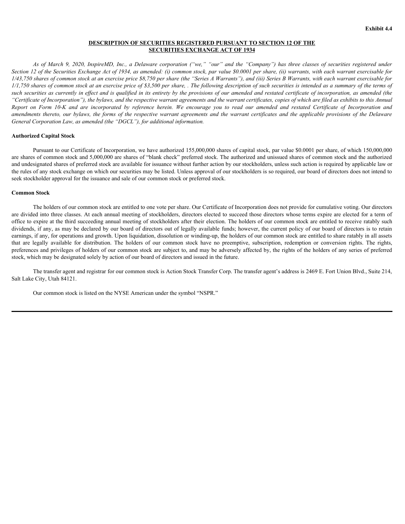# **DESCRIPTION OF SECURITIES REGISTERED PURSUANT TO SECTION 12 OF THE SECURITIES EXCHANGE ACT OF 1934**

**Exhibit 4.4**<br>**As of March 9, 2020, InspireMD, Inc., a Delaware corporation ("we," "our" and the "Company") has three classes of securities registered under<br>** *As of March 9, 2020, InspireMD, Inc., a Delaware corporation (" Section 12 of the Securities Exchange Act of 1934, as amended: (i) common stock, par value \$0.0001 per share, (ii) warrants, with each warrant exercisable for 1/43,750 shares of common stock at an exercise price \$8,750 per share (the "Series A Warrants"), and (iii) Series B Warrants, with each warrant exercisable for 1/1,750 shares of common stock at an exercise price of \$3,500 per share, . The following description of such securities is intended as a summary of the terms of such securities as currently in effect and is qualified in its entirety by the provisions of our amended and restated certificate of incorporation, as amended (the "Certificate of Incorporation"), the bylaws, and the respective warrant agreements and the warrant certificates, copies of which are filed as exhibits to this Annual* **Exhibit 4.4**<br>**RECURITIES REGISTERED PURSUANT TO SECTION 12 OF THE<br>
SECURITIES AND MORE ARELATED SECTION TO SECTION 12 OF THE<br>
SECURITIES EXCURITIES EXCURITIES ARENTS EXCURITIES ARE COPY TO SECTION 12 OF THE<br>
SECURITIES EX by ESCRIPTION OF SECURITIES REGISTERED PURSUANT TO SECTION 12 OF THE SECURE AGREEMELT AGREEMELT AGREEMELT AGREEMELT AGREEMELT AGREEMELT AGREEMELT AGREEMELT AGREEMELT AGREEMELT AGREEMELT AGREEMELT AGREEMELT AGREEMELT AGREE** *General Corporation Law, as amended (the "DGCL"), for additional information.* **EXCREME ARE ARE ARE ARE ARE ARE ARE AREAS INTO A SECURITIES INCOLUME SECURITIES INCOLUME SECURITIES INCOLUME SECURITIES INCOLUME SECURITIES INCOLUME SECURITIES INCOLUME SECURITIES INCOLUME SECURITIES INCOLUME SECURITIES** 

#### **Authorized Capital Stock**

Pursuant to our Certificate of Incorporation, we have authorized 155,000,000 shares of capital stock, par value \$0.0001 per share, of which 150,000,000 are shares of common stock and 5,000,000 are shares of "blank check" preferred stock. The authorized and unissued shares of common stock and the authorized and undesignated shares of preferred stock are available for issuance without further action by our stockholders, unless such action is required by applicable law or the rules of any stock exchange on which our securities may be listed. Unless approval of our stockholders is so required, our board of directors does not intend to seek stockholder approval for the issuance and sale of our common stock or preferred stock.

## **Common Stock**

The holders of our common stock are entitled to one vote per share. Our Certificate of Incorporation does not provide for cumulative voting. Our directors are divided into three classes. At each annual meeting of stockholders, directors elected to succeed those directors whose terms expire are elected for a term of office to expire at the third succeeding annual meeting of stockholders after their election. The holders of our common stock are entitled to receive ratably such dividends, if any, as may be declared by our board of directors out of legally available funds; however, the current policy of our board of directors is to retain earnings, if any, for operations and growth. Upon liquidation, dissolution or winding-up, the holders of our common stock are entitled to share ratably in all assets preferences and privileges of holders of our common stock are subject to, and may be adversely affected by, the rights of the holders of any series of preferred stock, which may be designated solely by action of our board of directors and issued in the future.

The transfer agent and registrar for our common stock is Action Stock Transfer Corp. The transfer agent's address is 2469 E. Fort Union Blvd., Suite 214, Salt Lake City, Utah 84121.

Our common stock is listed on the NYSE American under the symbol "NSPR."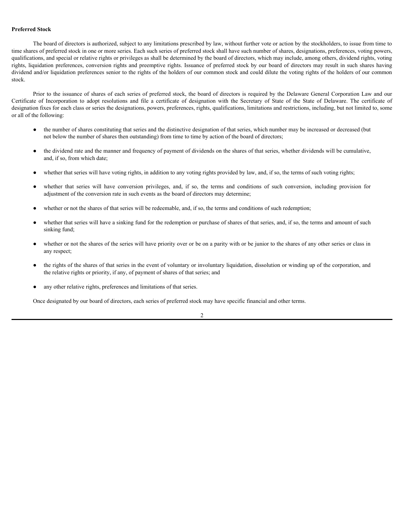### **Preferred Stock**

The board of directors is authorized, subject to any limitations prescribed by law, without further vote or action by the stockholders, to issue from time to time shares of preferred stock in one or more series. Each such series of preferred stock shall have such number of shares, designations, preferences, voting powers, qualifications, and special or relative rights or privileges as shall be determined by the board of directors, which may include, among others, dividend rights, voting rights, liquidation preferences, conversion rights and preemptive rights. Issuance of preferred stock by our board of directors may result in such shares having dividend and/or liquidation preferences senior to the rights of the holders of our common stock and could dilute the voting rights of the holders of our common stock. **Preferred Stock**<br> **The board of directors is authorized, subject to any limitations prescribed by law, without further vote or action by the stockholders, to issue from time to<br>
time shares of preferred stock in one or mo Since S**<br>The board of directors is authorized, subject to any limitations presentbed by law, without further vote or action by the stockholders, to issue from time to<br>so for preferences society and such series of proferen

Prior to the issuance of shares of each series of preferred stock, the board of directors is required by the Delaware General Corporation Law and our designation fixes for each class or series the designations, powers, preferences, rights, qualifications, limitations and restrictions, including, but not limited to, some or all of the following:

- the number of shares constituting that series and the distinctive designation of that series, which number may be increased or decreased (but not below the number of shares then outstanding) from time to time by action of the board of directors;
- the dividend rate and the manner and frequency of payment of dividends on the shares of that series, whether dividends will be cumulative, and, if so, from which date;
- whether that series will have voting rights, in addition to any voting rights provided by law, and, if so, the terms of such voting rights;
- adjustment of the conversion rate in such events as the board of directors may determine;
- whether or not the shares of that series will be redeemable, and, if so, the terms and conditions of such redemption;
- whether that series will have a sinking fund for the redemption or purchase of shares of that series, and, if so, the terms and amount of such sinking fund;
- whether or not the shares of the series will have priority over or be on a parity with or be junior to the shares of any other series or class in any respect;
- the rights of the shares of that series in the event of voluntary or involuntary liquidation, dissolution or winding up of the corporation, and the relative rights or priority, if any, of payment of shares of that series; and
- any other relative rights, preferences and limitations of that series.

Once designated by our board of directors, each series of preferred stock may have specific financial and other terms.

 $\mathfrak{Z}$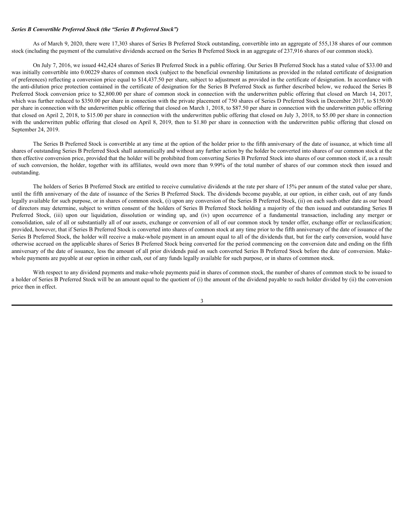# *Series B Convertible Preferred Stock (the "Series B Preferred Stock")*

As of March 9, 2020, there were 17,303 shares of Series B Preferred Stock outstanding, convertible into an aggregate of 555,138 shares of our common stock (including the payment of the cumulative dividends accrued on the Series B Preferred Stock in an aggregate of 237,916 shares of our common stock).

On July 7, 2016, we issued 442,424 shares of Series B Preferred Stock in a public offering. Our Series B Preferred Stock has a stated value of \$33.00 and was initially convertible into 0.00229 shares of common stock (subject to the beneficial ownership limitations as provided in the related certificate of designation of preferences) reflecting a conversion price equal to \$14,437.50 per share, subject to adjustment as provided in the certificate of designation. In accordance with the anti-dilution price protection contained in the certificate of designation for the Series B Preferred Stock as further described below, we reduced the Series B Preferred Stock conversion price to \$2,800.00 per share of common stock in connection with the underwritten public offering that closed on March 14, 2017, which was further reduced to \$350.00 per share in connection with the private placement of 750 shares of Series D Preferred Stock in December 2017, to \$150.00 per share in connection with the underwritten public offering that closed on March 1, 2018, to \$87.50 per share in connection with the underwritten public offering that closed on April 2, 2018, to \$15.00 per share in connection with the underwritten public offering that closed on July 3, 2018, to \$5.00 per share in connection Series B Convertible Preferred Stock (the "Series B Preferred Stock")<br>As of March 9, 2020, there were 17,303 shares of Series B Preferred Stock cutstanding, convertible into an aggregate of 555,138 shares of our common<br>st September 24, 2019. Series B Convertible Preferred Stock (the "Series B Preferred Stock P<br>
As of Nacch 5, 2020, there were 17,303 shares of Series B Preferred Stock to restanding, convertible into an aggregate of 555,138 shares of our common

The Series B Preferred Stock is convertible at any time at the option of the holder prior to the fifth anniversary of the date of issuance, at which time all shares of outstanding Series B Preferred Stock shall automatically and without any further action by the holder be converted into shares of our common stock at the then effective conversion price, provided that the holder will be prohibited from converting Series B Preferred Stock into shares of our common stock if, as a result outstanding.

The holders of Series B Preferred Stock are entitled to receive cumulative dividends at the rate per share of 15% per annum of the stated value per share, until the fifth anniversary of the date of issuance of the Series B Preferred Stock. The dividends become payable, at our option, in either cash, out of any funds legally available for such purpose, or in shares of common stock, (i) upon any conversion of the Series B Preferred Stock, (ii) on each such other date as our board of directors may determine, subject to written consent of the holders of Series B Preferred Stock holding a majority of the then issued and outstanding Series B Stries B. Convertible Preferred Stock (the "Stries B. Preferred Stock control Stock controllation, convertible into an agreease of 555,138 shares of set control stock (including the proposition) in the control stock contr consolidation, sale of all or substantially all of our assets, exchange or conversion of all of our common stock by tender offer, exchange offer or reclassification; provided, however, that if Series B Preferred Stock is converted into shares of common stock at any time prior to the fifth anniversary of the date of issuance of the Series B Preferred Stock, the holder will receive a make-whole payment in an amount equal to all of the dividends that, but for the early conversion, would have otherwise accrued on the applicable shares of Series B Preferred Stock being converted for the period commencing on the conversion date and ending on the fifth anniversary of the date of issuance, less the amount of all prior dividends paid on such converted Series B Preferred Stock before the date of conversion. Makewhole payments are payable at our option in either cash, out of any funds legally available for such purpose, or in shares of common stock.

With respect to any dividend payments and make-whole payments paid in shares of common stock, the number of shares of common stock to be issued to a holder of Series B Preferred Stock will be an amount equal to the quotient of (i) the amount of the dividend payable to such holder divided by (ii) the conversion price then in effect.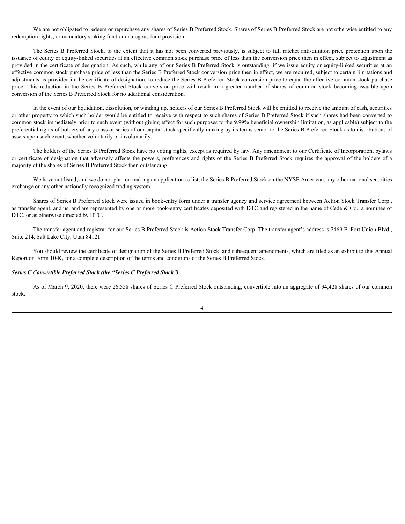We are not obligated to redeem or repurchase any shares of Series B Preferred Stock. Shares of Series B Preferred Stock are not otherwise entitled to any redemption rights, or mandatory sinking fund or analogous fund provision.

We are not obligated to redeem or repurchase any shares of Series B Preferred Stock. Shares of Series B Preferred Stock are not otherwise entitled to any<br>on rights, or mandatory sinking fund or analogous fund provision.<br>Th issuance of equity or equity-linked securities at an effective common stock purchase price of less than the conversion price then in effect, subject to adjustment as provided in the certificate of designation. As such, while any of our Series B Preferred Stock is outstanding, if we issue equity or equity-linked securities at an effective common stock purchase price of less than the Series B Preferred Stock conversion price then in effect, we are required, subject to certain limitations and adjustments as provided in the certificate of designation, to reduce the Series B Preferred Stock conversion price to equal the effective common stock purchase We are not obligated to redeem or repurchase any shares of Series B Preferred Stock. Shares of Series B Preferred Stock are not otherwise entitled to any redemption rights, or mandatory sinking find or analogous fund provi conversion of the Series B Preferred Stock for no additional consideration. We are not obtigated to redeem or repurchase any shares of Series B Preferred Stock. Shares of Series B Preferred Stock are not obterwise entitled to any<br>The Series R Preferred Stock, to the extent that it has one been con

In the event of our liquidation, dissolution, or winding up, holders of our Series B Preferred Stock will be entitled to receive the amount of cash, securities or other property to which such holder would be entitled to receive with respect to such shares of Series B Preferred Stock if such shares had been converted to common stock immediately prior to such event (without giving effect for such purposes to the 9.99% beneficial ownership limitation, as applicable) subject to the preferential rights of holders of any class or series of our capital stock specifically ranking by its terms senior to the Series B Preferred Stock as to distributions of assets upon such event, whether voluntarily or involuntarily.

The holders of the Series B Preferred Stock have no voting rights, except as required by law. Any amendment to our Certificate of Incorporation, bylaws majority of the shares of Series B Preferred Stock then outstanding.

We have not listed, and we do not plan on making an application to list, the Series B Preferred Stock on the NYSE American, any other national securities exchange or any other nationally recognized trading system.

Shares of Series B Preferred Stock were issued in book-entry form under a transfer agency and service agreement between Action Stock Transfer Corp., as transfer agent, and us, and are represented by one or more book-entry certificates deposited with DTC and registered in the name of Cede & Co., a nominee of DTC, or as otherwise directed by DTC.

The transfer agent and registrar for our Series B Preferred Stock is Action Stock Transfer Corp. The transfer agent's address is 2469 E. Fort Union Blvd., Suite 214, Salt Lake City, Utah 84121.

You should review the certificate of designation of the Series B Preferred Stock, and subsequent amendments, which are filed as an exhibit to this Annual Report on Form 10-K, for a complete description of the terms and conditions of the Series B Preferred Stock.

# *Series C Convertible Preferred Stock (the "Series C Preferred Stock")*

As of March 9, 2020, there were 26,558 shares of Series C Preferred Stock outstanding, convertible into an aggregate of 94,428 shares of our common stock.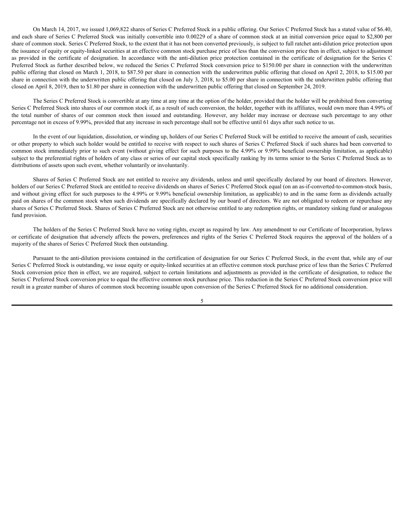On March 14, 2017, we issued 1,069,822 shares of Series C Preferred Stock in a public offering. Our Series C Preferred Stock has a stated value of \$6.40, and each share of Series C Preferred Stock was initially convertible into 0.00229 of a share of common stock at an initial conversion price equal to \$2,800 per share of common stock. Series C Preferred Stock, to the extent that it has not been converted previously, is subject to full ratchet anti-dilution price protection upon the issuance of equity or equity-linked securities at an effective common stock purchase price of less than the conversion price then in effect, subject to adjustment On March 14, 2017, we issued 1,069,822 shares of Series C Preferred Stock in a public offering. Our Series C Preferred Stock has a stated value of \$6.40, and each share of Series C Preferred Stock was initial convertible i Preferred Stock as further described below, we reduced the Series C Preferred Stock conversion price to \$150.00 per share in connection with the underwritten public offering that closed on March 1, 2018, to \$87.50 per share in connection with the underwritten public offering that closed on April 2, 2018, to \$15.00 per share in connection with the underwritten public offering that closed on July 3, 2018, to \$5.00 per share in connection with the underwritten public offering that closed on April 8, 2019, then to \$1.80 per share in connection with the underwritten public offering that closed on September 24, 2019. On March 14, 2017, we issued 1,069,822 shares of Series C Preferred Stock in a public offering. Our Series C Preferred Stock has a stated value of \$6.40, and each share of Series C Preferred Stock Assumination with the mo On March 14.2017, we issued 1,600,822 shares of Scriets C Preferred Stock in a public officing. One Solitzer C Referred Stock requires and a distantive company and a state of designation to office of the anisoten of the a

The Series C Preferred Stock is convertible at any time at any time at the option of the holder, provided that the holder will be prohibited from converting Series C Preferred Stock into shares of our common stock if, as a result of such conversion, the holder, together with its affiliates, would own more than 4.99% of percentage not in excess of 9.99%, provided that any increase in such percentage shall not be effective until 61 days after such notice to us.

In the event of our liquidation, dissolution, or winding up, holders of our Series C Preferred Stock will be entitled to receive the amount of cash, securities or other property to which such holder would be entitled to receive with respect to such shares of Series C Preferred Stock if such shares had been converted to common stock immediately prior to such event (without giving effect for such purposes to the 4.99% or 9.99% beneficial ownership limitation, as applicable) subject to the preferential rights of holders of any class or series of our capital stock specifically ranking by its terms senior to the Series C Preferred Stock as to distributions of assets upon such event, whether voluntarily or involuntarily.

Shares of Series C Preferred Stock are not entitled to receive any dividends, unless and until specifically declared by our board of directors. However, holders of our Series C Preferred Stock are entitled to receive dividends on shares of Series C Preferred Stock equal (on an as-if-converted-to-common-stock basis, and without giving effect for such purposes to the 4.99% or 9.99% beneficial ownership limitation, as applicable) to and in the same form as dividends actually paid on shares of the common stock when such dividends are specifically declared by our board of directors. We are not obligated to redeem or repurchase any shares of Series C Preferred Stock. Shares of Series C Preferred Stock are not otherwise entitled to any redemption rights, or mandatory sinking fund or analogous fund provision.

The holders of the Series C Preferred Stock have no voting rights, except as required by law. Any amendment to our Certificate of Incorporation, bylaws majority of the shares of Series C Preferred Stock then outstanding.

Pursuant to the anti-dilution provisions contained in the certification of designation for our Series C Preferred Stock, in the event that, while any of our Series C Preferred Stock is outstanding, we issue equity or equity-linked securities at an effective common stock purchase price of less than the Series C Preferred Stock conversion price then in effect, we are required, subject to certain limitations and adjustments as provided in the certificate of designation, to reduce the Series C Preferred Stock conversion price to equal the effective common stock purchase price. This reduction in the Series C Preferred Stock conversion price will result in a greater number of shares of common stock becoming issuable upon conversion of the Series C Preferred Stock for no additional consideration.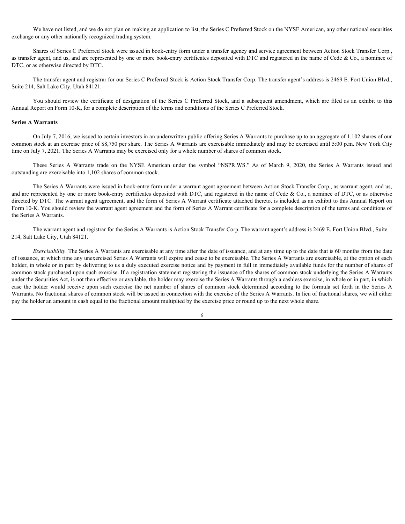We have not listed, and we do not plan on making an application to list, the Series C Preferred Stock on the NYSE American, any other national securities exchange or any other nationally recognized trading system.

Shares of Series C Preferred Stock were issued in book-entry form under a transfer agency and service agreement between Action Stock Transfer Corp., as transfer agent, and us, and are represented by one or more book-entry certificates deposited with DTC and registered in the name of Cede & Co., a nominee of DTC, or as otherwise directed by DTC. We have not listed, and we do not plan on making an application to list, the Series C Preferred Stock on the NYSE American, any other national securities or any other nationally recognized trading system.<br>Shares of Series

The transfer agent and registrar for our Series C Preferred Stock is Action Stock Transfer Corp. The transfer agent's address is 2469 E. Fort Union Blvd., Suite 214, Salt Lake City, Utah 84121.

Annual Report on Form 10-K, for a complete description of the terms and conditions of the Series C Preferred Stock.

#### **Series A Warrants**

On July 7, 2016, we issued to certain investors in an underwritten public offering Series A Warrants to purchase up to an aggregate of 1,102 shares of our common stock at an exercise price of \$8,750 per share. The Series A Warrants are exercisable immediately and may be exercised until 5:00 p.m. New York City time on July 7, 2021. The Series A Warrants may be exercised only for a whole number of shares of common stock.

outstanding are exercisable into 1,102 shares of common stock.

We have not listed, and we do not plan on making an application to list, the Series C. Preferred Stock on the NYSE American, any other national securities<br>or any other nationally recognined tusting system.<br>Shares of Series The Series A Warrants were issued in book-entry form under a warrant agent agreement between Action Stock Transfer Corp., as warrant agent, and us, and are represented by one or more book-entry certificates deposited with DTC, and registered in the name of Cede & Co., a nominee of DTC, or as otherwise directed by DTC. The warrant agent agreement, and the form of Series A Warrant certificate attached thereto, is included as an exhibit to this Annual Report on Form 10-K. You should review the warrant agent agreement and the form of Series A Warrant certificate for a complete description of the terms and conditions of the Series A Warrants.

The warrant agent and registrar for the Series A Warrants is Action Stock Transfer Corp. The warrant agent's address is 2469 E. Fort Union Blvd., Suite 214, Salt Lake City, Utah 84121.

*Exercisability*. The Series A Warrants are exercisable at any time after the date of issuance, and at any time up to the date that is 60 months from the date of issuance, at which time any unexercised Series A Warrants will expire and cease to be exercisable. The Series A Warrants are exercisable, at the option of each holder, in whole or in part by delivering to us a duly executed exercise notice and by payment in full in immediately available funds for the number of shares of common stock purchased upon such exercise. If a registration statement registering the issuance of the shares of common stock underlying the Series A Warrants under the Securities Act, is not then effective or available, the holder may exercise the Series A Warrants through a cashless exercise, in whole or in part, in which The master agent and registrar for our Series C Perferred Sock is Action Sinck Comp. The master agents address is 5469 E. For Usine 814, Sinck Lake Since Usine 814, the Computer such as the share of the formula term of th Warrants. No fractional shares of common stock will be issued in connection with the exercise of the Series A Warrants. In lieu of fractional shares, we will either pay the holder an amount in cash equal to the fractional amount multiplied by the exercise price or round up to the next whole share.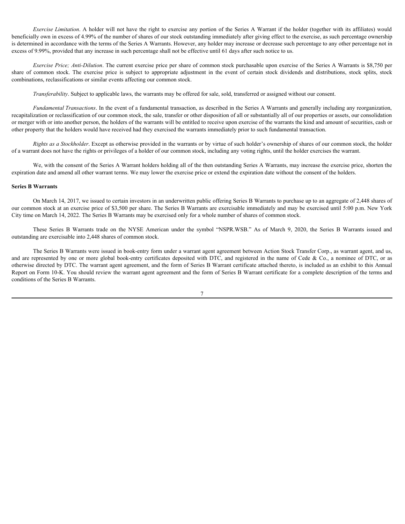*Exercise Limitation*. A holder will not have the right to exercise any portion of the Series A Warrant if the holder (together with its affiliates) would beneficially own in excess of 4.99% of the number of shares of our stock outstanding immediately after giving effect to the exercise, as such percentage ownership is determined in accordance with the terms of the Series A Warrants. However, any holder may increase or decrease such percentage to any other percentage not in excess of 9.99%, provided that any increase in such percentage shall not be effective until 61 days after such notice to us. *Exercise Limitation*. A holder will not have the right to exercise any portion of the Series A Warrant if the holder (together with its affiliates) would<br>beneficially own in excess of 4.99% of the number of shares of our

*Exercise Price; Anti-Dilution*. The current exercise price per share of common stock purchasable upon exercise of the Series A Warrants is \$8,750 per combinations, reclassifications or similar events affecting our common stock.

*Transferability*. Subject to applicable laws, the warrants may be offered for sale, sold, transferred or assigned without our consent.

*Fundamental Transactions*. In the event of a fundamental transaction, as described in the Series A Warrants and generally including any reorganization, recapitalization or reclassification of our common stock, the sale, transfer or other disposition of all or substantially all of our properties or assets, our consolidation or merger with or into another person, the holders of the warrants will be entitled to receive upon exercise of the warrants the kind and amount of securities, cash or other property that the holders would have received had they exercised the warrants immediately prior to such fundamental transaction.

*Rights as a Stockholder*. Except as otherwise provided in the warrants or by virtue of such holder's ownership of shares of our common stock, the holder of a warrant does not have the rights or privileges of a holder of our common stock, including any voting rights, until the holder exercises the warrant.

We, with the consent of the Series A Warrant holders holding all of the then outstanding Series A Warrants, may increase the exercise price, shorten the expiration date and amend all other warrant terms. We may lower the exercise price or extend the expiration date without the consent of the holders.

#### **Series B Warrants**

On March 14, 2017, we issued to certain investors in an underwritten public offering Series B Warrants to purchase up to an aggregate of 2,448 shares of our common stock at an exercise price of \$3,500 per share. The Series B Warrants are exercisable immediately and may be exercised until 5:00 p.m. New York City time on March 14, 2022. The Series B Warrants may be exercised only for a whole number of shares of common stock.

outstanding are exercisable into 2,448 shares of common stock.

Everyor Lontonon, A bolider will not have the right to exertise any portion of the Series A Warrants in the bolider (species win a high symbol and the symbol and the symbol symbol and the symbol symbol symbol symbol symbol The Series B Warrants were issued in book-entry form under a warrant agent agreement between Action Stock Transfer Corp., as warrant agent, and us, is cleared in a constraint with the terms of the Sayes. A Nurrant linearce, any bister respirate to decrease such preceding respect to the section of the control of the name incident are the section of the Saint-A Wannable otherwise directed by DTC. The warrant agent agreement, and the form of Series B Warrant certificate attached thereto, is included as an exhibit to this Annual Report on Form 10-K. You should review the warrant agent agreement and the form of Series B Warrant certificate for a complete description of the terms and conditions of the Series B Warrants.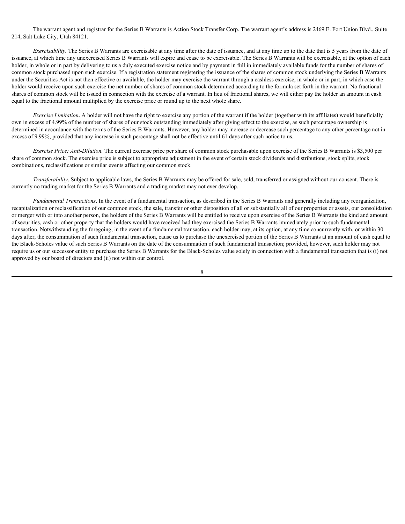The warrant agent and registrar for the Series B Warrants is Action Stock Transfer Corp. The warrant agent's address is 2469 E. Fort Union Blvd., Suite 214, Salt Lake City, Utah 84121.

*Exercisability*. The Series B Warrants are exercisable at any time after the date of issuance, and at any time up to the date that is 5 years from the date of issuance, at which time any unexercised Series B Warrants will expire and cease to be exercisable. The Series B Warrants will be exercisable, at the option of each holder, in whole or in part by delivering to us a duly executed exercise notice and by payment in full in immediately available funds for the number of shares of common stock purchased upon such exercise. If a registration statement registering the issuance of the shares of common stock underlying the Series B Warrants under the Securities Act is not then effective or available, the holder may exercise the warrant through a cashless exercise, in whole or in part, in which case the holder would receive upon such exercise the net number of shares of common stock determined according to the formula set forth in the warrant. No fractional shares of common stock will be issued in connection with the exercise of a warrant. In lieu of fractional shares, we will either pay the holder an amount in cash equal to the fractional amount multiplied by the exercise price or round up to the next whole share.

*Exercise Limitation*. A holder will not have the right to exercise any portion of the warrant if the holder (together with its affiliates) would beneficially own in excess of 4.99% of the number of shares of our stock outstanding immediately after giving effect to the exercise, as such percentage ownership is determined in accordance with the terms of the Series B Warrants. However, any holder may increase or decrease such percentage to any other percentage not in excess of 9.99%, provided that any increase in such percentage shall not be effective until 61 days after such notice to us.

*Exercise Price; Anti-Dilution.* The current exercise price per share of common stock purchasable upon exercise of the Series B Warrants is \$3,500 per share of common stock. The exercise price is subject to appropriate adjustment in the event of certain stock dividends and distributions, stock splits, stock combinations, reclassifications or similar events affecting our common stock.

*Transferability*. Subject to applicable laws, the Series B Warrants may be offered for sale, sold, transferred or assigned without our consent. There is currently no trading market for the Series B Warrants and a trading market may not ever develop.

*Fundamental Transactions*. In the event of a fundamental transaction, as described in the Series B Warrants and generally including any reorganization, recapitalization or reclassification of our common stock, the sale, transfer or other disposition of all or substantially all of our properties or assets, our consolidation or merger with or into another person, the holders of the Series B Warrants will be entitled to receive upon exercise of the Series B Warrants the kind and amount of securities, cash or other property that the holders would have received had they exercised the Series B Warrants immediately prior to such fundamental transaction. Notwithstanding the foregoing, in the event of a fundamental transaction, each holder may, at its option, at any time concurrently with, or within 30 days after, the consummation of such fundamental transaction, cause us to purchase the unexercised portion of the Series B Warrants at an amount of cash equal to the Black-Scholes value of such Series B Warrants on the date of the consummation of such fundamental transaction; provided, however, such holder may not require us or our successor entity to purchase the Series B Warrants for the Black-Scholes value solely in connection with a fundamental transaction that is (i) not approved by our board of directors and (ii) not within our control.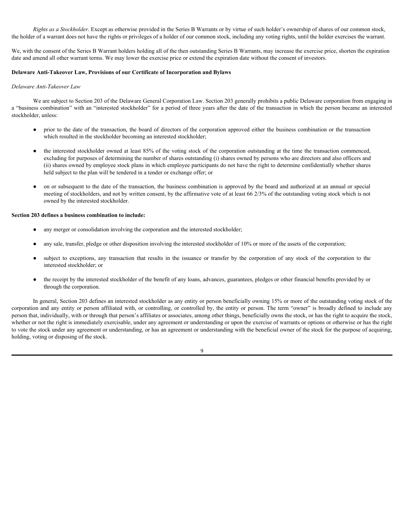*Rights as a Stockholder*. Except as otherwise provided in the Series B Warrants or by virtue of such holder's ownership of shares of our common stock, the holder of a warrant does not have the rights or privileges of a holder of our common stock, including any voting rights, until the holder exercises the warrant.

We, with the consent of the Series B Warrant holders holding all of the then outstanding Series B Warrants, may increase the exercise price, shorten the expiration date and amend all other warrant terms. We may lower the exercise price or extend the expiration date without the consent of investors.

## **Delaware Anti-Takeover Law, Provisions of our Certificate of Incorporation and Bylaws**

## *Delaware Anti-Takeover Law*

We are subject to Section 203 of the Delaware General Corporation Law. Section 203 generally prohibits a public Delaware corporation from engaging in a "business combination" with an "interested stockholder" for a period of three years after the date of the transaction in which the person became an interested stockholder, unless:

- prior to the date of the transaction, the board of directors of the corporation approved either the business combination or the transaction which resulted in the stockholder becoming an interested stockholder;
- the interested stockholder owned at least 85% of the voting stock of the corporation outstanding at the time the transaction commenced, excluding for purposes of determining the number of shares outstanding (i) shares owned by persons who are directors and also officers and (ii) shares owned by employee stock plans in which employee participants do not have the right to determine confidentially whether shares held subject to the plan will be tendered in a tender or exchange offer; or the consent of the Sense H Warnant holders holding all of the then outstanding Series B Warnantie, may increase the exception prices of the corporation and all other warnanties. We may lower the exception gives of the corp
- on or subsequent to the date of the transaction, the business combination is approved by the board and authorized at an annual or special meeting of stockholders, and not by written consent, by the affirmative vote of at least 66 2/3% of the outstanding voting stock which is not owned by the interested stockholder.

# **Section 203 defines a business combination to include:**

- any merger or consolidation involving the corporation and the interested stockholder;
- any sale, transfer, pledge or other disposition involving the interested stockholder of 10% or more of the assets of the corporation;
- interested stockholder; or
- the receipt by the interested stockholder of the benefit of any loans, advances, guarantees, pledges or other financial benefits provided by or through the corporation.

In general, Section 203 defines an interested stockholder as any entity or person beneficially owning 15% or more of the outstanding voting stock of the corporation and any entity or person affiliated with, or controlling, or controlled by, the entity or person. The term "owner" is broadly defined to include any person that, individually, with or through that person's affiliates or associates, among other things, beneficially owns the stock, or has the right to acquire the stock, whether or not the right is immediately exercisable, under any agreement or understanding or upon the exercise of warrants or options or otherwise or has the right to vote the stock under any agreement or understanding, or has an agreement or understanding with the beneficial owner of the stock for the purpose of acquiring, holding, voting or disposing of the stock.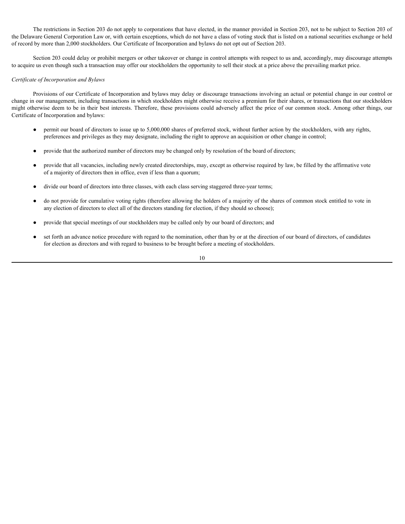The restrictions in Section 203 do not apply to corporations that have elected, in the manner provided in Section 203, not to be subject to Section 203 of the Delaware General Corporation Law or, with certain exceptions, which do not have a class of voting stock that is listed on a national securities exchange or held of record by more than 2,000 stockholders. Our Certificate of Incorporation and bylaws do not opt out of Section 203.

Section 203 could delay or prohibit mergers or other takeover or change in control attempts with respect to us and, accordingly, may discourage attempts to acquire us even though such a transaction may offer our stockholders the opportunity to sell their stock at a price above the prevailing market price.

# *Certificate of Incorporation and Bylaws*

Provisions of our Certificate of Incorporation and bylaws may delay or discourage transactions involving an actual or potential change in our control or change in our management, including transactions in which stockholders might otherwise receive a premium for their shares, or transactions that our stockholders might otherwise deem to be in their best interests. Therefore, these provisions could adversely affect the price of our common stock. Among other things, our Certificate of Incorporation and bylaws:

- permit our board of directors to issue up to 5,000,000 shares of preferred stock, without further action by the stockholders, with any rights, preferences and privileges as they may designate, including the right to approve an acquisition or other change in control;
- provide that the authorized number of directors may be changed only by resolution of the board of directors;
- provide that all vacancies, including newly created directorships, may, except as otherwise required by law, be filled by the affirmative vote of a majority of directors then in office, even if less than a quorum;
- divide our board of directors into three classes, with each class serving staggered three-year terms;
- do not provide for cumulative voting rights (therefore allowing the holders of a majority of the shares of common stock entitled to vote in any election of directors to elect all of the directors standing for election, if they should so choose);
- provide that special meetings of our stockholders may be called only by our board of directors; and
- set forth an advance notice procedure with regard to the nomination, other than by or at the direction of our board of directors, of candidates for election as directors and with regard to business to be brought before a meeting of stockholders.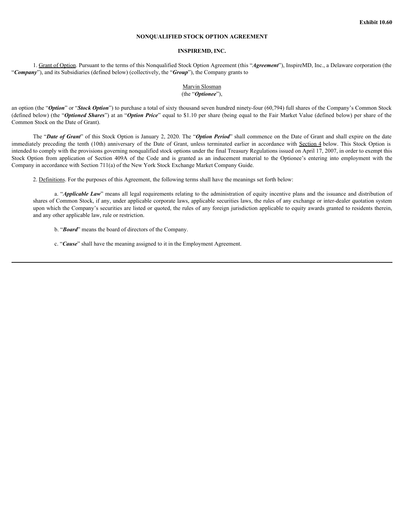## **NONQUALIFIED STOCK OPTION AGREEMENT**

#### **INSPIREMD, INC.**

1. Grant of Option. Pursuant to the terms of this Nonqualified Stock Option Agreement (this "*Agreement*"), InspireMD, Inc., a Delaware corporation (the "*Company*"), and its Subsidiaries (defined below) (collectively, the "*Group*"), the Company grants to

# Marvin Slosman (the "*Optionee*"),

an option (the "Option" or "Stock Option") to purchase a total of sixty thousand seven hundred ninety-four (60,794) full shares of the Company's Common Stock (defined below) (the "*Optioned Shares*") at an "*Option Price*" equal to \$1.10 per share (being equal to the Fair Market Value (defined below) per share of the Common Stock on the Date of Grant).

The "*Date of Grant*" of this Stock Option is January 2, 2020. The "*Option Period*" shall commence on the Date of Grant and shall expire on the date **Exhibit 10.60**<br> **INSPIREMD, INC.**<br> **INSPIREMD, INC.**<br> **Company**<sup>3</sup>, and its Subsidiaries (defined below) (collectively, the "*Granty*"), the Company grants to<br> **Company**<sup>3</sup>, and its Subsidiaries (defined below) (collecti intended to comply with the provisions governing nonqualified stock options under the final Treasury Regulations issued on April 17, 2007, in order to exempt this STOCK OF HON AGREEMENT<br>
STOREMENT, INC.<br>
STOREMENT, INC.<br>
Company'), and its Subsidiaries (sciencely the terms of this Nonepalities Used Copinn Agreement'), the "Lopiton Memoir Company's and its Subsidiaries (sciencel bel Company in accordance with Section 711(a) of the New York Stock Exchange Market Company Guide.

2. Definitions. For the purposes of this Agreement, the following terms shall have the meanings set forth below:

a. "*Applicable Law*" means all legal requirements relating to the administration of equity incentive plans and the issuance and distribution of shares of Common Stock, if any, under applicable corporate laws, applicable securities laws, the rules of any exchange or inter-dealer quotation system upon which the Company's securities are listed or quoted, the rules of any foreign jurisdiction applicable to equity awards granted to residents therein, and any other applicable law, rule or restriction.

b. "*Board*" means the board of directors of the Company.

c. "*Cause*" shall have the meaning assigned to it in the Employment Agreement.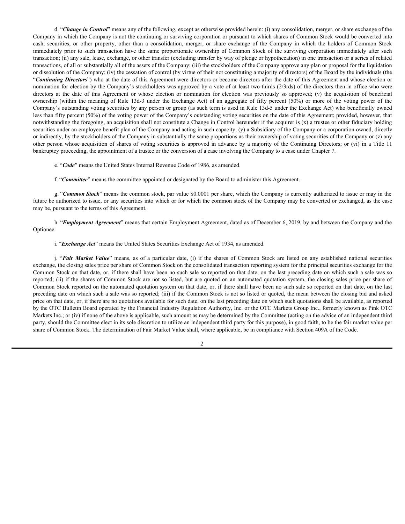d. "*Change in Control*" means any of the following, except as otherwise provided herein: (i) any consolidation, merger, or share exchange of the Company in which the Company is not the continuing or surviving corporation or pursuant to which shares of Common Stock would be converted into d. "**Change in Controf**" means any of the following, except as otherwise provided herein: (i) any consolidation, merger, or share exchange of the Company in which the Company in which the Company is not the continuing or s d. "**Change in Controf**" means any of the following, except as otherwise provided herein: (i) any consolidation, merger, or share exchange of the Company in which the Company is not the continuing or surviving corporation transaction; (ii) any sale, lease, exchange, or other transfer (excluding transfer by way of pledge or hypothecation) in one transaction or a series of related transactions, of all or substantially all of the assets of the Company; (iii) the stockholders of the Company approve any plan or proposal for the liquidation or dissolution of the Company; (iv) the cessation of control (by virtue of their not constituting a majority of directors) of the Board by the individuals (the "*Continuing Directors*") who at the date of this Agreement were directors or become directors after the date of this Agreement and whose election or nomination for election by the Company's stockholders was approved by a vote of at least two-thirds (2/3rds) of the directors then in office who were d "**Change in Controf**" means any of the following, except as otherwise provided herein: (i) any consolidation, merger, or share exchange of the Company in which the Company in which the Company in which the Company in wh d. "**Change in Controf**" means any of the following, except as otherwise provided herein: (i) any consolidation, merger, or share exchange of the Company is not the company is not the continuing or surviving corporation o Company's outstanding voting securities by any person or group (as such term is used in Rule 13d-5 under the Exchange Act) who beneficially owned less than fifty percent (50%) of the voting power of the Company's outstanding voting securities on the date of this Agreement; provided, however, that notwithstanding the foregoing, an acquisition shall not constitute a Change in Control hereunder if the acquirer is (x) a trustee or other fiduciary holding securities under an employee benefit plan of the Company and acting in such capacity, (y) a Subsidiary of the Company or a corporation owned, directly or indirectly, by the stockholders of the Company in substantially the same proportions as their ownership of voting securities of the Company or (z) any d "Change in Controf" means any of the following, except as otherwise provided herein: (i) any consolidation, merger, or share exchange of the Conpany in which the Company is ort the continuing or aurviving corporation or bankruptcy proceeding, the appointment of a trustee or the conversion of a case involving the Company to a case under Chapter 7. urtiles, or other propers, of the transmission means for the common Stock of Company in which the basis of Common Stock Campate Campate Campate Campate Campate Campate ( $\pi$ Campate Campate Campate Campate Campate ( $\pi$ Camp

e. "*Code*" means the United States Internal Revenue Code of 1986, as amended.

f. "*Committee*" means the committee appointed or designated by the Board to administer this Agreement.

g. "*Common Stock*" means the common stock, par value \$0.0001 per share, which the Company is currently authorized to issue or may in the future be authorized to issue, or any securities into which or for which the common stock of the Company may be converted or exchanged, as the case may be, pursuant to the terms of this Agreement.

h. "*Employment Agreement*" means that certain Employment Agreement, dated as of December 6, 2019, by and between the Company and the Optionee.

i. "*Exchange Act*" means the United States Securities Exchange Act of 1934, as amended.

exchange, the closing sales price per share of Common Stock on the consolidated transaction reporting system for the principal securities exchange for the Common Stock on that date, or, if there shall have been no such sale so reported on that date, on the last preceding date on which such a sale was so reported; (ii) if the shares of Common Stock are not so listed, but are quoted on an automated quotation system, the closing sales price per share of Common Stock reported on the automated quotation system on that date, or, if there shall have been no such sale so reported on that date, on the last preceding date on which such a sale was so reported; (iii) if the Common Stock is not so listed or quoted, the mean between the closing bid and asked price on that date, or, if there are no quotations available for such date, on the last preceding date on which such quotations shall be available, as reported by the OTC Bulletin Board operated by the Financial Industry Regulation Authority, Inc. or the OTC Markets Group Inc., formerly known as Pink OTC Markets Inc.; or (iv) if none of the above is applicable, such amount as may be determined by the Committee (acting on the advice of an independent third party, should the Committee elect in its sole discretion to utilize an independent third party for this purpose), in good faith, to be the fair market value per share of Common Stock. The determination of Fair Market Value shall, where applicable, be in compliance with Section 409A of the Code.

 $\mathfrak{D}$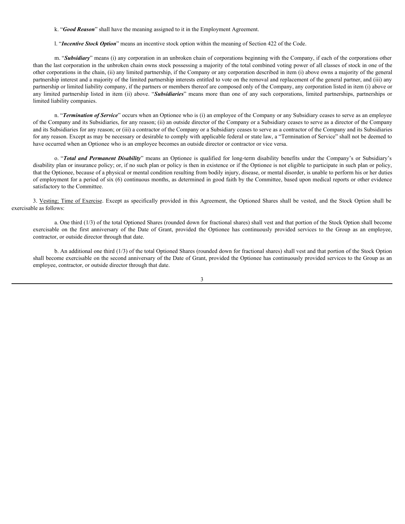- k. "*Good Reason*" shall have the meaning assigned to it in the Employment Agreement.
- l. "*Incentive Stock Option*" means an incentive stock option within the meaning of Section 422 of the Code.

m. "*Subsidiary*" means (i) any corporation in an unbroken chain of corporations beginning with the Company, if each of the corporations other than the last corporation in the unbroken chain owns stock possessing a majority of the total combined voting power of all classes of stock in one of the other corporations in the chain, (ii) any limited partnership, if the Company or any corporation described in item (i) above owns a majority of the general partnership interest and a majority of the limited partnership interests entitled to vote on the removal and replacement of the general partner, and (iii) any partnership or limited liability company, if the partners or members thereof are composed only of the Company, any corporation listed in item (i) above or k. "**Good Reason**" shall have the meaning assigned to it in the Employment Agreement.<br>
1. "*Incentive Stock Option*" means an incentive stock option within the meaning of Section 422 of the Code.<br>
m. "*Subsidiary*" means ( limited liability companies. **E.** "*Good Reason*" shall have the meaning assigned to it in the Employment Agreement.<br>
"*The Admittery*" reans (i) any oroprotion in an unboden chain of corporations beginning with the Company, if each of the corporation k. "*Grand Reavan*" shall have the meaning assigned to it in the Employment Agreement.<br>
1. "*Incentive Stock Option*" means at incentive stock option within the meaning of Section 422 of the Code.<br>
1. "*Subsidienty*" mean k. "Good Reason" shall have the memining nosigned to it in the Employment Agreement.<br>
1 "Hacember Stock Option" "neare, or investing on the first in which the memining of Section 422 of the Contenty, if each of his comput

n. "*Termination of Service*" occurs when an Optionee who is (i) an employee of the Company or any Subsidiary ceases to serve as an employee of the Company and its Subsidiaries, for any reason; (ii) an outside director of the Company or a Subsidiary ceases to serve as a director of the Company and its Subsidiaries for any reason; or (iii) a contractor of the Company or a Subsidiary ceases to serve as a contractor of the Company and its Subsidiaries for any reason. Except as may be necessary or desirable to comply with applicable federal or state law, a "Termination of Service" shall not be deemed to have occurred when an Optionee who is an employee becomes an outside director or contractor or vice versa.

disability plan or insurance policy; or, if no such plan or policy is then in existence or if the Optionee is not eligible to participate in such plan or policy, that the Optionee, because of a physical or mental condition resulting from bodily injury, disease, or mental disorder, is unable to perform his or her duties of employment for a period of six (6) continuous months, as determined in good faith by the Committee, based upon medical reports or other evidence satisfactory to the Committee.

exercisable as follows:

a. One third (1/3) of the total Optioned Shares (rounded down for fractional shares) shall vest and that portion of the Stock Option shall become contractor, or outside director through that date.

b. An additional one third (1/3) of the total Optioned Shares (rounded down for fractional shares) shall vest and that portion of the Stock Option shall become exercisable on the second anniversary of the Date of Grant, provided the Optionee has continuously provided services to the Group as an employee, contractor, or outside director through that date.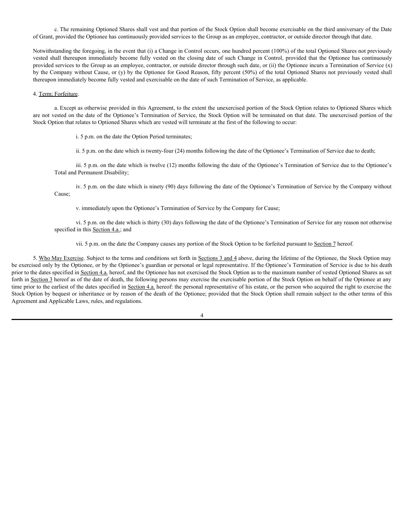c. The remaining Optioned Shares shall vest and that portion of the Stock Option shall become exercisable on the third anniversary of the Date of Grant, provided the Optionee has continuously provided services to the Group as an employee, contractor, or outside director through that date.

Notwithstanding the foregoing, in the event that (i) a Change in Control occurs, one hundred percent (100%) of the total Optioned Shares not previously c. The remaining Optioned Shares shall vest and that portion of the Stock Option shall become exercisable on the third anniversary of the Date<br>of Grant, provided the Optionee has continuously provided services to the Group provided services to the Group as an employee, contractor, or outside director through such date, or (ii) the Optionee incurs a Termination of Service (x) by the Company without Cause, or (y) by the Optionee for Good Reason, fifty percent (50%) of the total Optioned Shares not previously vested shall thereupon immediately become fully vested and exercisable on the date of such Termination of Service, as applicable.

## 4. Term; Forfeiture.

a. Except as otherwise provided in this Agreement, to the extent the unexercised portion of the Stock Option relates to Optioned Shares which are not vested on the date of the Optionee's Termination of Service, the Stock Option will be terminated on that date. The unexercised portion of the Stock Option that relates to Optioned Shares which are vested will terminate at the first of the following to occur:

i. 5 p.m. on the date the Option Period terminates;

ii. 5 p.m. on the date which is twenty-four (24) months following the date of the Optionee's Termination of Service due to death;

iii. 5 p.m. on the date which is twelve (12) months following the date of the Optionee's Termination of Service due to the Optionee's Total and Permanent Disability;

iv. 5 p.m. on the date which is ninety (90) days following the date of the Optionee's Termination of Service by the Company without Cause;

v. immediately upon the Optionee's Termination of Service by the Company for Cause;

vi. 5 p.m. on the date which is thirty (30) days following the date of the Optionee's Termination of Service for any reason not otherwise specified in this Section 4.a.; and

vii. 5 p.m. on the date the Company causes any portion of the Stock Option to be forfeited pursuant to Section 7 hereof.

5. Who May Exercise. Subject to the terms and conditions set forth in Sections 3 and 4 above, during the lifetime of the Optionee, the Stock Option may be exercised only by the Optionee, or by the Optionee's guardian or personal or legal representative. If the Optionee's Termination of Service is due to his death prior to the dates specified in Section 4.a. hereof, and the Optionee has not exercised the Stock Option as to the maximum number of vested Optioned Shares as set forth in Section 3 hereof as of the date of death, the following persons may exercise the exercisable portion of the Stock Option on behalf of the Optionee at any time prior to the earliest of the dates specified in Section 4.a. hereof: the personal representative of his estate, or the person who acquired the right to exercise the Stock Option by bequest or inheritance or by reason of the death of the Optionee; provided that the Stock Option shall remain subject to the other terms of this Agreement and Applicable Laws, rules, and regulations.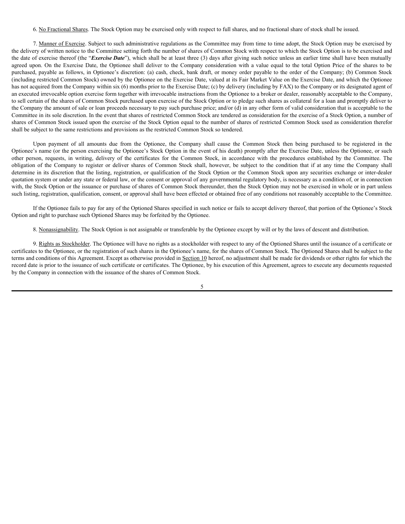#### 6. No Fractional Shares. The Stock Option may be exercised only with respect to full shares, and no fractional share of stock shall be issued.

7. Manner of Exercise. Subject to such administrative regulations as the Committee may from time to time adopt, the Stock Option may be exercised by the delivery of written notice to the Committee setting forth the number of shares of Common Stock with respect to which the Stock Option is to be exercised and the date of exercise thereof (the "*Exercise Date*"), which shall be at least three (3) days after giving such notice unless an earlier time shall have been mutually agreed upon. On the Exercise Date, the Optionee shall de 6. <u>No Fractional Shares</u> The Stock Option may be exercised only with respect to full shares, and no fractional share of stock shall be issued.<br><sup>7</sup> Manner of Exercise. Subject to such administrative regulations as the Com purchased, payable as follows, in Optionee's discretion: (a) cash, check, bank draft, or money order payable to the order of the Company; (b) Common Stock (including restricted Common Stock) owned by the Optionee on the Exercise Date, valued at its Fair Market Value on the Exercise Date, and which the Optionee has not acquired from the Company within six (6) months prior to the Exercise Date; (c) by delivery (including by FAX) to the Company or its designated agent of an executed irrevocable option exercise form together with irrevocable instructions from the Optionee to a broker or dealer, reasonably acceptable to the Company, to sell certain of the shares of Common Stock purchased upon exercise of the Stock Option or to pledge such shares as collateral for a loan and promptly deliver to the Company the amount of sale or loan proceeds necessary to pay such purchase price; and/or (d) in any other form of valid consideration that is acceptable to the Committee in its sole discretion. In the event that shares of restricted Common Stock are tendered as consideration for the exercise of a Stock Option, a number of shares of Common Stock issued upon the exercise of the Stock Option equal to the number of shares of restricted Common Stock used as consideration therefor shall be subject to the same restrictions and provisions as the restricted Common Stock so tendered. 6. <u>No Fractional Shares</u> The Stock Option may be exercised only with respect to full shares, and no fractional share of stock Aption may be exercised by Py of written notes to the Committee setting forth the aumher of sha 6. No Encational Shames. The Stock Option may be exercised only with respect to full shares, and no finctional share of Stock Option may be exercised by the delivery of writing interest of the Common Stock and the file of Obligation Shares. The Stock Option may be exercised only with respect to fail shares, and as finctional share of stock Anii be associated by the Receivery of reactions of the Common Stock shall be acceled as the deliver

Optionee's name (or the person exercising the Optionee's Stock Option in the event of his death) promptly after the Exercise Date, unless the Optionee, or such determine in its discretion that the listing, registration, or qualification of the Stock Option or the Common Stock upon any securities exchange or inter-dealer quotation system or under any state or federal law, or the consent or approval of any governmental regulatory body, is necessary as a condition of, or in connection with, the Stock Option or the issuance or purchase of shares of Common Stock thereunder, then the Stock Option may not be exercised in whole or in part unless such listing, registration, qualification, consent, or approval shall have been effected or obtained free of any conditions not reasonably acceptable to the Committee.

If the Optionee fails to pay for any of the Optioned Shares specified in such notice or fails to accept delivery thereof, that portion of the Optionee's Stock Option and right to purchase such Optioned Shares may be forfeited by the Optionee.

8. Nonassignability. The Stock Option is not assignable or transferable by the Optionee except by will or by the laws of descent and distribution.

9. Rights as Stockholder. The Optionee will have no rights as a stockholder with respect to any of the Optioned Shares until the issuance of a certificate or certificates to the Optionee, or the registration of such shares in the Optionee's name, for the shares of Common Stock. The Optioned Shares shall be subject to the terms and conditions of this Agreement. Except as otherwise provided in Section 10 hereof, no adjustment shall be made for dividends or other rights for which the record date is prior to the issuance of such certificate or certificates. The Optionee, by his execution of this Agreement, agrees to execute any documents requested by the Company in connection with the issuance of the shares of Common Stock.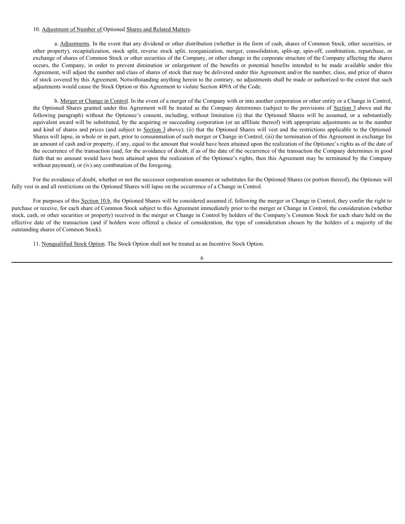### 10. Adjustment of Number of Optioned Shares and Related Matters.

a. Adjustments. In the event that any dividend or other distribution (whether in the form of cash, shares of Common Stock, other securities, or 10. <u>Adjustment of Number of Optioned Shares and Related Matters</u>.<br>
a. <u>Adjustments.</u> In the event that any dividend or other distribution (whether in the form of cash, shares of Common Stock, other securities, or<br>
other p exchange of shares of Common Stock or other securities of the Company, or other change in the corporate structure of the Company affecting the shares 10. <u>Adjustment of Number of</u> Optioned Shares and Related Matters.<br>
a. <u>Adjustments</u>. In the event that any dividend or other distribution (whether in the form of cash, shares of Common Stock, other securities, or<br>
other p Agreement, will adjust the number and class of shares of stock that may be delivered under this Agreement and/or the number, class, and price of shares of stock covered by this Agreement. Notwithstanding anything herein to the contrary, no adjustments shall be made or authorized to the extent that such adjustments would cause the Stock Option or this Agreement to violate Section 409A of the Code.

b. Merger or Change in Control. In the event of a merger of the Company with or into another corporation or other entity or a Change in Control, 10. <u>Adjustment of Number of</u> Optioned Shares and Related Matters<br>a. Adjustment of Number of Optioned Shares and Related Matters<br>the property), recapital contomy since sectos pilit, recopation, subject production, spitch, 10. <u>Adjustment of Number of</u> Optioned Shares and Related Matters.<br>
a. Adjustments. In the event that any dividend or other distribution (whether in the form of eash, shares of Common Stock, other securities, or<br>
other pro equivalent award will be substituted, by the acquiring or succeeding corporation (or an affiliate thereof) with appropriate adjustments as to the number and kind of shares and prices (and subject to Section 3 above); (ii) that the Optioned Shares will vest and the restrictions applicable to the Optioned Shares will lapse, in whole or in part, prior to consummation of such merger or Change in Control; (iii) the termination of this Agreement in exchange for an amount of cash and/or property, if any, equal to the amount that would have been attained upon the realization of the Optionee's rights as of the date of the occurrence of the transaction (and, for the avoidance of doubt, if as of the date of the occurrence of the transaction the Company determines in good faith that no amount would have been attained upon the realization of the Optionee's rights, then this Agreement may be terminated by the Company without payment); or (iv) any combination of the foregoing. 10 Adjointment of Number of Options and Reins in Reins Matters.<br>
et Adjantamies in the event that any dividend extinct distintion relation, matter, qualitation spin and the serves of the serves of the serves of the serves

For the avoidance of doubt, whether or not the successor corporation assumes or substitutes for the Optioned Shares (or portion thereof), the Optionee will fully vest in and all restrictions on the Optioned Shares will lapse on the occurrence of a Change in Control.

For purposes of this Section 10.b, the Optioned Shares will be considered assumed if, following the merger or Change in Control, they confer the right to purchase or receive, for each share of Common Stock subject to this Agreement immediately prior to the merger or Change in Control, the consideration (whether stock, cash, or other securities or property) received in the merger or Change in Control by holders of the Company's Common Stock for each share held on the outstanding shares of Common Stock).

11. Nonqualified Stock Option. The Stock Option shall not be treated as an Incentive Stock Option.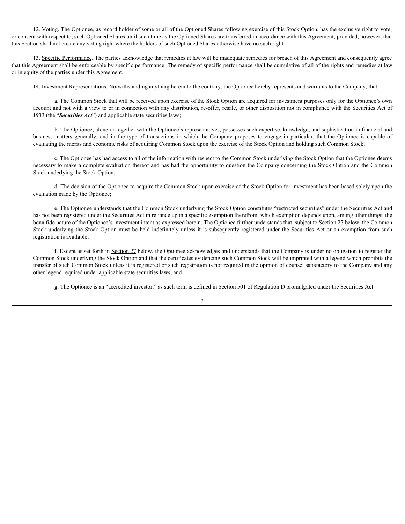12. Voting. The Optionee, as record holder of some or all of the Optioned Shares following exercise of this Stock Option, has the exclusive right to vote, or consent with respect to, such Optioned Shares until such time as the Optioned Shares are transferred in accordance with this Agreement; provided, however, that this Section shall not create any voting right where the holders of such Optioned Shares otherwise have no such right. **12.** <u>Voring</u> The Optionee, as record holder of some or all of the Optioned Shares following exercise of this Stock Option, has the <u>exclusive</u> right to vote, whit with respect to, such Optioned Shares intil such times as

13. Specific Performance. The parties acknowledge that remedies at law will be inadequate remedies for breach of this Agreement and consequently agree that this Agreement shall be enforceable by specific performance. The remedy of specific performance shall be cumulative of all of the rights and remedies at law or in equity of the parties under this Agreement.

14. Investment Representations. Notwithstanding anything herein to the contrary, the Optionee hereby represents and warrants to the Company, that:

a. The Common Stock that will be received upon exercise of the Stock Option are acquired for investment purposes only for the Optionee's own account and not with a view to or in connection with any distribution, re-offer, resale, or other disposition not in compliance with the Securities Act of 1933 (the "*Securities Act*") and applicable state securities laws;

b. The Optionee, alone or together with the Optionee's representatives, possesses such expertise, knowledge, and sophistication in financial and evaluating the merits and economic risks of acquiring Common Stock upon the exercise of the Stock Option and holding such Common Stock;

c. The Optionee has had access to all of the information with respect to the Common Stock underlying the Stock Option that the Optionee deems necessary to make a complete evaluation thereof and has had the opportunity to question the Company concerning the Stock Option and the Common Stock underlying the Stock Option;

d. The decision of the Optionee to acquire the Common Stock upon exercise of the Stock Option for investment has been based solely upon the evaluation made by the Optionee;

e. The Optionee understands that the Common Stock underlying the Stock Option constitutes "restricted securities" under the Securities Act and has not been registered under the Securities Act in reliance upon a specific exemption therefrom, which exemption depends upon, among other things, the bona fide nature of the Optionee's investment intent as expressed herein. The Optionee further understands that, subject to Section 27 below, the Common 12. <u>Votine</u> The Optioner, as record holder of some or all of the Optioned Shares are manierard ta accordance with this Agreement, <u>provided</u> heaven, we all the cateatron must be the stock Option must be the stock of the S registration is available;

f. Except as set forth in Section 27 below, the Optionee acknowledges and understands that the Company is under no obligation to register the Common Stock underlying the Stock Option and that the certificates evidencing such Common Stock will be imprinted with a legend which prohibits the transfer of such Common Stock unless it is registered or such registration is not required in the opinion of counsel satisfactory to the Company and any other legend required under applicable state securities laws; and

g. The Optionee is an "accredited investor," as such term is defined in Section 501 of Regulation D promulgated under the Securities Act.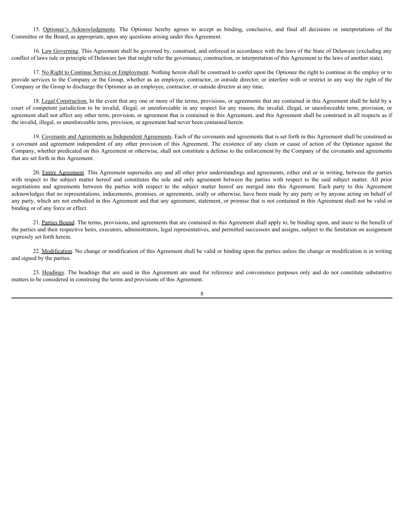Committee or the Board, as appropriate, upon any questions arising under this Agreement.

16. Law Governing. This Agreement shall be governed by, construed, and enforced in accordance with the laws of the State of Delaware (excluding any conflict of laws rule or principle of Delaware law that might refer the governance, construction, or interpretation of this Agreement to the laws of another state).

15. Optionee's Acknowledgments. The Optionee hereby agrees to accept as binding, conclusive, and final all decisions or interpretations of the ee or the Board, as appropriate, upon any questions arising under this Agreemen 17. No Right to Continue Service or Employment. Nothing herein shall be construed to confer upon the Optionee the right to continue in the employ or to provide services to the Company or the Group, whether as an employee, contractor, or outside director, or interfere with or restrict in any way the right of the Company or the Group to discharge the Optionee as an employee, contractor, or outside director at any time.

18. Legal Construction. In the event that any one or more of the terms, provisions, or agreements that are contained in this Agreement shall be held by a agreement shall not affect any other term, provision, or agreement that is contained in this Agreement, and this Agreement shall be construed in all respects as if the invalid, illegal, or unenforceable term, provision, or agreement had never been contained herein.

15. <u>Optionee's Acknowledgments</u> The Optionee hereby agrees to accept as binding, conclusive, and final all decisions or interpretations of the Computitien or the Board, as appropriate, upon any questions arising under th 19. Covenants and Agreements as Independent Agreements. Each of the covenants and agreements that is set forth in this Agreement shall be construed as Company, whether predicated on this Agreement or otherwise, shall not constitute a defense to the enforcement by the Company of the covenants and agreements that are set forth in this Agreement.

15. <u>Optiones's Acknowledgements</u> The Optionee hereby sgrees to accept as binding, conclusive, and final all decisions or interpretations of the Source of the Navor distant (1 Inserts agreement shall be governant reduced 20. Entire Agreement. This Agreement supersedes any and all other prior understandings and agreements, either oral or in writing, between the parties <sup>15</sup>. Optionee's Acknewledgements. The Optionee hereby agrees to accept as binding, conclusive, and final all decisions or interpretations of the Summittee ofthe Barel, as appropriate, upon any questions rating under this 15. <u>Optiones's Acknowledements</u> The Optiones between  $\mu$  and this Agreement.<br>Committee of the Board as appropriate, upon any questions antising under this Agreement. Incordinence with the laws of the Shite of Delivate ( acknowledges that no representations, inducements, promises, or agreements, orally or otherwise, have been made by any party or by anyone acting on behalf of any party, which are not embodied in this Agreement and that any agreement, statement, or promise that is not contained in this Agreement shall not be valid or binding or of any force or effect. I laws rule or principle of Delaware law that might refer the governance, construction, or interpretation of this Agreement to the law of aniedra study.<br>
17. No Right as Company or the Compa swhetch as an employee, contin

21. Parties Bound. The terms, provisions, and agreements that are contained in this Agreement shall apply to, be binding upon, and inure to the benefit of the parties and their respective heirs, executors, administrators, legal representatives, and permitted successors and assigns, subject to the limitation on assignment expressly set forth herein.

22. Modification. No change or modification of this Agreement shall be valid or binding upon the parties unless the change or modification is in writing and signed by the parties.

matters to be considered in construing the terms and provisions of this Agreement.

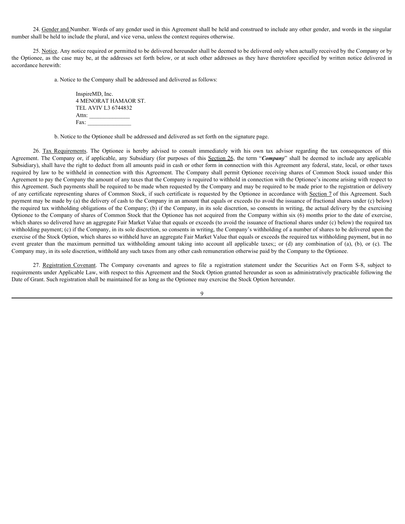24. Gender and Number. Words of any gender used in this Agreement shall be held and construed to include any other gender, and words in the singular number shall be held to include the plural, and vice versa, unless the context requires otherwise.

25. Notice. Any notice required or permitted to be delivered hereunder shall be deemed to be delivered only when actually received by the Company or by the Optionee, as the case may be, at the addresses set forth below, or at such other addresses as they have theretofore specified by written notice delivered in accordance herewith:

a. Notice to the Company shall be addressed and delivered as follows:

InspireMD, Inc. 4 MENORAT HAMAOR ST. TEL AVIV L3 6744832 Attn: \_\_\_\_\_\_\_\_\_\_\_\_\_\_ Fax: \_\_\_\_\_\_\_\_\_\_\_\_\_\_\_

b. Notice to the Optionee shall be addressed and delivered as set forth on the signature page.

24. <u>Gender and</u> Number Words of any gender used in this Agreement shall be held and construed to include any other gender, and words in the singular<br>hall be held to include the plural, and vice versa, unless the context 24. Gender and Number, Words of any gender used in this Agreement shall be held and constanted to include any other gender, and words in the singular summer shall be ladied to include to purmula to be company or thy<br>
25. <u></u> Subsidiary), shall have the right to deduct from all amounts paid in cash or other form in connection with this Agreement any federal, state, local, or other taxes 24. Ginder and Number. Words of any gender used in this Agreement shall be held and constructed in broad any other gander, and words in the singular number shall be held to mediate by the company or hy<br>
25. <u>Notice</u> a Any Agreement to pay the Company the amount of any taxes that the Company is required to withhold in connection with the Optionee's income arising with respect to this Agreement. Such payments shall be required to be made when requested by the Company and may be required to be made prior to the registration or delivery of any certificate representing shares of Common Stock, if such certificate is requested by the Optionee in accordance with Section 7 of this Agreement. Such payment may be made by (a) the delivery of cash to the Company in an amount that equals or exceeds (to avoid the issuance of fractional shares under (c) below) the required tax withholding obligations of the Company; (b) if the Company, in its sole discretion, so consents in writing, the actual delivery by the exercising Optionee to the Company of shares of Common Stock that the Optionee has not acquired from the Company within six (6) months prior to the date of exercise, which shares so delivered have an aggregate Fair Market Value that equals or exceeds (to avoid the issuance of fractional shares under (c) below) the required tax withholding payment; (c) if the Company, in its sole discretion, so consents in writing, the Company's withholding of a number of shares to be delivered upon the exercise of the Stock Option, which shares so withheld have an aggregate Fair Market Value that equals or exceeds the required tax withholding payment, but in no event of the best of the standard in contract with the algorithm than the best of the standard into the standard into the standard into the standard control of the standard control of the standard control of the standard Company may, in its sole discretion, withhold any such taxes from any other cash remuneration otherwise paid by the Company to the Optionee. 25. Registration contents that the collective dail be denoted by the denoted and properties and the company of the properties of the security of the security of the security of the security of the security of the security

requirements under Applicable Law, with respect to this Agreement and the Stock Option granted hereunder as soon as administratively practicable following the Date of Grant. Such registration shall be maintained for as long as the Optionee may exercise the Stock Option hereunder.

 $\overline{Q}$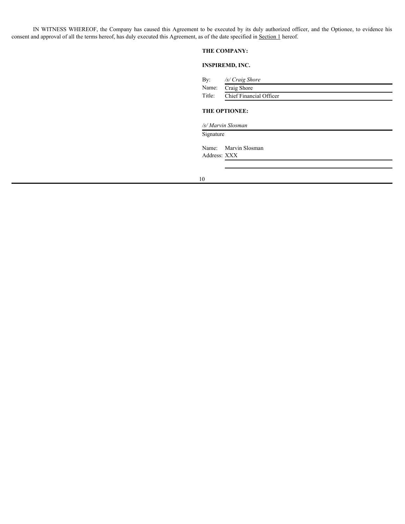IN WITNESS WHEREOF, the Company has caused this Agreement to be executed by its duly authorized officer, and the Optionee, to evidence his nd approval of all the terms hereof, has duly executed this Agreement, as of the da consent and approval of all the terms hereof, has duly executed this Agreement, as of the date specified in Section 1 hereof.

### **THE COMPANY:**

## **INSPIREMD, INC.**

| Bv:    | /s/ Craig Shore         |
|--------|-------------------------|
| Name:  | Craig Shore             |
| Title: | Chief Financial Officer |

## **THE OPTIONEE:**

*/s/ Marvin Slosman*

Signature

Name: Marvin Slosman Address: XXX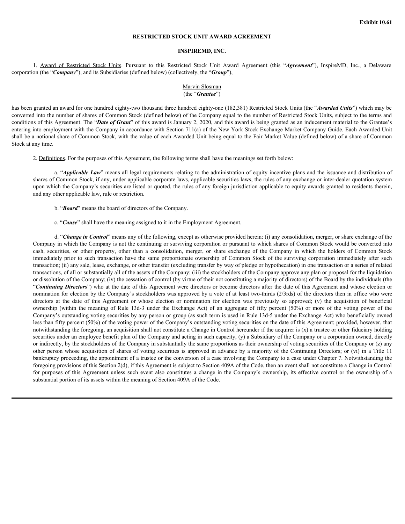#### **RESTRICTED STOCK UNIT AWARD AGREEMENT**

#### **INSPIREMD, INC.**

corporation (the "*Company*"), and its Subsidiaries (defined below) (collectively, the "*Group*"),

### Marvin Slosman (the "*Grantee*")

**Exhibit 10.61**<br> **INSPIREMD, INC.**<br> **INSPIREMD, INC.**<br> **INSPIREMD, INC.**<br> **INSPIREMD, INC.**<br> **INSPIREMD, INC.**<br> **INSPIREMD, INC.**<br> **INSPIREMD, INC.**<br> **INSPIREMD, INC.**<br> **INSPIREMD, INC.**<br> **INSPIREMD, INC.**<br> **INSPIREMD, INC** has been granted an award for one hundred eighty-two thousand three hundred eighty-one (182,381) Restricted Stock Units (the "*Awarded Units*") which may be converted into the number of shares of Common Stock (defined below) of the Company equal to the number of Restricted Stock Units, subject to the terms and conditions of this Agreement. The "*Date of Grant*" of this award is January 2, 2020, and this award is being granted as an inducement material to the Grantee's entering into employment with the Company in accordance with Section 711(a) of the New York Stock Exchange Market Company Guide. Each Awarded Unit shall be a notional share of Common Stock, with the value of each Awarded Unit being equal to the Fair Market Value (defined below) of a share of Common Stock at any time.

2. Definitions. For the purposes of this Agreement, the following terms shall have the meanings set forth below:

a. "*Applicable Law*" means all legal requirements relating to the administration of equity incentive plans and the issuance and distribution of shares of Common Stock, if any, under applicable corporate laws, applicable securities laws, the rules of any exchange or inter-dealer quotation system upon which the Company's securities are listed or quoted, the rules of any foreign jurisdiction applicable to equity awards granted to residents therein, and any other applicable law, rule or restriction.

- b. "*Board*" means the board of directors of the Company.
- c. "*Cause*" shall have the meaning assigned to it in the Employment Agreement.

d. "*Change in Control*" means any of the following, except as otherwise provided herein: (i) any consolidation, merger, or share exchange of the Company in which the Company is not the continuing or surviving corporation or pursuant to which shares of Common Stock would be converted into **RESTRICTED STOCK UNIT AWARD AGREEMENT**<br>
Agreement (his "Agreement"), Inspired III, the consolidation (defined body) collectively, the "Company"), and its Subsidiation (defined body) collectively, the "or map")<br>
Anarian a **i.** Assad.af. **Kenting Stock.** Limits Furtuari in this Restricted Stack that Assad Appearent (this "Agreement"), Inspirabl), the , a Delaware (or the *Common*) (the Common state of the same proportion  $\frac{1}{2}$  (the  $\frac{$ transaction; (ii) any sale, lease, exchange, or other transfer (excluding transfer by way of pledge or hypothecation) in one transaction or a series of related transactions, of all or substantially all of the assets of the Company; (iii) the stockholders of the Company approve any plan or proposal for the liquidation or dissolution of the Company; (iv) the cessation of control (by virtue of their not constituting a majority of directors) of the Board by the individuals (the "*Continuing Directors*") who at the date of this Agreement were directors or become directors after the date of this Agreement and whose election or nomination for election by the Company's stockholders was approved by a vote of at least two-thirds (2/3rds) of the directors then in office who were grands a newel for one hunded eighty-two thousand have bandred eighty-ses (182,33) Restricted Stock Unit (the "Awwerds Construct and the Agreement The Company or and Agreement The Company of this next of election of a dis granued in cowner for one hundred ophy-two doousand tire through experience (self-yiere) (82.38)) Restricted Stock Units (the "Awards Data in the same of the same of Common Stock Units and the language of Common Stock Uni Company's outstanding voting securities by any person or group (as such term is used in Rule 13d-5 under the Exchange Act) who beneficially owned less than fifty percent (50%) of the voting power of the Company's outstanding voting securities on the date of this Agreement; provided, however, that notwithstanding the foregoing, an acquisition shall not constitute a Change in Control hereunder if the acquirer is (x) a trustee or other fiduciary holding securities under an employee benefit plan of the Company and acting in such capacity, (y) a Subsidiary of the Company or a corporation owned, directly or indirectly, by the stockholders of the Company in substantially the same proportions as their ownership of voting securities of the Company or (z) any other interesting, in the person Sock, with the value of each Awarded Unit being equal to the Fair Market Value (defined below) of a share of Centurin and the person of this Agreement, the following terms shall have the me bankruptcy proceeding, the appointment of a trustee or the conversion of a case involving the Company to a case under Chapter 7. Notwithstanding the foregoing provisions of this Section 2(d), if this Agreement is subject to Section 409A of the Code, then an event shall not constitute a Change in Control 2. <u>Definitions</u>, For the purposes of this Agreement, the following terms abili bare the nearings set forth below:<br>
a. "applicable *Law* means all legal regirement belong to the obtaination of equity incoming plane the in substantial portion of its assets within the meaning of Section 409A of the Code.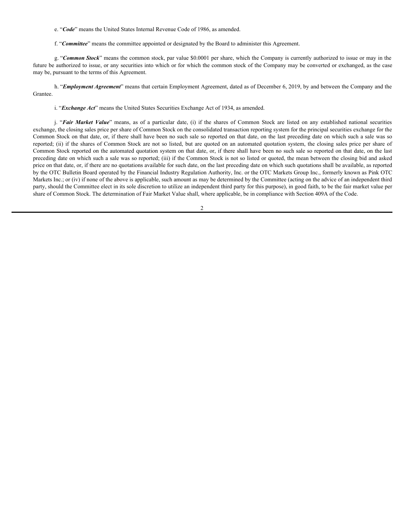- e. "*Code*" means the United States Internal Revenue Code of 1986, as amended.
- f. "*Committee*" means the committee appointed or designated by the Board to administer this Agreement.

g. "*Common Stock*" means the common stock, par value \$0.0001 per share, which the Company is currently authorized to issue or may in the future be authorized to issue, or any securities into which or for which the common stock of the Company may be converted or exchanged, as the case may be, pursuant to the terms of this Agreement.

h. "*Employment Agreement*" means that certain Employment Agreement, dated as of December 6, 2019, by and between the Company and the Grantee.

i. "*Exchange Act*" means the United States Securities Exchange Act of 1934, as amended.

e. "**Code**" means the United States Internal Revenue Code of 1986, as amended.<br>
"<br>
"Committee" means the committee appointed or designated by the Board to administer this Agreement.<br>
"
common Stock" means the common stock, exchange, the closing sales price per share of Common Stock on the consolidated transaction reporting system for the principal securities exchange for the Common Stock on that date, or, if there shall have been no such sale so reported on that date, on the last preceding date on which such a sale was so reported; (ii) if the shares of Common Stock are not so listed, but are quoted on an automated quotation system, the closing sales price per share of Common Stock reported on the automated quotation system on that date, or, if there shall have been no such sale so reported on that date, on the last preceding date on which such a sale was so reported; (iii) if the Common Stock is not so listed or quoted, the mean between the closing bid and asked price on that date, or, if there are no quotations available for such date, on the last preceding date on which such quotations shall be available, as reported by the OTC Bulletin Board operated by the Financial Industry Regulation Authority, Inc. or the OTC Markets Group Inc., formerly known as Pink OTC Markets Inc.; or (iv) if none of the above is applicable, such amount as may be determined by the Committee (acting on the advice of an independent third party, should the Committee elect in its sole discretion to utilize an independent third party for this purpose), in good faith, to be the fair market value per share of Common Stock. The determination of Fair Market Value shall, where applicable, be in compliance with Section 409A of the Code.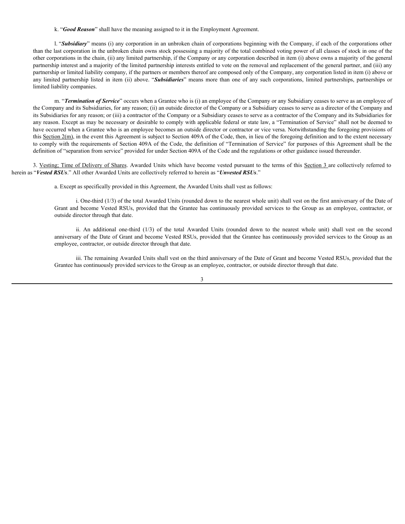k. "*Good Reason*" shall have the meaning assigned to it in the Employment Agreement.

l. "*Subsidiary*" means (i) any corporation in an unbroken chain of corporations beginning with the Company, if each of the corporations other than the last corporation in the unbroken chain owns stock possessing a majority of the total combined voting power of all classes of stock in one of the other corporations in the chain, (ii) any limited partnership, if the Company or any corporation described in item (i) above owns a majority of the general partnership interest and a majority of the limited partnership interests entitled to vote on the removal and replacement of the general partner, and (iii) any partnership or limited liability company, if the partners or members thereof are composed only of the Company, any corporation listed in item (i) above or k. "*Good Reason*" shall have the meaning assigned to it in the Employment Agreement.<br>
1. "*Subsidiary*" means (i) any corporation in an unbroken chain of corporations beginning with the Company, if each of the corporati limited liability companies.

m. "*Termination of Service*" occurs when a Grantee who is (i) an employee of the Company or any Subsidiary ceases to serve as an employee of the Company and its Subsidiaries, for any reason; (ii) an outside director of the Company or a Subsidiary ceases to serve as a director of the Company and its Subsidiaries for any reason; or (iii) a contractor of the Company or a Subsidiary ceases to serve as a contractor of the Company and its Subsidiaries for any reason. Except as may be necessary or desirable to comply with applicable federal or state law, a "Termination of Service" shall not be deemed to have occurred when a Grantee who is an employee becomes an outside director or contractor or vice versa. Notwithstanding the foregoing provisions of this Section 2(m), in the event this Agreement is subject to Section 409A of the Code, then, in lieu of the foregoing definition and to the extent necessary to comply with the requirements of Section 409A of the Code, the definition of "Termination of Service" for purposes of this Agreement shall be the definition of "separation from service" provided for under Section 409A of the Code and the regulations or other guidance issued thereunder. k. "Good Reason" shall have the meaning assigned to it in the Employment Ageoment.<br>
L'Subsidiary" means (i) any compating in an unbecken chain of corporation decembed voiring power of all classes of acceler to the area fo **Renon**" shall have the meaning usigned to it in the Employment Agreenest.<br> **Hany**" means (i) any corporation in an unkretice chain of corporations beginning with the Company, if each of the corporations charge the<br>
units

3. Vesting; Time of Delivery of Shares. Awarded Units which have become vested pursuant to the terms of this Section 3 are collectively referred to herein as "*Vested RSUs*." All other Awarded Units are collectively referred to herein as "*Unvested RSUs*."

a. Except as specifically provided in this Agreement, the Awarded Units shall vest as follows:

i. One-third (1/3) of the total Awarded Units (rounded down to the nearest whole unit) shall vest on the first anniversary of the Date of outside director through that date.

anniversary of the Date of Grant and become Vested RSUs, provided that the Grantee has continuously provided services to the Group as an employee, contractor, or outside director through that date.

iii. The remaining Awarded Units shall vest on the third anniversary of the Date of Grant and become Vested RSUs, provided that the Grantee has continuously provided services to the Group as an employee, contractor, or outside director through that date.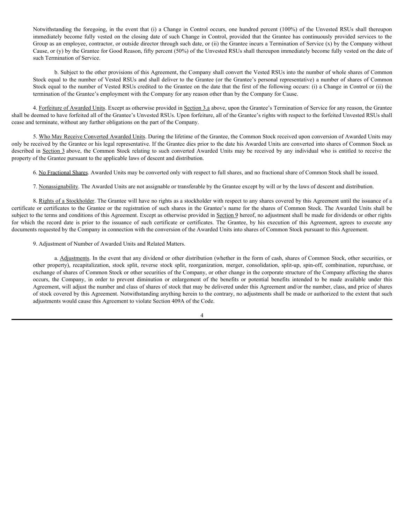Notwithstanding the foregoing, in the event that (i) a Change in Control occurs, one hundred percent (100%) of the Unvested RSUs shall thereupon<br>immediately become fully vested on the closing date of such Change in Control immediately become fully vested on the closing date of such Change in Control, provided that the Grantee has continuously provided services to the Group as an employee, contractor, or outside director through such date, or (ii) the Grantee incurs a Termination of Service (x) by the Company without Cause, or (y) by the Grantee for Good Reason, fifty percent (50%) of the Unvested RSUs shall thereupon immediately become fully vested on the date of such Termination of Service. Notwithstanding the foregoing, in the event that (i) a Change in Control occurs, one hundred precent (100%) of the Unvested RSUs shall there<br>immediately become fully vested on the cloung dute of such Campas n Common Stock

b. Subject to the other provisions of this Agreement, the Company shall convert the Vested RSUs into the number of whole shares of Common Stock equal to the number of Vested RSUs and shall deliver to the Grantee (or the Grantee's personal representative) a number of shares of Common Stock equal to the number of Vested RSUs credited to the Grantee on the date that the first of the following occurs: (i) a Change in Control or (ii) the termination of the Grantee's employment with the Company for any reason other than by the Company for Cause.

4. Forfeiture of Awarded Units. Except as otherwise provided in Section 3.a above, upon the Grantee's Termination of Service for any reason, the Grantee shall be deemed to have forfeited all of the Grantee's Unvested RSUs. Upon forfeiture, all of the Grantee's rights with respect to the forfeited Unvested RSUs shall cease and terminate, without any further obligations on the part of the Company.

5. Who May Receive Converted Awarded Units. During the lifetime of the Grantee, the Common Stock received upon conversion of Awarded Units may only be received by the Grantee or his legal representative. If the Grantee dies prior to the date his Awarded Units are converted into shares of Common Stock as property of the Grantee pursuant to the applicable laws of descent and distribution.

6. No Fractional Shares. Awarded Units may be converted only with respect to full shares, and no fractional share of Common Stock shall be issued.

7. Nonassignability. The Awarded Units are not assignable or transferable by the Grantee except by will or by the laws of descent and distribution.

8. Rights of a Stockholder. The Grantee will have no rights as a stockholder with respect to any shares covered by this Agreement until the issuance of a certificate or certificates to the Grantee or the registration of such shares in the Grantee's name for the shares of Common Stock. The Awarded Units shall be subject to the terms and conditions of this Agreement. Except as otherwise provided in Section 9 hereof, no adjustment shall be made for dividends or other rights New intenseding the foregoing, in the cost that (i) is Change in Control eccession as the section of control or control or the company of the company of the Company of the Company of the Company of the Company of the Comp documents requested by the Company in connection with the conversion of the Awarded Units into shares of Common Stock pursuant to this Agreement.

9. Adjustment of Number of Awarded Units and Related Matters.

a. Adjustments. In the event that any dividend or other distribution (whether in the form of cash, shares of Common Stock, other securities, or Cause or (y) which Games for Good Reason, fifty precent (50%) of the Universed RSU<sub>3</sub> and the crossing stead RSU<sub>3</sub> and the sylical splits into the number of whole hands of Common share of Common sheets.<br>
Analysis of the exchange of shares of Common Stock or other securities of the Company, or other change in the corporate structure of the Company affecting the shares b Subject to the other provisions of this Agenemet, the Company shall convert the Vested RS15 into the manner of veheles Subsequent of the Diminute of the Diminute of veheles and the company in the number of subsequent of Agreement, will adjust the number and class of shares of stock that may be delivered under this Agreement and/or the number, class, and price of shares of stock covered by this Agreement. Notwithstanding anything herein to the contrary, no adjustments shall be made or authorized to the extent that such adjustments would cause this Agreement to violate Section 409A of the Code.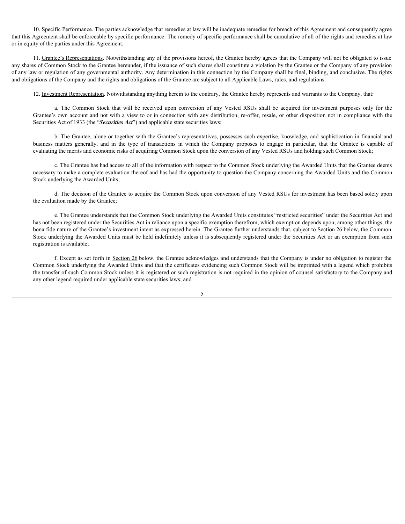10. Specific Performance. The parties acknowledge that remedies at law will be inadequate remedies for breach of this Agreement and consequently agree that this Agreement shall be enforceable by specific performance. The remedy of specific performance shall be cumulative of all of the rights and remedies at law or in equity of the parties under this Agreement.

11. Grantee's Representations. Notwithstanding any of the provisions hereof, the Grantee hereby agrees that the Company will not be obligated to issue any shares of Common Stock to the Grantee hereunder, if the issuance of such shares shall constitute a violation by the Grantee or the Company of any provision of any law or regulation of any governmental authority. Any determination in this connection by the Company shall be final, binding, and conclusive. The rights and obligations of the Company and the rights and obligations of the Grantee are subject to all Applicable Laws, rules, and regulations. The Performance. The parties acknowledge that remedies at law will be inadequate remedies for breach of this Agreement and consequently agree at stall be enforceable by specific performance. The remedy of specific performa 10. <u>Specific Performance</u> The parties acknowledge that remedies at law will be inadequate remedes for breach of this Agreement shall be entires under this Agreement shall be entires under this Agreement shall be entires i

12. Investment Representation. Notwithstanding anything herein to the contrary, the Grantee hereby represents and warrants to the Company, that:

Grantee's own account and not with a view to or in connection with any distribution, re-offer, resale, or other disposition not in compliance with the Securities Act of 1933 (the "*Securities Act*") and applicable state securities laws;

b. The Grantee, alone or together with the Grantee's representatives, possesses such expertise, knowledge, and sophistication in financial and evaluating the merits and economic risks of acquiring Common Stock upon the conversion of any Vested RSUs and holding such Common Stock;

c. The Grantee has had access to all of the information with respect to the Common Stock underlying the Awarded Units that the Grantee deems necessary to make a complete evaluation thereof and has had the opportunity to question the Company concerning the Awarded Units and the Common Stock underlying the Awarded Units;

d. The decision of the Grantee to acquire the Common Stock upon conversion of any Vested RSUs for investment has been based solely upon the evaluation made by the Grantee;

e. The Grantee understands that the Common Stock underlying the Awarded Units constitutes "restricted securities" under the Securities Act and has not been registered under the Securities Act in reliance upon a specific exemption therefrom, which exemption depends upon, among other things, the bona fide nature of the Grantee's investment intent as expressed herein. The Grantee further understands that, subject to Section 26 below, the Common Stock underlying the Awarded Units must be held indefinitely unless it is subsequently registered under the Securities Act or an exemption from such registration is available;

f. Except as set forth in Section 26 below, the Grantee acknowledges and understands that the Company is under no obligation to register the Common Stock underlying the Awarded Units and that the certificates evidencing such Common Stock will be imprinted with a legend which prohibits the transfer of such Common Stock unless it is registered or such registration is not required in the opinion of counsel satisfactory to the Company and any other legend required under applicable state securities laws; and

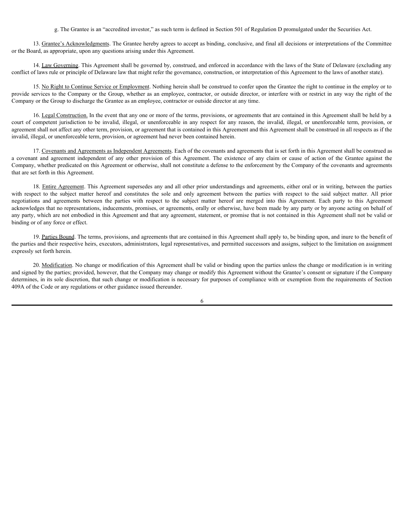g. The Grantee is an "accredited investor," as such term is defined in Section 501 of Regulation D promulgated under the Securities Act.

13. Grantee's Acknowledgments. The Grantee hereby agrees to accept as binding, conclusive, and final all decisions or interpretations of the Committee or the Board, as appropriate, upon any questions arising under this Agreement.

14. Law Governing. This Agreement shall be governed by, construed, and enforced in accordance with the laws of the State of Delaware (excluding any conflict of laws rule or principle of Delaware law that might refer the governance, construction, or interpretation of this Agreement to the laws of another state).

15. No Right to Continue Service or Employment. Nothing herein shall be construed to confer upon the Grantee the right to continue in the employ or to provide services to the Company or the Group, whether as an employee, contractor, or outside director, or interfere with or restrict in any way the right of the Company or the Group to discharge the Grantee as an employee, contractor or outside director at any time.

16. Legal Construction. In the event that any one or more of the terms, provisions, or agreements that are contained in this Agreement shall be held by a agreement shall not affect any other term, provision, or agreement that is contained in this Agreement and this Agreement shall be construed in all respects as if the invalid, illegal, or unenforceable term, provision, or agreement had never been contained herein.

g. The Grantee is an "accredited investor," as such term is defined in Section 501 of Regulation D promulgated under the Securities Act.<br>
13. <u>Grantee's Acknowledenment</u>s The Grantee breeby agrees to accept as binding, con 17. Covenants and Agreements as Independent Agreements. Each of the covenants and agreements that is set forth in this Agreement shall be construed as Company, whether predicated on this Agreement or otherwise, shall not constitute a defense to the enforcement by the Company of the covenants and agreements that are set forth in this Agreement.

g. The Grantee is an "accredited investor," as such term is defined in Section 501 of Regulation D promulgated under the Securities Act.<br>
13. Grantac's Acknowledgements. The Grantee herds grace to accept as binding, concl 18. Entire Agreement. This Agreement supersedes any and all other prior understandings and agreements, either oral or in writing, between the parties g. The Grantee is an "accredied investor," as such term is defined in Section 501 of Regulation D promalgated under the Securities Act.<br>
115. <u>Grantey A Activate Density</u> are respected and the Agence in accredible and con g. The Grantoe is an "accredined investor," as such term is defined in Section 501 of Regulation D promalgand ander the Securities of the Committee of the Havas of the Committee of the Havas of the Non- and the Agreement acknowledges that no representations, inducements, promises, or agreements, orally or otherwise, have been made by any party or by anyone acting on behalf of any party, which are not embodied in this Agreement and that any agreement, statement, or promise that is not contained in this Agreement shall not be valid or binding or of any force or effect.

19. Parties Bound. The terms, provisions, and agreements that are contained in this Agreement shall apply to, be binding upon, and inure to the benefit of the parties and their respective heirs, executors, administrators, legal representatives, and permitted successors and assigns, subject to the limitation on assignment expressly set forth herein.

20. Modification. No change or modification of this Agreement shall be valid or binding upon the parties unless the change or modification is in writing and signed by the parties; provided, however, that the Company may change or modify this Agreement without the Grantee's consent or signature if the Company determines, in its sole discretion, that such change or modification is necessary for purposes of compliance with or exemption from the requirements of Section 409A of the Code or any regulations or other guidance issued thereunder.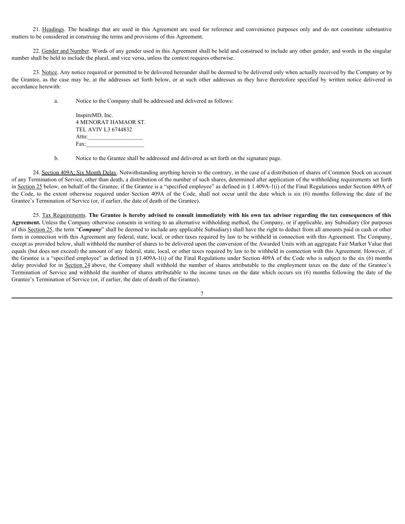matters to be considered in construing the terms and provisions of this Agreement.

22. Gender and Number. Words of any gender used in this Agreement shall be held and construed to include any other gender, and words in the singular number shall be held to include the plural, and vice versa, unless the context requires otherwise.

21. <u>Headings</u>. The headings that are used in this Agreement are used for reference and convenience purposes only and do not constitute substantive<br>22. <u>Gender and Number</u>. Words of any gender used in this Agreement shall 23. Notice. Any notice required or permitted to be delivered hereunder shall be deemed to be delivered only when actually received by the Company or by 21. <u>Headings</u>. The headings that are used in this Agreement are used for reference and convenience purposes only and do not constitute substantive 22. <u>Cender and</u> knowstrang the terms and provisions of this Agreement.<br>T accordance herewith:

a. Notice to the Company shall be addressed and delivered as follows:

InspireMD, Inc. 4 MENORAT HAMAOR ST. TEL AVIV L3 6744832 Attn: Fax:

b. Notice to the Grantee shall be addressed and delivered as set forth on the signature page.

24. Section 409A; Six Month Delay. Notwithstanding anything herein to the contrary, in the case of a distribution of shares of Common Stock on account of any Termination of Service, other than death, a distribution of the number of such shares, determined after application of the withholding requirements set forth in Section 25 below, on behalf of the Grantee, if the Grantee is a "specified employee" as defined in  $\S$  1.409A-1(i) of the Final Regulations under Section 409A of Grantee's Termination of Service (or, if earlier, the date of death of the Grantee).

24 <u>Beadings</u>. The bendings that are used in this Agreement are used for reference and conventence parposes only and do not constitute substantive to be constant a position occurrent and provide a required and the simple 25. Tax Requirements. **The Grantee is hereby advised to consult immediately with his own tax advisor regarding the tax consequences of this Agreement.** Unless the Company otherwise consents in writing to an alternative withholding method, the Company, or if applicable, any Subsidiary (for purposes of this Section 25, the term "*Company*" shall be deemed to include any applicable Subsidiary) shall have the right to deduct from all amounts paid in cash or other form in connection with this Agreement any federal, state, local, or other taxes required by law to be withheld in connection with this Agreement. The Company, except as provided below, shall withhold the number of shares to be delivered upon the conversion of the Awarded Units with an aggregate Fair Market Value that equals (but does not exceed) the amount of any federal, state, local, or other taxes required by law to be withheld in connection with this Agreement. However, if the Grantee is a "specified employee" as defined in §1.409A-1(i) of the Final Regulations under Section 409A of the Code who is subject to the six (6) months 22 Section 2002 Market Works of the three properties above the internet shall be leftered in the leftered in the section 24 above that the company in the section 24 above that the company shall be defined above the state Termination of Service and withhold the number of shares attributable to the income taxes on the date which occurs six (6) months following the date of the Grantee's Termination of Service (or, if earlier, the date of death of the Grantee).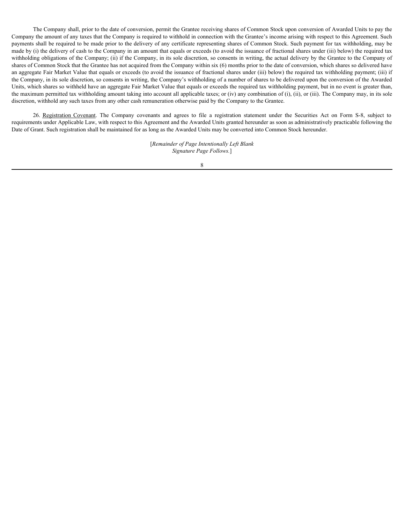The Company shall, prior to the date of conversion, permit the Grantee receiving shares of Common Stock upon conversion of Awarded Units to pay the Company the amount of any taxes that the Company is required to withhold in connection with the Grantee's income arising with respect to this Agreement. Such payments shall be required to be made prior to the delivery of any certificate representing shares of Common Stock. Such payment for tax withholding, may be made by (i) the delivery of cash to the Company in an amount that equals or exceeds (to avoid the issuance of fractional shares under (iii) below) the required tax withholding obligations of the Company; (ii) if the Company, in its sole discretion, so consents in writing, the actual delivery by the Grantee to the Company of shares of Common Stock that the Grantee has not acquired from the Company within six (6) months prior to the date of conversion, which shares so delivered have an aggregate Fair Market Value that equals or exceeds (to avoid the issuance of fractional shares under (iii) below) the required tax withholding payment; (iii) if the Company, in its sole discretion, so consents in writing, the Company's withholding of a number of shares to be delivered upon the conversion of the Awarded Units, which shares so withheld have an aggregate Fair Market Value that equals or exceeds the required tax withholding payment, but in no event is greater than, the maximum permitted tax withholding amount taking into account all applicable taxes; or (iv) any combination of (i), (ii), or (iii). The Company may, in its sole discretion, withhold any such taxes from any other cash remuneration otherwise paid by the Company to the Grantee. The Company shall, prior to the date of conversion, permit the Grantee receiving shares of Common Stock upon conversion of Awarded Units to pay the the amount of any taxes that the Company is required to withhold in conne

requirements under Applicable Law, with respect to this Agreement and the Awarded Units granted hereunder as soon as administratively practicable following the Date of Grant. Such registration shall be maintained for as long as the Awarded Units may be converted into Common Stock hereunder.

> [*Remainder of Page Intentionally Left Blank Signature Page Follows.*]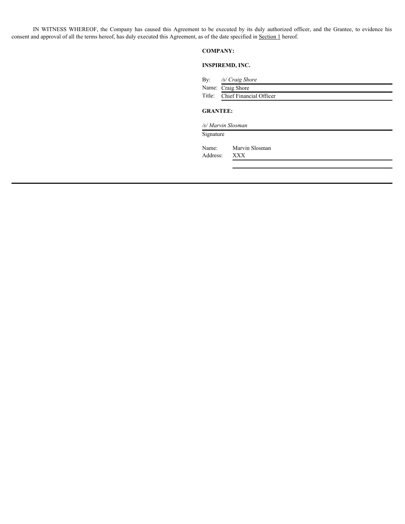IN WITNESS WHEREOF, the Company has caused this Agreement to be executed by its duly authorized officer, and the Grantee, to evidence his nd approval of all the terms hereof, has duly executed this Agreement, as of the dat consent and approval of all the terms hereof, has duly executed this Agreement, as of the date specified in Section 1 hereof.

### **COMPANY:**

## **INSPIREMD, INC.**

| By: | /s/ Craig Shore                |
|-----|--------------------------------|
|     | Name: Craig Shore              |
|     | Title: Chief Financial Officer |
|     |                                |

# **GRANTEE:**

*/s/ Marvin Slosman*

Signature

Name: Marvin Slosman Address: XXX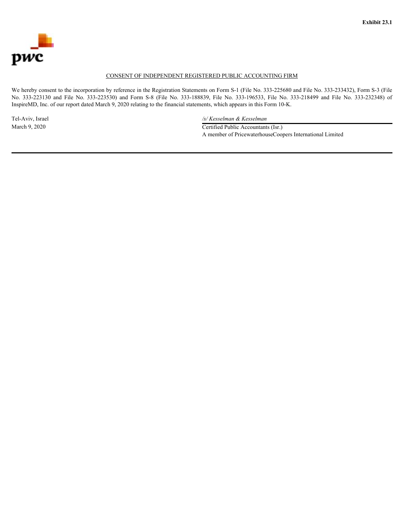

# CONSENT OF INDEPENDENT REGISTERED PUBLIC ACCOUNTING FIRM

We hereby consent to the incorporation by reference in the Registration Statements on Form S-1 (File No. 333-225680 and File No. 333-233432), Form S-3 (File Exhibit 23.1<br>
CONSENT OF INDEPENDENT REGISTERED PUBLIC ACCOUNTING FIRM<br>
We hereby consent to the incorporation by reference in the Registration Statements on Form S-1 (File No. 333-225880 and File No. 333-233432), Form S-3 InspireMD, Inc. of our report dated March 9, 2020 relating to the financial statements, which appears in this Form 10-K.

Tel-Aviv, Israel */s/ Kesselman & Kesselman*

March 9, 2020 Certified Public Accountants (Isr.) A member of PricewaterhouseCoopers International Limited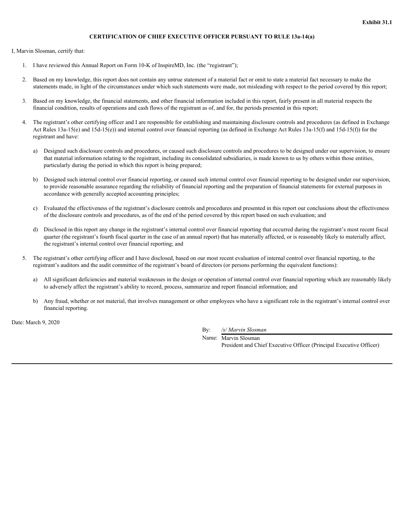### **CERTIFICATION OF CHIEF EXECUTIVE OFFICER PURSUANT TO RULE 13a-14(a)**

I, Marvin Slosman, certify that:

- 1. I have reviewed this Annual Report on Form 10-K of InspireMD, Inc. (the "registrant");
- 2. Based on my knowledge, this report does not contain any untrue statement of a material fact or omit to state a material fact necessary to make the statements made, in light of the circumstances under which such statements were made, not misleading with respect to the period covered by this report;
- 3. Based on my knowledge, the financial statements, and other financial information included in this report, fairly present in all material respects the financial condition, results of operations and cash flows of the registrant as of, and for, the periods presented in this report;
- 4. The registrant's other certifying officer and I are responsible for establishing and maintaining disclosure controls and procedures (as defined in Exchange Act Rules 13a-15(e) and 15d-15(e)) and internal control over financial reporting (as defined in Exchange Act Rules 13a-15(f) and 15d-15(f)) for the registrant and have:
	- a) Designed such disclosure controls and procedures, or caused such disclosure controls and procedures to be designed under our supervision, to ensure that material information relating to the registrant, including its consolidated subsidiaries, is made known to us by others within those entities, particularly during the period in which this report is being prepared;
	- b) Designed such internal control over financial reporting, or caused such internal control over financial reporting to be designed under our supervision, to provide reasonable assurance regarding the reliability of financial reporting and the preparation of financial statements for external purposes in accordance with generally accepted accounting principles;
	- c) Evaluated the effectiveness of the registrant's disclosure controls and procedures and presented in this report our conclusions about the effectiveness of the disclosure controls and procedures, as of the end of the period covered by this report based on such evaluation; and
	- d) Disclosed in this report any change in the registrant's internal control over financial reporting that occurred during the registrant's most recent fiscal quarter (the registrant's fourth fiscal quarter in the case of an annual report) that has materially affected, or is reasonably likely to materially affect, the registrant's internal control over financial reporting; and
- 5. The registrant's other certifying officer and I have disclosed, based on our most recent evaluation of internal control over financial reporting, to the registrant's auditors and the audit committee of the registrant's board of directors (or persons performing the equivalent functions):
	- a) All significant deficiencies and material weaknesses in the design or operation of internal control over financial reporting which are reasonably likely to adversely affect the registrant's ability to record, process, summarize and report financial information; and
	- b) Any fraud, whether or not material, that involves management or other employees who have a significant role in the registrant's internal control over financial reporting.

Date: March 9, 2020

By: */s/ Marvin Slosman*

Name: Marvin Slosman President and Chief Executive Officer (Principal Executive Officer)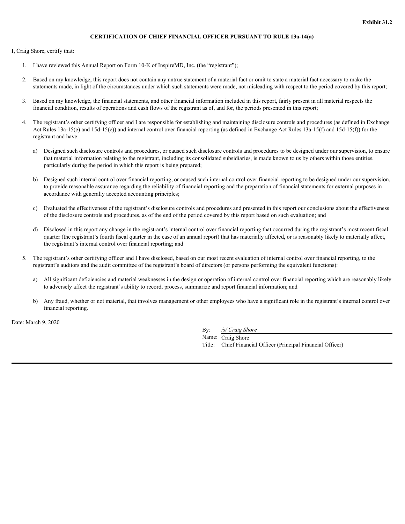### **CERTIFICATION OF CHIEF FINANCIAL OFFICER PURSUANT TO RULE 13a-14(a)**

I, Craig Shore, certify that:

- 1. I have reviewed this Annual Report on Form 10-K of InspireMD, Inc. (the "registrant");
- 2. Based on my knowledge, this report does not contain any untrue statement of a material fact or omit to state a material fact necessary to make the statements made, in light of the circumstances under which such statements were made, not misleading with respect to the period covered by this report;
- 3. Based on my knowledge, the financial statements, and other financial information included in this report, fairly present in all material respects the financial condition, results of operations and cash flows of the registrant as of, and for, the periods presented in this report;
- 4. The registrant's other certifying officer and I are responsible for establishing and maintaining disclosure controls and procedures (as defined in Exchange Act Rules 13a-15(e) and 15d-15(e)) and internal control over financial reporting (as defined in Exchange Act Rules 13a-15(f) and 15d-15(f)) for the registrant and have:
	- a) Designed such disclosure controls and procedures, or caused such disclosure controls and procedures to be designed under our supervision, to ensure that material information relating to the registrant, including its consolidated subsidiaries, is made known to us by others within those entities, particularly during the period in which this report is being prepared;
	- b) Designed such internal control over financial reporting, or caused such internal control over financial reporting to be designed under our supervision, to provide reasonable assurance regarding the reliability of financial reporting and the preparation of financial statements for external purposes in accordance with generally accepted accounting principles;
	- c) Evaluated the effectiveness of the registrant's disclosure controls and procedures and presented in this report our conclusions about the effectiveness of the disclosure controls and procedures, as of the end of the period covered by this report based on such evaluation; and
	- d) Disclosed in this report any change in the registrant's internal control over financial reporting that occurred during the registrant's most recent fiscal quarter (the registrant's fourth fiscal quarter in the case of an annual report) that has materially affected, or is reasonably likely to materially affect, the registrant's internal control over financial reporting; and
- 5. The registrant's other certifying officer and I have disclosed, based on our most recent evaluation of internal control over financial reporting, to the registrant's auditors and the audit committee of the registrant's board of directors (or persons performing the equivalent functions):
	- a) All significant deficiencies and material weaknesses in the design or operation of internal control over financial reporting which are reasonably likely to adversely affect the registrant's ability to record, process, summarize and report financial information; and
	- b) Any fraud, whether or not material, that involves management or other employees who have a significant role in the registrant's internal control over financial reporting.

Date: March 9, 2020

By: */s/ Craig Shore*

Name: Craig Shore

Title: Chief Financial Officer (Principal Financial Officer)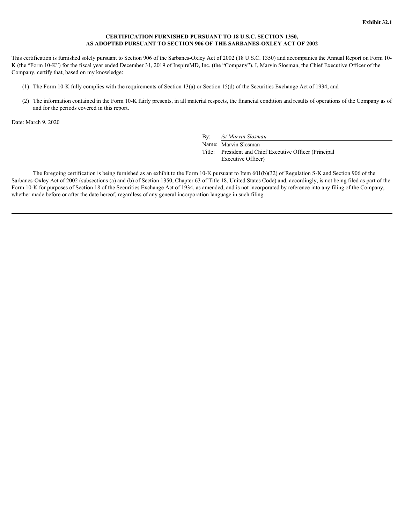### **CERTIFICATION FURNISHED PURSUANT TO 18 U.S.C. SECTION 1350, AS ADOPTED PURSUANT TO SECTION 906 OF THE SARBANES-OXLEY ACT OF 2002**

This certification is furnished solely pursuant to Section 906 of the Sarbanes-Oxley Act of 2002 (18 U.S.C. 1350) and accompanies the Annual Report on Form 10- K (the "Form 10-K") for the fiscal year ended December 31, 2019 of InspireMD, Inc. (the "Company"). I, Marvin Slosman, the Chief Executive Officer of the Company, certify that, based on my knowledge:

- (1) The Form 10-K fully complies with the requirements of Section 13(a) or Section 15(d) of the Securities Exchange Act of 1934; and
- (2) The information contained in the Form 10-K fairly presents, in all material respects, the financial condition and results of operations of the Company as of and for the periods covered in this report.

Date: March 9, 2020

By: */s/ Marvin Slosman*

Name: Marvin Slosman Title: President and Chief Executive Officer (Principal Executive Officer)

The foregoing certification is being furnished as an exhibit to the Form 10-K pursuant to Item 601(b)(32) of Regulation S-K and Section 906 of the Sarbanes-Oxley Act of 2002 (subsections (a) and (b) of Section 1350, Chapter 63 of Title 18, United States Code) and, accordingly, is not being filed as part of the Form 10-K for purposes of Section 18 of the Securities Exchange Act of 1934, as amended, and is not incorporated by reference into any filing of the Company, whether made before or after the date hereof, regardless of any general incorporation language in such filing.